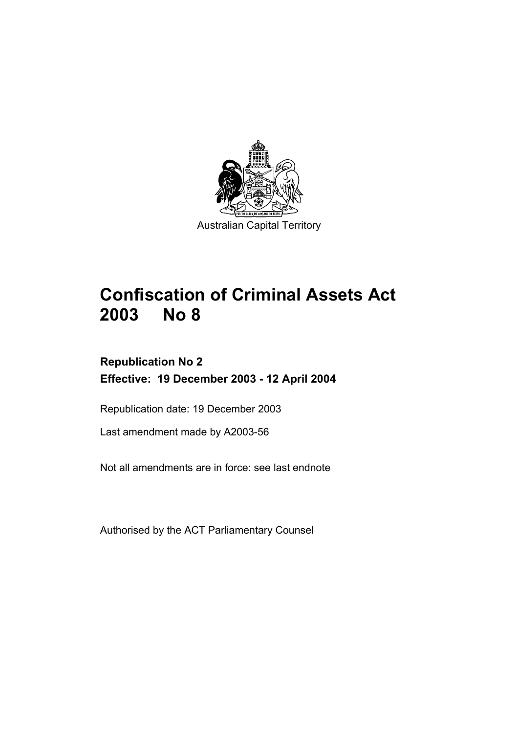

# **Confiscation of Criminal Assets Act 2003 No 8**

# **Republication No 2 Effective: 19 December 2003 - 12 April 2004**

Republication date: 19 December 2003

Last amendment made by A2003-56

Not all amendments are in force: see last endnote

Authorised by the ACT Parliamentary Counsel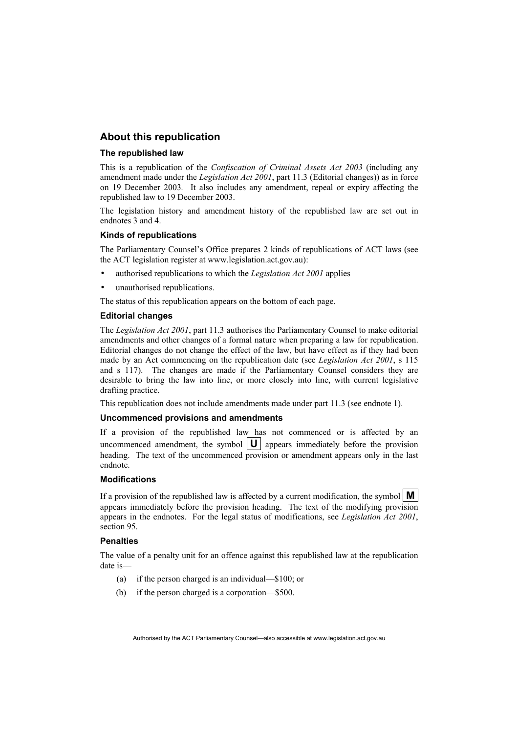# **About this republication**

#### **The republished law**

This is a republication of the *Confiscation of Criminal Assets Act 2003* (including any amendment made under the *Legislation Act 2001*, part 11.3 (Editorial changes)) as in force on 19 December 2003*.* It also includes any amendment, repeal or expiry affecting the republished law to 19 December 2003.

The legislation history and amendment history of the republished law are set out in endnotes 3 and 4.

#### **Kinds of republications**

The Parliamentary Counsel's Office prepares 2 kinds of republications of ACT laws (see the ACT legislation register at www.legislation.act.gov.au):

- authorised republications to which the *Legislation Act 2001* applies
- unauthorised republications.

The status of this republication appears on the bottom of each page.

#### **Editorial changes**

The *Legislation Act 2001*, part 11.3 authorises the Parliamentary Counsel to make editorial amendments and other changes of a formal nature when preparing a law for republication. Editorial changes do not change the effect of the law, but have effect as if they had been made by an Act commencing on the republication date (see *Legislation Act 2001*, s 115 and s 117). The changes are made if the Parliamentary Counsel considers they are desirable to bring the law into line, or more closely into line, with current legislative drafting practice.

This republication does not include amendments made under part 11.3 (see endnote 1).

#### **Uncommenced provisions and amendments**

If a provision of the republished law has not commenced or is affected by an uncommenced amendment, the symbol  $|\mathbf{U}|$  appears immediately before the provision heading. The text of the uncommenced provision or amendment appears only in the last endnote.

#### **Modifications**

If a provision of the republished law is affected by a current modification, the symbol  $\mathbf{M}$ appears immediately before the provision heading. The text of the modifying provision appears in the endnotes. For the legal status of modifications, see *Legislation Act 2001*, section 95.

#### **Penalties**

The value of a penalty unit for an offence against this republished law at the republication date is—

- (a) if the person charged is an individual—\$100; or
- (b) if the person charged is a corporation—\$500.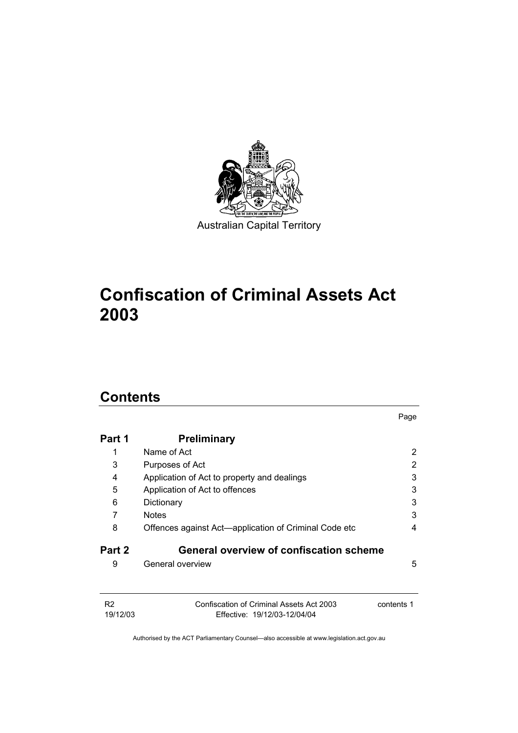

# **Confiscation of Criminal Assets Act 2003**

# **Contents**

|                |                                                       | Page       |
|----------------|-------------------------------------------------------|------------|
| Part 1         | <b>Preliminary</b>                                    |            |
| 1              | Name of Act                                           | 2          |
| 3              | Purposes of Act                                       | 2          |
| 4              | Application of Act to property and dealings           | 3          |
| 5              | Application of Act to offences                        | 3          |
| 6              | Dictionary                                            | 3          |
|                | <b>Notes</b>                                          | 3          |
| 8              | Offences against Act—application of Criminal Code etc | 4          |
| Part 2         | General overview of confiscation scheme               |            |
| 9              | General overview                                      | 5          |
| R <sub>2</sub> | Confiscation of Criminal Assets Act 2003              | contents 1 |
| 19/12/03       | Effective: 19/12/03-12/04/04                          |            |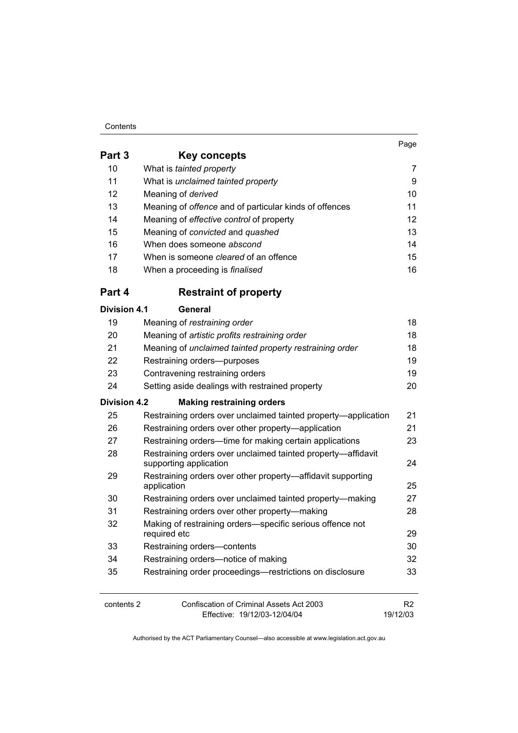## Contents

|                     |                                                                                        | Page           |
|---------------------|----------------------------------------------------------------------------------------|----------------|
| Part 3              | Key concepts                                                                           |                |
| 10                  | What is tainted property                                                               | 7              |
| 11                  | What is unclaimed tainted property                                                     | 9              |
| 12                  | Meaning of derived                                                                     | 10             |
| 13                  | Meaning of offence and of particular kinds of offences                                 | 11             |
| 14                  | Meaning of effective control of property                                               | 12             |
| 15                  | Meaning of convicted and quashed                                                       | 13             |
| 16                  | When does someone abscond                                                              | 14             |
| 17                  | When is someone <i>cleared</i> of an offence                                           | 15             |
| 18                  | When a proceeding is <i>finalised</i>                                                  | 16             |
| Part 4              | <b>Restraint of property</b>                                                           |                |
| <b>Division 4.1</b> | <b>General</b>                                                                         |                |
| 19                  | Meaning of restraining order                                                           | 18             |
| 20                  | Meaning of artistic profits restraining order                                          | 18             |
| 21                  | Meaning of unclaimed tainted property restraining order                                | 18             |
| 22                  | Restraining orders-purposes                                                            | 19             |
| 23                  | Contravening restraining orders                                                        | 19             |
| 24                  | Setting aside dealings with restrained property                                        | 20             |
| <b>Division 4.2</b> | <b>Making restraining orders</b>                                                       |                |
| 25                  | Restraining orders over unclaimed tainted property—application                         | 21             |
| 26                  | Restraining orders over other property-application                                     | 21             |
| 27                  | Restraining orders—time for making certain applications                                | 23             |
| 28                  | Restraining orders over unclaimed tainted property-affidavit<br>supporting application | 24             |
| 29                  | Restraining orders over other property-affidavit supporting                            |                |
|                     | application                                                                            | 25             |
| 30                  | Restraining orders over unclaimed tainted property-making                              | 27             |
| 31                  | Restraining orders over other property-making                                          | 28             |
| 32                  | Making of restraining orders-specific serious offence not<br>required etc              | 29             |
| 33                  | Restraining orders-contents                                                            | 30             |
| 34                  | Restraining orders-notice of making                                                    | 32             |
| 35                  | Restraining order proceedings—restrictions on disclosure                               | 33             |
| contents 2          | <b>Confiscation of Criminal Assets Act 2003</b>                                        | R <sub>2</sub> |
|                     | Effective: 19/12/03-12/04/04                                                           | 19/12/03       |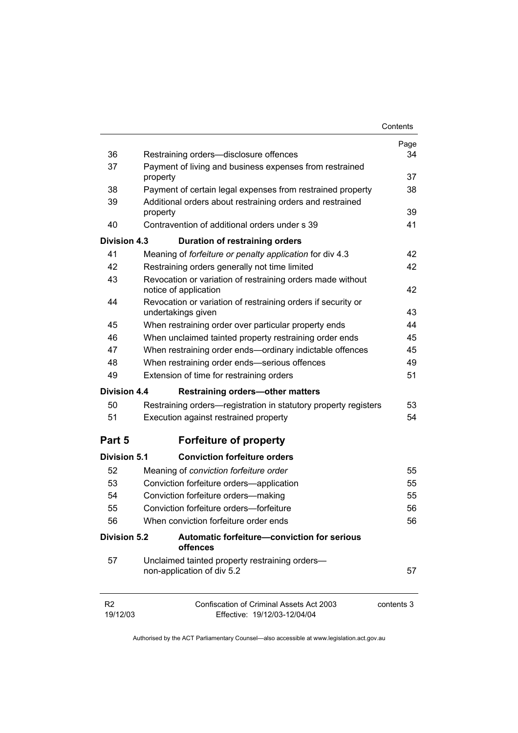|                            |                                                                                     | Contents   |
|----------------------------|-------------------------------------------------------------------------------------|------------|
|                            |                                                                                     | Page       |
| 36                         | Restraining orders-disclosure offences                                              | 34         |
| 37                         | Payment of living and business expenses from restrained<br>property                 | 37         |
| 38                         | Payment of certain legal expenses from restrained property                          | 38         |
| 39                         | Additional orders about restraining orders and restrained<br>property               | 39         |
| 40                         | Contravention of additional orders under s 39                                       | 41         |
| <b>Division 4.3</b>        | Duration of restraining orders                                                      |            |
| 41                         | Meaning of forfeiture or penalty application for div 4.3                            | 42         |
| 42                         | Restraining orders generally not time limited                                       | 42         |
| 43                         | Revocation or variation of restraining orders made without<br>notice of application | 42         |
| 44                         | Revocation or variation of restraining orders if security or<br>undertakings given  | 43         |
| 45                         | When restraining order over particular property ends                                | 44         |
| 46                         | When unclaimed tainted property restraining order ends                              | 45         |
| 47                         | When restraining order ends-ordinary indictable offences                            | 45         |
| 48                         | When restraining order ends-serious offences                                        | 49         |
| 49                         | Extension of time for restraining orders                                            | 51         |
| <b>Division 4.4</b>        | <b>Restraining orders-other matters</b>                                             |            |
| 50                         | Restraining orders—registration in statutory property registers                     | 53         |
| 51                         | Execution against restrained property                                               | 54         |
| Part 5                     | <b>Forfeiture of property</b>                                                       |            |
| <b>Division 5.1</b>        | <b>Conviction forfeiture orders</b>                                                 |            |
| 52                         | Meaning of conviction forfeiture order                                              | 55         |
| 53                         | Conviction forfeiture orders-application                                            | 55         |
| 54                         | Conviction forfeiture orders-making                                                 | 55         |
| 55                         | Conviction forfeiture orders—forfeiture                                             | 56         |
| 56                         | When conviction forfeiture order ends                                               | 56         |
| <b>Division 5.2</b>        | Automatic forfeiture-conviction for serious<br>offences                             |            |
| 57                         | Unclaimed tainted property restraining orders-<br>non-application of div 5.2        | 57         |
| R <sub>2</sub><br>19/12/03 | Confiscation of Criminal Assets Act 2003<br>Effective: 19/12/03-12/04/04            | contents 3 |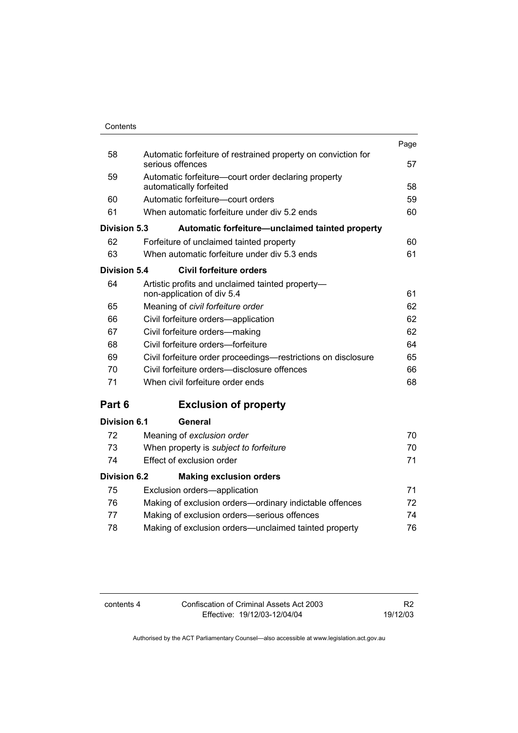|                     |                                                                                   | Page |
|---------------------|-----------------------------------------------------------------------------------|------|
| 58                  | Automatic forfeiture of restrained property on conviction for<br>serious offences | 57   |
| 59                  | Automatic forfeiture-court order declaring property<br>automatically forfeited    | 58   |
| 60                  | Automatic forfeiture-court orders                                                 | 59   |
| 61                  | When automatic forfeiture under div 5.2 ends                                      | 60   |
| Division 5.3        | Automatic forfeiture-unclaimed tainted property                                   |      |
| 62                  | Forfeiture of unclaimed tainted property                                          | 60   |
| 63                  | When automatic forfeiture under div 5.3 ends                                      | 61   |
| <b>Division 5.4</b> | <b>Civil forfeiture orders</b>                                                    |      |
| 64                  | Artistic profits and unclaimed tainted property-<br>non-application of div 5.4    | 61   |
| 65                  | Meaning of civil forfeiture order                                                 | 62   |
| 66                  | Civil forfeiture orders-application                                               | 62   |
| 67                  | Civil forfeiture orders-making                                                    | 62   |
| 68                  | Civil forfeiture orders—forfeiture                                                | 64   |
| 69                  | Civil forfeiture order proceedings—restrictions on disclosure                     | 65   |
| 70                  | Civil forfeiture orders—disclosure offences                                       | 66   |
| 71                  | When civil forfeiture order ends                                                  | 68   |
| Part 6              | <b>Exclusion of property</b>                                                      |      |
| Division 6.1        | General                                                                           |      |
| 72                  | Meaning of exclusion order                                                        | 70   |
| 73                  | When property is subject to forfeiture                                            | 70   |
| 74                  | Effect of exclusion order                                                         | 71   |
| <b>Division 6.2</b> | <b>Making exclusion orders</b>                                                    |      |
| 75                  | Exclusion orders-application                                                      | 71   |

| . . | LAGROPH ORGEO application                               | $\mathbf{1}$ |
|-----|---------------------------------------------------------|--------------|
| 76  | Making of exclusion orders—ordinary indictable offences | 72           |
| 77  | Making of exclusion orders—serious offences             | 74           |
| 78  | Making of exclusion orders—unclaimed tainted property   | 76           |
|     |                                                         |              |

| contents 4 | Confiscation of Criminal Assets Act 2003 | R <sub>2</sub> |
|------------|------------------------------------------|----------------|
|            | Effective: 19/12/03-12/04/04             | 19/12/03       |

R2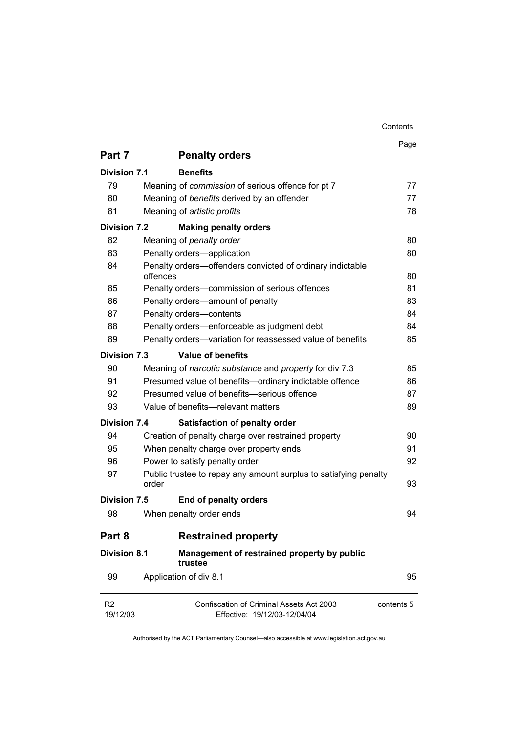|                            |                                                                           | Contents   |
|----------------------------|---------------------------------------------------------------------------|------------|
|                            |                                                                           | Page       |
| Part 7                     | <b>Penalty orders</b>                                                     |            |
| <b>Division 7.1</b>        | <b>Benefits</b>                                                           |            |
| 79                         | Meaning of commission of serious offence for pt 7                         | 77         |
| 80                         | Meaning of benefits derived by an offender                                | 77         |
| 81                         | Meaning of artistic profits                                               | 78         |
| <b>Division 7.2</b>        | <b>Making penalty orders</b>                                              |            |
| 82                         | Meaning of penalty order                                                  | 80         |
| 83                         | Penalty orders-application                                                | 80         |
| 84                         | Penalty orders-offenders convicted of ordinary indictable                 |            |
|                            | offences                                                                  | 80         |
| 85                         | Penalty orders-commission of serious offences                             | 81         |
| 86                         | Penalty orders-amount of penalty                                          | 83         |
| 87                         | Penalty orders-contents                                                   | 84         |
| 88                         | Penalty orders—enforceable as judgment debt                               | 84         |
| 89                         | Penalty orders-variation for reassessed value of benefits                 | 85         |
| <b>Division 7.3</b>        | <b>Value of benefits</b>                                                  |            |
| 90                         | Meaning of narcotic substance and property for div 7.3                    | 85         |
| 91                         | Presumed value of benefits-ordinary indictable offence                    | 86         |
| 92                         | Presumed value of benefits-serious offence                                | 87         |
| 93                         | Value of benefits-relevant matters                                        | 89         |
| <b>Division 7.4</b>        | <b>Satisfaction of penalty order</b>                                      |            |
| 94                         | Creation of penalty charge over restrained property                       | 90         |
| 95                         | When penalty charge over property ends                                    | 91         |
| 96                         | Power to satisfy penalty order                                            | 92         |
| 97                         | Public trustee to repay any amount surplus to satisfying penalty<br>order | 93         |
| <b>Division 7.5</b>        | <b>End of penalty orders</b>                                              |            |
| 98                         | When penalty order ends                                                   | 94         |
| Part 8                     | <b>Restrained property</b>                                                |            |
| <b>Division 8.1</b>        | Management of restrained property by public<br>trustee                    |            |
| 99                         | Application of div 8.1                                                    | 95         |
| R <sub>2</sub><br>19/12/03 | Confiscation of Criminal Assets Act 2003<br>Effective: 19/12/03-12/04/04  | contents 5 |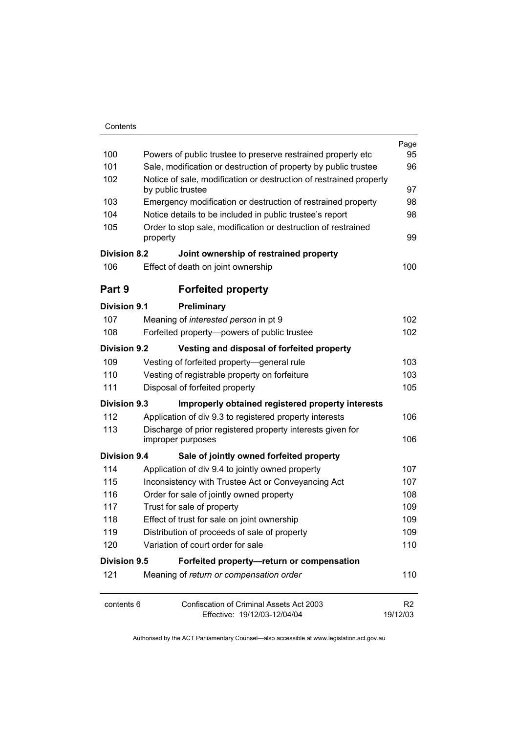| Contents |
|----------|
|----------|

|                     |                                                                                         | Page                       |
|---------------------|-----------------------------------------------------------------------------------------|----------------------------|
| 100                 | Powers of public trustee to preserve restrained property etc                            | 95                         |
| 101                 | Sale, modification or destruction of property by public trustee                         | 96                         |
| 102                 | Notice of sale, modification or destruction of restrained property<br>by public trustee | 97                         |
| 103                 | Emergency modification or destruction of restrained property                            | 98                         |
| 104                 | Notice details to be included in public trustee's report                                | 98                         |
| 105                 | Order to stop sale, modification or destruction of restrained<br>property               | 99                         |
| <b>Division 8.2</b> | Joint ownership of restrained property                                                  |                            |
| 106                 | Effect of death on joint ownership                                                      | 100                        |
| Part 9              | <b>Forfeited property</b>                                                               |                            |
| Division 9.1        | Preliminary                                                                             |                            |
| 107                 | Meaning of interested person in pt 9                                                    | 102                        |
| 108                 | Forfeited property--powers of public trustee                                            | 102                        |
| <b>Division 9.2</b> | Vesting and disposal of forfeited property                                              |                            |
| 109                 | Vesting of forfeited property-general rule                                              | 103                        |
| 110                 | Vesting of registrable property on forfeiture                                           | 103                        |
| 111                 | Disposal of forfeited property                                                          | 105                        |
| Division 9.3        | Improperly obtained registered property interests                                       |                            |
| 112                 | Application of div 9.3 to registered property interests                                 | 106                        |
| 113                 | Discharge of prior registered property interests given for                              |                            |
|                     | improper purposes                                                                       | 106                        |
| <b>Division 9.4</b> | Sale of jointly owned forfeited property                                                |                            |
| 114                 | Application of div 9.4 to jointly owned property                                        | 107                        |
| 115                 | Inconsistency with Trustee Act or Conveyancing Act                                      | 107                        |
| 116                 | Order for sale of jointly owned property                                                | 108                        |
| 117                 | Trust for sale of property                                                              | 109                        |
| 118                 | Effect of trust for sale on joint ownership                                             | 109                        |
| 119                 | Distribution of proceeds of sale of property                                            | 109                        |
| 120                 | Variation of court order for sale                                                       | 110                        |
| <b>Division 9.5</b> | Forfeited property-return or compensation                                               |                            |
| 121                 | Meaning of return or compensation order                                                 | 110                        |
| contents 6          | Confiscation of Criminal Assets Act 2003<br>Effective: 19/12/03-12/04/04                | R <sub>2</sub><br>19/12/03 |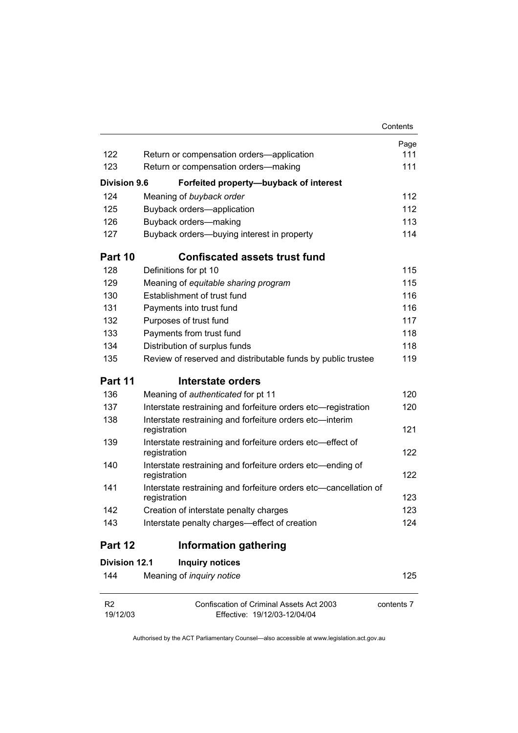|                      |                                                                                  | Contents   |
|----------------------|----------------------------------------------------------------------------------|------------|
|                      |                                                                                  | Page       |
| 122                  | Return or compensation orders-application                                        | 111        |
| 123                  | Return or compensation orders-making                                             | 111        |
| <b>Division 9.6</b>  | Forfeited property-buyback of interest                                           |            |
| 124                  | Meaning of buyback order                                                         | 112        |
| 125                  | Buyback orders-application                                                       | 112        |
| 126                  | Buyback orders-making                                                            | 113        |
| 127                  | Buyback orders-buying interest in property                                       | 114        |
| Part 10              | <b>Confiscated assets trust fund</b>                                             |            |
| 128                  | Definitions for pt 10                                                            | 115        |
| 129                  | Meaning of equitable sharing program                                             | 115        |
| 130                  | Establishment of trust fund                                                      | 116        |
| 131                  | Payments into trust fund                                                         | 116        |
| 132                  | Purposes of trust fund                                                           | 117        |
| 133                  | Payments from trust fund                                                         | 118        |
| 134                  | Distribution of surplus funds                                                    | 118        |
| 135                  | Review of reserved and distributable funds by public trustee                     | 119        |
| Part 11              | Interstate orders                                                                |            |
| 136                  | Meaning of authenticated for pt 11                                               | 120        |
| 137                  | Interstate restraining and forfeiture orders etc-registration                    | 120        |
| 138                  | Interstate restraining and forfeiture orders etc-interim<br>registration         | 121        |
| 139                  | Interstate restraining and forfeiture orders etc-effect of<br>registration       | 122        |
| 140                  | Interstate restraining and forfeiture orders etc-ending of<br>registration       | 122        |
| 141                  | Interstate restraining and forfeiture orders etc-cancellation of<br>registration | 123        |
| 142                  | Creation of interstate penalty charges                                           | 123        |
| 143                  | Interstate penalty charges—effect of creation                                    | 124        |
| Part 12              | <b>Information gathering</b>                                                     |            |
| <b>Division 12.1</b> | <b>Inquiry notices</b>                                                           |            |
| 144                  | Meaning of inquiry notice                                                        | 125        |
| R <sub>2</sub>       | Confiscation of Criminal Assets Act 2003                                         | contents 7 |

19/12/03

Authorised by the ACT Parliamentary Counsel—also accessible at www.legislation.act.gov.au

Effective: 19/12/03-12/04/04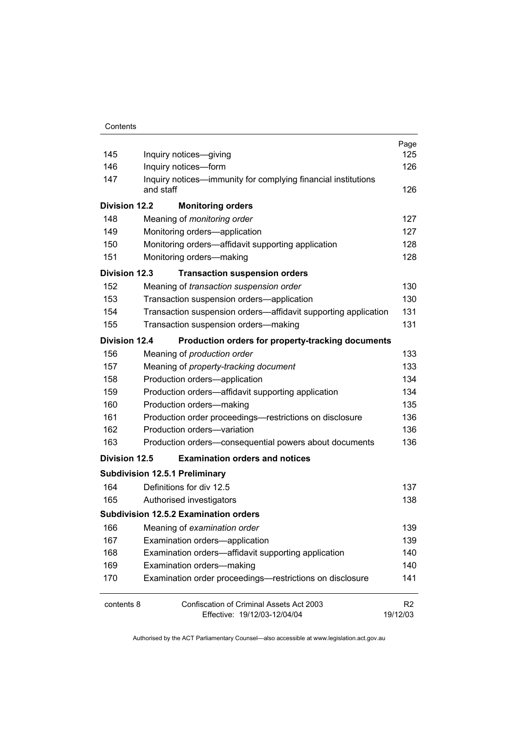| 145                  |                                                                            | Page<br>125    |
|----------------------|----------------------------------------------------------------------------|----------------|
|                      | Inquiry notices-giving                                                     |                |
| 146                  | Inquiry notices-form                                                       | 126            |
| 147                  | Inquiry notices—immunity for complying financial institutions<br>and staff | 126            |
| <b>Division 12.2</b> | <b>Monitoring orders</b>                                                   |                |
| 148                  | Meaning of <i>monitoring</i> order                                         | 127            |
| 149                  | Monitoring orders-application                                              | 127            |
| 150                  | Monitoring orders-affidavit supporting application                         | 128            |
| 151                  | Monitoring orders-making                                                   | 128            |
| <b>Division 12.3</b> | <b>Transaction suspension orders</b>                                       |                |
| 152                  | Meaning of transaction suspension order                                    | 130            |
| 153                  | Transaction suspension orders-application                                  | 130            |
| 154                  | Transaction suspension orders—affidavit supporting application             | 131            |
| 155                  | Transaction suspension orders-making                                       | 131            |
| <b>Division 12.4</b> | Production orders for property-tracking documents                          |                |
| 156                  | Meaning of production order                                                | 133            |
| 157                  | Meaning of property-tracking document                                      | 133            |
| 158                  | Production orders-application                                              | 134            |
| 159                  | Production orders-affidavit supporting application                         | 134            |
| 160                  | Production orders-making                                                   | 135            |
| 161                  | Production order proceedings-restrictions on disclosure                    | 136            |
| 162                  | Production orders-variation                                                | 136            |
| 163                  | Production orders-consequential powers about documents                     | 136            |
| Division 12.5        | <b>Examination orders and notices</b>                                      |                |
|                      | <b>Subdivision 12.5.1 Preliminary</b>                                      |                |
| 164                  | Definitions for div 12.5                                                   | 137            |
| 165                  | Authorised investigators                                                   | 138            |
|                      | <b>Subdivision 12.5.2 Examination orders</b>                               |                |
| 166                  | Meaning of examination order                                               | 139            |
| 167                  | Examination orders-application                                             | 139            |
| 168                  | Examination orders-affidavit supporting application                        | 140            |
| 169                  | Examination orders-making                                                  | 140            |
| 170                  | Examination order proceedings-restrictions on disclosure                   | 141            |
| contents 8           | Confiscation of Criminal Assets Act 2003                                   | R <sub>2</sub> |
|                      | Effective: 19/12/03-12/04/04                                               | 19/12/03       |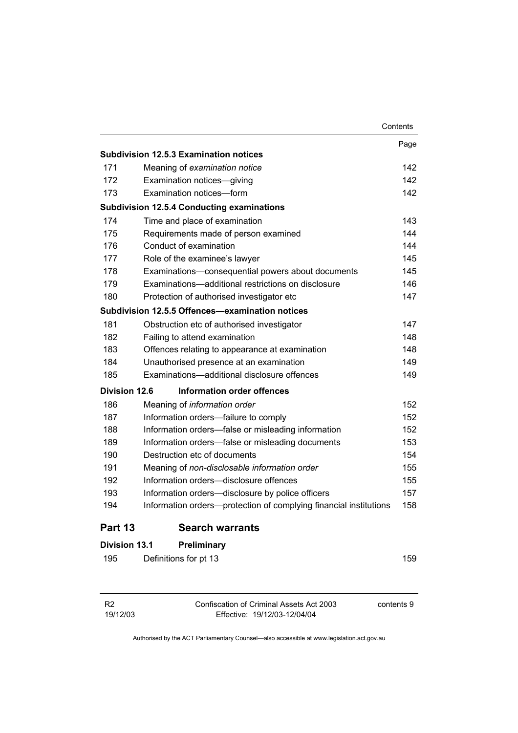|                      |                                                                   | Contents |
|----------------------|-------------------------------------------------------------------|----------|
|                      |                                                                   | Page     |
|                      | <b>Subdivision 12.5.3 Examination notices</b>                     |          |
| 171                  | Meaning of examination notice                                     | 142      |
| 172                  | Examination notices-giving                                        | 142      |
| 173                  | Examination notices-form                                          | 142      |
|                      | <b>Subdivision 12.5.4 Conducting examinations</b>                 |          |
| 174                  | Time and place of examination                                     | 143      |
| 175                  | Requirements made of person examined                              | 144      |
| 176                  | Conduct of examination                                            | 144      |
| 177                  | Role of the examinee's lawyer                                     | 145      |
| 178                  | Examinations-consequential powers about documents                 | 145      |
| 179                  | Examinations-additional restrictions on disclosure                | 146      |
| 180                  | Protection of authorised investigator etc                         | 147      |
|                      | Subdivision 12.5.5 Offences—examination notices                   |          |
| 181                  | Obstruction etc of authorised investigator                        | 147      |
| 182                  | Failing to attend examination                                     | 148      |
| 183                  | Offences relating to appearance at examination                    | 148      |
| 184                  | Unauthorised presence at an examination                           | 149      |
| 185                  | Examinations-additional disclosure offences                       | 149      |
| Division 12.6        | Information order offences                                        |          |
| 186                  | Meaning of information order                                      | 152      |
| 187                  | Information orders-failure to comply                              | 152      |
| 188                  | Information orders—false or misleading information                | 152      |
| 189                  | Information orders—false or misleading documents                  | 153      |
| 190                  | Destruction etc of documents                                      | 154      |
| 191                  | Meaning of non-disclosable information order                      | 155      |
| 192                  | Information orders-disclosure offences                            | 155      |
| 193                  | Information orders-disclosure by police officers                  | 157      |
| 194                  | Information orders-protection of complying financial institutions | 158      |
| Part 13              | <b>Search warrants</b>                                            |          |
| <b>Division 13.1</b> | Preliminary                                                       |          |
| 195                  | Definitions for pt 13                                             | 159      |

| R <sub>2</sub> | Confiscation of Criminal Assets Act 2003 | contents 9 |
|----------------|------------------------------------------|------------|
| 19/12/03       | Effective: 19/12/03-12/04/04             |            |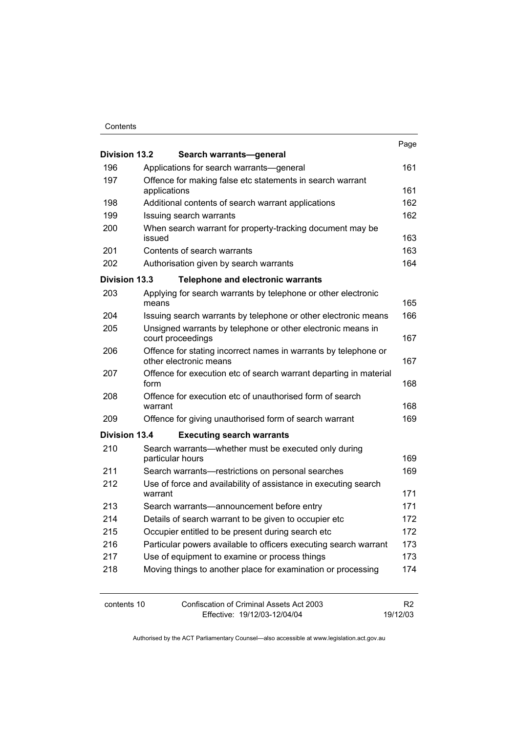#### **Contents**

| <b>Division 13.2</b> |              | Search warrants-general                                                                   | Page                       |
|----------------------|--------------|-------------------------------------------------------------------------------------------|----------------------------|
| 196                  |              | Applications for search warrants—general                                                  | 161                        |
| 197                  |              | Offence for making false etc statements in search warrant                                 |                            |
|                      | applications |                                                                                           | 161                        |
| 198                  |              | Additional contents of search warrant applications                                        | 162                        |
| 199                  |              | Issuing search warrants                                                                   | 162                        |
| 200                  | issued       | When search warrant for property-tracking document may be                                 | 163                        |
| 201                  |              | Contents of search warrants                                                               | 163                        |
| 202                  |              | Authorisation given by search warrants                                                    | 164                        |
| <b>Division 13.3</b> |              | <b>Telephone and electronic warrants</b>                                                  |                            |
| 203                  |              | Applying for search warrants by telephone or other electronic                             |                            |
|                      | means        |                                                                                           | 165                        |
| 204                  |              | Issuing search warrants by telephone or other electronic means                            | 166                        |
| 205                  |              | Unsigned warrants by telephone or other electronic means in<br>court proceedings          | 167                        |
| 206                  |              | Offence for stating incorrect names in warrants by telephone or<br>other electronic means | 167                        |
| 207                  | form         | Offence for execution etc of search warrant departing in material                         | 168                        |
| 208                  | warrant      | Offence for execution etc of unauthorised form of search                                  | 168                        |
| 209                  |              | Offence for giving unauthorised form of search warrant                                    | 169                        |
| <b>Division 13.4</b> |              | <b>Executing search warrants</b>                                                          |                            |
| 210                  |              | Search warrants—whether must be executed only during<br>particular hours                  | 169                        |
| 211                  |              | Search warrants-restrictions on personal searches                                         | 169                        |
| 212                  |              | Use of force and availability of assistance in executing search                           |                            |
|                      | warrant      |                                                                                           | 171                        |
| 213                  |              | Search warrants—announcement before entry                                                 | 171                        |
| 214                  |              | Details of search warrant to be given to occupier etc                                     | 172                        |
| 215                  |              | Occupier entitled to be present during search etc                                         | 172                        |
| 216                  |              | Particular powers available to officers executing search warrant                          | 173                        |
| 217                  |              | Use of equipment to examine or process things                                             | 173                        |
| 218                  |              | Moving things to another place for examination or processing                              | 174                        |
| contents 10          |              | Confiscation of Criminal Assets Act 2003<br>Effective: 19/12/03-12/04/04                  | R <sub>2</sub><br>19/12/03 |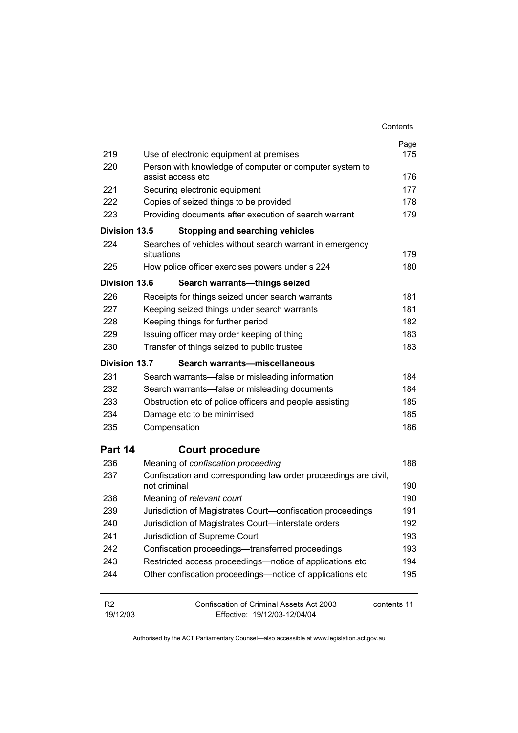|                            |                                                                              | Contents    |
|----------------------------|------------------------------------------------------------------------------|-------------|
|                            |                                                                              | Page        |
| 219                        | Use of electronic equipment at premises                                      | 175         |
| 220                        | Person with knowledge of computer or computer system to<br>assist access etc | 176         |
| 221                        | Securing electronic equipment                                                | 177         |
| 222                        | Copies of seized things to be provided                                       | 178         |
| 223                        | Providing documents after execution of search warrant                        | 179         |
| Division 13.5              | <b>Stopping and searching vehicles</b>                                       |             |
| 224                        | Searches of vehicles without search warrant in emergency                     |             |
|                            | situations                                                                   | 179         |
| 225                        | How police officer exercises powers under s 224                              | 180         |
| <b>Division 13.6</b>       | Search warrants-things seized                                                |             |
| 226                        | Receipts for things seized under search warrants                             | 181         |
| 227                        | Keeping seized things under search warrants                                  | 181         |
| 228                        | Keeping things for further period                                            | 182         |
| 229                        | Issuing officer may order keeping of thing                                   | 183         |
| 230                        | Transfer of things seized to public trustee                                  | 183         |
| Division 13.7              | Search warrants-miscellaneous                                                |             |
| 231                        | Search warrants—false or misleading information                              | 184         |
| 232                        | Search warrants—false or misleading documents                                | 184         |
| 233                        | Obstruction etc of police officers and people assisting                      | 185         |
| 234                        | Damage etc to be minimised                                                   | 185         |
| 235                        | Compensation                                                                 | 186         |
| Part 14                    | <b>Court procedure</b>                                                       |             |
| 236                        | Meaning of confiscation proceeding                                           | 188         |
| 237                        | Confiscation and corresponding law order proceedings are civil,              |             |
|                            | not criminal                                                                 | 190         |
| 238                        | Meaning of relevant court                                                    | 190         |
| 239                        | Jurisdiction of Magistrates Court-confiscation proceedings                   | 191         |
| 240                        | Jurisdiction of Magistrates Court-interstate orders                          | 192         |
| 241                        | Jurisdiction of Supreme Court                                                | 193         |
| 242                        | Confiscation proceedings—transferred proceedings                             | 193         |
| 243                        | Restricted access proceedings—notice of applications etc                     | 194         |
| 244                        | Other confiscation proceedings—notice of applications etc                    | 195         |
| R <sub>2</sub><br>19/12/03 | Confiscation of Criminal Assets Act 2003<br>Effective: 19/12/03-12/04/04     | contents 11 |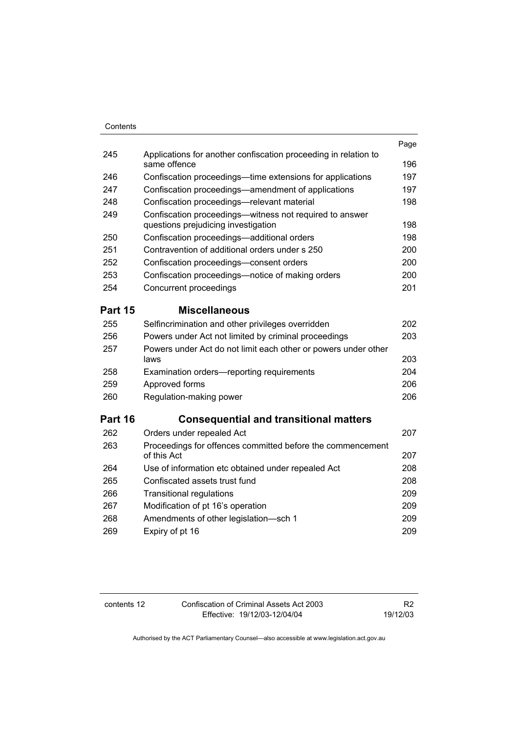| Contents       |                                                                                                |      |
|----------------|------------------------------------------------------------------------------------------------|------|
|                |                                                                                                | Page |
| 245            | Applications for another confiscation proceeding in relation to<br>same offence                | 196  |
| 246            | Confiscation proceedings—time extensions for applications                                      | 197  |
| 247            | Confiscation proceedings-amendment of applications                                             | 197  |
| 248            | Confiscation proceedings-relevant material                                                     | 198  |
| 249            | Confiscation proceedings—witness not required to answer<br>questions prejudicing investigation | 198  |
| 250            | Confiscation proceedings-additional orders                                                     | 198  |
| 251            | Contravention of additional orders under s 250                                                 | 200  |
| 252            | Confiscation proceedings-consent orders                                                        | 200  |
| 253            | Confiscation proceedings-notice of making orders                                               | 200  |
| 254            | Concurrent proceedings                                                                         | 201  |
| <b>Part 15</b> | <b>Miscellaneous</b>                                                                           |      |
| 255            | Selfincrimination and other privileges overridden                                              | 202  |
| 256            | Powers under Act not limited by criminal proceedings                                           | 203  |
| 257            | Powers under Act do not limit each other or powers under other<br>laws                         | 203  |
| 258            | Examination orders—reporting requirements                                                      | 204  |
| 259            | Approved forms                                                                                 | 206  |
| 260            | Regulation-making power                                                                        | 206  |
| Part 16        | <b>Consequential and transitional matters</b>                                                  |      |
| 262            | Orders under repealed Act                                                                      | 207  |
| 263            | Proceedings for offences committed before the commencement<br>of this Act                      | 207  |
| 264            | Use of information etc obtained under repealed Act                                             | 208  |
| 265            | Confiscated assets trust fund                                                                  | 208  |
| 266            | <b>Transitional regulations</b>                                                                | 209  |
| 267            | Modification of pt 16's operation                                                              | 209  |
| 268            | Amendments of other legislation-sch 1                                                          | 209  |
| 269            | Expiry of pt 16                                                                                | 209  |

contents 12 Confiscation of Criminal Assets Act 2003 Effective: 19/12/03-12/04/04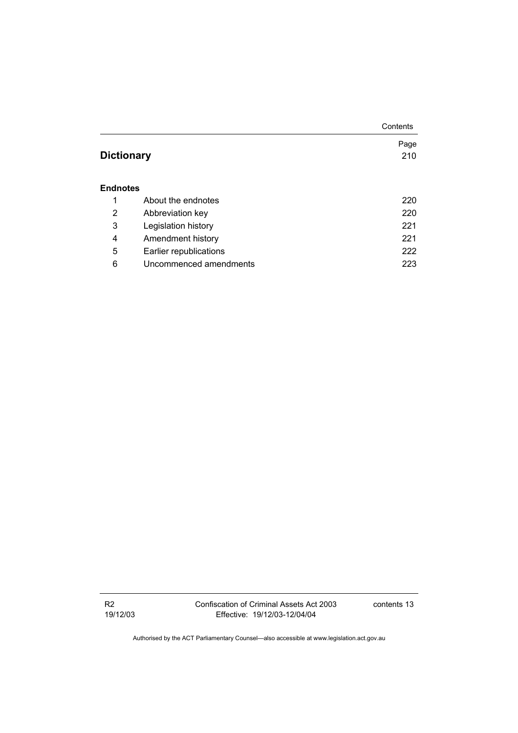|                   |                        | Contents |
|-------------------|------------------------|----------|
|                   |                        | Page     |
| <b>Dictionary</b> |                        | 210      |
|                   |                        |          |
| <b>Endnotes</b>   |                        |          |
| 1                 | About the endnotes     | 220      |
| 2                 | Abbreviation key       | 220      |
| 3                 | Legislation history    | 221      |
| 4                 | Amendment history      | 221      |
| 5                 | Earlier republications | 222      |
| 6                 | Uncommenced amendments | 223      |

R2 19/12/03 Confiscation of Criminal Assets Act 2003 Effective: 19/12/03-12/04/04

contents 13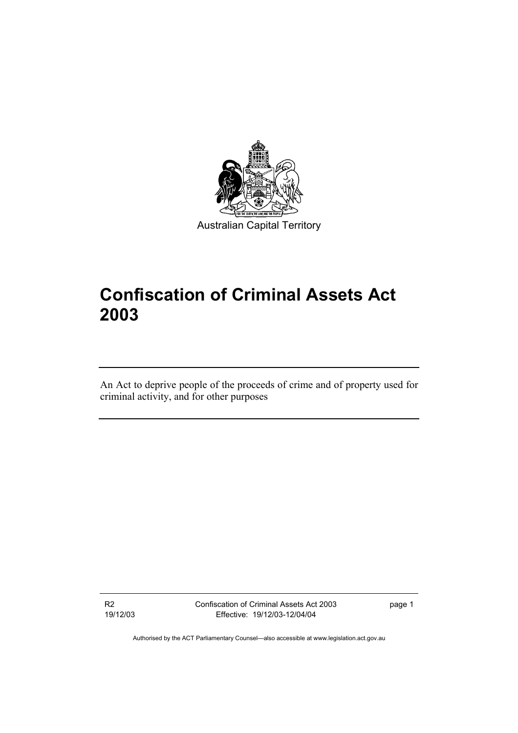

# **Confiscation of Criminal Assets Act 2003**

An Act to deprive people of the proceeds of crime and of property used for criminal activity, and for other purposes

R2 19/12/03 Confiscation of Criminal Assets Act 2003 Effective: 19/12/03-12/04/04

page 1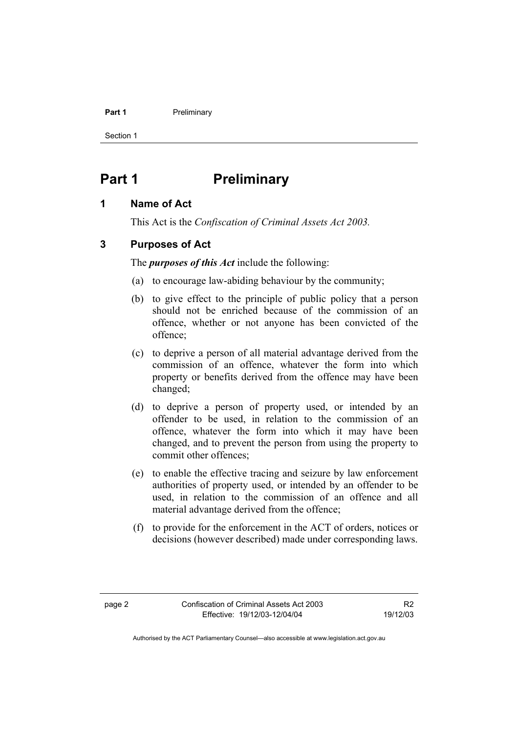#### **Part 1** Preliminary

Section 1

# **Part 1** Preliminary

# **1 Name of Act**

This Act is the *Confiscation of Criminal Assets Act 2003.*

# **3 Purposes of Act**

The *purposes of this Act* include the following:

- (a) to encourage law-abiding behaviour by the community;
- (b) to give effect to the principle of public policy that a person should not be enriched because of the commission of an offence, whether or not anyone has been convicted of the offence;
- (c) to deprive a person of all material advantage derived from the commission of an offence, whatever the form into which property or benefits derived from the offence may have been changed;
- (d) to deprive a person of property used, or intended by an offender to be used, in relation to the commission of an offence, whatever the form into which it may have been changed, and to prevent the person from using the property to commit other offences;
- (e) to enable the effective tracing and seizure by law enforcement authorities of property used, or intended by an offender to be used, in relation to the commission of an offence and all material advantage derived from the offence;
- (f) to provide for the enforcement in the ACT of orders, notices or decisions (however described) made under corresponding laws.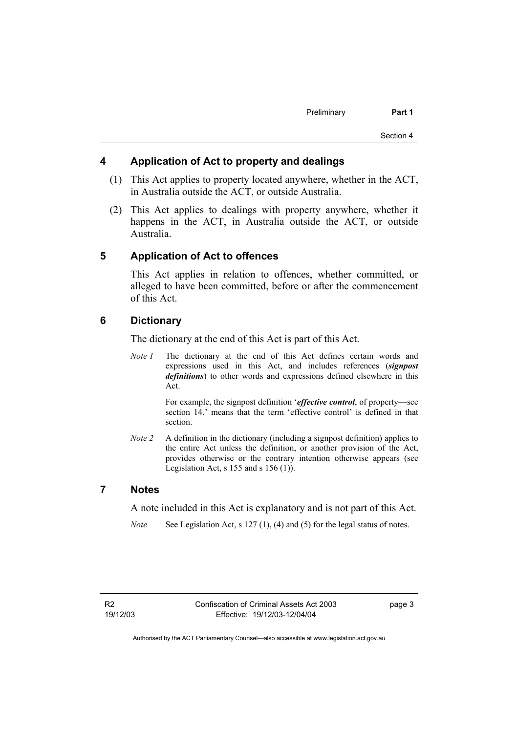# **4 Application of Act to property and dealings**

- (1) This Act applies to property located anywhere, whether in the ACT, in Australia outside the ACT, or outside Australia.
- (2) This Act applies to dealings with property anywhere, whether it happens in the ACT, in Australia outside the ACT, or outside Australia.

### **5 Application of Act to offences**

This Act applies in relation to offences, whether committed, or alleged to have been committed, before or after the commencement of this Act.

# **6 Dictionary**

The dictionary at the end of this Act is part of this Act.

*Note 1* The dictionary at the end of this Act defines certain words and expressions used in this Act, and includes references (*signpost definitions*) to other words and expressions defined elsewhere in this Act.

> For example, the signpost definition '*effective control*, of property—see section 14.' means that the term 'effective control' is defined in that section.

*Note 2* A definition in the dictionary (including a signpost definition) applies to the entire Act unless the definition, or another provision of the Act, provides otherwise or the contrary intention otherwise appears (see Legislation Act,  $s$  155 and  $s$  156 (1)).

## **7 Notes**

A note included in this Act is explanatory and is not part of this Act.

*Note* See Legislation Act, s 127 (1), (4) and (5) for the legal status of notes.

page 3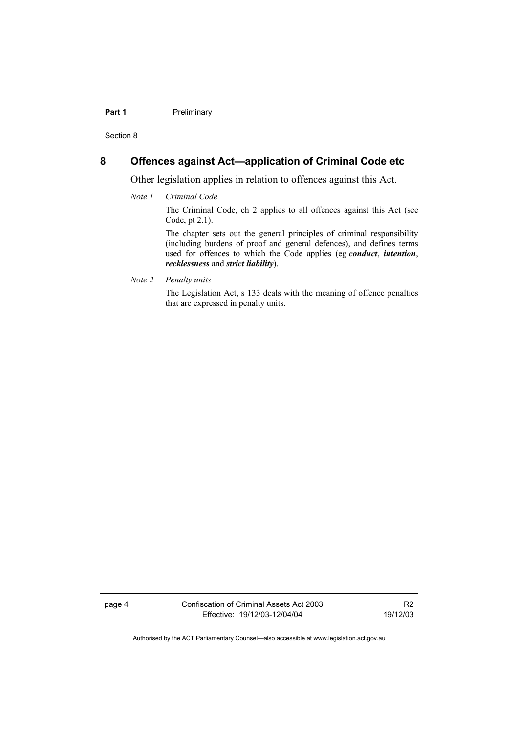#### **Part 1** Preliminary

Section 8

# **8 Offences against Act—application of Criminal Code etc**

Other legislation applies in relation to offences against this Act.

#### *Note 1 Criminal Code*

The Criminal Code, ch 2 applies to all offences against this Act (see Code, pt 2.1).

The chapter sets out the general principles of criminal responsibility (including burdens of proof and general defences), and defines terms used for offences to which the Code applies (eg *conduct*, *intention*, *recklessness* and *strict liability*).

*Note 2 Penalty units* 

The Legislation Act, s 133 deals with the meaning of offence penalties that are expressed in penalty units.

page 4 Confiscation of Criminal Assets Act 2003 Effective: 19/12/03-12/04/04

R2 19/12/03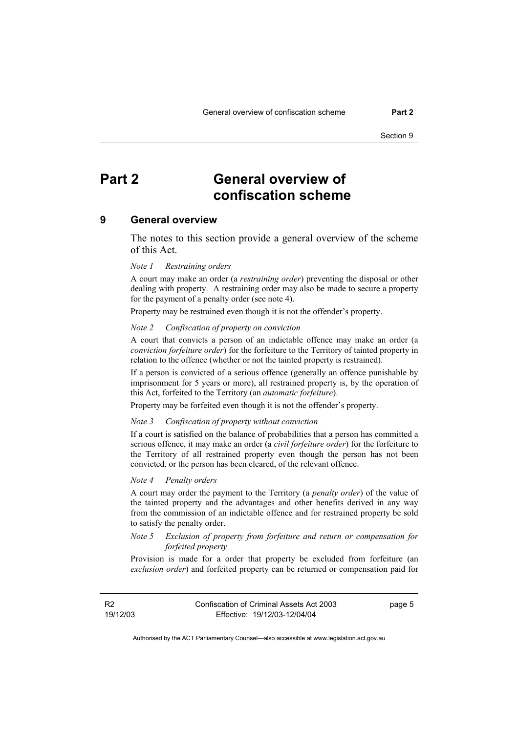# **Part 2 General overview of confiscation scheme**

#### **9 General overview**

The notes to this section provide a general overview of the scheme of this Act.

#### *Note 1 Restraining orders*

A court may make an order (a *restraining order*) preventing the disposal or other dealing with property. A restraining order may also be made to secure a property for the payment of a penalty order (see note 4).

Property may be restrained even though it is not the offender's property.

#### *Note 2 Confiscation of property on conviction*

A court that convicts a person of an indictable offence may make an order (a *conviction forfeiture order*) for the forfeiture to the Territory of tainted property in relation to the offence (whether or not the tainted property is restrained).

If a person is convicted of a serious offence (generally an offence punishable by imprisonment for 5 years or more), all restrained property is, by the operation of this Act, forfeited to the Territory (an *automatic forfeiture*).

Property may be forfeited even though it is not the offender's property.

#### *Note 3 Confiscation of property without conviction*

If a court is satisfied on the balance of probabilities that a person has committed a serious offence, it may make an order (a *civil forfeiture order*) for the forfeiture to the Territory of all restrained property even though the person has not been convicted, or the person has been cleared, of the relevant offence.

#### *Note 4 Penalty orders*

A court may order the payment to the Territory (a *penalty order*) of the value of the tainted property and the advantages and other benefits derived in any way from the commission of an indictable offence and for restrained property be sold to satisfy the penalty order.

#### *Note 5 Exclusion of property from forfeiture and return or compensation for forfeited property*

Provision is made for a order that property be excluded from forfeiture (an *exclusion order*) and forfeited property can be returned or compensation paid for

R2 19/12/03 page 5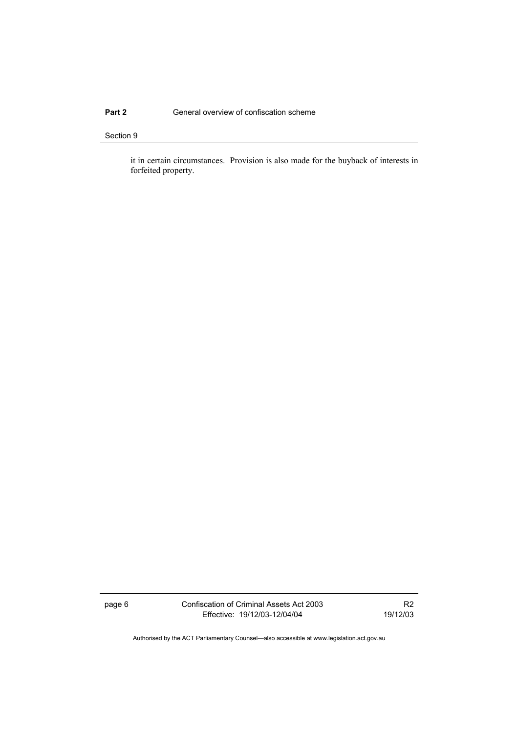### **Part 2 General overview of confiscation scheme**

#### Section 9

it in certain circumstances. Provision is also made for the buyback of interests in forfeited property.

page 6 Confiscation of Criminal Assets Act 2003 Effective: 19/12/03-12/04/04

R2 19/12/03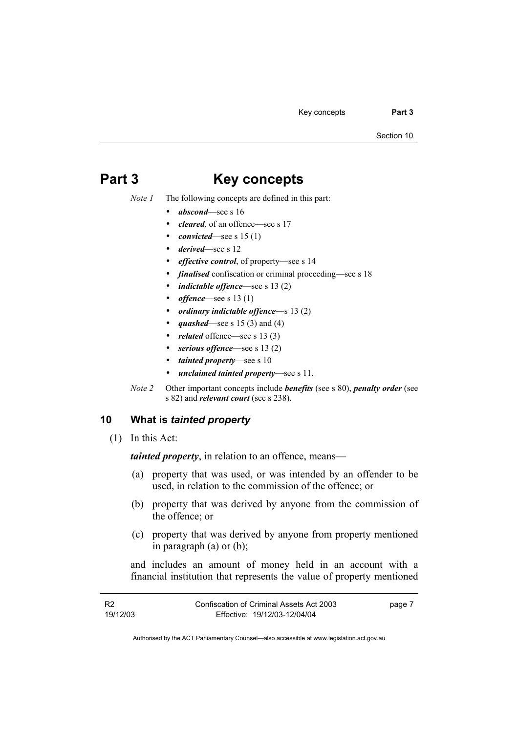Key concepts **Part 3** 

Section 10

# **Part 3 Key concepts**

- *Note 1* The following concepts are defined in this part:
	- *abscond*—see s 16
	- *cleared*, of an offence—see s 17
	- *convicted*—see s 15 (1)
	- *derived*—see s 12
	- *effective control*, of property—see s 14
	- *finalised* confiscation or criminal proceeding—see s 18
	- *indictable offence*—see s 13 (2)
	- *offence*—see s 13 (1)
	- *ordinary indictable offence*—s 13 (2)
	- *quashed*—see s 15 (3) and (4)
	- *related* offence—see s 13 (3)
	- *serious offence*—see s 13 (2)
	- *tainted property*—see s 10
	- *unclaimed tainted property*—see s 11.
- *Note 2* Other important concepts include *benefits* (see s 80), *penalty order* (see s 82) and *relevant court* (see s 238).

# **10 What is** *tainted property*

(1) In this Act:

*tainted property*, in relation to an offence, means—

- (a) property that was used, or was intended by an offender to be used, in relation to the commission of the offence; or
- (b) property that was derived by anyone from the commission of the offence; or
- (c) property that was derived by anyone from property mentioned in paragraph (a) or (b);

and includes an amount of money held in an account with a financial institution that represents the value of property mentioned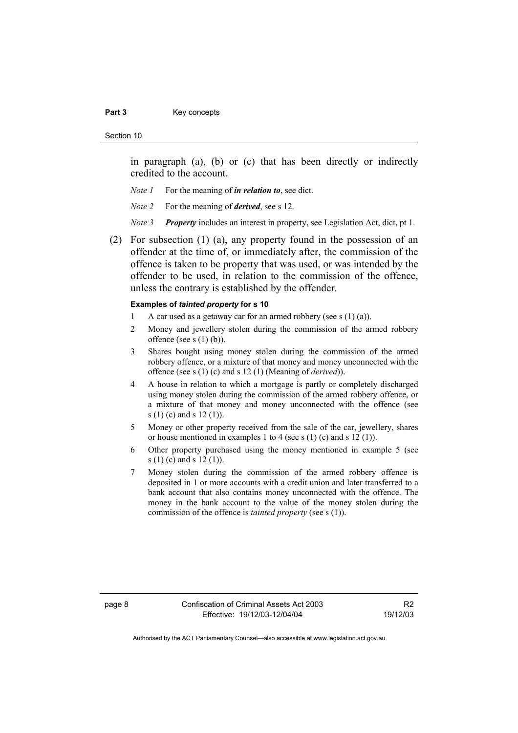#### Part 3 **Key concepts**

Section 10

in paragraph (a), (b) or (c) that has been directly or indirectly credited to the account.

- *Note 1* For the meaning of *in relation to*, see dict.
- *Note 2* For the meaning of *derived*, see s 12.
- *Note 3 Property* includes an interest in property, see Legislation Act, dict, pt 1.
- (2) For subsection (1) (a), any property found in the possession of an offender at the time of, or immediately after, the commission of the offence is taken to be property that was used, or was intended by the offender to be used, in relation to the commission of the offence, unless the contrary is established by the offender.

#### **Examples of** *tainted property* **for s 10**

- 1 A car used as a getaway car for an armed robbery (see s  $(1)$  (a)).
- 2 Money and jewellery stolen during the commission of the armed robbery offence (see s  $(1)$  (b)).
- 3 Shares bought using money stolen during the commission of the armed robbery offence, or a mixture of that money and money unconnected with the offence (see s (1) (c) and s 12 (1) (Meaning of *derived*)).
- 4 A house in relation to which a mortgage is partly or completely discharged using money stolen during the commission of the armed robbery offence, or a mixture of that money and money unconnected with the offence (see s (1) (c) and s 12 (1)).
- 5 Money or other property received from the sale of the car, jewellery, shares or house mentioned in examples 1 to 4 (see s (1) (c) and s 12 (1)).
- 6 Other property purchased using the money mentioned in example 5 (see s (1) (c) and s 12 (1)).
- 7 Money stolen during the commission of the armed robbery offence is deposited in 1 or more accounts with a credit union and later transferred to a bank account that also contains money unconnected with the offence. The money in the bank account to the value of the money stolen during the commission of the offence is *tainted property* (see s (1)).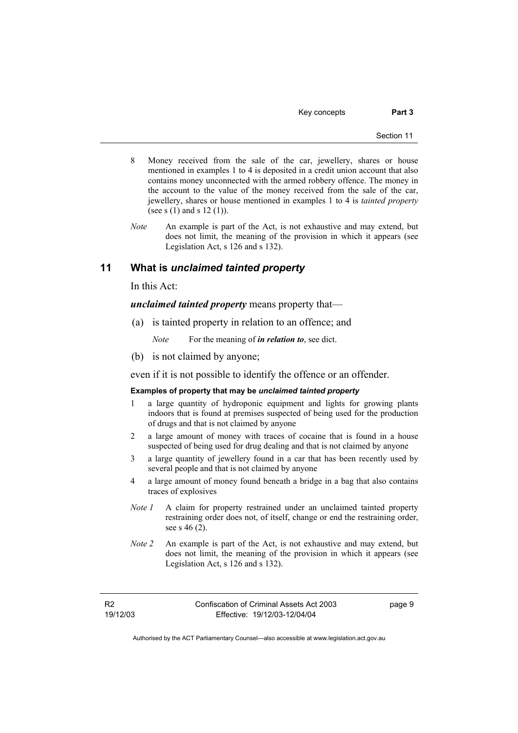Key concepts **Part 3** 

- 8 Money received from the sale of the car, jewellery, shares or house mentioned in examples 1 to 4 is deposited in a credit union account that also contains money unconnected with the armed robbery offence. The money in the account to the value of the money received from the sale of the car, jewellery, shares or house mentioned in examples 1 to 4 is *tainted property* (see s  $(1)$  and s  $12 (1)$ ).
- *Note* An example is part of the Act, is not exhaustive and may extend, but does not limit, the meaning of the provision in which it appears (see Legislation Act, s 126 and s 132).

# **11 What is** *unclaimed tainted property*

In this Act:

*unclaimed tainted property* means property that—

(a) is tainted property in relation to an offence; and

*Note* For the meaning of *in relation to*, see dict.

(b) is not claimed by anyone;

even if it is not possible to identify the offence or an offender.

#### **Examples of property that may be** *unclaimed tainted property*

- a large quantity of hydroponic equipment and lights for growing plants indoors that is found at premises suspected of being used for the production of drugs and that is not claimed by anyone
- 2 a large amount of money with traces of cocaine that is found in a house suspected of being used for drug dealing and that is not claimed by anyone
- 3 a large quantity of jewellery found in a car that has been recently used by several people and that is not claimed by anyone
- 4 a large amount of money found beneath a bridge in a bag that also contains traces of explosives
- *Note 1* A claim for property restrained under an unclaimed tainted property restraining order does not, of itself, change or end the restraining order, see s 46 (2).
- *Note 2* An example is part of the Act, is not exhaustive and may extend, but does not limit, the meaning of the provision in which it appears (see Legislation Act, s 126 and s 132).

R2 19/12/03 page 9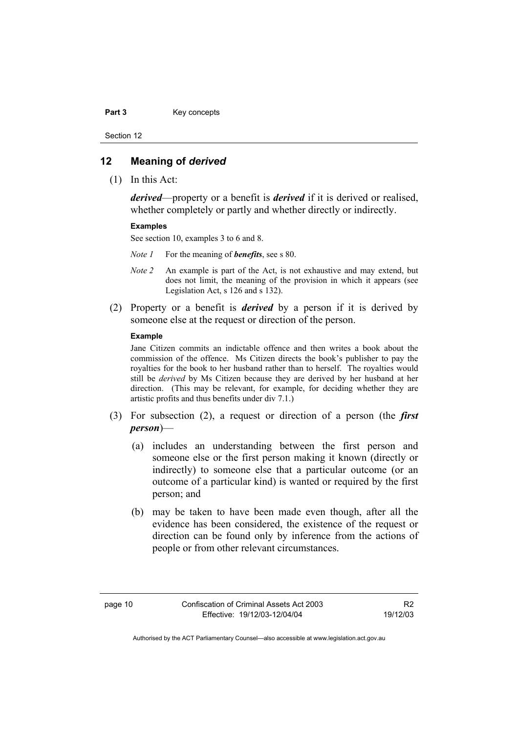Part 3 **Key concepts** 

Section 12

## **12 Meaning of** *derived*

(1) In this Act:

*derived*—property or a benefit is *derived* if it is derived or realised, whether completely or partly and whether directly or indirectly.

#### **Examples**

See section 10, examples 3 to 6 and 8.

- *Note 1* For the meaning of *benefits*, see s 80.
- *Note 2* An example is part of the Act, is not exhaustive and may extend, but does not limit, the meaning of the provision in which it appears (see Legislation Act, s 126 and s 132).
- (2) Property or a benefit is *derived* by a person if it is derived by someone else at the request or direction of the person.

#### **Example**

Jane Citizen commits an indictable offence and then writes a book about the commission of the offence. Ms Citizen directs the book's publisher to pay the royalties for the book to her husband rather than to herself. The royalties would still be *derived* by Ms Citizen because they are derived by her husband at her direction. (This may be relevant, for example, for deciding whether they are artistic profits and thus benefits under div 7.1.)

- (3) For subsection (2), a request or direction of a person (the *first person*)—
	- (a) includes an understanding between the first person and someone else or the first person making it known (directly or indirectly) to someone else that a particular outcome (or an outcome of a particular kind) is wanted or required by the first person; and
	- (b) may be taken to have been made even though, after all the evidence has been considered, the existence of the request or direction can be found only by inference from the actions of people or from other relevant circumstances.

R2 19/12/03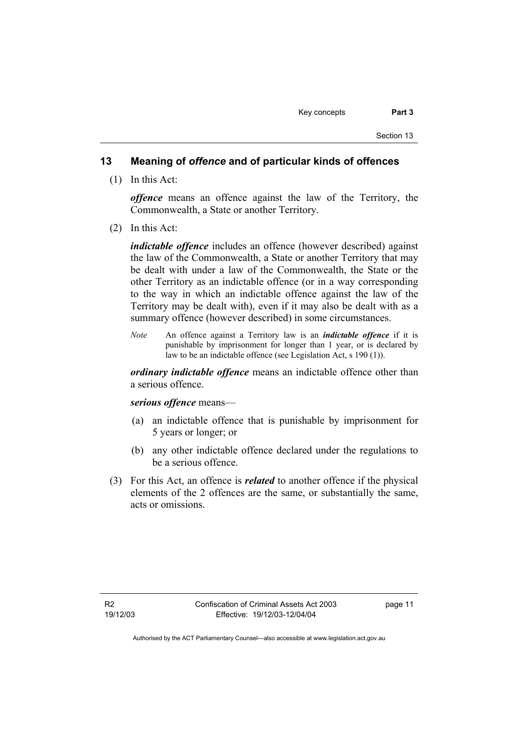## **13 Meaning of** *offence* **and of particular kinds of offences**

(1) In this Act:

*offence* means an offence against the law of the Territory, the Commonwealth, a State or another Territory.

(2) In this Act:

*indictable offence* includes an offence (however described) against the law of the Commonwealth, a State or another Territory that may be dealt with under a law of the Commonwealth, the State or the other Territory as an indictable offence (or in a way corresponding to the way in which an indictable offence against the law of the Territory may be dealt with), even if it may also be dealt with as a summary offence (however described) in some circumstances.

*Note* An offence against a Territory law is an *indictable offence* if it is punishable by imprisonment for longer than 1 year, or is declared by law to be an indictable offence (see Legislation Act, s 190 (1)).

*ordinary indictable offence* means an indictable offence other than a serious offence.

*serious offence* means—

- (a) an indictable offence that is punishable by imprisonment for 5 years or longer; or
- (b) any other indictable offence declared under the regulations to be a serious offence.
- (3) For this Act, an offence is *related* to another offence if the physical elements of the 2 offences are the same, or substantially the same, acts or omissions.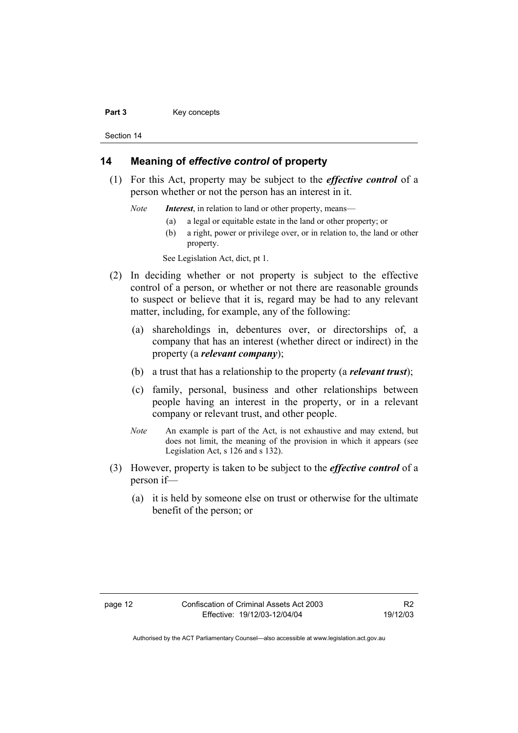#### Part 3 **Key concepts**

Section 14

# **14 Meaning of** *effective control* **of property**

- (1) For this Act, property may be subject to the *effective control* of a person whether or not the person has an interest in it.
	- *Note Interest*, in relation to land or other property, means—
		- (a) a legal or equitable estate in the land or other property; or
		- (b) a right, power or privilege over, or in relation to, the land or other property.

See Legislation Act, dict, pt 1.

- (2) In deciding whether or not property is subject to the effective control of a person, or whether or not there are reasonable grounds to suspect or believe that it is, regard may be had to any relevant matter, including, for example, any of the following:
	- (a) shareholdings in, debentures over, or directorships of, a company that has an interest (whether direct or indirect) in the property (a *relevant company*);
	- (b) a trust that has a relationship to the property (a *relevant trust*);
	- (c) family, personal, business and other relationships between people having an interest in the property, or in a relevant company or relevant trust, and other people.
	- *Note* An example is part of the Act, is not exhaustive and may extend, but does not limit, the meaning of the provision in which it appears (see Legislation Act, s 126 and s 132).
- (3) However, property is taken to be subject to the *effective control* of a person if—
	- (a) it is held by someone else on trust or otherwise for the ultimate benefit of the person; or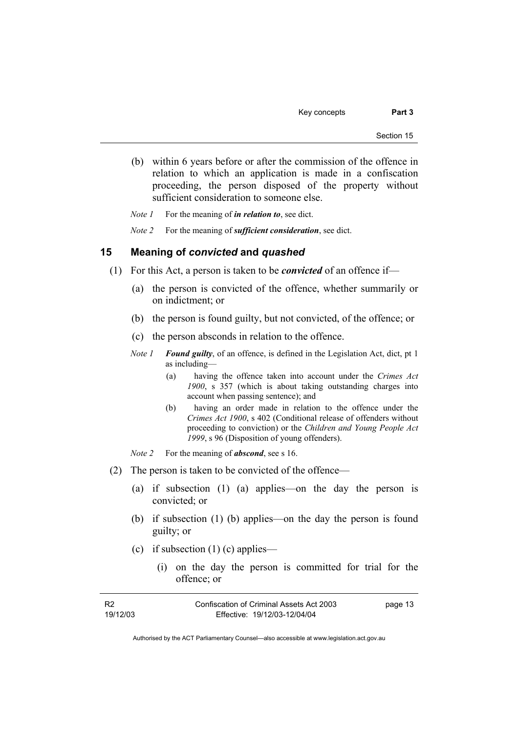- (b) within 6 years before or after the commission of the offence in relation to which an application is made in a confiscation proceeding, the person disposed of the property without sufficient consideration to someone else.
- *Note 1* For the meaning of *in relation to*, see dict.
- *Note 2* For the meaning of *sufficient consideration*, see dict.

## **15 Meaning of** *convicted* **and** *quashed*

- (1) For this Act, a person is taken to be *convicted* of an offence if—
	- (a) the person is convicted of the offence, whether summarily or on indictment; or
	- (b) the person is found guilty, but not convicted, of the offence; or
	- (c) the person absconds in relation to the offence.
	- *Note 1 Found guilty*, of an offence, is defined in the Legislation Act, dict, pt 1 as including—
		- (a) having the offence taken into account under the *Crimes Act 1900*, s 357 (which is about taking outstanding charges into account when passing sentence); and
		- (b) having an order made in relation to the offence under the *Crimes Act 1900*, s 402 (Conditional release of offenders without proceeding to conviction) or the *Children and Young People Act 1999*, s 96 (Disposition of young offenders).
	- *Note 2* For the meaning of *abscond*, see s 16.
- (2) The person is taken to be convicted of the offence—
	- (a) if subsection (1) (a) applies—on the day the person is convicted; or
	- (b) if subsection (1) (b) applies—on the day the person is found guilty; or
	- (c) if subsection  $(1)$  (c) applies—
		- (i) on the day the person is committed for trial for the offence; or

| - R2     | Confiscation of Criminal Assets Act 2003 | page 13 |
|----------|------------------------------------------|---------|
| 19/12/03 | Effective: 19/12/03-12/04/04             |         |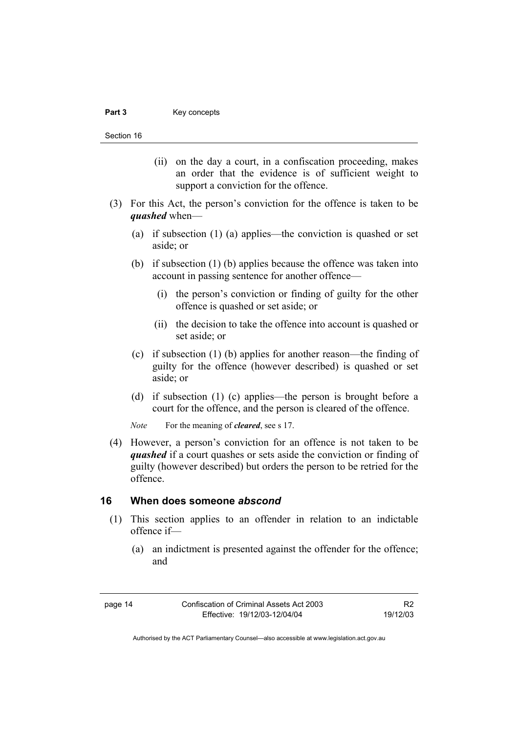#### Part 3 **Key concepts**

Section 16

- (ii) on the day a court, in a confiscation proceeding, makes an order that the evidence is of sufficient weight to support a conviction for the offence.
- (3) For this Act, the person's conviction for the offence is taken to be *quashed* when—
	- (a) if subsection (1) (a) applies—the conviction is quashed or set aside; or
	- (b) if subsection (1) (b) applies because the offence was taken into account in passing sentence for another offence—
		- (i) the person's conviction or finding of guilty for the other offence is quashed or set aside; or
		- (ii) the decision to take the offence into account is quashed or set aside; or
	- (c) if subsection (1) (b) applies for another reason—the finding of guilty for the offence (however described) is quashed or set aside; or
	- (d) if subsection (1) (c) applies—the person is brought before a court for the offence, and the person is cleared of the offence.
	- *Note* For the meaning of *cleared*, see s 17.
- (4) However, a person's conviction for an offence is not taken to be *quashed* if a court quashes or sets aside the conviction or finding of guilty (however described) but orders the person to be retried for the offence.

# **16 When does someone** *abscond*

- (1) This section applies to an offender in relation to an indictable offence if—
	- (a) an indictment is presented against the offender for the offence; and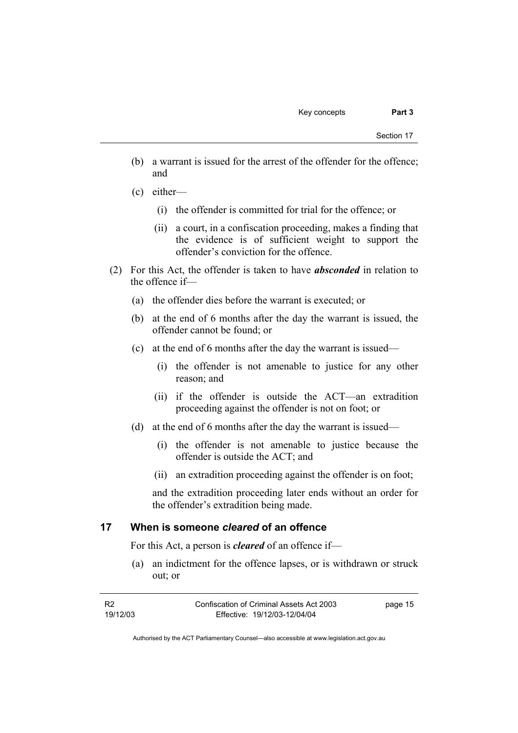- (b) a warrant is issued for the arrest of the offender for the offence; and
- (c) either—
	- (i) the offender is committed for trial for the offence; or
	- (ii) a court, in a confiscation proceeding, makes a finding that the evidence is of sufficient weight to support the offender's conviction for the offence.
- (2) For this Act, the offender is taken to have *absconded* in relation to the offence if—
	- (a) the offender dies before the warrant is executed; or
	- (b) at the end of 6 months after the day the warrant is issued, the offender cannot be found; or
	- (c) at the end of 6 months after the day the warrant is issued—
		- (i) the offender is not amenable to justice for any other reason; and
		- (ii) if the offender is outside the ACT—an extradition proceeding against the offender is not on foot; or
	- (d) at the end of 6 months after the day the warrant is issued—
		- (i) the offender is not amenable to justice because the offender is outside the ACT; and
		- (ii) an extradition proceeding against the offender is on foot;

and the extradition proceeding later ends without an order for the offender's extradition being made.

## **17 When is someone** *cleared* **of an offence**

For this Act, a person is *cleared* of an offence if—

 (a) an indictment for the offence lapses, or is withdrawn or struck out; or

| - R2     | Confiscation of Criminal Assets Act 2003 | page 15 |
|----------|------------------------------------------|---------|
| 19/12/03 | Effective: 19/12/03-12/04/04             |         |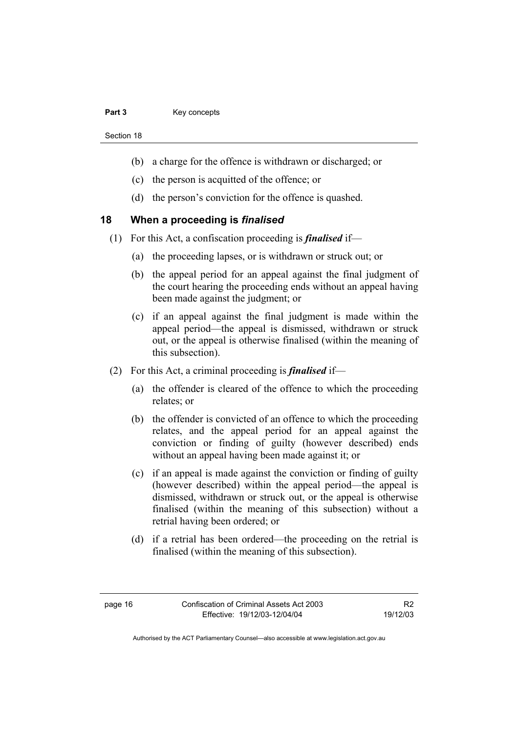#### Part 3 **Key concepts**

Section 18

- (b) a charge for the offence is withdrawn or discharged; or
- (c) the person is acquitted of the offence; or
- (d) the person's conviction for the offence is quashed.

# **18 When a proceeding is** *finalised*

- (1) For this Act, a confiscation proceeding is *finalised* if—
	- (a) the proceeding lapses, or is withdrawn or struck out; or
	- (b) the appeal period for an appeal against the final judgment of the court hearing the proceeding ends without an appeal having been made against the judgment; or
	- (c) if an appeal against the final judgment is made within the appeal period—the appeal is dismissed, withdrawn or struck out, or the appeal is otherwise finalised (within the meaning of this subsection).
- (2) For this Act, a criminal proceeding is *finalised* if—
	- (a) the offender is cleared of the offence to which the proceeding relates; or
	- (b) the offender is convicted of an offence to which the proceeding relates, and the appeal period for an appeal against the conviction or finding of guilty (however described) ends without an appeal having been made against it; or
	- (c) if an appeal is made against the conviction or finding of guilty (however described) within the appeal period—the appeal is dismissed, withdrawn or struck out, or the appeal is otherwise finalised (within the meaning of this subsection) without a retrial having been ordered; or
	- (d) if a retrial has been ordered—the proceeding on the retrial is finalised (within the meaning of this subsection).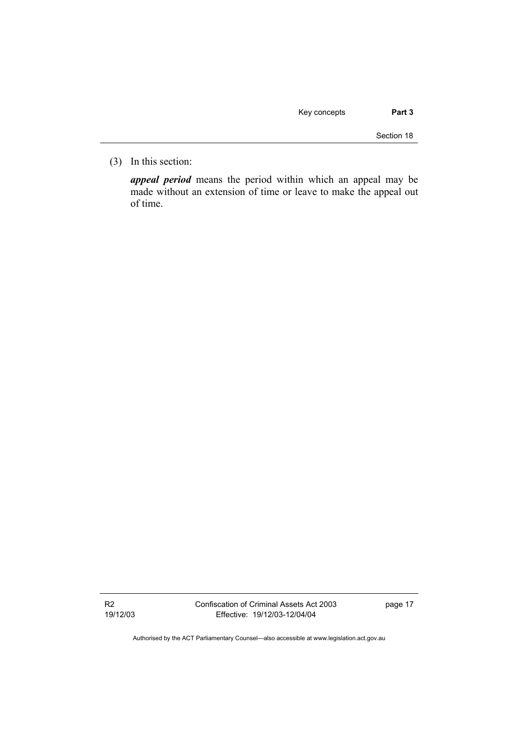| Key concepts | Part 3 |
|--------------|--------|
|--------------|--------|

Section 18

(3) In this section:

*appeal period* means the period within which an appeal may be made without an extension of time or leave to make the appeal out of time.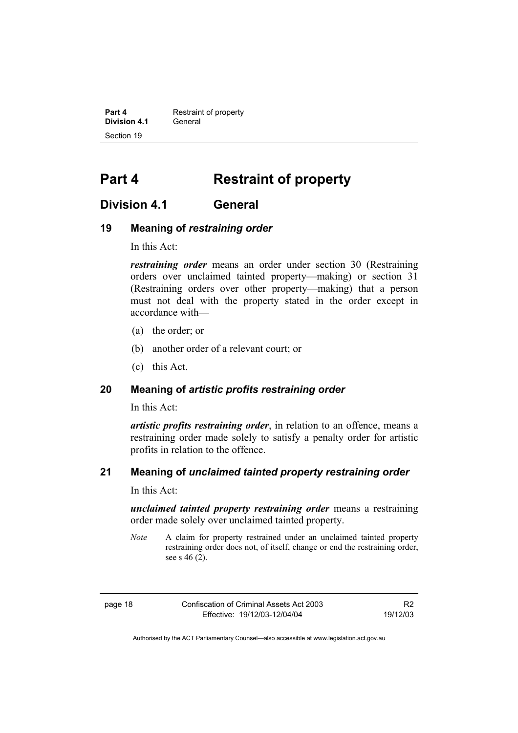**Part 4 Restraint of property Division 4.1** General Section 19

# **Part 4 Restraint of property**

# **Division 4.1 General**

# **19 Meaning of** *restraining order*

In this Act:

*restraining order* means an order under section 30 (Restraining orders over unclaimed tainted property—making) or section 31 (Restraining orders over other property—making) that a person must not deal with the property stated in the order except in accordance with—

- (a) the order; or
- (b) another order of a relevant court; or
- (c) this Act.

# **20 Meaning of** *artistic profits restraining order*

In this Act:

*artistic profits restraining order*, in relation to an offence, means a restraining order made solely to satisfy a penalty order for artistic profits in relation to the offence.

# **21 Meaning of** *unclaimed tainted property restraining order*

In this Act:

*unclaimed tainted property restraining order* means a restraining order made solely over unclaimed tainted property.

*Note* A claim for property restrained under an unclaimed tainted property restraining order does not, of itself, change or end the restraining order, see s  $46(2)$ .

| IO.<br>יי<br>æ |  |  |
|----------------|--|--|
|----------------|--|--|

Confiscation of Criminal Assets Act 2003 Effective: 19/12/03-12/04/04

R2 19/12/03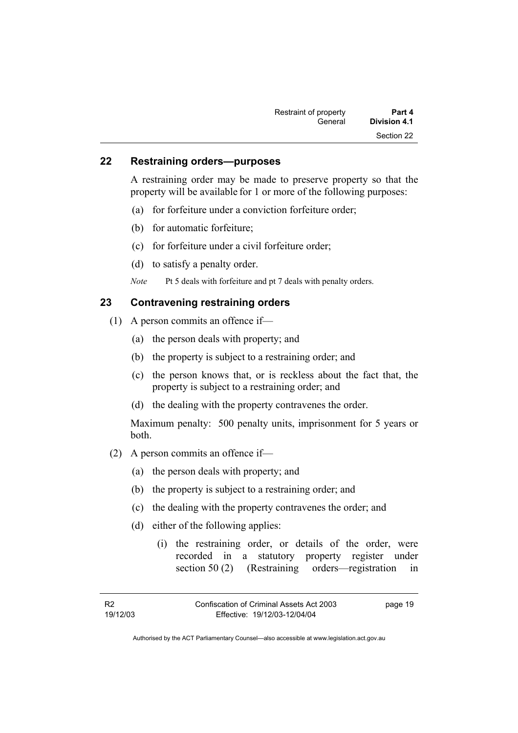| Restraint of property | Part 4       |
|-----------------------|--------------|
| General               | Division 4.1 |
|                       | Section 22   |

# **22 Restraining orders—purposes**

A restraining order may be made to preserve property so that the property will be available for 1 or more of the following purposes:

- (a) for forfeiture under a conviction forfeiture order;
- (b) for automatic forfeiture;
- (c) for forfeiture under a civil forfeiture order;
- (d) to satisfy a penalty order.

*Note* Pt 5 deals with forfeiture and pt 7 deals with penalty orders.

# **23 Contravening restraining orders**

- (1) A person commits an offence if—
	- (a) the person deals with property; and
	- (b) the property is subject to a restraining order; and
	- (c) the person knows that, or is reckless about the fact that, the property is subject to a restraining order; and
	- (d) the dealing with the property contravenes the order.

Maximum penalty: 500 penalty units, imprisonment for 5 years or both.

- (2) A person commits an offence if—
	- (a) the person deals with property; and
	- (b) the property is subject to a restraining order; and
	- (c) the dealing with the property contravenes the order; and
	- (d) either of the following applies:
		- (i) the restraining order, or details of the order, were recorded in a statutory property register under section 50 (2) (Restraining orders—registration in

page 19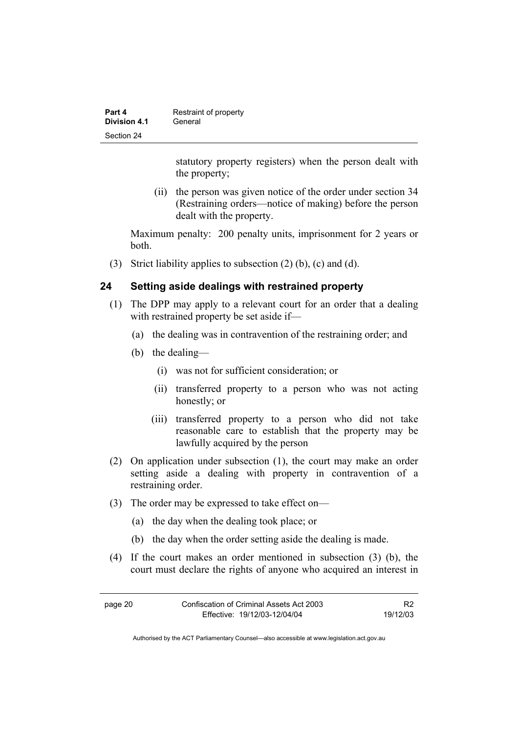| Part 4              | Restraint of property |
|---------------------|-----------------------|
| <b>Division 4.1</b> | General               |
| Section 24          |                       |

statutory property registers) when the person dealt with the property;

 (ii) the person was given notice of the order under section 34 (Restraining orders—notice of making) before the person dealt with the property.

Maximum penalty: 200 penalty units, imprisonment for 2 years or both.

(3) Strict liability applies to subsection (2) (b), (c) and (d).

# **24 Setting aside dealings with restrained property**

- (1) The DPP may apply to a relevant court for an order that a dealing with restrained property be set aside if—
	- (a) the dealing was in contravention of the restraining order; and
	- (b) the dealing—
		- (i) was not for sufficient consideration; or
		- (ii) transferred property to a person who was not acting honestly; or
		- (iii) transferred property to a person who did not take reasonable care to establish that the property may be lawfully acquired by the person
- (2) On application under subsection (1), the court may make an order setting aside a dealing with property in contravention of a restraining order.
- (3) The order may be expressed to take effect on—
	- (a) the day when the dealing took place; or
	- (b) the day when the order setting aside the dealing is made.
- (4) If the court makes an order mentioned in subsection (3) (b), the court must declare the rights of anyone who acquired an interest in

| page 20 | Confiscation of Criminal Assets Act 2003 | R <sub>2</sub> |
|---------|------------------------------------------|----------------|
|         | Effective: 19/12/03-12/04/04             | 19/12/03       |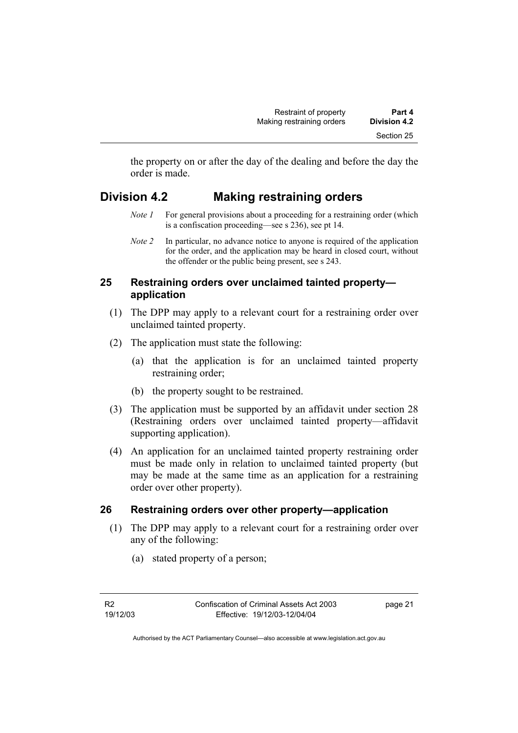the property on or after the day of the dealing and before the day the order is made.

# **Division 4.2 Making restraining orders**

- *Note 1* For general provisions about a proceeding for a restraining order (which is a confiscation proceeding—see s 236), see pt 14.
- *Note 2* In particular, no advance notice to anyone is required of the application for the order, and the application may be heard in closed court, without the offender or the public being present, see s 243.

## **25 Restraining orders over unclaimed tainted property application**

- (1) The DPP may apply to a relevant court for a restraining order over unclaimed tainted property.
- (2) The application must state the following:
	- (a) that the application is for an unclaimed tainted property restraining order;
	- (b) the property sought to be restrained.
- (3) The application must be supported by an affidavit under section 28 (Restraining orders over unclaimed tainted property—affidavit supporting application).
- (4) An application for an unclaimed tainted property restraining order must be made only in relation to unclaimed tainted property (but may be made at the same time as an application for a restraining order over other property).

# **26 Restraining orders over other property—application**

- (1) The DPP may apply to a relevant court for a restraining order over any of the following:
	- (a) stated property of a person;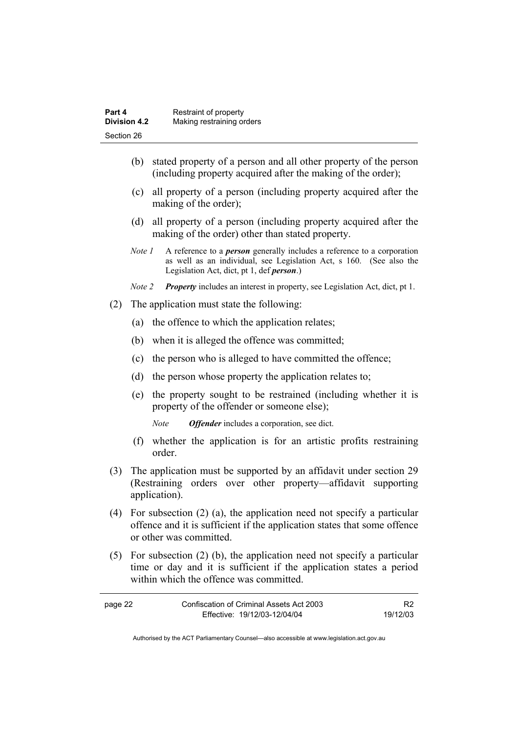| Part 4              | Restraint of property     |
|---------------------|---------------------------|
| <b>Division 4.2</b> | Making restraining orders |
| Section 26          |                           |

- (b) stated property of a person and all other property of the person (including property acquired after the making of the order);
- (c) all property of a person (including property acquired after the making of the order);
- (d) all property of a person (including property acquired after the making of the order) other than stated property.
- *Note 1* A reference to a *person* generally includes a reference to a corporation as well as an individual, see Legislation Act, s 160. (See also the Legislation Act, dict, pt 1, def *person*.)
- *Note 2 Property* includes an interest in property, see Legislation Act, dict, pt 1.
- (2) The application must state the following:
	- (a) the offence to which the application relates;
	- (b) when it is alleged the offence was committed;
	- (c) the person who is alleged to have committed the offence;
	- (d) the person whose property the application relates to;
	- (e) the property sought to be restrained (including whether it is property of the offender or someone else);

*Note Offender* includes a corporation, see dict.

- (f) whether the application is for an artistic profits restraining order.
- (3) The application must be supported by an affidavit under section 29 (Restraining orders over other property—affidavit supporting application).
- (4) For subsection (2) (a), the application need not specify a particular offence and it is sufficient if the application states that some offence or other was committed.
- (5) For subsection (2) (b), the application need not specify a particular time or day and it is sufficient if the application states a period within which the offence was committed.

| page 22 | Confiscation of Criminal Assets Act 2003 |          |
|---------|------------------------------------------|----------|
|         | Effective: 19/12/03-12/04/04             | 19/12/03 |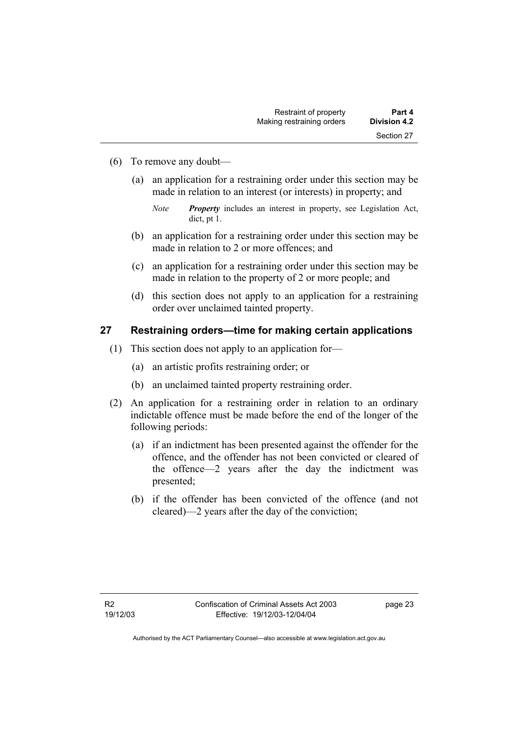- (6) To remove any doubt—
	- (a) an application for a restraining order under this section may be made in relation to an interest (or interests) in property; and

- (b) an application for a restraining order under this section may be made in relation to 2 or more offences; and
- (c) an application for a restraining order under this section may be made in relation to the property of 2 or more people; and
- (d) this section does not apply to an application for a restraining order over unclaimed tainted property.

#### **27 Restraining orders—time for making certain applications**

- (1) This section does not apply to an application for—
	- (a) an artistic profits restraining order; or
	- (b) an unclaimed tainted property restraining order.
- (2) An application for a restraining order in relation to an ordinary indictable offence must be made before the end of the longer of the following periods:
	- (a) if an indictment has been presented against the offender for the offence, and the offender has not been convicted or cleared of the offence—2 years after the day the indictment was presented;
	- (b) if the offender has been convicted of the offence (and not cleared)—2 years after the day of the conviction;

*Note Property* includes an interest in property, see Legislation Act, dict, pt 1.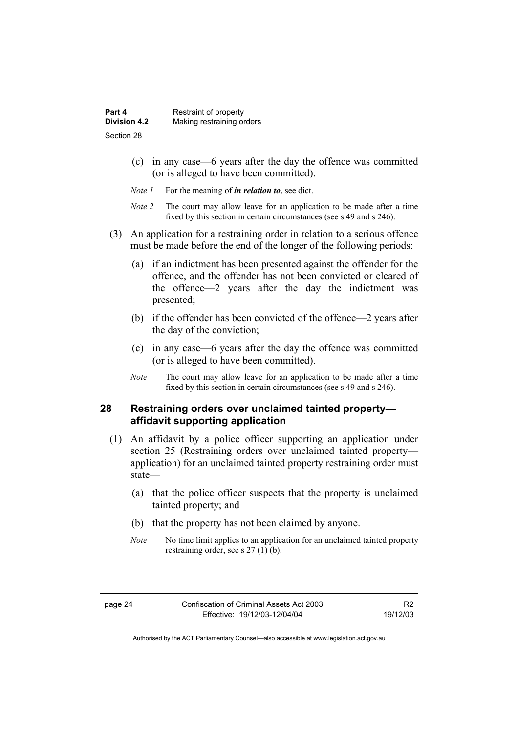- (c) in any case—6 years after the day the offence was committed (or is alleged to have been committed).
- *Note 1* For the meaning of *in relation to*, see dict.
- *Note 2* The court may allow leave for an application to be made after a time fixed by this section in certain circumstances (see s 49 and s 246).
- (3) An application for a restraining order in relation to a serious offence must be made before the end of the longer of the following periods:
	- (a) if an indictment has been presented against the offender for the offence, and the offender has not been convicted or cleared of the offence—2 years after the day the indictment was presented;
	- (b) if the offender has been convicted of the offence—2 years after the day of the conviction;
	- (c) in any case—6 years after the day the offence was committed (or is alleged to have been committed).
	- *Note* The court may allow leave for an application to be made after a time fixed by this section in certain circumstances (see s 49 and s 246).

#### **28 Restraining orders over unclaimed tainted property affidavit supporting application**

- (1) An affidavit by a police officer supporting an application under section 25 (Restraining orders over unclaimed tainted property application) for an unclaimed tainted property restraining order must state—
	- (a) that the police officer suspects that the property is unclaimed tainted property; and
	- (b) that the property has not been claimed by anyone.
	- *Note* No time limit applies to an application for an unclaimed tainted property restraining order, see s 27 (1) (b).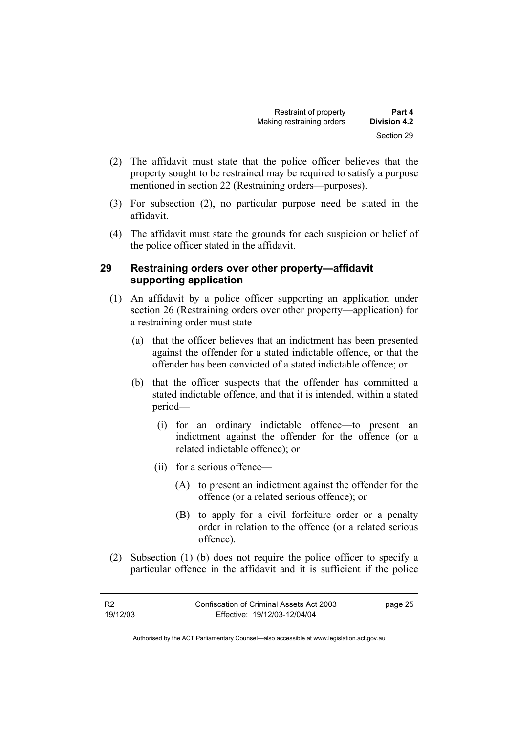- (2) The affidavit must state that the police officer believes that the property sought to be restrained may be required to satisfy a purpose mentioned in section 22 (Restraining orders—purposes).
- (3) For subsection (2), no particular purpose need be stated in the affidavit.
- (4) The affidavit must state the grounds for each suspicion or belief of the police officer stated in the affidavit.

#### **29 Restraining orders over other property—affidavit supporting application**

- (1) An affidavit by a police officer supporting an application under section 26 (Restraining orders over other property—application) for a restraining order must state—
	- (a) that the officer believes that an indictment has been presented against the offender for a stated indictable offence, or that the offender has been convicted of a stated indictable offence; or
	- (b) that the officer suspects that the offender has committed a stated indictable offence, and that it is intended, within a stated period—
		- (i) for an ordinary indictable offence—to present an indictment against the offender for the offence (or a related indictable offence); or
		- (ii) for a serious offence—
			- (A) to present an indictment against the offender for the offence (or a related serious offence); or
			- (B) to apply for a civil forfeiture order or a penalty order in relation to the offence (or a related serious offence).
- (2) Subsection (1) (b) does not require the police officer to specify a particular offence in the affidavit and it is sufficient if the police

| - R2     | Confiscation of Criminal Assets Act 2003 | page 25 |
|----------|------------------------------------------|---------|
| 19/12/03 | Effective: 19/12/03-12/04/04             |         |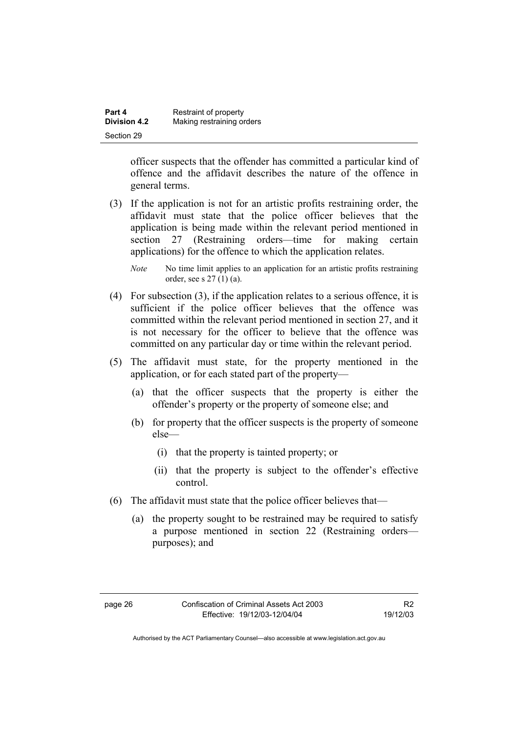| Part 4              | Restraint of property     |
|---------------------|---------------------------|
| <b>Division 4.2</b> | Making restraining orders |
| Section 29          |                           |

officer suspects that the offender has committed a particular kind of offence and the affidavit describes the nature of the offence in general terms.

- (3) If the application is not for an artistic profits restraining order, the affidavit must state that the police officer believes that the application is being made within the relevant period mentioned in section 27 (Restraining orders—time for making certain applications) for the offence to which the application relates.
	- *Note* No time limit applies to an application for an artistic profits restraining order, see s 27 (1) (a).
- (4) For subsection (3), if the application relates to a serious offence, it is sufficient if the police officer believes that the offence was committed within the relevant period mentioned in section 27, and it is not necessary for the officer to believe that the offence was committed on any particular day or time within the relevant period.
- (5) The affidavit must state, for the property mentioned in the application, or for each stated part of the property—
	- (a) that the officer suspects that the property is either the offender's property or the property of someone else; and
	- (b) for property that the officer suspects is the property of someone else—
		- (i) that the property is tainted property; or
		- (ii) that the property is subject to the offender's effective control.
- (6) The affidavit must state that the police officer believes that—
	- (a) the property sought to be restrained may be required to satisfy a purpose mentioned in section 22 (Restraining orders purposes); and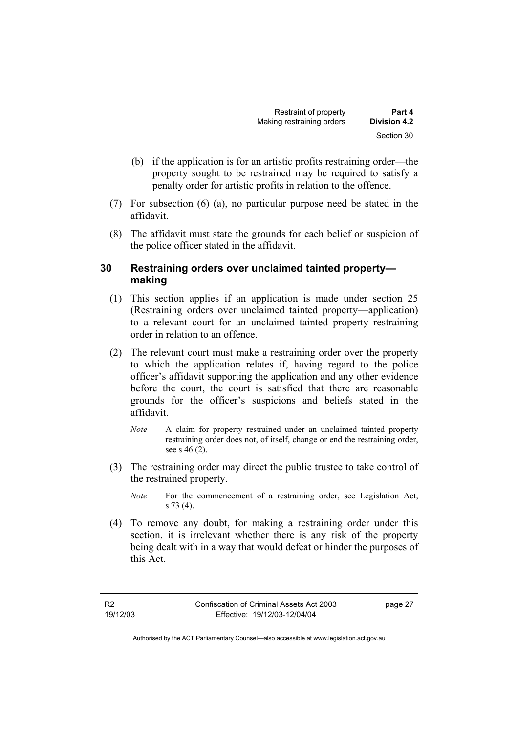- (b) if the application is for an artistic profits restraining order—the property sought to be restrained may be required to satisfy a penalty order for artistic profits in relation to the offence.
- (7) For subsection (6) (a), no particular purpose need be stated in the affidavit.
- (8) The affidavit must state the grounds for each belief or suspicion of the police officer stated in the affidavit.

#### **30 Restraining orders over unclaimed tainted property making**

- (1) This section applies if an application is made under section 25 (Restraining orders over unclaimed tainted property—application) to a relevant court for an unclaimed tainted property restraining order in relation to an offence.
- (2) The relevant court must make a restraining order over the property to which the application relates if, having regard to the police officer's affidavit supporting the application and any other evidence before the court, the court is satisfied that there are reasonable grounds for the officer's suspicions and beliefs stated in the affidavit.
	- *Note* A claim for property restrained under an unclaimed tainted property restraining order does not, of itself, change or end the restraining order, see s 46 (2).
- (3) The restraining order may direct the public trustee to take control of the restrained property.
	- *Note* For the commencement of a restraining order, see Legislation Act, s 73 (4).
- (4) To remove any doubt, for making a restraining order under this section, it is irrelevant whether there is any risk of the property being dealt with in a way that would defeat or hinder the purposes of this Act.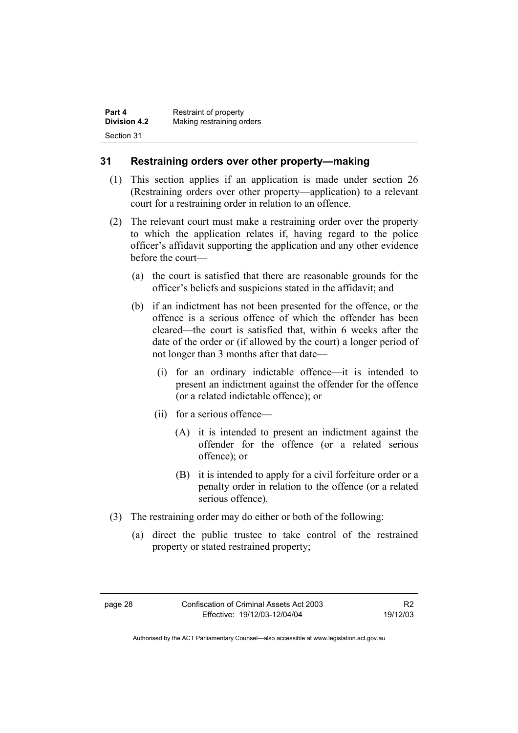| Part 4              | Restraint of property     |
|---------------------|---------------------------|
| <b>Division 4.2</b> | Making restraining orders |
| Section 31          |                           |

#### **31 Restraining orders over other property—making**

- (1) This section applies if an application is made under section 26 (Restraining orders over other property—application) to a relevant court for a restraining order in relation to an offence.
- (2) The relevant court must make a restraining order over the property to which the application relates if, having regard to the police officer's affidavit supporting the application and any other evidence before the court—
	- (a) the court is satisfied that there are reasonable grounds for the officer's beliefs and suspicions stated in the affidavit; and
	- (b) if an indictment has not been presented for the offence, or the offence is a serious offence of which the offender has been cleared—the court is satisfied that, within 6 weeks after the date of the order or (if allowed by the court) a longer period of not longer than 3 months after that date—
		- (i) for an ordinary indictable offence—it is intended to present an indictment against the offender for the offence (or a related indictable offence); or
		- (ii) for a serious offence—
			- (A) it is intended to present an indictment against the offender for the offence (or a related serious offence); or
			- (B) it is intended to apply for a civil forfeiture order or a penalty order in relation to the offence (or a related serious offence).
- (3) The restraining order may do either or both of the following:
	- (a) direct the public trustee to take control of the restrained property or stated restrained property;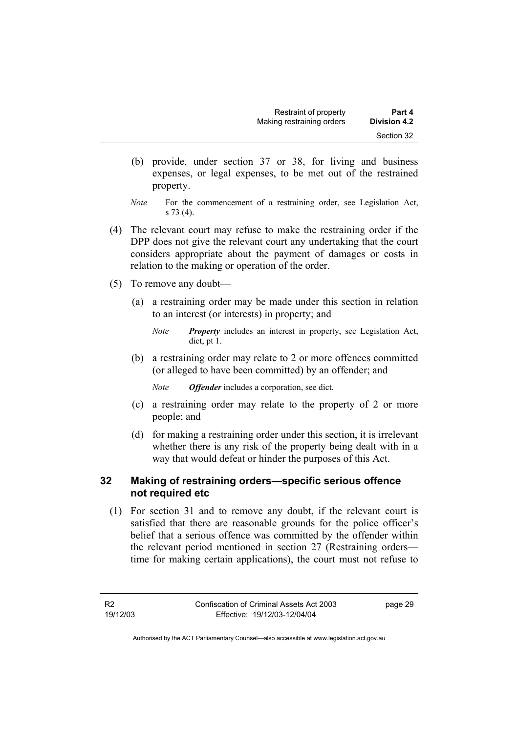- (b) provide, under section 37 or 38, for living and business expenses, or legal expenses, to be met out of the restrained property.
- *Note* For the commencement of a restraining order, see Legislation Act, s 73 (4).
- (4) The relevant court may refuse to make the restraining order if the DPP does not give the relevant court any undertaking that the court considers appropriate about the payment of damages or costs in relation to the making or operation of the order.
- (5) To remove any doubt—
	- (a) a restraining order may be made under this section in relation to an interest (or interests) in property; and
		- *Note Property* includes an interest in property, see Legislation Act, dict, pt 1.
	- (b) a restraining order may relate to 2 or more offences committed (or alleged to have been committed) by an offender; and

*Note Offender* includes a corporation, see dict.

- (c) a restraining order may relate to the property of 2 or more people; and
- (d) for making a restraining order under this section, it is irrelevant whether there is any risk of the property being dealt with in a way that would defeat or hinder the purposes of this Act.

#### **32 Making of restraining orders—specific serious offence not required etc**

 (1) For section 31 and to remove any doubt, if the relevant court is satisfied that there are reasonable grounds for the police officer's belief that a serious offence was committed by the offender within the relevant period mentioned in section 27 (Restraining orders time for making certain applications), the court must not refuse to

page 29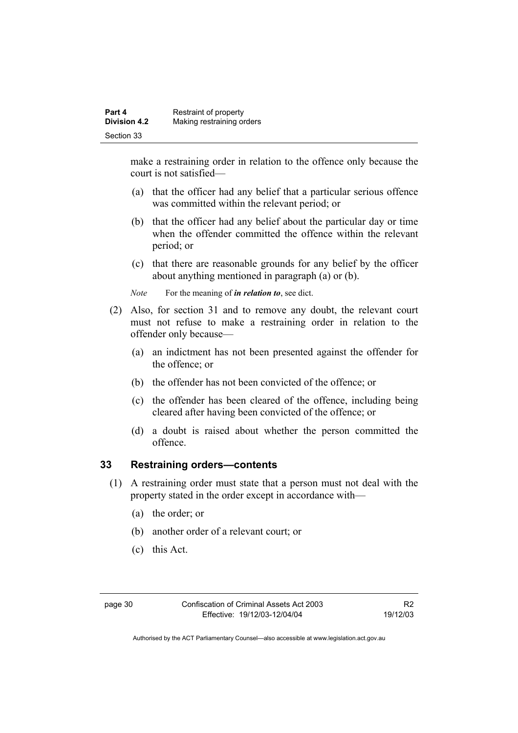make a restraining order in relation to the offence only because the court is not satisfied—

- (a) that the officer had any belief that a particular serious offence was committed within the relevant period; or
- (b) that the officer had any belief about the particular day or time when the offender committed the offence within the relevant period; or
- (c) that there are reasonable grounds for any belief by the officer about anything mentioned in paragraph (a) or (b).

*Note* For the meaning of *in relation to*, see dict.

- (2) Also, for section 31 and to remove any doubt, the relevant court must not refuse to make a restraining order in relation to the offender only because—
	- (a) an indictment has not been presented against the offender for the offence; or
	- (b) the offender has not been convicted of the offence; or
	- (c) the offender has been cleared of the offence, including being cleared after having been convicted of the offence; or
	- (d) a doubt is raised about whether the person committed the offence.

#### **33 Restraining orders—contents**

- (1) A restraining order must state that a person must not deal with the property stated in the order except in accordance with—
	- (a) the order; or
	- (b) another order of a relevant court; or
	- (c) this Act.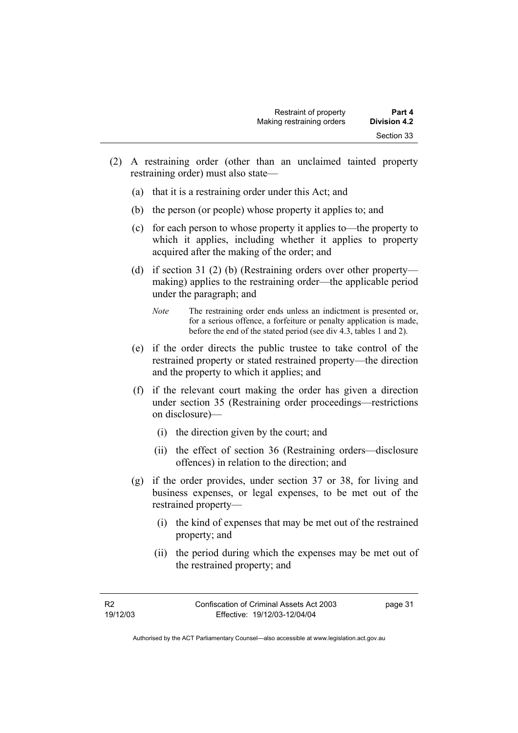- (2) A restraining order (other than an unclaimed tainted property restraining order) must also state—
	- (a) that it is a restraining order under this Act; and
	- (b) the person (or people) whose property it applies to; and
	- (c) for each person to whose property it applies to—the property to which it applies, including whether it applies to property acquired after the making of the order; and
	- (d) if section 31 (2) (b) (Restraining orders over other property making) applies to the restraining order—the applicable period under the paragraph; and
		- *Note* The restraining order ends unless an indictment is presented or, for a serious offence, a forfeiture or penalty application is made, before the end of the stated period (see div 4.3, tables 1 and 2).
	- (e) if the order directs the public trustee to take control of the restrained property or stated restrained property—the direction and the property to which it applies; and
	- (f) if the relevant court making the order has given a direction under section 35 (Restraining order proceedings—restrictions on disclosure)—
		- (i) the direction given by the court; and
		- (ii) the effect of section 36 (Restraining orders—disclosure offences) in relation to the direction; and
	- (g) if the order provides, under section 37 or 38, for living and business expenses, or legal expenses, to be met out of the restrained property—
		- (i) the kind of expenses that may be met out of the restrained property; and
		- (ii) the period during which the expenses may be met out of the restrained property; and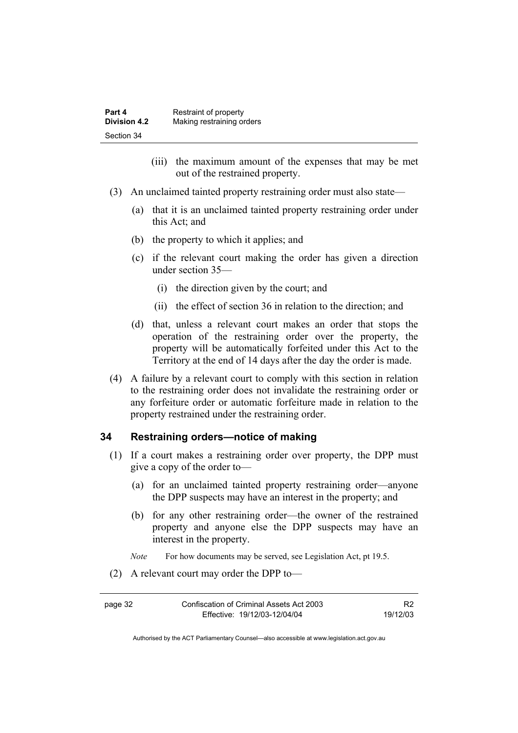| Part 4              | Restraint of property     |
|---------------------|---------------------------|
| <b>Division 4.2</b> | Making restraining orders |
| Section 34          |                           |

- (iii) the maximum amount of the expenses that may be met out of the restrained property.
- (3) An unclaimed tainted property restraining order must also state—
	- (a) that it is an unclaimed tainted property restraining order under this Act; and
	- (b) the property to which it applies; and
	- (c) if the relevant court making the order has given a direction under section 35—
		- (i) the direction given by the court; and
		- (ii) the effect of section 36 in relation to the direction; and
	- (d) that, unless a relevant court makes an order that stops the operation of the restraining order over the property, the property will be automatically forfeited under this Act to the Territory at the end of 14 days after the day the order is made.
- (4) A failure by a relevant court to comply with this section in relation to the restraining order does not invalidate the restraining order or any forfeiture order or automatic forfeiture made in relation to the property restrained under the restraining order.

#### **34 Restraining orders—notice of making**

- (1) If a court makes a restraining order over property, the DPP must give a copy of the order to—
	- (a) for an unclaimed tainted property restraining order—anyone the DPP suspects may have an interest in the property; and
	- (b) for any other restraining order—the owner of the restrained property and anyone else the DPP suspects may have an interest in the property.

*Note* For how documents may be served, see Legislation Act, pt 19.5.

(2) A relevant court may order the DPP to—

R2 19/12/03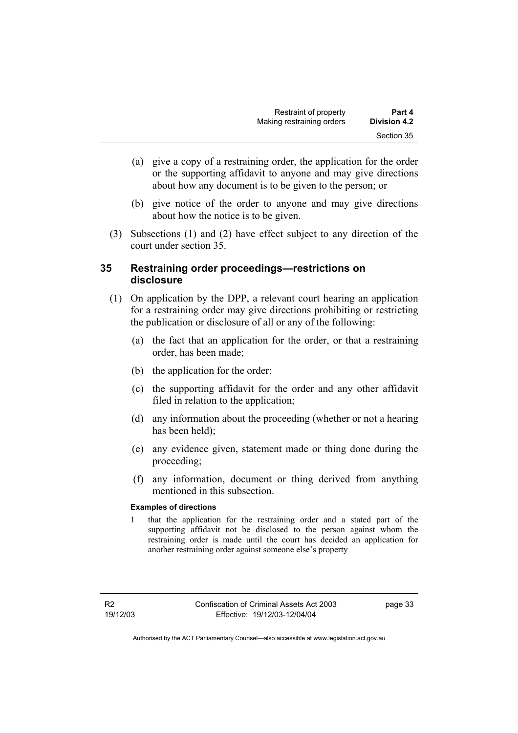- (a) give a copy of a restraining order, the application for the order or the supporting affidavit to anyone and may give directions about how any document is to be given to the person; or
- (b) give notice of the order to anyone and may give directions about how the notice is to be given.
- (3) Subsections (1) and (2) have effect subject to any direction of the court under section 35.

#### **35 Restraining order proceedings—restrictions on disclosure**

- (1) On application by the DPP, a relevant court hearing an application for a restraining order may give directions prohibiting or restricting the publication or disclosure of all or any of the following:
	- (a) the fact that an application for the order, or that a restraining order, has been made;
	- (b) the application for the order;
	- (c) the supporting affidavit for the order and any other affidavit filed in relation to the application;
	- (d) any information about the proceeding (whether or not a hearing has been held);
	- (e) any evidence given, statement made or thing done during the proceeding;
	- (f) any information, document or thing derived from anything mentioned in this subsection.

#### **Examples of directions**

1 that the application for the restraining order and a stated part of the supporting affidavit not be disclosed to the person against whom the restraining order is made until the court has decided an application for another restraining order against someone else's property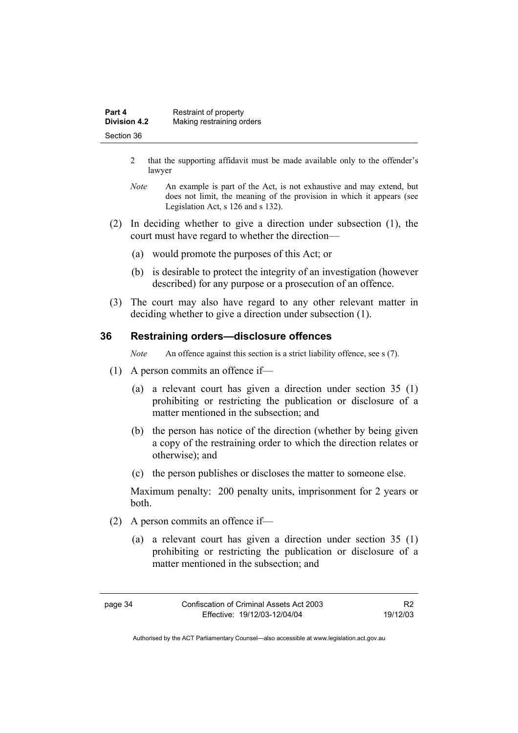| Part 4              | Restraint of property     |
|---------------------|---------------------------|
| <b>Division 4.2</b> | Making restraining orders |
| Section 36          |                           |

- 2 that the supporting affidavit must be made available only to the offender's lawyer
- *Note* An example is part of the Act, is not exhaustive and may extend, but does not limit, the meaning of the provision in which it appears (see Legislation Act, s 126 and s 132).
- (2) In deciding whether to give a direction under subsection (1), the court must have regard to whether the direction—
	- (a) would promote the purposes of this Act; or
	- (b) is desirable to protect the integrity of an investigation (however described) for any purpose or a prosecution of an offence.
- (3) The court may also have regard to any other relevant matter in deciding whether to give a direction under subsection (1).

#### **36 Restraining orders—disclosure offences**

*Note* An offence against this section is a strict liability offence, see s (7).

- (1) A person commits an offence if—
	- (a) a relevant court has given a direction under section 35 (1) prohibiting or restricting the publication or disclosure of a matter mentioned in the subsection; and
	- (b) the person has notice of the direction (whether by being given a copy of the restraining order to which the direction relates or otherwise); and
	- (c) the person publishes or discloses the matter to someone else.

Maximum penalty: 200 penalty units, imprisonment for 2 years or both.

- (2) A person commits an offence if—
	- (a) a relevant court has given a direction under section 35 (1) prohibiting or restricting the publication or disclosure of a matter mentioned in the subsection; and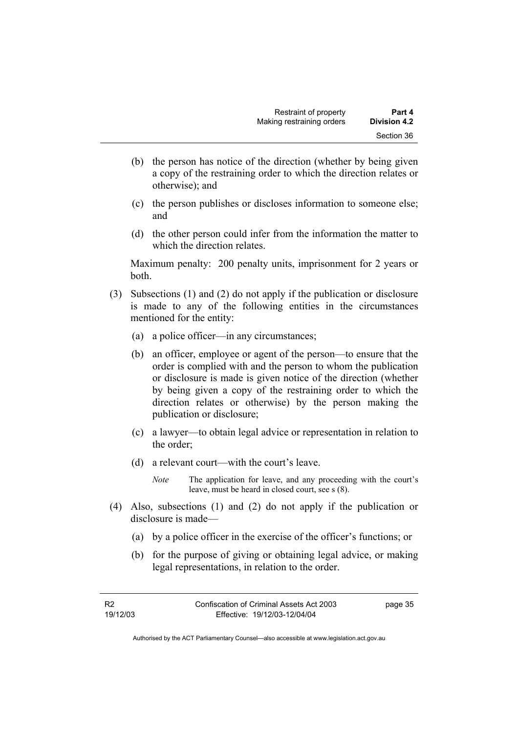- (b) the person has notice of the direction (whether by being given a copy of the restraining order to which the direction relates or otherwise); and
- (c) the person publishes or discloses information to someone else; and
- (d) the other person could infer from the information the matter to which the direction relates.

Maximum penalty: 200 penalty units, imprisonment for 2 years or both.

- (3) Subsections (1) and (2) do not apply if the publication or disclosure is made to any of the following entities in the circumstances mentioned for the entity:
	- (a) a police officer—in any circumstances;
	- (b) an officer, employee or agent of the person—to ensure that the order is complied with and the person to whom the publication or disclosure is made is given notice of the direction (whether by being given a copy of the restraining order to which the direction relates or otherwise) by the person making the publication or disclosure;
	- (c) a lawyer—to obtain legal advice or representation in relation to the order;
	- (d) a relevant court—with the court's leave.

*Note* The application for leave, and any proceeding with the court's leave, must be heard in closed court, see s (8).

- (4) Also, subsections (1) and (2) do not apply if the publication or disclosure is made—
	- (a) by a police officer in the exercise of the officer's functions; or
	- (b) for the purpose of giving or obtaining legal advice, or making legal representations, in relation to the order.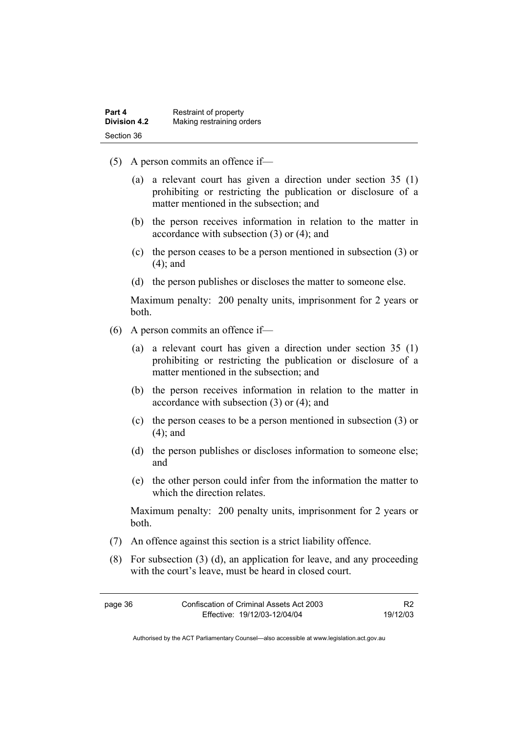| Part 4              | Restraint of property     |
|---------------------|---------------------------|
| <b>Division 4.2</b> | Making restraining orders |
| Section 36          |                           |

- (5) A person commits an offence if—
	- (a) a relevant court has given a direction under section 35 (1) prohibiting or restricting the publication or disclosure of a matter mentioned in the subsection; and
	- (b) the person receives information in relation to the matter in accordance with subsection (3) or (4); and
	- (c) the person ceases to be a person mentioned in subsection (3) or (4); and
	- (d) the person publishes or discloses the matter to someone else.

Maximum penalty: 200 penalty units, imprisonment for 2 years or both.

- (6) A person commits an offence if—
	- (a) a relevant court has given a direction under section 35 (1) prohibiting or restricting the publication or disclosure of a matter mentioned in the subsection; and
	- (b) the person receives information in relation to the matter in accordance with subsection (3) or (4); and
	- (c) the person ceases to be a person mentioned in subsection (3) or (4); and
	- (d) the person publishes or discloses information to someone else; and
	- (e) the other person could infer from the information the matter to which the direction relates.

Maximum penalty: 200 penalty units, imprisonment for 2 years or both.

- (7) An offence against this section is a strict liability offence.
- (8) For subsection (3) (d), an application for leave, and any proceeding with the court's leave, must be heard in closed court.

| page 36 | Confiscation of Criminal Assets Act 2003 | R <sub>2</sub> |
|---------|------------------------------------------|----------------|
|         | Effective: 19/12/03-12/04/04             | 19/12/03       |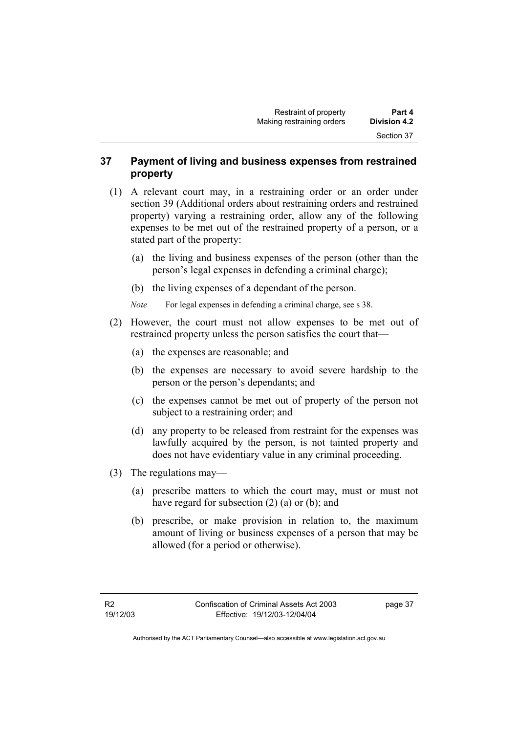#### **37 Payment of living and business expenses from restrained property**

- (1) A relevant court may, in a restraining order or an order under section 39 (Additional orders about restraining orders and restrained property) varying a restraining order, allow any of the following expenses to be met out of the restrained property of a person, or a stated part of the property:
	- (a) the living and business expenses of the person (other than the person's legal expenses in defending a criminal charge);
	- (b) the living expenses of a dependant of the person.
	- *Note* For legal expenses in defending a criminal charge, see s 38.
- (2) However, the court must not allow expenses to be met out of restrained property unless the person satisfies the court that—
	- (a) the expenses are reasonable; and
	- (b) the expenses are necessary to avoid severe hardship to the person or the person's dependants; and
	- (c) the expenses cannot be met out of property of the person not subject to a restraining order; and
	- (d) any property to be released from restraint for the expenses was lawfully acquired by the person, is not tainted property and does not have evidentiary value in any criminal proceeding.
- (3) The regulations may—
	- (a) prescribe matters to which the court may, must or must not have regard for subsection (2) (a) or (b); and
	- (b) prescribe, or make provision in relation to, the maximum amount of living or business expenses of a person that may be allowed (for a period or otherwise).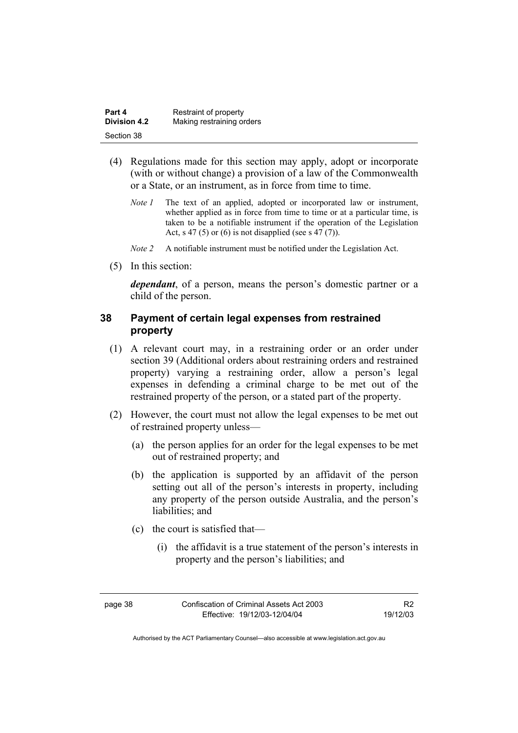| Part 4              | Restraint of property     |
|---------------------|---------------------------|
| <b>Division 4.2</b> | Making restraining orders |
| Section 38          |                           |

- (4) Regulations made for this section may apply, adopt or incorporate (with or without change) a provision of a law of the Commonwealth or a State, or an instrument, as in force from time to time.
	- *Note 1* The text of an applied, adopted or incorporated law or instrument, whether applied as in force from time to time or at a particular time, is taken to be a notifiable instrument if the operation of the Legislation Act, s 47 (5) or (6) is not disapplied (see s 47 (7)).
	- *Note 2* A notifiable instrument must be notified under the Legislation Act.
- (5) In this section:

*dependant*, of a person, means the person's domestic partner or a child of the person.

#### **38 Payment of certain legal expenses from restrained property**

- (1) A relevant court may, in a restraining order or an order under section 39 (Additional orders about restraining orders and restrained property) varying a restraining order, allow a person's legal expenses in defending a criminal charge to be met out of the restrained property of the person, or a stated part of the property.
- (2) However, the court must not allow the legal expenses to be met out of restrained property unless—
	- (a) the person applies for an order for the legal expenses to be met out of restrained property; and
	- (b) the application is supported by an affidavit of the person setting out all of the person's interests in property, including any property of the person outside Australia, and the person's liabilities; and
	- (c) the court is satisfied that—
		- (i) the affidavit is a true statement of the person's interests in property and the person's liabilities; and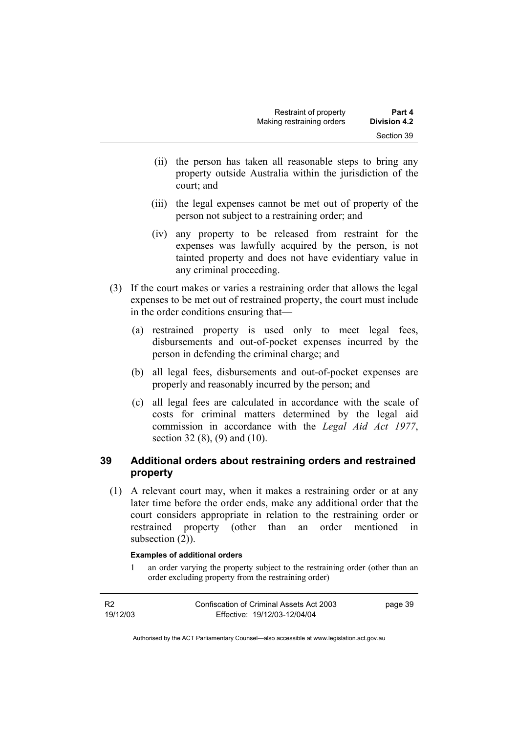- (ii) the person has taken all reasonable steps to bring any property outside Australia within the jurisdiction of the court; and
- (iii) the legal expenses cannot be met out of property of the person not subject to a restraining order; and
- (iv) any property to be released from restraint for the expenses was lawfully acquired by the person, is not tainted property and does not have evidentiary value in any criminal proceeding.
- (3) If the court makes or varies a restraining order that allows the legal expenses to be met out of restrained property, the court must include in the order conditions ensuring that—
	- (a) restrained property is used only to meet legal fees, disbursements and out-of-pocket expenses incurred by the person in defending the criminal charge; and
	- (b) all legal fees, disbursements and out-of-pocket expenses are properly and reasonably incurred by the person; and
	- (c) all legal fees are calculated in accordance with the scale of costs for criminal matters determined by the legal aid commission in accordance with the *Legal Aid Act 1977*, section 32 (8), (9) and (10).

## **39 Additional orders about restraining orders and restrained property**

 (1) A relevant court may, when it makes a restraining order or at any later time before the order ends, make any additional order that the court considers appropriate in relation to the restraining order or restrained property (other than an order mentioned in subsection  $(2)$ ).

#### **Examples of additional orders**

1 an order varying the property subject to the restraining order (other than an order excluding property from the restraining order)

| <b>R2</b> | Confiscation of Criminal Assets Act 2003 | page 39 |
|-----------|------------------------------------------|---------|
| 19/12/03  | Effective: 19/12/03-12/04/04             |         |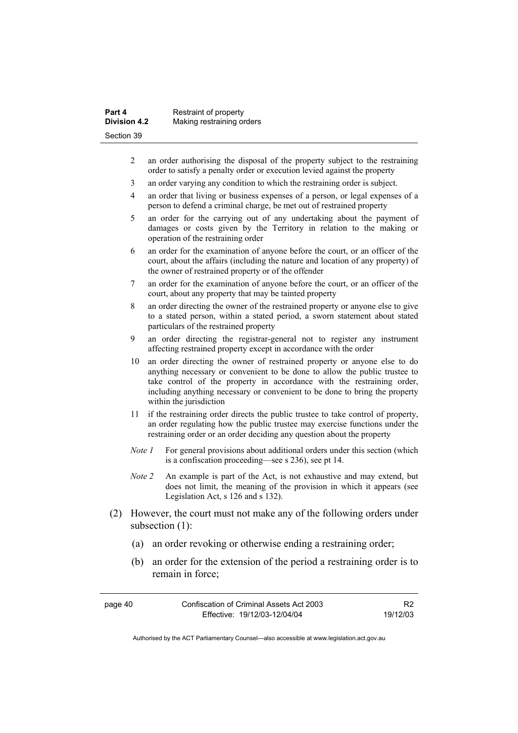| Part 4              | Restraint of property     |
|---------------------|---------------------------|
| <b>Division 4.2</b> | Making restraining orders |
| Section 39          |                           |

- 2 an order authorising the disposal of the property subject to the restraining order to satisfy a penalty order or execution levied against the property
- 3 an order varying any condition to which the restraining order is subject.
- 4 an order that living or business expenses of a person, or legal expenses of a person to defend a criminal charge, be met out of restrained property
- 5 an order for the carrying out of any undertaking about the payment of damages or costs given by the Territory in relation to the making or operation of the restraining order
- 6 an order for the examination of anyone before the court, or an officer of the court, about the affairs (including the nature and location of any property) of the owner of restrained property or of the offender
- 7 an order for the examination of anyone before the court, or an officer of the court, about any property that may be tainted property
- 8 an order directing the owner of the restrained property or anyone else to give to a stated person, within a stated period, a sworn statement about stated particulars of the restrained property
- 9 an order directing the registrar-general not to register any instrument affecting restrained property except in accordance with the order
- 10 an order directing the owner of restrained property or anyone else to do anything necessary or convenient to be done to allow the public trustee to take control of the property in accordance with the restraining order, including anything necessary or convenient to be done to bring the property within the jurisdiction
- 11 if the restraining order directs the public trustee to take control of property, an order regulating how the public trustee may exercise functions under the restraining order or an order deciding any question about the property
- *Note 1* For general provisions about additional orders under this section (which is a confiscation proceeding—see s 236), see pt 14.
- *Note 2* An example is part of the Act, is not exhaustive and may extend, but does not limit, the meaning of the provision in which it appears (see Legislation Act, s 126 and s 132).
- (2) However, the court must not make any of the following orders under subsection (1):
	- (a) an order revoking or otherwise ending a restraining order;
	- (b) an order for the extension of the period a restraining order is to remain in force;

| page 40 | Confiscation of Criminal Assets Act 2003 |          |
|---------|------------------------------------------|----------|
|         | Effective: 19/12/03-12/04/04             | 19/12/03 |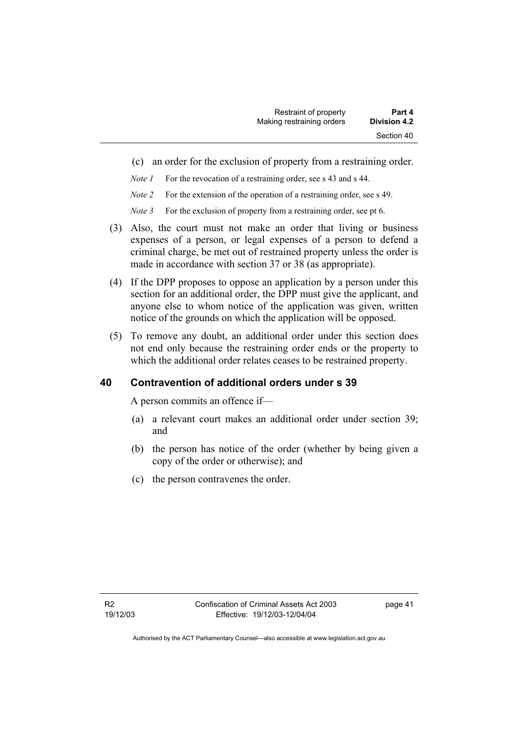- (c) an order for the exclusion of property from a restraining order.
- *Note 1* For the revocation of a restraining order, see s 43 and s 44.
- *Note 2* For the extension of the operation of a restraining order, see s 49.
- *Note 3* For the exclusion of property from a restraining order, see pt 6.
- (3) Also, the court must not make an order that living or business expenses of a person, or legal expenses of a person to defend a criminal charge, be met out of restrained property unless the order is made in accordance with section 37 or 38 (as appropriate).
- (4) If the DPP proposes to oppose an application by a person under this section for an additional order, the DPP must give the applicant, and anyone else to whom notice of the application was given, written notice of the grounds on which the application will be opposed.
- (5) To remove any doubt, an additional order under this section does not end only because the restraining order ends or the property to which the additional order relates ceases to be restrained property.

#### **40 Contravention of additional orders under s 39**

A person commits an offence if—

- (a) a relevant court makes an additional order under section 39; and
- (b) the person has notice of the order (whether by being given a copy of the order or otherwise); and
- (c) the person contravenes the order.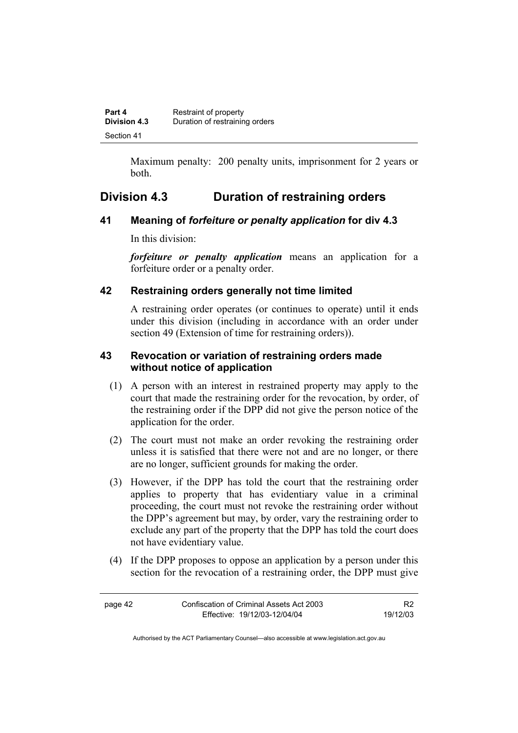| Part 4              | Restraint of property          |
|---------------------|--------------------------------|
| <b>Division 4.3</b> | Duration of restraining orders |
| Section 41          |                                |

Maximum penalty: 200 penalty units, imprisonment for 2 years or both.

# **Division 4.3 Duration of restraining orders**

#### **41 Meaning of** *forfeiture or penalty application* **for div 4.3**

In this division:

*forfeiture or penalty application* means an application for a forfeiture order or a penalty order.

## **42 Restraining orders generally not time limited**

A restraining order operates (or continues to operate) until it ends under this division (including in accordance with an order under section 49 (Extension of time for restraining orders)).

#### **43 Revocation or variation of restraining orders made without notice of application**

- (1) A person with an interest in restrained property may apply to the court that made the restraining order for the revocation, by order, of the restraining order if the DPP did not give the person notice of the application for the order.
- (2) The court must not make an order revoking the restraining order unless it is satisfied that there were not and are no longer, or there are no longer, sufficient grounds for making the order.
- (3) However, if the DPP has told the court that the restraining order applies to property that has evidentiary value in a criminal proceeding, the court must not revoke the restraining order without the DPP's agreement but may, by order, vary the restraining order to exclude any part of the property that the DPP has told the court does not have evidentiary value.
- (4) If the DPP proposes to oppose an application by a person under this section for the revocation of a restraining order, the DPP must give

| page 42 | Confiscation of Criminal Assets Act 2003 |          |
|---------|------------------------------------------|----------|
|         | Effective: 19/12/03-12/04/04             | 19/12/03 |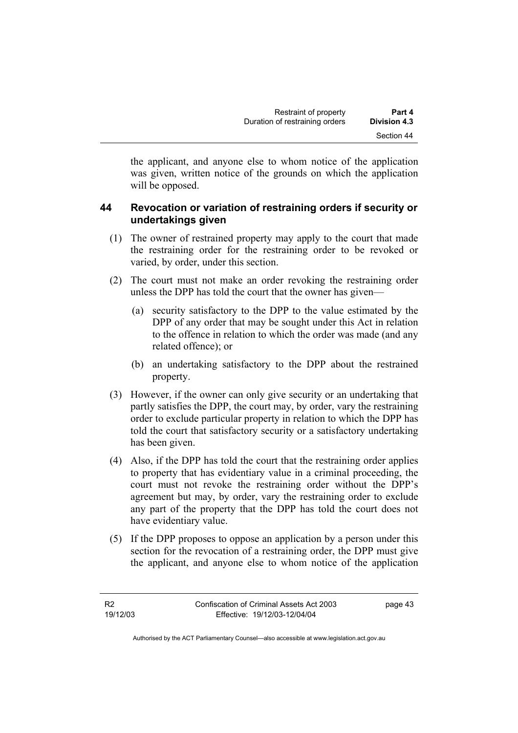the applicant, and anyone else to whom notice of the application was given, written notice of the grounds on which the application will be opposed.

## **44 Revocation or variation of restraining orders if security or undertakings given**

- (1) The owner of restrained property may apply to the court that made the restraining order for the restraining order to be revoked or varied, by order, under this section.
- (2) The court must not make an order revoking the restraining order unless the DPP has told the court that the owner has given—
	- (a) security satisfactory to the DPP to the value estimated by the DPP of any order that may be sought under this Act in relation to the offence in relation to which the order was made (and any related offence); or
	- (b) an undertaking satisfactory to the DPP about the restrained property.
- (3) However, if the owner can only give security or an undertaking that partly satisfies the DPP, the court may, by order, vary the restraining order to exclude particular property in relation to which the DPP has told the court that satisfactory security or a satisfactory undertaking has been given.
- (4) Also, if the DPP has told the court that the restraining order applies to property that has evidentiary value in a criminal proceeding, the court must not revoke the restraining order without the DPP's agreement but may, by order, vary the restraining order to exclude any part of the property that the DPP has told the court does not have evidentiary value.
- (5) If the DPP proposes to oppose an application by a person under this section for the revocation of a restraining order, the DPP must give the applicant, and anyone else to whom notice of the application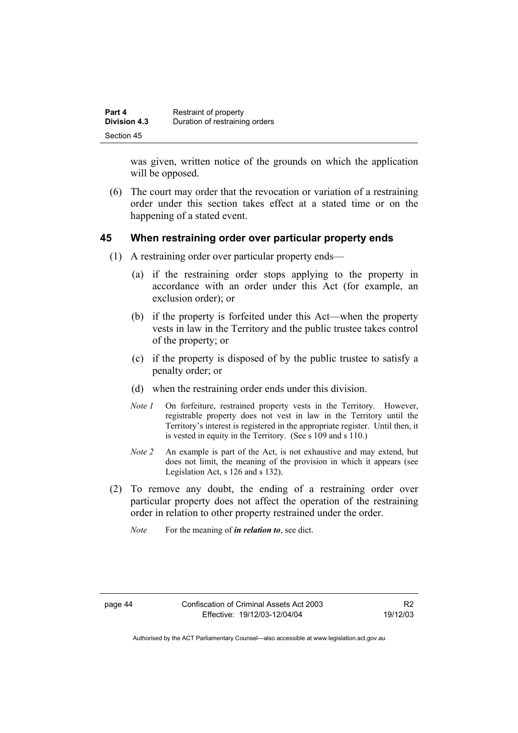| Part 4       | Restraint of property          |
|--------------|--------------------------------|
| Division 4.3 | Duration of restraining orders |
| Section 45   |                                |

was given, written notice of the grounds on which the application will be opposed.

 (6) The court may order that the revocation or variation of a restraining order under this section takes effect at a stated time or on the happening of a stated event.

#### **45 When restraining order over particular property ends**

- (1) A restraining order over particular property ends—
	- (a) if the restraining order stops applying to the property in accordance with an order under this Act (for example, an exclusion order); or
	- (b) if the property is forfeited under this Act—when the property vests in law in the Territory and the public trustee takes control of the property; or
	- (c) if the property is disposed of by the public trustee to satisfy a penalty order; or
	- (d) when the restraining order ends under this division.
	- *Note 1* On forfeiture, restrained property vests in the Territory. However, registrable property does not vest in law in the Territory until the Territory's interest is registered in the appropriate register. Until then, it is vested in equity in the Territory. (See s 109 and s 110.)
	- *Note 2* An example is part of the Act, is not exhaustive and may extend, but does not limit, the meaning of the provision in which it appears (see Legislation Act, s 126 and s 132).
- (2) To remove any doubt, the ending of a restraining order over particular property does not affect the operation of the restraining order in relation to other property restrained under the order.
	- *Note* For the meaning of *in relation to*, see dict.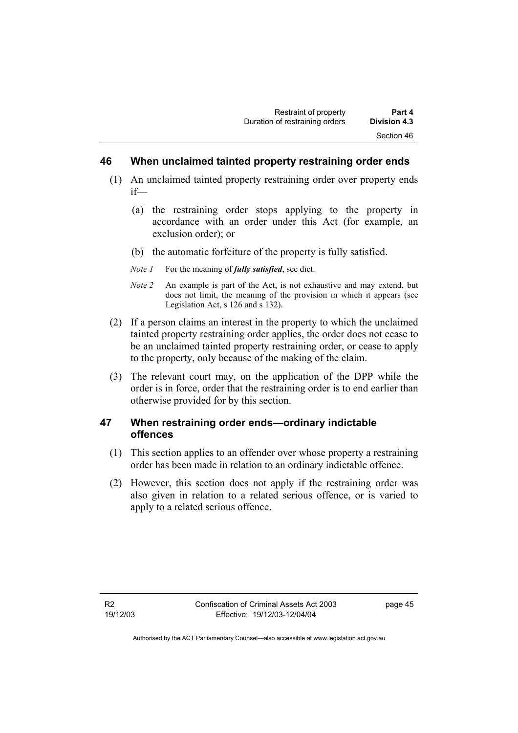#### **46 When unclaimed tainted property restraining order ends**

- (1) An unclaimed tainted property restraining order over property ends if—
	- (a) the restraining order stops applying to the property in accordance with an order under this Act (for example, an exclusion order); or
	- (b) the automatic forfeiture of the property is fully satisfied.
	- *Note 1* For the meaning of *fully satisfied*, see dict.
	- *Note 2* An example is part of the Act, is not exhaustive and may extend, but does not limit, the meaning of the provision in which it appears (see Legislation Act, s 126 and s 132).
- (2) If a person claims an interest in the property to which the unclaimed tainted property restraining order applies, the order does not cease to be an unclaimed tainted property restraining order, or cease to apply to the property, only because of the making of the claim.
- (3) The relevant court may, on the application of the DPP while the order is in force, order that the restraining order is to end earlier than otherwise provided for by this section.

## **47 When restraining order ends—ordinary indictable offences**

- (1) This section applies to an offender over whose property a restraining order has been made in relation to an ordinary indictable offence.
- (2) However, this section does not apply if the restraining order was also given in relation to a related serious offence, or is varied to apply to a related serious offence.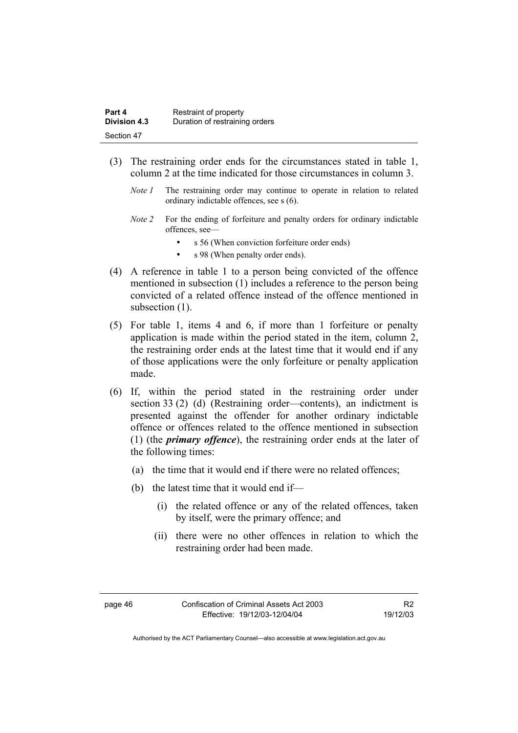| Part 4       | Restraint of property          |
|--------------|--------------------------------|
| Division 4.3 | Duration of restraining orders |
| Section 47   |                                |

- (3) The restraining order ends for the circumstances stated in table 1, column 2 at the time indicated for those circumstances in column 3.
	- *Note 1* The restraining order may continue to operate in relation to related ordinary indictable offences, see s (6).
	- *Note 2* For the ending of forfeiture and penalty orders for ordinary indictable offences, see—
		- s 56 (When conviction forfeiture order ends)
		- s 98 (When penalty order ends).
- (4) A reference in table 1 to a person being convicted of the offence mentioned in subsection (1) includes a reference to the person being convicted of a related offence instead of the offence mentioned in subsection  $(1)$ .
- (5) For table 1, items 4 and 6, if more than 1 forfeiture or penalty application is made within the period stated in the item, column 2, the restraining order ends at the latest time that it would end if any of those applications were the only forfeiture or penalty application made.
- (6) If, within the period stated in the restraining order under section 33 (2) (d) (Restraining order—contents), an indictment is presented against the offender for another ordinary indictable offence or offences related to the offence mentioned in subsection (1) (the *primary offence*), the restraining order ends at the later of the following times:
	- (a) the time that it would end if there were no related offences;
	- (b) the latest time that it would end if—
		- (i) the related offence or any of the related offences, taken by itself, were the primary offence; and
		- (ii) there were no other offences in relation to which the restraining order had been made.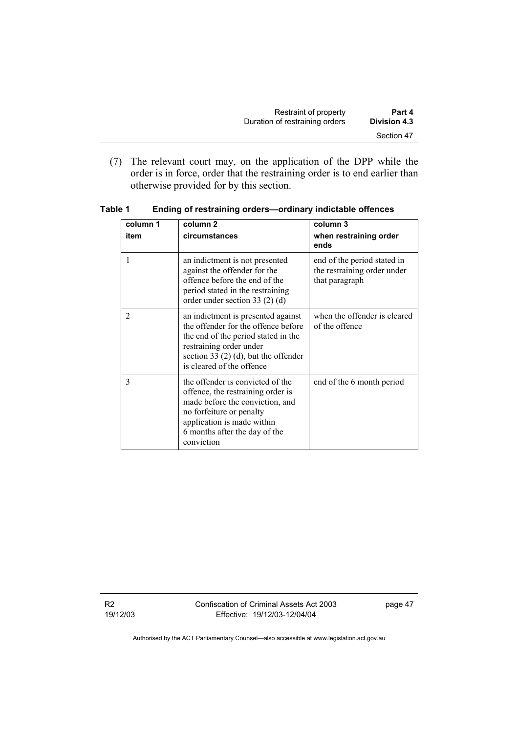| Restraint of property          | Part 4       |
|--------------------------------|--------------|
| Duration of restraining orders | Division 4.3 |
|                                | Section 47   |

 (7) The relevant court may, on the application of the DPP while the order is in force, order that the restraining order is to end earlier than otherwise provided for by this section.

| column 1 | column <sub>2</sub>                                                                                                                                                                                                | column 3                                                                     |
|----------|--------------------------------------------------------------------------------------------------------------------------------------------------------------------------------------------------------------------|------------------------------------------------------------------------------|
| item     | circumstances                                                                                                                                                                                                      | when restraining order<br>ends                                               |
| 1        | an indictment is not presented<br>against the offender for the<br>offence before the end of the<br>period stated in the restraining<br>order under section 33 $(2)$ $(d)$                                          | end of the period stated in<br>the restraining order under<br>that paragraph |
| 2        | an indictment is presented against<br>the offender for the offence before<br>the end of the period stated in the<br>restraining order under<br>section 33 $(2)$ (d), but the offender<br>is cleared of the offence | when the offender is cleared<br>of the offence                               |
| 3        | the offender is convicted of the<br>offence, the restraining order is<br>made before the conviction, and<br>no forfeiture or penalty<br>application is made within<br>6 months after the day of the<br>conviction  | end of the 6 month period                                                    |

**Table 1 Ending of restraining orders—ordinary indictable offences** 

R2 19/12/03 Confiscation of Criminal Assets Act 2003 Effective: 19/12/03-12/04/04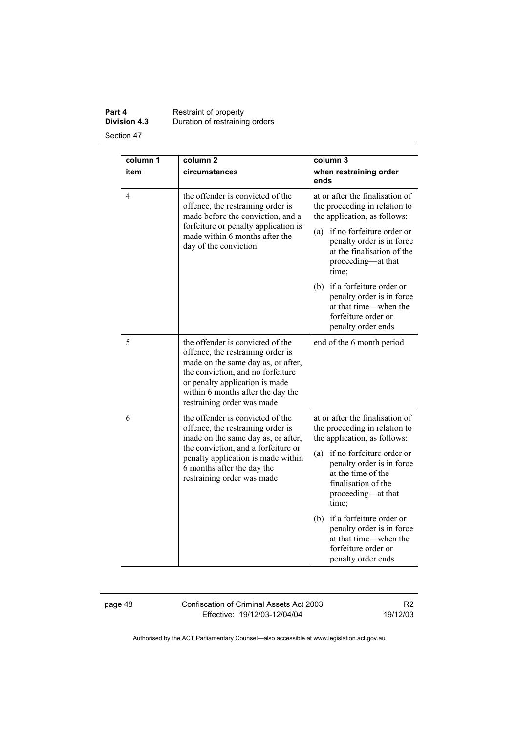#### **Part 4 Restraint of property**<br>**Division 4.3** Duration of restraining **Division 4.3** Duration of restraining orders Section 47

**column 1 item column 2 circumstances column 3 when restraining order ends**  4 the offender is convicted of the offence, the restraining order is made before the conviction, and a forfeiture or penalty application is made within 6 months after the day of the conviction at or after the finalisation of the proceeding in relation to the application, as follows: (a) if no forfeiture order or penalty order is in force at the finalisation of the proceeding—at that time; (b) if a forfeiture order or penalty order is in force at that time—when the forfeiture order or penalty order ends 5 the offender is convicted of the offence, the restraining order is made on the same day as, or after, the conviction, and no forfeiture or penalty application is made within 6 months after the day the restraining order was made end of the 6 month period 6 the offender is convicted of the offence, the restraining order is made on the same day as, or after, the conviction, and a forfeiture or penalty application is made within 6 months after the day the restraining order was made at or after the finalisation of the proceeding in relation to the application, as follows: (a) if no forfeiture order or penalty order is in force at the time of the finalisation of the proceeding—at that time; (b) if a forfeiture order or penalty order is in force at that time—when the forfeiture order or penalty order ends

page 48 Confiscation of Criminal Assets Act 2003 Effective: 19/12/03-12/04/04

R2 19/12/03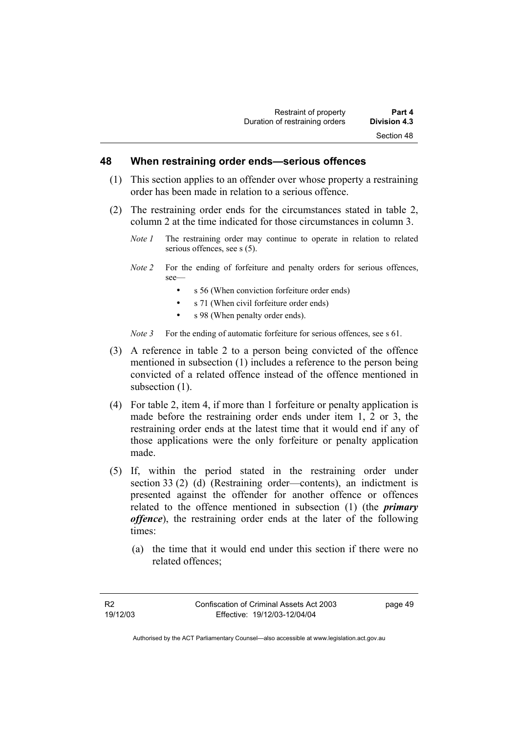#### **48 When restraining order ends—serious offences**

- (1) This section applies to an offender over whose property a restraining order has been made in relation to a serious offence.
- (2) The restraining order ends for the circumstances stated in table 2, column 2 at the time indicated for those circumstances in column 3.
	- *Note 1* The restraining order may continue to operate in relation to related serious offences, see s (5).
	- *Note 2* For the ending of forfeiture and penalty orders for serious offences, see—
		- s 56 (When conviction forfeiture order ends)
		- s 71 (When civil forfeiture order ends)
		- s 98 (When penalty order ends).

*Note 3* For the ending of automatic forfeiture for serious offences, see s 61.

- (3) A reference in table 2 to a person being convicted of the offence mentioned in subsection (1) includes a reference to the person being convicted of a related offence instead of the offence mentioned in subsection  $(1)$ .
- (4) For table 2, item 4, if more than 1 forfeiture or penalty application is made before the restraining order ends under item 1, 2 or 3, the restraining order ends at the latest time that it would end if any of those applications were the only forfeiture or penalty application made.
- (5) If, within the period stated in the restraining order under section 33 (2) (d) (Restraining order—contents), an indictment is presented against the offender for another offence or offences related to the offence mentioned in subsection (1) (the *primary offence*), the restraining order ends at the later of the following times:
	- (a) the time that it would end under this section if there were no related offences;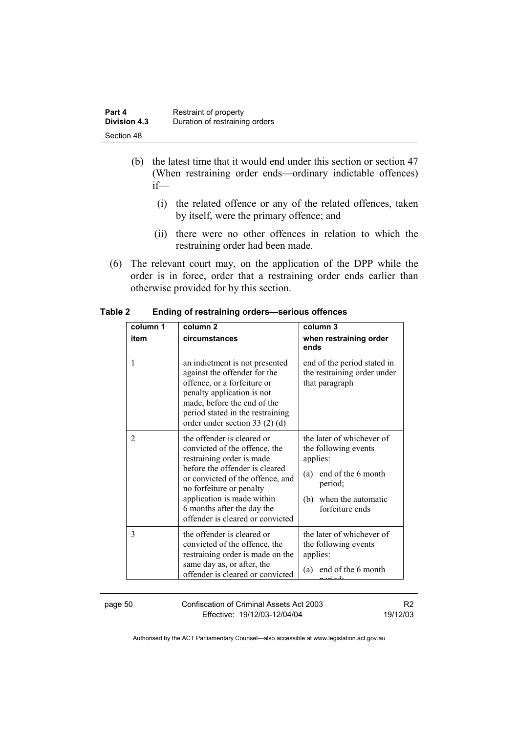| Part 4              | Restraint of property          |
|---------------------|--------------------------------|
| <b>Division 4.3</b> | Duration of restraining orders |
| Section 48          |                                |

- (b) the latest time that it would end under this section or section 47 (When restraining order ends—ordinary indictable offences) if—
	- (i) the related offence or any of the related offences, taken by itself, were the primary offence; and
	- (ii) there were no other offences in relation to which the restraining order had been made.
- (6) The relevant court may, on the application of the DPP while the order is in force, order that a restraining order ends earlier than otherwise provided for by this section.

| column 1<br>item | column <sub>2</sub><br>circumstances                                                                                                                                                                                                                                                       | column 3<br>when restraining order<br>ends                                                                                                            |
|------------------|--------------------------------------------------------------------------------------------------------------------------------------------------------------------------------------------------------------------------------------------------------------------------------------------|-------------------------------------------------------------------------------------------------------------------------------------------------------|
| 1                | an indictment is not presented<br>against the offender for the<br>offence, or a forfeiture or<br>penalty application is not<br>made, before the end of the<br>period stated in the restraining<br>order under section 33 $(2)$ $(d)$                                                       | end of the period stated in<br>the restraining order under<br>that paragraph                                                                          |
| $\overline{2}$   | the offender is cleared or<br>convicted of the offence, the<br>restraining order is made<br>before the offender is cleared<br>or convicted of the offence, and<br>no forfeiture or penalty<br>application is made within<br>6 months after the day the<br>offender is cleared or convicted | the later of whichever of<br>the following events<br>applies:<br>end of the 6 month<br>(a)<br>period;<br>(b)<br>when the automatic<br>forfeiture ends |
| 3                | the offender is cleared or<br>convicted of the offence, the<br>restraining order is made on the<br>same day as, or after, the<br>offender is cleared or convicted                                                                                                                          | the later of whichever of<br>the following events<br>applies:<br>end of the 6 month<br>(a)                                                            |

**Table 2 Ending of restraining orders—serious offences** 

page 50 Confiscation of Criminal Assets Act 2003 Effective: 19/12/03-12/04/04

R2 19/12/03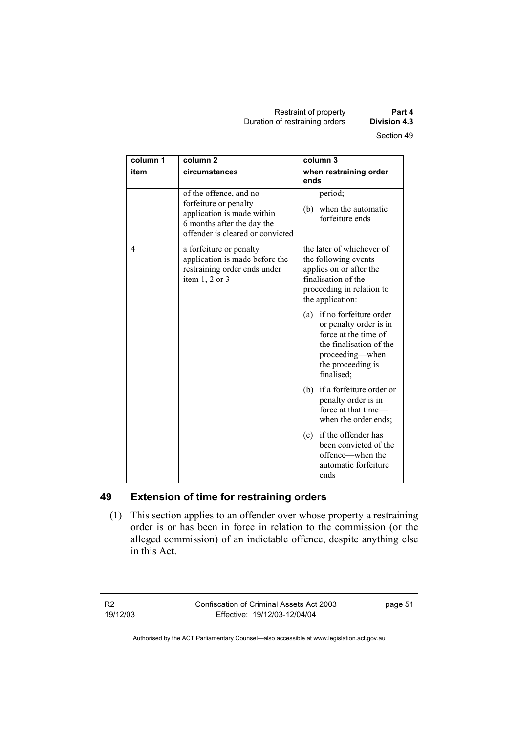Restraint of property **Part 4**  Duration of restraining orders **Division 4.3** 

| column 1 | column <sub>2</sub>                                                                                                                             | column 3                                                                                                                                                      |
|----------|-------------------------------------------------------------------------------------------------------------------------------------------------|---------------------------------------------------------------------------------------------------------------------------------------------------------------|
| item     | circumstances                                                                                                                                   | when restraining order<br>ends                                                                                                                                |
|          | of the offence, and no<br>forfeiture or penalty<br>application is made within<br>6 months after the day the<br>offender is cleared or convicted | period;<br>(b) when the automatic<br>forfeiture ends                                                                                                          |
| 4        | a forfeiture or penalty<br>application is made before the<br>restraining order ends under<br>item $1, 2$ or $3$                                 | the later of whichever of<br>the following events<br>applies on or after the<br>finalisation of the<br>proceeding in relation to<br>the application:          |
|          |                                                                                                                                                 | (a) if no forfeiture order<br>or penalty order is in<br>force at the time of<br>the finalisation of the<br>proceeding-when<br>the proceeding is<br>finalised; |
|          |                                                                                                                                                 | if a forfeiture order or<br>(b)<br>penalty order is in<br>force at that time-<br>when the order ends;                                                         |
|          |                                                                                                                                                 | if the offender has<br>(c)<br>been convicted of the<br>offence—when the<br>automatic forfeiture<br>ends                                                       |

# **49 Extension of time for restraining orders**

 (1) This section applies to an offender over whose property a restraining order is or has been in force in relation to the commission (or the alleged commission) of an indictable offence, despite anything else in this Act.

R2 19/12/03 Confiscation of Criminal Assets Act 2003 Effective: 19/12/03-12/04/04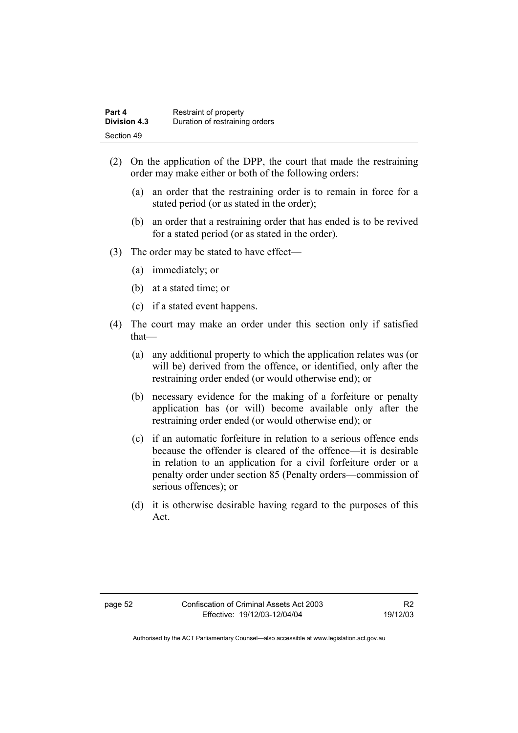| Part 4       | Restraint of property          |
|--------------|--------------------------------|
| Division 4.3 | Duration of restraining orders |
| Section 49   |                                |

- (2) On the application of the DPP, the court that made the restraining order may make either or both of the following orders:
	- (a) an order that the restraining order is to remain in force for a stated period (or as stated in the order);
	- (b) an order that a restraining order that has ended is to be revived for a stated period (or as stated in the order).
- (3) The order may be stated to have effect—
	- (a) immediately; or
	- (b) at a stated time; or
	- (c) if a stated event happens.
- (4) The court may make an order under this section only if satisfied that—
	- (a) any additional property to which the application relates was (or will be) derived from the offence, or identified, only after the restraining order ended (or would otherwise end); or
	- (b) necessary evidence for the making of a forfeiture or penalty application has (or will) become available only after the restraining order ended (or would otherwise end); or
	- (c) if an automatic forfeiture in relation to a serious offence ends because the offender is cleared of the offence—it is desirable in relation to an application for a civil forfeiture order or a penalty order under section 85 (Penalty orders—commission of serious offences); or
	- (d) it is otherwise desirable having regard to the purposes of this Act.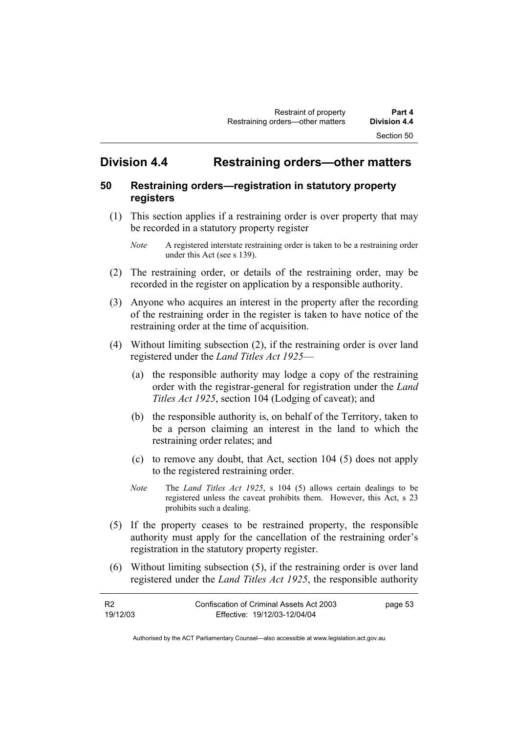# **Division 4.4 Restraining orders—other matters**

#### **50 Restraining orders—registration in statutory property registers**

- (1) This section applies if a restraining order is over property that may be recorded in a statutory property register
	- *Note* A registered interstate restraining order is taken to be a restraining order under this Act (see s 139).
- (2) The restraining order, or details of the restraining order, may be recorded in the register on application by a responsible authority.
- (3) Anyone who acquires an interest in the property after the recording of the restraining order in the register is taken to have notice of the restraining order at the time of acquisition.
- (4) Without limiting subsection (2), if the restraining order is over land registered under the *Land Titles Act 1925*—
	- (a) the responsible authority may lodge a copy of the restraining order with the registrar-general for registration under the *Land Titles Act 1925*, section 104 (Lodging of caveat); and
	- (b) the responsible authority is, on behalf of the Territory, taken to be a person claiming an interest in the land to which the restraining order relates; and
	- (c) to remove any doubt, that Act, section 104 (5) does not apply to the registered restraining order.
	- *Note* The *Land Titles Act 1925*, s 104 (5) allows certain dealings to be registered unless the caveat prohibits them. However, this Act, s 23 prohibits such a dealing.
- (5) If the property ceases to be restrained property, the responsible authority must apply for the cancellation of the restraining order's registration in the statutory property register.
- (6) Without limiting subsection (5), if the restraining order is over land registered under the *Land Titles Act 1925*, the responsible authority

| <b>R2</b> | Confiscation of Criminal Assets Act 2003 | page 53 |
|-----------|------------------------------------------|---------|
| 19/12/03  | Effective: 19/12/03-12/04/04             |         |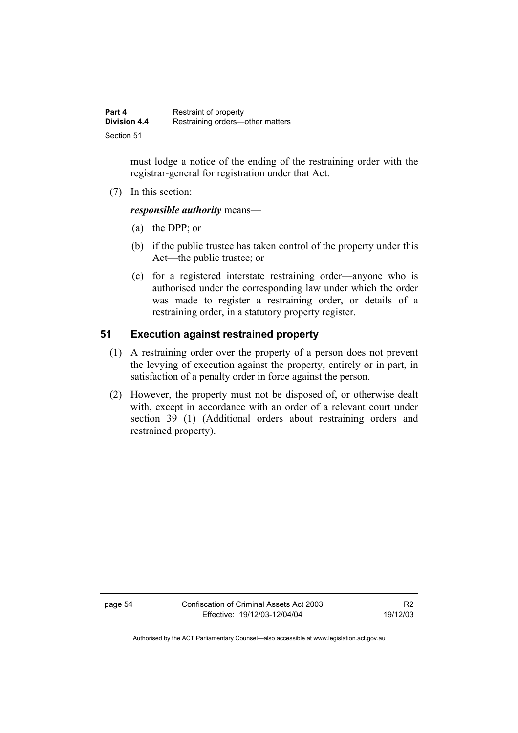| Part 4              | Restraint of property            |
|---------------------|----------------------------------|
| <b>Division 4.4</b> | Restraining orders—other matters |
| Section 51          |                                  |

must lodge a notice of the ending of the restraining order with the registrar-general for registration under that Act.

(7) In this section:

*responsible authority* means—

- (a) the DPP; or
- (b) if the public trustee has taken control of the property under this Act—the public trustee; or
- (c) for a registered interstate restraining order—anyone who is authorised under the corresponding law under which the order was made to register a restraining order, or details of a restraining order, in a statutory property register.

#### **51 Execution against restrained property**

- (1) A restraining order over the property of a person does not prevent the levying of execution against the property, entirely or in part, in satisfaction of a penalty order in force against the person.
- (2) However, the property must not be disposed of, or otherwise dealt with, except in accordance with an order of a relevant court under section 39 (1) (Additional orders about restraining orders and restrained property).

page 54 Confiscation of Criminal Assets Act 2003 Effective: 19/12/03-12/04/04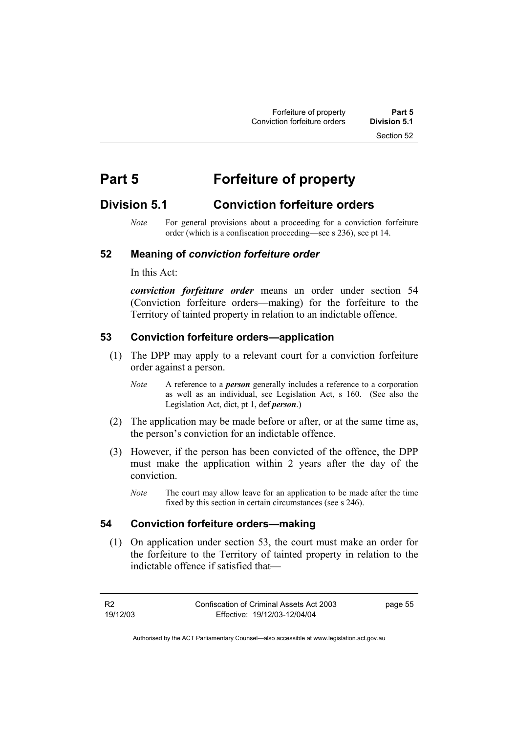# **Part 5 Forfeiture of property**

# **Division 5.1 Conviction forfeiture orders**

*Note* For general provisions about a proceeding for a conviction forfeiture order (which is a confiscation proceeding—see s 236), see pt 14.

#### **52 Meaning of** *conviction forfeiture order*

In this Act:

*conviction forfeiture order* means an order under section 54 (Conviction forfeiture orders—making) for the forfeiture to the Territory of tainted property in relation to an indictable offence.

#### **53 Conviction forfeiture orders—application**

- (1) The DPP may apply to a relevant court for a conviction forfeiture order against a person.
	- *Note* A reference to a *person* generally includes a reference to a corporation as well as an individual, see Legislation Act, s 160. (See also the Legislation Act, dict, pt 1, def *person*.)
- (2) The application may be made before or after, or at the same time as, the person's conviction for an indictable offence.
- (3) However, if the person has been convicted of the offence, the DPP must make the application within 2 years after the day of the conviction.
	- *Note* The court may allow leave for an application to be made after the time fixed by this section in certain circumstances (see s 246).

#### **54 Conviction forfeiture orders—making**

 (1) On application under section 53, the court must make an order for the forfeiture to the Territory of tainted property in relation to the indictable offence if satisfied that—

R2 19/12/03 page 55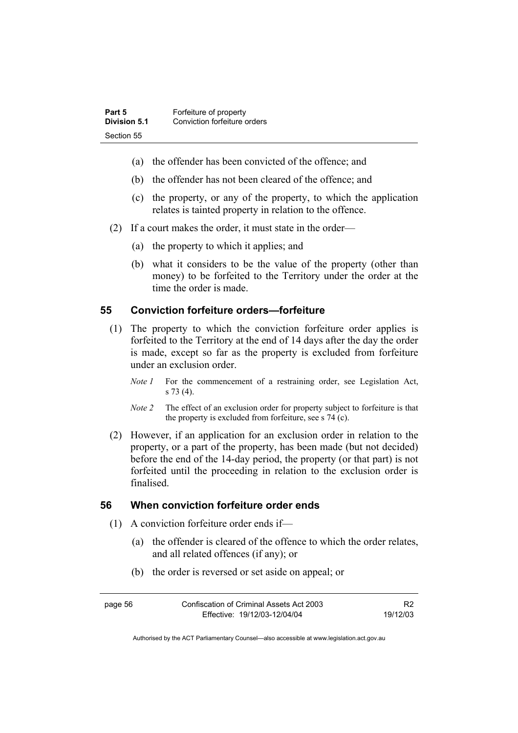| Part 5       | Forfeiture of property       |
|--------------|------------------------------|
| Division 5.1 | Conviction forfeiture orders |
| Section 55   |                              |

- (a) the offender has been convicted of the offence; and
- (b) the offender has not been cleared of the offence; and
- (c) the property, or any of the property, to which the application relates is tainted property in relation to the offence.
- (2) If a court makes the order, it must state in the order—
	- (a) the property to which it applies; and
	- (b) what it considers to be the value of the property (other than money) to be forfeited to the Territory under the order at the time the order is made.

#### **55 Conviction forfeiture orders—forfeiture**

- (1) The property to which the conviction forfeiture order applies is forfeited to the Territory at the end of 14 days after the day the order is made, except so far as the property is excluded from forfeiture under an exclusion order.
	- *Note 1* For the commencement of a restraining order, see Legislation Act, s 73 (4).
	- *Note 2* The effect of an exclusion order for property subject to forfeiture is that the property is excluded from forfeiture, see s 74 (c).
- (2) However, if an application for an exclusion order in relation to the property, or a part of the property, has been made (but not decided) before the end of the 14-day period, the property (or that part) is not forfeited until the proceeding in relation to the exclusion order is finalised.

#### **56 When conviction forfeiture order ends**

- (1) A conviction forfeiture order ends if—
	- (a) the offender is cleared of the offence to which the order relates, and all related offences (if any); or
	- (b) the order is reversed or set aside on appeal; or

| page 56 | Confiscation of Criminal Assets Act 2003 | R <sub>2</sub> |
|---------|------------------------------------------|----------------|
|         | Effective: 19/12/03-12/04/04             | 19/12/03       |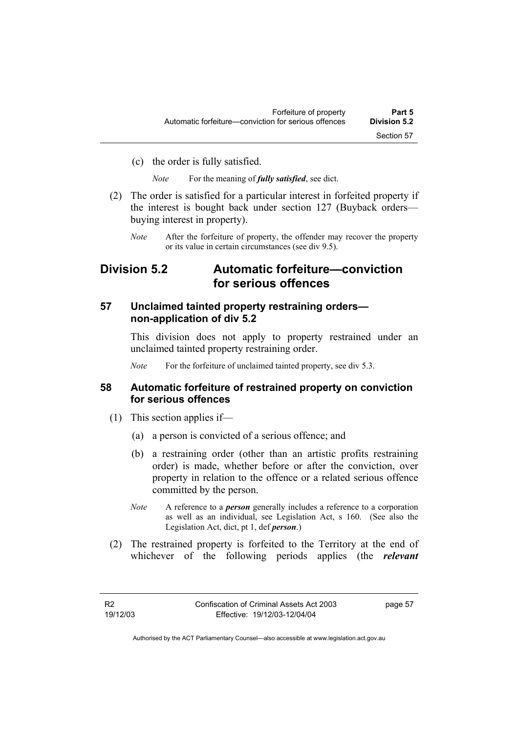(c) the order is fully satisfied.

*Note* For the meaning of *fully satisfied*, see dict.

- (2) The order is satisfied for a particular interest in forfeited property if the interest is bought back under section 127 (Buyback orders buying interest in property).
	- *Note* After the forfeiture of property, the offender may recover the property or its value in certain circumstances (see div 9.5).

## **Division 5.2 Automatic forfeiture—conviction for serious offences**

## **57 Unclaimed tainted property restraining orders non-application of div 5.2**

This division does not apply to property restrained under an unclaimed tainted property restraining order.

*Note* For the forfeiture of unclaimed tainted property, see div 5.3.

## **58 Automatic forfeiture of restrained property on conviction for serious offences**

- (1) This section applies if—
	- (a) a person is convicted of a serious offence; and
	- (b) a restraining order (other than an artistic profits restraining order) is made, whether before or after the conviction, over property in relation to the offence or a related serious offence committed by the person.
	- *Note* A reference to a *person* generally includes a reference to a corporation as well as an individual, see Legislation Act, s 160. (See also the Legislation Act, dict, pt 1, def *person*.)
- (2) The restrained property is forfeited to the Territory at the end of whichever of the following periods applies (the *relevant*

page 57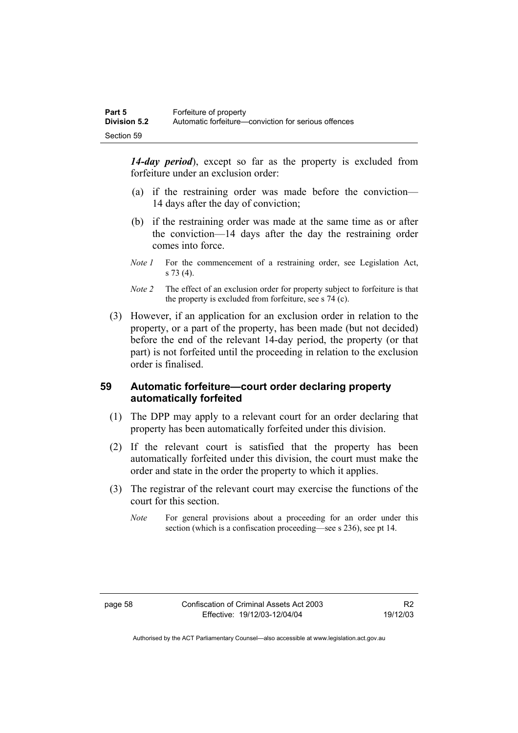*14-day period*), except so far as the property is excluded from forfeiture under an exclusion order:

- (a) if the restraining order was made before the conviction— 14 days after the day of conviction;
- (b) if the restraining order was made at the same time as or after the conviction—14 days after the day the restraining order comes into force.
- *Note 1* For the commencement of a restraining order, see Legislation Act, s 73 (4).
- *Note 2* The effect of an exclusion order for property subject to forfeiture is that the property is excluded from forfeiture, see s 74 (c).
- (3) However, if an application for an exclusion order in relation to the property, or a part of the property, has been made (but not decided) before the end of the relevant 14-day period, the property (or that part) is not forfeited until the proceeding in relation to the exclusion order is finalised.

## **59 Automatic forfeiture—court order declaring property automatically forfeited**

- (1) The DPP may apply to a relevant court for an order declaring that property has been automatically forfeited under this division.
- (2) If the relevant court is satisfied that the property has been automatically forfeited under this division, the court must make the order and state in the order the property to which it applies.
- (3) The registrar of the relevant court may exercise the functions of the court for this section.
	- *Note* For general provisions about a proceeding for an order under this section (which is a confiscation proceeding—see s 236), see pt 14.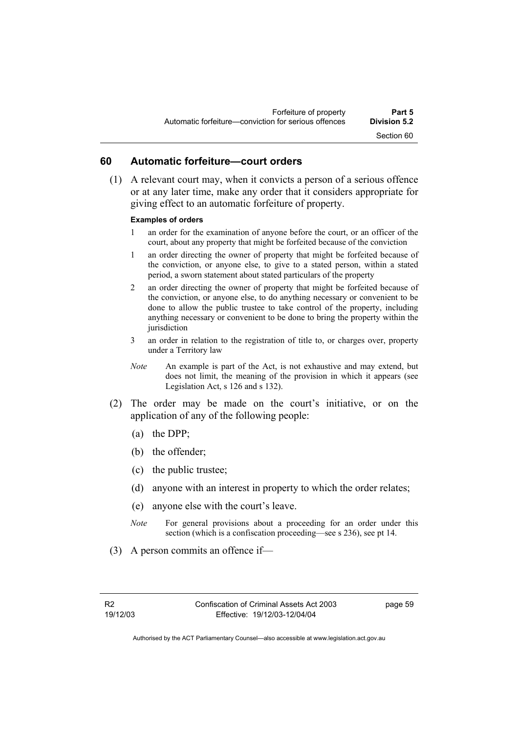### **60 Automatic forfeiture—court orders**

 (1) A relevant court may, when it convicts a person of a serious offence or at any later time, make any order that it considers appropriate for giving effect to an automatic forfeiture of property.

#### **Examples of orders**

- 1 an order for the examination of anyone before the court, or an officer of the court, about any property that might be forfeited because of the conviction
- 1 an order directing the owner of property that might be forfeited because of the conviction, or anyone else, to give to a stated person, within a stated period, a sworn statement about stated particulars of the property
- 2 an order directing the owner of property that might be forfeited because of the conviction, or anyone else, to do anything necessary or convenient to be done to allow the public trustee to take control of the property, including anything necessary or convenient to be done to bring the property within the jurisdiction
- 3 an order in relation to the registration of title to, or charges over, property under a Territory law
- *Note* An example is part of the Act, is not exhaustive and may extend, but does not limit, the meaning of the provision in which it appears (see Legislation Act, s 126 and s 132).
- (2) The order may be made on the court's initiative, or on the application of any of the following people:
	- (a) the DPP;
	- (b) the offender;
	- (c) the public trustee;
	- (d) anyone with an interest in property to which the order relates;
	- (e) anyone else with the court's leave.
	- *Note* For general provisions about a proceeding for an order under this section (which is a confiscation proceeding—see s 236), see pt 14.
- (3) A person commits an offence if—

page 59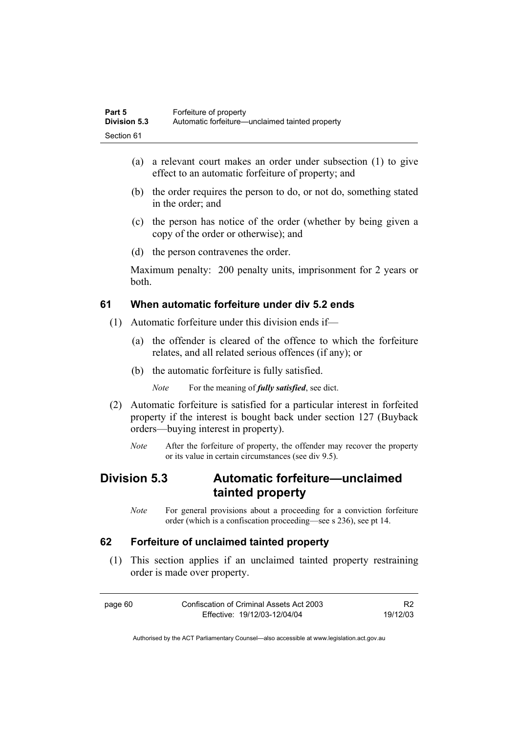| Part 5              | Forfeiture of property                          |
|---------------------|-------------------------------------------------|
| <b>Division 5.3</b> | Automatic forfeiture—unclaimed tainted property |
| Section 61          |                                                 |

- (a) a relevant court makes an order under subsection (1) to give effect to an automatic forfeiture of property; and
- (b) the order requires the person to do, or not do, something stated in the order; and
- (c) the person has notice of the order (whether by being given a copy of the order or otherwise); and
- (d) the person contravenes the order.

Maximum penalty: 200 penalty units, imprisonment for 2 years or both.

## **61 When automatic forfeiture under div 5.2 ends**

- (1) Automatic forfeiture under this division ends if—
	- (a) the offender is cleared of the offence to which the forfeiture relates, and all related serious offences (if any); or
	- (b) the automatic forfeiture is fully satisfied.

*Note* For the meaning of *fully satisfied*, see dict.

- (2) Automatic forfeiture is satisfied for a particular interest in forfeited property if the interest is bought back under section 127 (Buyback orders—buying interest in property).
	- *Note* After the forfeiture of property, the offender may recover the property or its value in certain circumstances (see div 9.5).

## **Division 5.3 Automatic forfeiture—unclaimed tainted property**

*Note* For general provisions about a proceeding for a conviction forfeiture order (which is a confiscation proceeding—see s 236), see pt 14.

## **62 Forfeiture of unclaimed tainted property**

 (1) This section applies if an unclaimed tainted property restraining order is made over property.

| page 60 | Confiscation of Criminal Assets Act 2003 |          |
|---------|------------------------------------------|----------|
|         | Effective: 19/12/03-12/04/04             | 19/12/03 |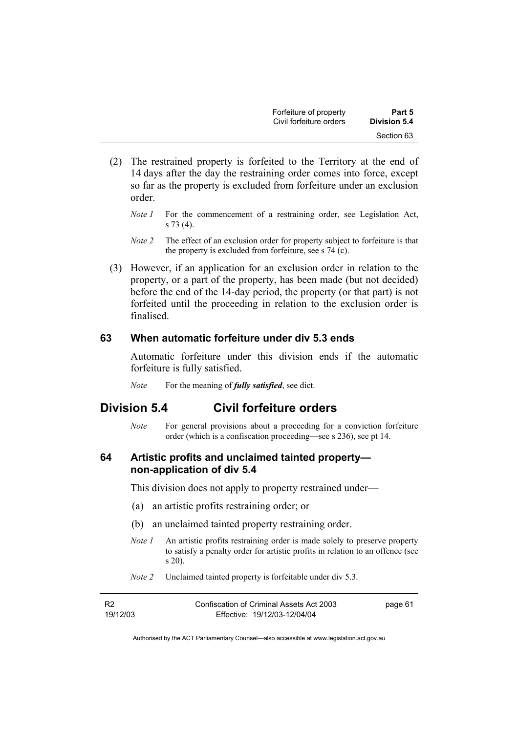| Forfeiture of property  | Part 5       |
|-------------------------|--------------|
| Civil forfeiture orders | Division 5.4 |
|                         | Section 63   |

- (2) The restrained property is forfeited to the Territory at the end of 14 days after the day the restraining order comes into force, except so far as the property is excluded from forfeiture under an exclusion order.
	- *Note 1* For the commencement of a restraining order, see Legislation Act, s 73 (4).
	- *Note 2* The effect of an exclusion order for property subject to forfeiture is that the property is excluded from forfeiture, see s 74 (c).
- (3) However, if an application for an exclusion order in relation to the property, or a part of the property, has been made (but not decided) before the end of the 14-day period, the property (or that part) is not forfeited until the proceeding in relation to the exclusion order is finalised.

## **63 When automatic forfeiture under div 5.3 ends**

Automatic forfeiture under this division ends if the automatic forfeiture is fully satisfied.

*Note* For the meaning of *fully satisfied*, see dict.

## **Division 5.4 Civil forfeiture orders**

*Note* For general provisions about a proceeding for a conviction forfeiture order (which is a confiscation proceeding—see s 236), see pt 14.

### **64 Artistic profits and unclaimed tainted property non-application of div 5.4**

This division does not apply to property restrained under—

- (a) an artistic profits restraining order; or
- (b) an unclaimed tainted property restraining order.
- *Note 1* An artistic profits restraining order is made solely to preserve property to satisfy a penalty order for artistic profits in relation to an offence (see s 20).
- *Note 2* Unclaimed tainted property is forfeitable under div 5.3.

| <b>R2</b> | Confiscation of Criminal Assets Act 2003 | page 61 |
|-----------|------------------------------------------|---------|
| 19/12/03  | Effective: 19/12/03-12/04/04             |         |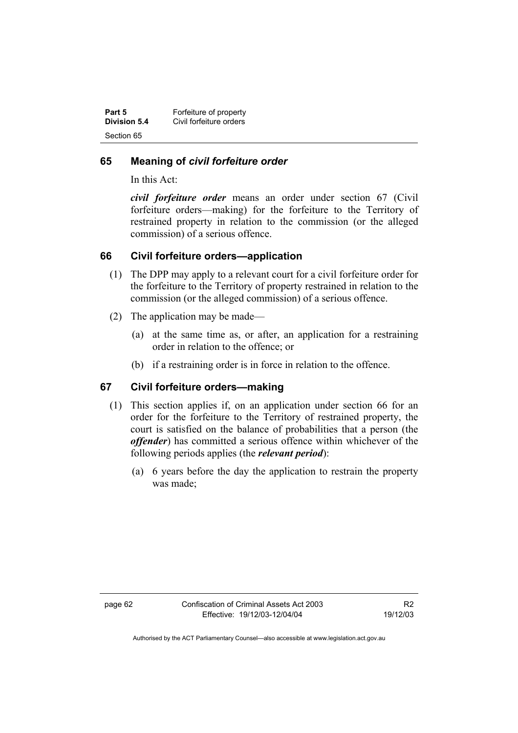| Part 5       | Forfeiture of property  |
|--------------|-------------------------|
| Division 5.4 | Civil forfeiture orders |
| Section 65   |                         |

## **65 Meaning of** *civil forfeiture order*

In this Act:

*civil forfeiture order* means an order under section 67 (Civil forfeiture orders—making) for the forfeiture to the Territory of restrained property in relation to the commission (or the alleged commission) of a serious offence.

## **66 Civil forfeiture orders—application**

- (1) The DPP may apply to a relevant court for a civil forfeiture order for the forfeiture to the Territory of property restrained in relation to the commission (or the alleged commission) of a serious offence.
- (2) The application may be made—
	- (a) at the same time as, or after, an application for a restraining order in relation to the offence; or
	- (b) if a restraining order is in force in relation to the offence.

## **67 Civil forfeiture orders—making**

- (1) This section applies if, on an application under section 66 for an order for the forfeiture to the Territory of restrained property, the court is satisfied on the balance of probabilities that a person (the *offender*) has committed a serious offence within whichever of the following periods applies (the *relevant period*):
	- (a) 6 years before the day the application to restrain the property was made;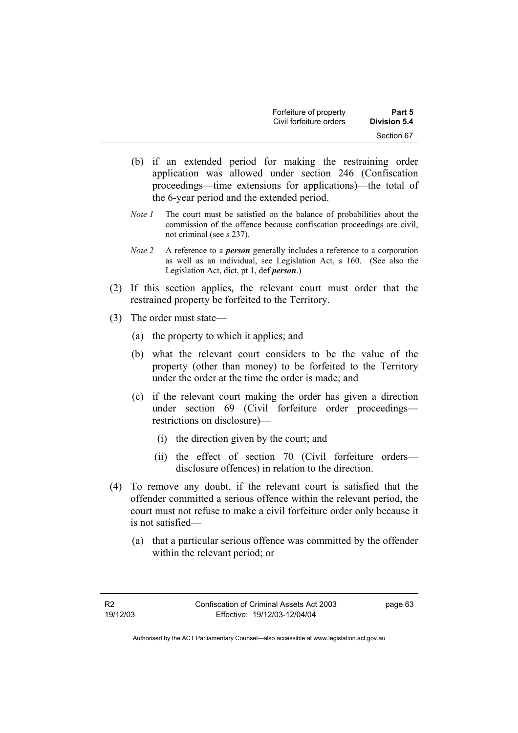| Forfeiture of property  | Part 5       |
|-------------------------|--------------|
| Civil forfeiture orders | Division 5.4 |
|                         | Section 67   |

- (b) if an extended period for making the restraining order application was allowed under section 246 (Confiscation proceedings—time extensions for applications)—the total of the 6-year period and the extended period.
- *Note 1* The court must be satisfied on the balance of probabilities about the commission of the offence because confiscation proceedings are civil, not criminal (see s 237).
- *Note 2* A reference to a *person* generally includes a reference to a corporation as well as an individual, see Legislation Act, s 160. (See also the Legislation Act, dict, pt 1, def *person*.)
- (2) If this section applies, the relevant court must order that the restrained property be forfeited to the Territory.
- (3) The order must state—
	- (a) the property to which it applies; and
	- (b) what the relevant court considers to be the value of the property (other than money) to be forfeited to the Territory under the order at the time the order is made; and
	- (c) if the relevant court making the order has given a direction under section 69 (Civil forfeiture order proceedings restrictions on disclosure)—
		- (i) the direction given by the court; and
		- (ii) the effect of section 70 (Civil forfeiture orders disclosure offences) in relation to the direction.
- (4) To remove any doubt, if the relevant court is satisfied that the offender committed a serious offence within the relevant period, the court must not refuse to make a civil forfeiture order only because it is not satisfied—
	- (a) that a particular serious offence was committed by the offender within the relevant period; or

page 63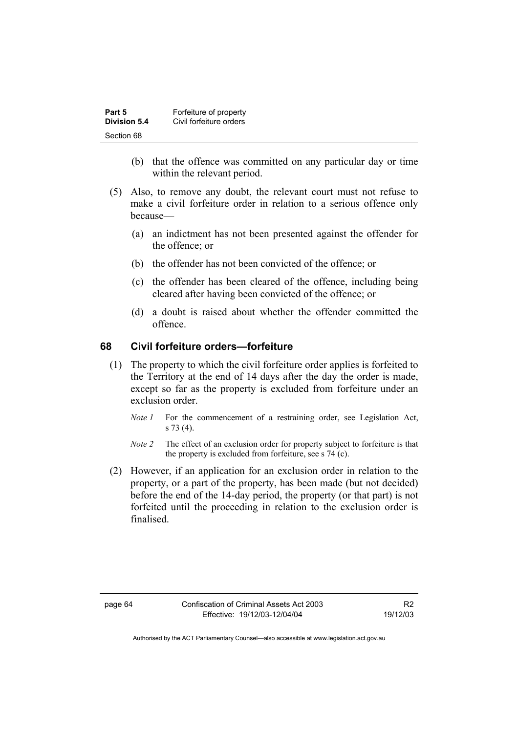| Part 5       | Forfeiture of property  |
|--------------|-------------------------|
| Division 5.4 | Civil forfeiture orders |
| Section 68   |                         |

- (b) that the offence was committed on any particular day or time within the relevant period.
- (5) Also, to remove any doubt, the relevant court must not refuse to make a civil forfeiture order in relation to a serious offence only because—
	- (a) an indictment has not been presented against the offender for the offence; or
	- (b) the offender has not been convicted of the offence; or
	- (c) the offender has been cleared of the offence, including being cleared after having been convicted of the offence; or
	- (d) a doubt is raised about whether the offender committed the offence.

## **68 Civil forfeiture orders—forfeiture**

- (1) The property to which the civil forfeiture order applies is forfeited to the Territory at the end of 14 days after the day the order is made, except so far as the property is excluded from forfeiture under an exclusion order.
	- *Note 1* For the commencement of a restraining order, see Legislation Act, s 73 (4).
	- *Note 2* The effect of an exclusion order for property subject to forfeiture is that the property is excluded from forfeiture, see s 74 (c).
- (2) However, if an application for an exclusion order in relation to the property, or a part of the property, has been made (but not decided) before the end of the 14-day period, the property (or that part) is not forfeited until the proceeding in relation to the exclusion order is finalised.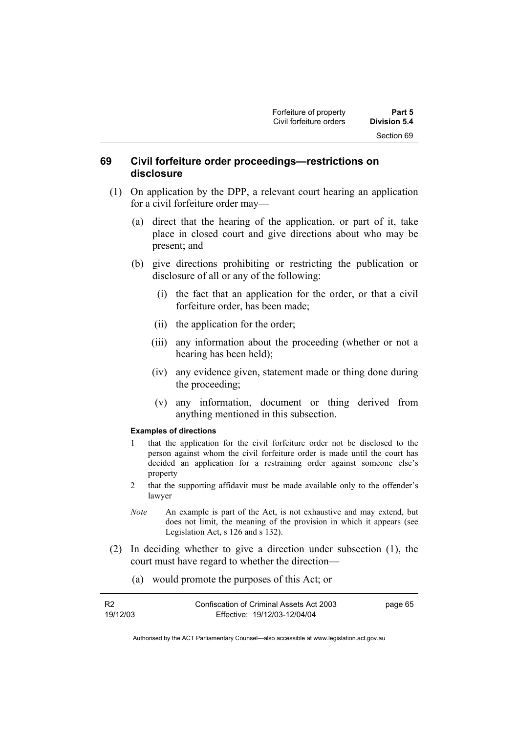## **69 Civil forfeiture order proceedings—restrictions on disclosure**

- (1) On application by the DPP, a relevant court hearing an application for a civil forfeiture order may—
	- (a) direct that the hearing of the application, or part of it, take place in closed court and give directions about who may be present; and
	- (b) give directions prohibiting or restricting the publication or disclosure of all or any of the following:
		- (i) the fact that an application for the order, or that a civil forfeiture order, has been made;
		- (ii) the application for the order;
		- (iii) any information about the proceeding (whether or not a hearing has been held);
		- (iv) any evidence given, statement made or thing done during the proceeding;
		- (v) any information, document or thing derived from anything mentioned in this subsection.

#### **Examples of directions**

- 1 that the application for the civil forfeiture order not be disclosed to the person against whom the civil forfeiture order is made until the court has decided an application for a restraining order against someone else's property
- 2 that the supporting affidavit must be made available only to the offender's lawyer
- *Note* An example is part of the Act, is not exhaustive and may extend, but does not limit, the meaning of the provision in which it appears (see Legislation Act, s 126 and s 132).
- (2) In deciding whether to give a direction under subsection (1), the court must have regard to whether the direction—
	- (a) would promote the purposes of this Act; or

| - R2     | Confiscation of Criminal Assets Act 2003 | page 65 |
|----------|------------------------------------------|---------|
| 19/12/03 | Effective: 19/12/03-12/04/04             |         |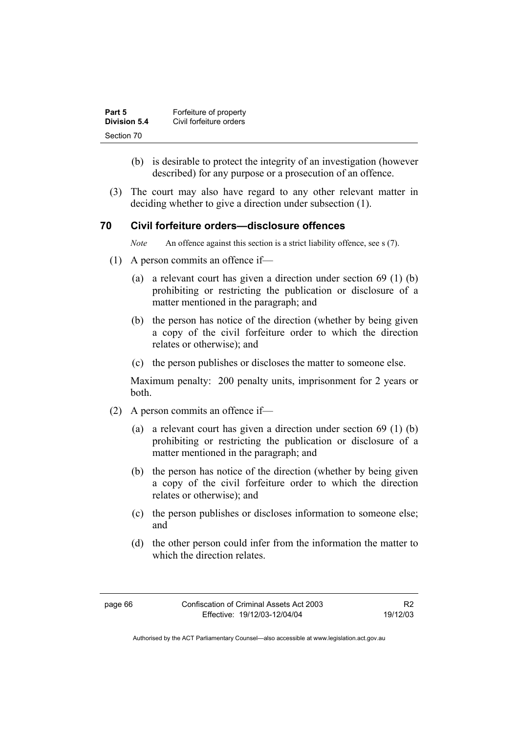| Part 5       | Forfeiture of property  |
|--------------|-------------------------|
| Division 5.4 | Civil forfeiture orders |
| Section 70   |                         |

- (b) is desirable to protect the integrity of an investigation (however described) for any purpose or a prosecution of an offence.
- (3) The court may also have regard to any other relevant matter in deciding whether to give a direction under subsection (1).

### **70 Civil forfeiture orders—disclosure offences**

*Note* An offence against this section is a strict liability offence, see s (7).

- (1) A person commits an offence if—
	- (a) a relevant court has given a direction under section 69 (1) (b) prohibiting or restricting the publication or disclosure of a matter mentioned in the paragraph; and
	- (b) the person has notice of the direction (whether by being given a copy of the civil forfeiture order to which the direction relates or otherwise); and
	- (c) the person publishes or discloses the matter to someone else.

Maximum penalty: 200 penalty units, imprisonment for 2 years or both.

- (2) A person commits an offence if—
	- (a) a relevant court has given a direction under section 69 (1) (b) prohibiting or restricting the publication or disclosure of a matter mentioned in the paragraph; and
	- (b) the person has notice of the direction (whether by being given a copy of the civil forfeiture order to which the direction relates or otherwise); and
	- (c) the person publishes or discloses information to someone else; and
	- (d) the other person could infer from the information the matter to which the direction relates.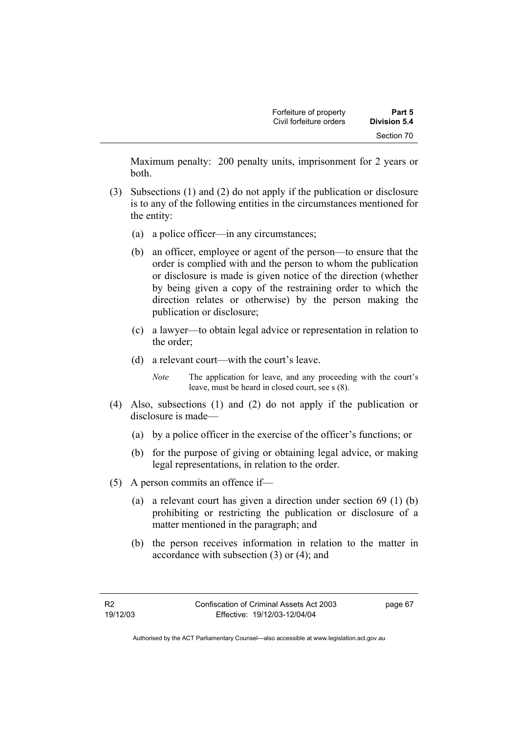| Forfeiture of property  | Part 5       |
|-------------------------|--------------|
| Civil forfeiture orders | Division 5.4 |
|                         | Section 70   |

Maximum penalty: 200 penalty units, imprisonment for 2 years or both.

- (3) Subsections (1) and (2) do not apply if the publication or disclosure is to any of the following entities in the circumstances mentioned for the entity:
	- (a) a police officer—in any circumstances;
	- (b) an officer, employee or agent of the person—to ensure that the order is complied with and the person to whom the publication or disclosure is made is given notice of the direction (whether by being given a copy of the restraining order to which the direction relates or otherwise) by the person making the publication or disclosure;
	- (c) a lawyer—to obtain legal advice or representation in relation to the order;
	- (d) a relevant court—with the court's leave.

*Note* The application for leave, and any proceeding with the court's leave, must be heard in closed court, see s (8).

- (4) Also, subsections (1) and (2) do not apply if the publication or disclosure is made—
	- (a) by a police officer in the exercise of the officer's functions; or
	- (b) for the purpose of giving or obtaining legal advice, or making legal representations, in relation to the order.
- (5) A person commits an offence if—
	- (a) a relevant court has given a direction under section 69 (1) (b) prohibiting or restricting the publication or disclosure of a matter mentioned in the paragraph; and
	- (b) the person receives information in relation to the matter in accordance with subsection (3) or (4); and

page 67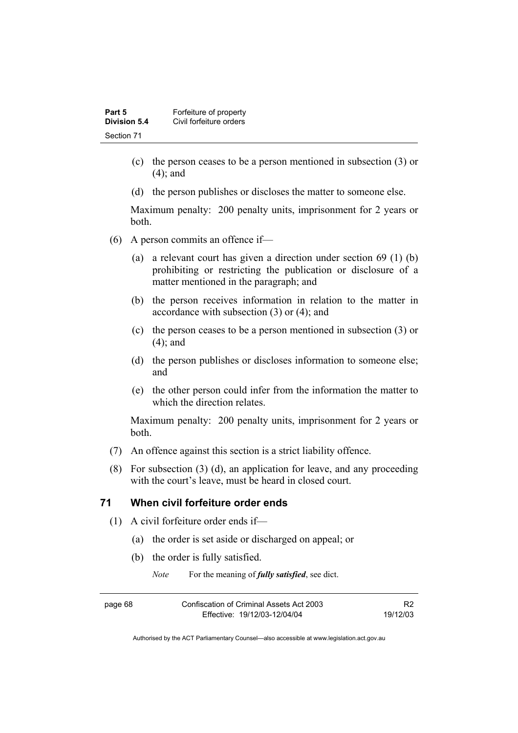| Part 5       | Forfeiture of property  |
|--------------|-------------------------|
| Division 5.4 | Civil forfeiture orders |
| Section 71   |                         |

- (c) the person ceases to be a person mentioned in subsection (3) or (4); and
- (d) the person publishes or discloses the matter to someone else.

Maximum penalty: 200 penalty units, imprisonment for 2 years or both.

- (6) A person commits an offence if—
	- (a) a relevant court has given a direction under section 69 (1) (b) prohibiting or restricting the publication or disclosure of a matter mentioned in the paragraph; and
	- (b) the person receives information in relation to the matter in accordance with subsection (3) or (4); and
	- (c) the person ceases to be a person mentioned in subsection (3) or (4); and
	- (d) the person publishes or discloses information to someone else; and
	- (e) the other person could infer from the information the matter to which the direction relates.

Maximum penalty: 200 penalty units, imprisonment for 2 years or both.

- (7) An offence against this section is a strict liability offence.
- (8) For subsection (3) (d), an application for leave, and any proceeding with the court's leave, must be heard in closed court.

## **71 When civil forfeiture order ends**

- (1) A civil forfeiture order ends if—
	- (a) the order is set aside or discharged on appeal; or
	- (b) the order is fully satisfied.

*Note* For the meaning of *fully satisfied*, see dict.

| ۱ρ<br>м | 16 |
|---------|----|
|---------|----|

Confiscation of Criminal Assets Act 2003 Effective: 19/12/03-12/04/04

R2 19/12/03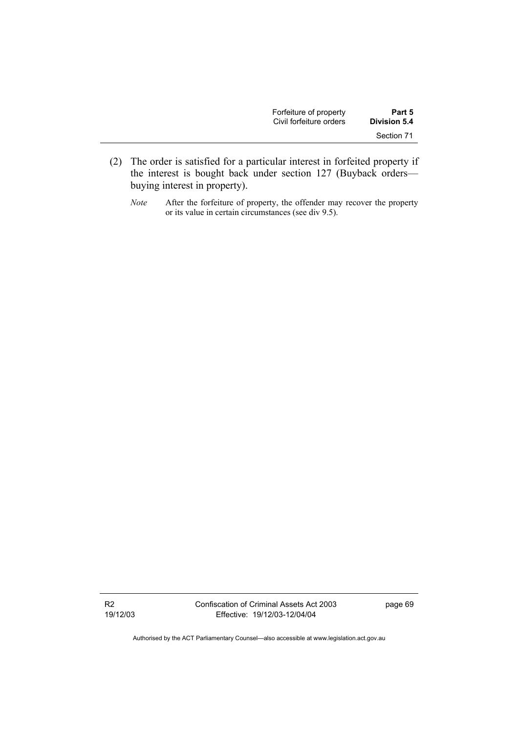| Forfeiture of property  | Part 5       |
|-------------------------|--------------|
| Civil forfeiture orders | Division 5.4 |
|                         | Section 71   |

- (2) The order is satisfied for a particular interest in forfeited property if the interest is bought back under section 127 (Buyback orders buying interest in property).
	- *Note* After the forfeiture of property, the offender may recover the property or its value in certain circumstances (see div 9.5).

R2 19/12/03 Confiscation of Criminal Assets Act 2003 Effective: 19/12/03-12/04/04

page 69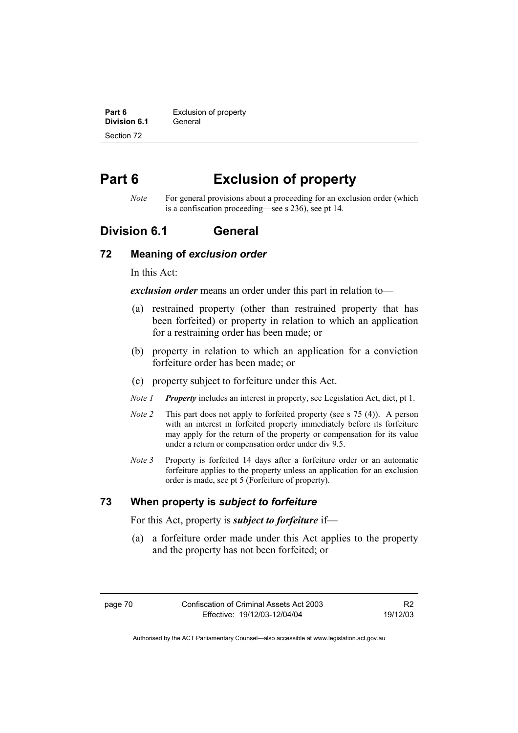**Part 6 Exclusion of property Division 6.1** General Section 72

# **Part 6 Exclusion of property**

*Note* For general provisions about a proceeding for an exclusion order (which is a confiscation proceeding—see s 236), see pt 14.

## **Division 6.1 General**

## **72 Meaning of** *exclusion order*

In this Act:

*exclusion order* means an order under this part in relation to—

- (a) restrained property (other than restrained property that has been forfeited) or property in relation to which an application for a restraining order has been made; or
- (b) property in relation to which an application for a conviction forfeiture order has been made; or
- (c) property subject to forfeiture under this Act.
- *Note 1 Property* includes an interest in property, see Legislation Act, dict, pt 1.
- *Note 2* This part does not apply to forfeited property (see s 75 (4)). A person with an interest in forfeited property immediately before its forfeiture may apply for the return of the property or compensation for its value under a return or compensation order under div 9.5.
- *Note 3* Property is forfeited 14 days after a forfeiture order or an automatic forfeiture applies to the property unless an application for an exclusion order is made, see pt 5 (Forfeiture of property).

## **73 When property is** *subject to forfeiture*

For this Act, property is *subject to forfeiture* if—

 (a) a forfeiture order made under this Act applies to the property and the property has not been forfeited; or

R2 19/12/03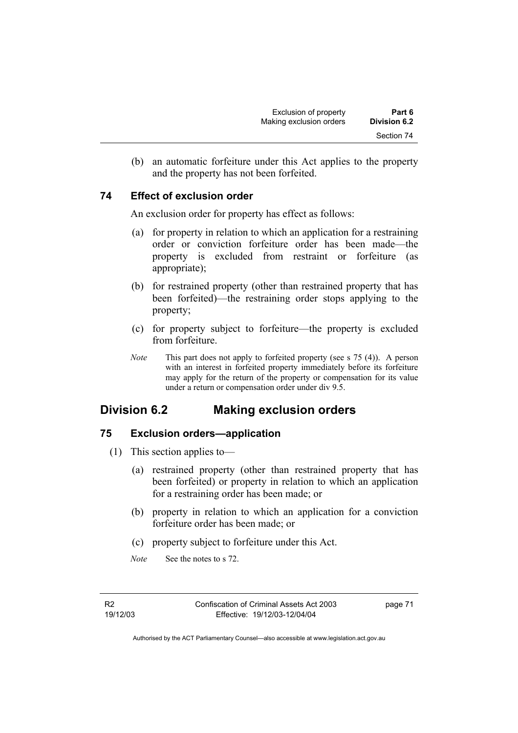(b) an automatic forfeiture under this Act applies to the property and the property has not been forfeited.

## **74 Effect of exclusion order**

An exclusion order for property has effect as follows:

- (a) for property in relation to which an application for a restraining order or conviction forfeiture order has been made—the property is excluded from restraint or forfeiture (as appropriate);
- (b) for restrained property (other than restrained property that has been forfeited)—the restraining order stops applying to the property;
- (c) for property subject to forfeiture—the property is excluded from forfeiture.
- *Note* This part does not apply to forfeited property (see s 75 (4)). A person with an interest in forfeited property immediately before its forfeiture may apply for the return of the property or compensation for its value under a return or compensation order under div 9.5.

## **Division 6.2 Making exclusion orders**

## **75 Exclusion orders—application**

- (1) This section applies to—
	- (a) restrained property (other than restrained property that has been forfeited) or property in relation to which an application for a restraining order has been made; or
	- (b) property in relation to which an application for a conviction forfeiture order has been made; or
	- (c) property subject to forfeiture under this Act.
	- *Note* See the notes to s 72.

R2 19/12/03 page 71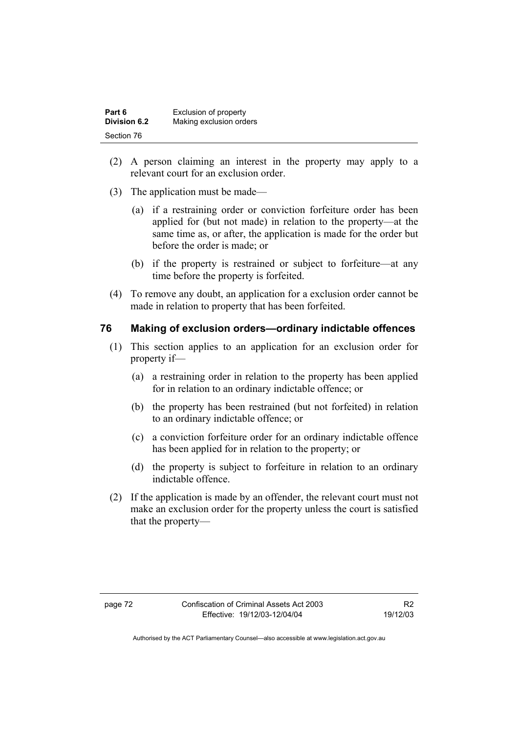| Part 6              | Exclusion of property   |
|---------------------|-------------------------|
| <b>Division 6.2</b> | Making exclusion orders |
| Section 76          |                         |

- (2) A person claiming an interest in the property may apply to a relevant court for an exclusion order.
- (3) The application must be made—
	- (a) if a restraining order or conviction forfeiture order has been applied for (but not made) in relation to the property—at the same time as, or after, the application is made for the order but before the order is made; or
	- (b) if the property is restrained or subject to forfeiture—at any time before the property is forfeited.
- (4) To remove any doubt, an application for a exclusion order cannot be made in relation to property that has been forfeited.

## **76 Making of exclusion orders—ordinary indictable offences**

- (1) This section applies to an application for an exclusion order for property if—
	- (a) a restraining order in relation to the property has been applied for in relation to an ordinary indictable offence; or
	- (b) the property has been restrained (but not forfeited) in relation to an ordinary indictable offence; or
	- (c) a conviction forfeiture order for an ordinary indictable offence has been applied for in relation to the property; or
	- (d) the property is subject to forfeiture in relation to an ordinary indictable offence.
- (2) If the application is made by an offender, the relevant court must not make an exclusion order for the property unless the court is satisfied that the property—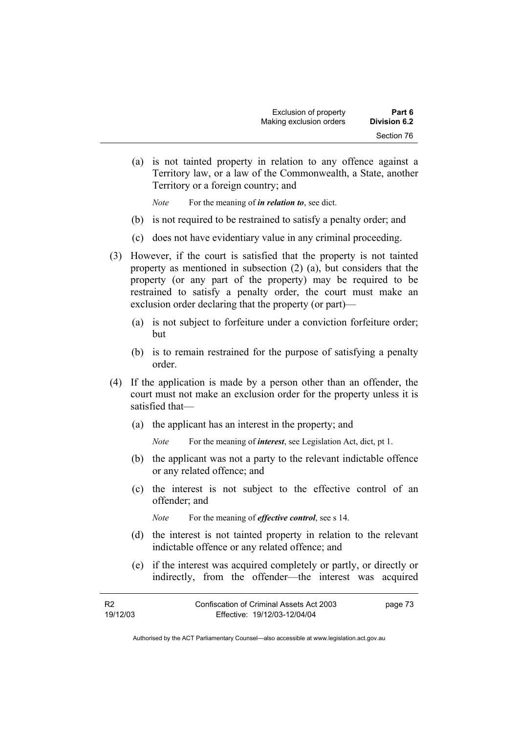(a) is not tainted property in relation to any offence against a Territory law, or a law of the Commonwealth, a State, another Territory or a foreign country; and

*Note* For the meaning of *in relation to*, see dict.

- (b) is not required to be restrained to satisfy a penalty order; and
- (c) does not have evidentiary value in any criminal proceeding.
- (3) However, if the court is satisfied that the property is not tainted property as mentioned in subsection (2) (a), but considers that the property (or any part of the property) may be required to be restrained to satisfy a penalty order, the court must make an exclusion order declaring that the property (or part)—
	- (a) is not subject to forfeiture under a conviction forfeiture order; but
	- (b) is to remain restrained for the purpose of satisfying a penalty order.
- (4) If the application is made by a person other than an offender, the court must not make an exclusion order for the property unless it is satisfied that—
	- (a) the applicant has an interest in the property; and

*Note* For the meaning of *interest*, see Legislation Act, dict, pt 1.

- (b) the applicant was not a party to the relevant indictable offence or any related offence; and
- (c) the interest is not subject to the effective control of an offender; and

*Note* For the meaning of *effective control*, see s 14.

- (d) the interest is not tainted property in relation to the relevant indictable offence or any related offence; and
- (e) if the interest was acquired completely or partly, or directly or indirectly, from the offender—the interest was acquired

| - R2     | Confiscation of Criminal Assets Act 2003 | page 73 |
|----------|------------------------------------------|---------|
| 19/12/03 | Effective: 19/12/03-12/04/04             |         |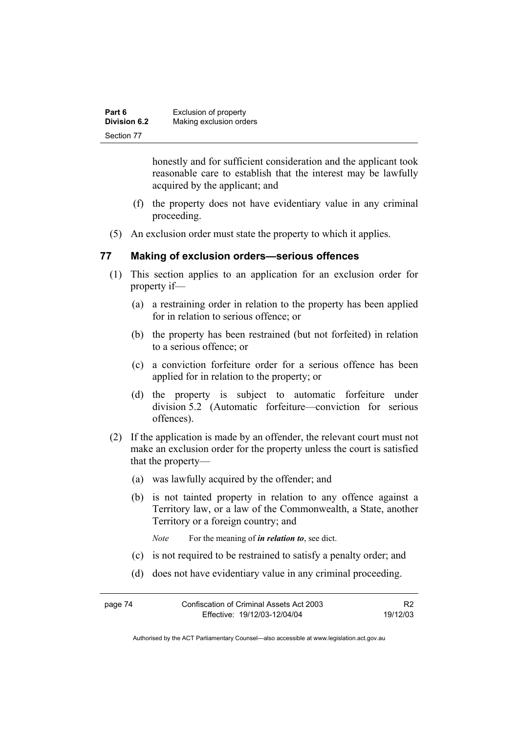| Part 6       | Exclusion of property   |
|--------------|-------------------------|
| Division 6.2 | Making exclusion orders |
| Section 77   |                         |

honestly and for sufficient consideration and the applicant took reasonable care to establish that the interest may be lawfully acquired by the applicant; and

- (f) the property does not have evidentiary value in any criminal proceeding.
- (5) An exclusion order must state the property to which it applies.

### **77 Making of exclusion orders—serious offences**

- (1) This section applies to an application for an exclusion order for property if—
	- (a) a restraining order in relation to the property has been applied for in relation to serious offence; or
	- (b) the property has been restrained (but not forfeited) in relation to a serious offence; or
	- (c) a conviction forfeiture order for a serious offence has been applied for in relation to the property; or
	- (d) the property is subject to automatic forfeiture under division 5.2 (Automatic forfeiture—conviction for serious offences).
- (2) If the application is made by an offender, the relevant court must not make an exclusion order for the property unless the court is satisfied that the property—
	- (a) was lawfully acquired by the offender; and
	- (b) is not tainted property in relation to any offence against a Territory law, or a law of the Commonwealth, a State, another Territory or a foreign country; and

*Note* For the meaning of *in relation to*, see dict.

- (c) is not required to be restrained to satisfy a penalty order; and
- (d) does not have evidentiary value in any criminal proceeding.

| page 74 | Confiscation of Criminal Assets Act 2003 | R <sub>2</sub> |
|---------|------------------------------------------|----------------|
|         | Effective: 19/12/03-12/04/04             | 19/12/03       |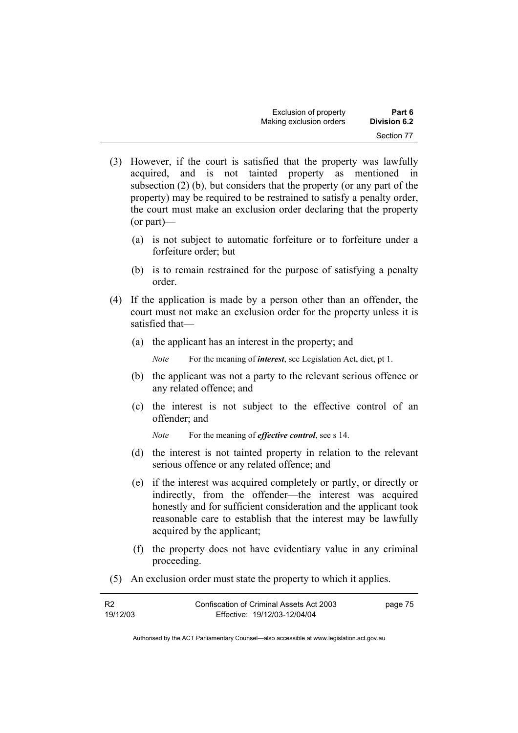| Exclusion of property   | Part 6       |
|-------------------------|--------------|
| Making exclusion orders | Division 6.2 |
|                         | Section 77   |

- (3) However, if the court is satisfied that the property was lawfully acquired, and is not tainted property as mentioned in subsection (2) (b), but considers that the property (or any part of the property) may be required to be restrained to satisfy a penalty order, the court must make an exclusion order declaring that the property (or part)—
	- (a) is not subject to automatic forfeiture or to forfeiture under a forfeiture order; but
	- (b) is to remain restrained for the purpose of satisfying a penalty order.
- (4) If the application is made by a person other than an offender, the court must not make an exclusion order for the property unless it is satisfied that—
	- (a) the applicant has an interest in the property; and

*Note* For the meaning of *interest*, see Legislation Act, dict, pt 1.

- (b) the applicant was not a party to the relevant serious offence or any related offence; and
- (c) the interest is not subject to the effective control of an offender; and

*Note* For the meaning of *effective control*, see s 14.

- (d) the interest is not tainted property in relation to the relevant serious offence or any related offence; and
- (e) if the interest was acquired completely or partly, or directly or indirectly, from the offender—the interest was acquired honestly and for sufficient consideration and the applicant took reasonable care to establish that the interest may be lawfully acquired by the applicant;
- (f) the property does not have evidentiary value in any criminal proceeding.
- (5) An exclusion order must state the property to which it applies.

| R <sub>2</sub> | Confiscation of Criminal Assets Act 2003 | page 75 |
|----------------|------------------------------------------|---------|
| 19/12/03       | Effective: 19/12/03-12/04/04             |         |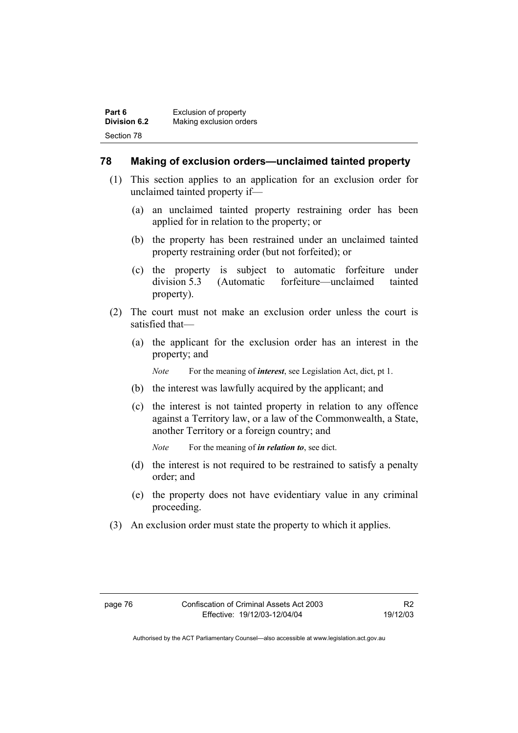| Part 6              | Exclusion of property   |
|---------------------|-------------------------|
| <b>Division 6.2</b> | Making exclusion orders |
| Section 78          |                         |

## **78 Making of exclusion orders—unclaimed tainted property**

- (1) This section applies to an application for an exclusion order for unclaimed tainted property if—
	- (a) an unclaimed tainted property restraining order has been applied for in relation to the property; or
	- (b) the property has been restrained under an unclaimed tainted property restraining order (but not forfeited); or
	- (c) the property is subject to automatic forfeiture under division 5.3 (Automatic forfeiture—unclaimed tainted property).
- (2) The court must not make an exclusion order unless the court is satisfied that—
	- (a) the applicant for the exclusion order has an interest in the property; and

*Note* For the meaning of *interest*, see Legislation Act, dict, pt 1.

- (b) the interest was lawfully acquired by the applicant; and
- (c) the interest is not tainted property in relation to any offence against a Territory law, or a law of the Commonwealth, a State, another Territory or a foreign country; and

*Note* For the meaning of *in relation to*, see dict.

- (d) the interest is not required to be restrained to satisfy a penalty order; and
- (e) the property does not have evidentiary value in any criminal proceeding.
- (3) An exclusion order must state the property to which it applies.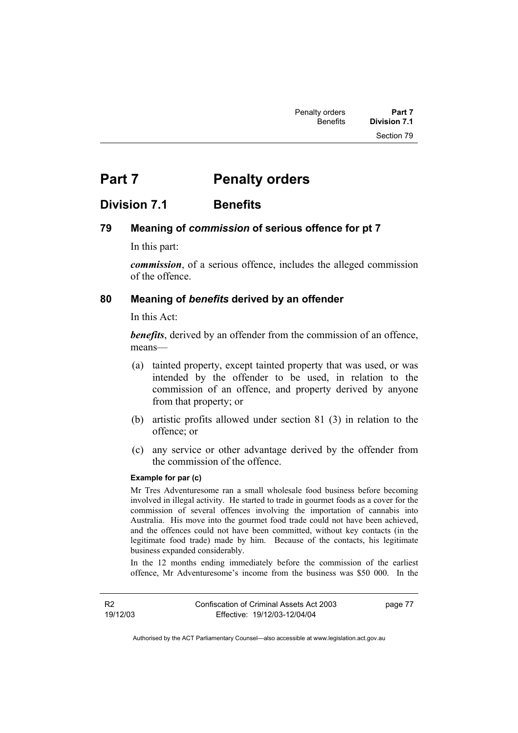# **Part 7** Penalty orders

## **Division 7.1 Benefits**

## **79 Meaning of** *commission* **of serious offence for pt 7**

In this part:

*commission*, of a serious offence, includes the alleged commission of the offence.

#### **80 Meaning of** *benefits* **derived by an offender**

In this Act:

*benefits*, derived by an offender from the commission of an offence, means—

- (a) tainted property, except tainted property that was used, or was intended by the offender to be used, in relation to the commission of an offence, and property derived by anyone from that property; or
- (b) artistic profits allowed under section 81 (3) in relation to the offence; or
- (c) any service or other advantage derived by the offender from the commission of the offence.

#### **Example for par (c)**

Mr Tres Adventuresome ran a small wholesale food business before becoming involved in illegal activity. He started to trade in gourmet foods as a cover for the commission of several offences involving the importation of cannabis into Australia. His move into the gourmet food trade could not have been achieved, and the offences could not have been committed, without key contacts (in the legitimate food trade) made by him. Because of the contacts, his legitimate business expanded considerably.

In the 12 months ending immediately before the commission of the earliest offence, Mr Adventuresome's income from the business was \$50 000. In the

R2 19/12/03 page 77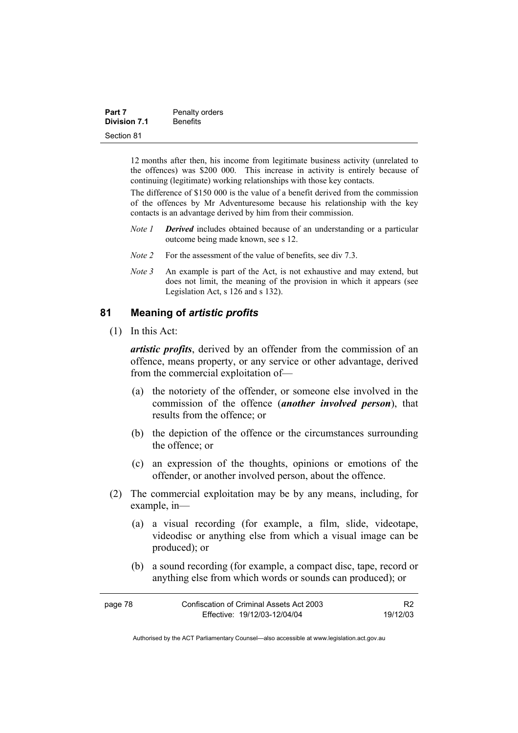| Part 7              | Penalty orders  |
|---------------------|-----------------|
| <b>Division 7.1</b> | <b>Benefits</b> |
| Section 81          |                 |

12 months after then, his income from legitimate business activity (unrelated to the offences) was \$200 000. This increase in activity is entirely because of continuing (legitimate) working relationships with those key contacts.

The difference of \$150 000 is the value of a benefit derived from the commission of the offences by Mr Adventuresome because his relationship with the key contacts is an advantage derived by him from their commission.

- *Note 1 Derived* includes obtained because of an understanding or a particular outcome being made known, see s 12.
- *Note 2* For the assessment of the value of benefits, see div 7.3.
- *Note 3* An example is part of the Act, is not exhaustive and may extend, but does not limit, the meaning of the provision in which it appears (see Legislation Act, s 126 and s 132).

## **81 Meaning of** *artistic profits*

(1) In this Act:

*artistic profits*, derived by an offender from the commission of an offence, means property, or any service or other advantage, derived from the commercial exploitation of—

- (a) the notoriety of the offender, or someone else involved in the commission of the offence (*another involved person*), that results from the offence; or
- (b) the depiction of the offence or the circumstances surrounding the offence; or
- (c) an expression of the thoughts, opinions or emotions of the offender, or another involved person, about the offence.
- (2) The commercial exploitation may be by any means, including, for example, in—
	- (a) a visual recording (for example, a film, slide, videotape, videodisc or anything else from which a visual image can be produced); or
	- (b) a sound recording (for example, a compact disc, tape, record or anything else from which words or sounds can produced); or

| page 78 | Confiscation of Criminal Assets Act 2003 |          |
|---------|------------------------------------------|----------|
|         | Effective: 19/12/03-12/04/04             | 19/12/03 |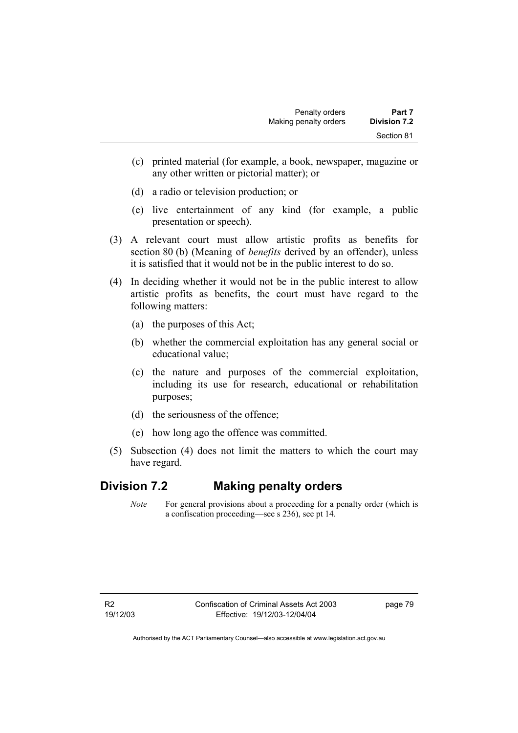- (c) printed material (for example, a book, newspaper, magazine or any other written or pictorial matter); or
- (d) a radio or television production; or
- (e) live entertainment of any kind (for example, a public presentation or speech).
- (3) A relevant court must allow artistic profits as benefits for section 80 (b) (Meaning of *benefits* derived by an offender), unless it is satisfied that it would not be in the public interest to do so.
- (4) In deciding whether it would not be in the public interest to allow artistic profits as benefits, the court must have regard to the following matters:
	- (a) the purposes of this Act;
	- (b) whether the commercial exploitation has any general social or educational value;
	- (c) the nature and purposes of the commercial exploitation, including its use for research, educational or rehabilitation purposes;
	- (d) the seriousness of the offence;
	- (e) how long ago the offence was committed.
- (5) Subsection (4) does not limit the matters to which the court may have regard.

## **Division 7.2 Making penalty orders**

*Note* For general provisions about a proceeding for a penalty order (which is a confiscation proceeding—see s 236), see pt 14.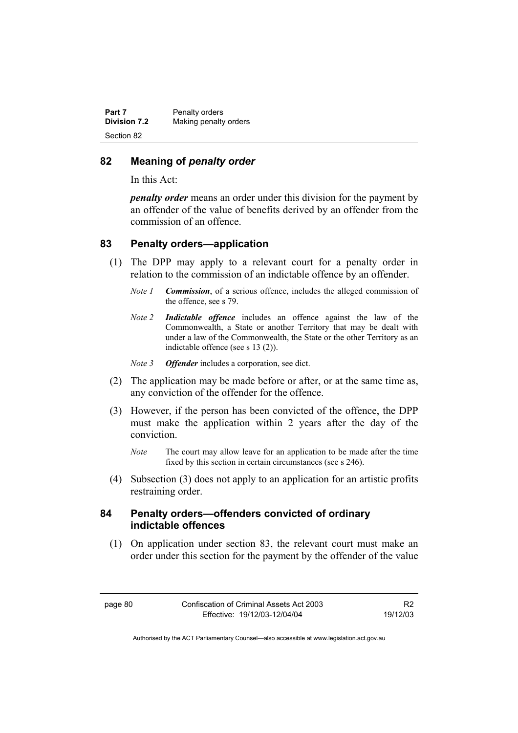| Part 7              | Penalty orders        |
|---------------------|-----------------------|
| <b>Division 7.2</b> | Making penalty orders |
| Section 82          |                       |

### **82 Meaning of** *penalty order*

In this Act:

*penalty order* means an order under this division for the payment by an offender of the value of benefits derived by an offender from the commission of an offence.

## **83 Penalty orders—application**

- (1) The DPP may apply to a relevant court for a penalty order in relation to the commission of an indictable offence by an offender.
	- *Note 1 Commission*, of a serious offence, includes the alleged commission of the offence, see s 79.
	- *Note 2 Indictable offence* includes an offence against the law of the Commonwealth, a State or another Territory that may be dealt with under a law of the Commonwealth, the State or the other Territory as an indictable offence (see s 13 (2)).
	- *Note 3 Offender* includes a corporation, see dict.
- (2) The application may be made before or after, or at the same time as, any conviction of the offender for the offence.
- (3) However, if the person has been convicted of the offence, the DPP must make the application within 2 years after the day of the conviction.
	- *Note* The court may allow leave for an application to be made after the time fixed by this section in certain circumstances (see s 246).
- (4) Subsection (3) does not apply to an application for an artistic profits restraining order.

## **84 Penalty orders—offenders convicted of ordinary indictable offences**

 (1) On application under section 83, the relevant court must make an order under this section for the payment by the offender of the value

R2 19/12/03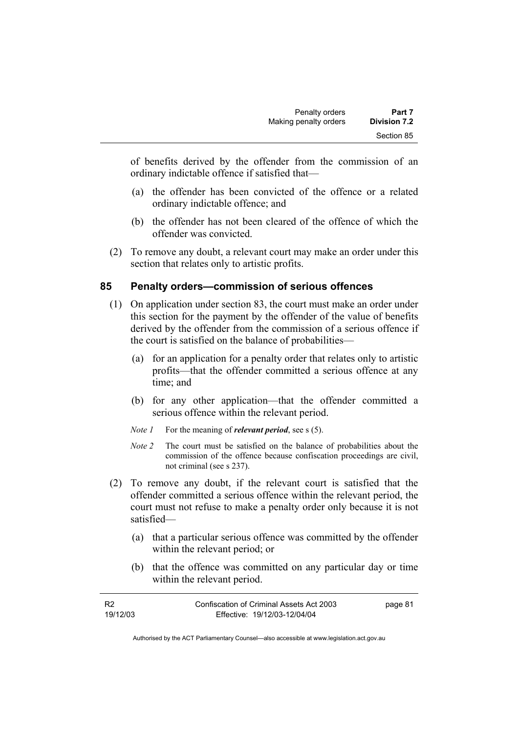of benefits derived by the offender from the commission of an ordinary indictable offence if satisfied that—

- (a) the offender has been convicted of the offence or a related ordinary indictable offence; and
- (b) the offender has not been cleared of the offence of which the offender was convicted.
- (2) To remove any doubt, a relevant court may make an order under this section that relates only to artistic profits.

## **85 Penalty orders—commission of serious offences**

- (1) On application under section 83, the court must make an order under this section for the payment by the offender of the value of benefits derived by the offender from the commission of a serious offence if the court is satisfied on the balance of probabilities—
	- (a) for an application for a penalty order that relates only to artistic profits—that the offender committed a serious offence at any time; and
	- (b) for any other application—that the offender committed a serious offence within the relevant period.
	- *Note 1* For the meaning of *relevant period*, see s (5).
	- *Note 2* The court must be satisfied on the balance of probabilities about the commission of the offence because confiscation proceedings are civil, not criminal (see s 237).
- (2) To remove any doubt, if the relevant court is satisfied that the offender committed a serious offence within the relevant period, the court must not refuse to make a penalty order only because it is not satisfied—
	- (a) that a particular serious offence was committed by the offender within the relevant period; or
	- (b) that the offence was committed on any particular day or time within the relevant period.

| <b>R2</b> | Confiscation of Criminal Assets Act 2003 | page 81 |
|-----------|------------------------------------------|---------|
| 19/12/03  | Effective: 19/12/03-12/04/04             |         |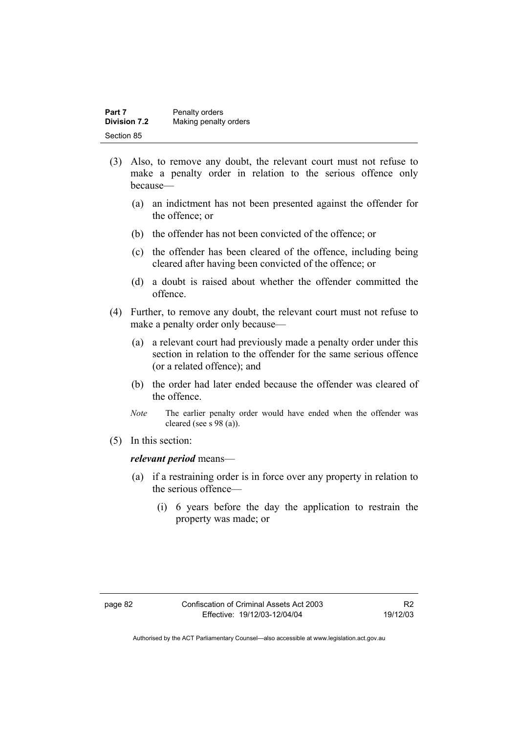| Part 7              | Penalty orders        |
|---------------------|-----------------------|
| <b>Division 7.2</b> | Making penalty orders |
| Section 85          |                       |

- (3) Also, to remove any doubt, the relevant court must not refuse to make a penalty order in relation to the serious offence only because—
	- (a) an indictment has not been presented against the offender for the offence; or
	- (b) the offender has not been convicted of the offence; or
	- (c) the offender has been cleared of the offence, including being cleared after having been convicted of the offence; or
	- (d) a doubt is raised about whether the offender committed the offence.
- (4) Further, to remove any doubt, the relevant court must not refuse to make a penalty order only because—
	- (a) a relevant court had previously made a penalty order under this section in relation to the offender for the same serious offence (or a related offence); and
	- (b) the order had later ended because the offender was cleared of the offence.
	- *Note* The earlier penalty order would have ended when the offender was cleared (see s 98 (a)).
- (5) In this section:

#### *relevant period* means—

- (a) if a restraining order is in force over any property in relation to the serious offence—
	- (i) 6 years before the day the application to restrain the property was made; or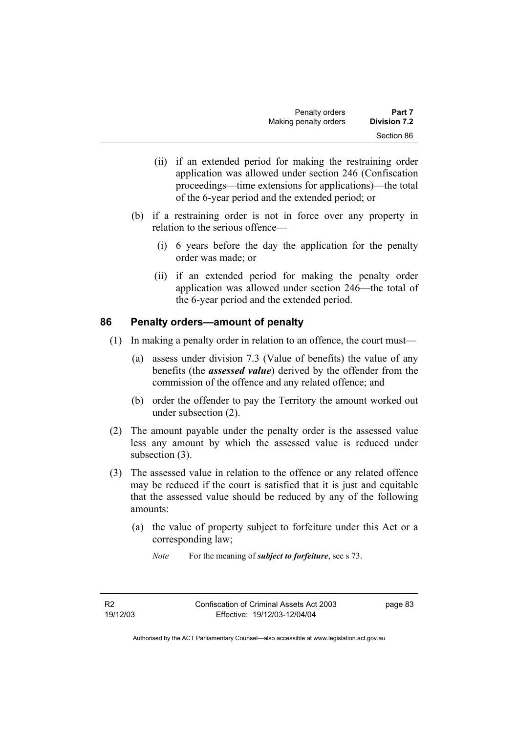- (ii) if an extended period for making the restraining order application was allowed under section 246 (Confiscation proceedings—time extensions for applications)—the total of the 6-year period and the extended period; or
- (b) if a restraining order is not in force over any property in relation to the serious offence—
	- (i) 6 years before the day the application for the penalty order was made; or
	- (ii) if an extended period for making the penalty order application was allowed under section 246—the total of the 6-year period and the extended period.

## **86 Penalty orders—amount of penalty**

- (1) In making a penalty order in relation to an offence, the court must—
	- (a) assess under division 7.3 (Value of benefits) the value of any benefits (the *assessed value*) derived by the offender from the commission of the offence and any related offence; and
	- (b) order the offender to pay the Territory the amount worked out under subsection (2).
- (2) The amount payable under the penalty order is the assessed value less any amount by which the assessed value is reduced under subsection (3).
- (3) The assessed value in relation to the offence or any related offence may be reduced if the court is satisfied that it is just and equitable that the assessed value should be reduced by any of the following amounts:
	- (a) the value of property subject to forfeiture under this Act or a corresponding law;

*Note* For the meaning of *subject to forfeiture*, see s 73.

R2 19/12/03 page 83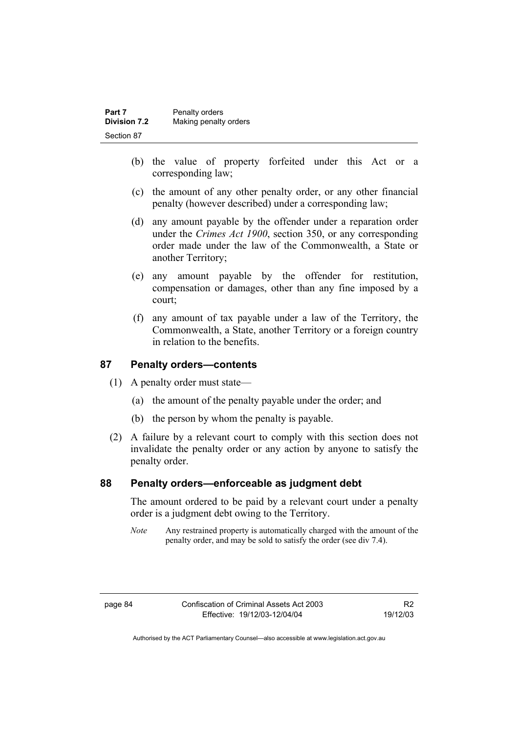| Part 7              | Penalty orders        |
|---------------------|-----------------------|
| <b>Division 7.2</b> | Making penalty orders |
| Section 87          |                       |

- (b) the value of property forfeited under this Act or a corresponding law;
- (c) the amount of any other penalty order, or any other financial penalty (however described) under a corresponding law;
- (d) any amount payable by the offender under a reparation order under the *Crimes Act 1900*, section 350, or any corresponding order made under the law of the Commonwealth, a State or another Territory;
- (e) any amount payable by the offender for restitution, compensation or damages, other than any fine imposed by a court;
- (f) any amount of tax payable under a law of the Territory, the Commonwealth, a State, another Territory or a foreign country in relation to the benefits.

## **87 Penalty orders—contents**

- (1) A penalty order must state—
	- (a) the amount of the penalty payable under the order; and
	- (b) the person by whom the penalty is payable.
- (2) A failure by a relevant court to comply with this section does not invalidate the penalty order or any action by anyone to satisfy the penalty order.

## **88 Penalty orders—enforceable as judgment debt**

The amount ordered to be paid by a relevant court under a penalty order is a judgment debt owing to the Territory.

*Note* Any restrained property is automatically charged with the amount of the penalty order, and may be sold to satisfy the order (see div 7.4).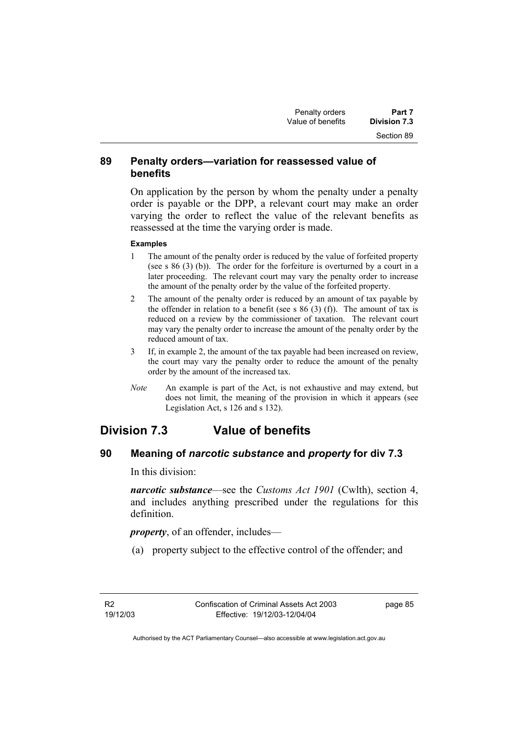## **89 Penalty orders—variation for reassessed value of benefits**

On application by the person by whom the penalty under a penalty order is payable or the DPP, a relevant court may make an order varying the order to reflect the value of the relevant benefits as reassessed at the time the varying order is made.

#### **Examples**

- 1 The amount of the penalty order is reduced by the value of forfeited property (see s 86 (3) (b)). The order for the forfeiture is overturned by a court in a later proceeding. The relevant court may vary the penalty order to increase the amount of the penalty order by the value of the forfeited property.
- 2 The amount of the penalty order is reduced by an amount of tax payable by the offender in relation to a benefit (see s  $86$  (3) (f)). The amount of tax is reduced on a review by the commissioner of taxation. The relevant court may vary the penalty order to increase the amount of the penalty order by the reduced amount of tax.
- 3 If, in example 2, the amount of the tax payable had been increased on review, the court may vary the penalty order to reduce the amount of the penalty order by the amount of the increased tax.
- *Note* An example is part of the Act, is not exhaustive and may extend, but does not limit, the meaning of the provision in which it appears (see Legislation Act, s 126 and s 132).

## **Division 7.3 Value of benefits**

## **90 Meaning of** *narcotic substance* **and** *property* **for div 7.3**

In this division:

*narcotic substance*—see the *Customs Act 1901* (Cwlth), section 4, and includes anything prescribed under the regulations for this definition.

*property*, of an offender, includes—

(a) property subject to the effective control of the offender; and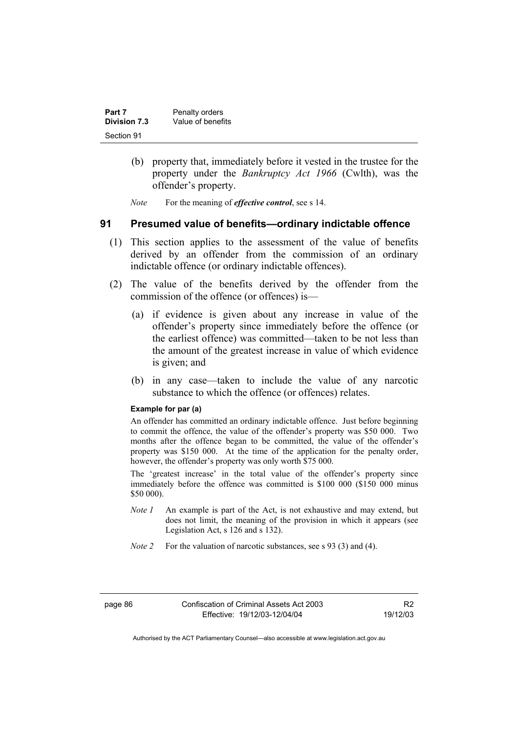| Part 7       | Penalty orders    |
|--------------|-------------------|
| Division 7.3 | Value of benefits |
| Section 91   |                   |

- (b) property that, immediately before it vested in the trustee for the property under the *Bankruptcy Act 1966* (Cwlth), was the offender's property.
- *Note* For the meaning of *effective control*, see s 14.

## **91 Presumed value of benefits—ordinary indictable offence**

- (1) This section applies to the assessment of the value of benefits derived by an offender from the commission of an ordinary indictable offence (or ordinary indictable offences).
- (2) The value of the benefits derived by the offender from the commission of the offence (or offences) is—
	- (a) if evidence is given about any increase in value of the offender's property since immediately before the offence (or the earliest offence) was committed—taken to be not less than the amount of the greatest increase in value of which evidence is given; and
	- (b) in any case—taken to include the value of any narcotic substance to which the offence (or offences) relates.

#### **Example for par (a)**

An offender has committed an ordinary indictable offence. Just before beginning to commit the offence, the value of the offender's property was \$50 000. Two months after the offence began to be committed, the value of the offender's property was \$150 000. At the time of the application for the penalty order, however, the offender's property was only worth \$75 000.

The 'greatest increase' in the total value of the offender's property since immediately before the offence was committed is \$100 000 (\$150 000 minus \$50 000).

- *Note 1* An example is part of the Act, is not exhaustive and may extend, but does not limit, the meaning of the provision in which it appears (see Legislation Act, s 126 and s 132).
- *Note 2* For the valuation of narcotic substances, see s 93 (3) and (4).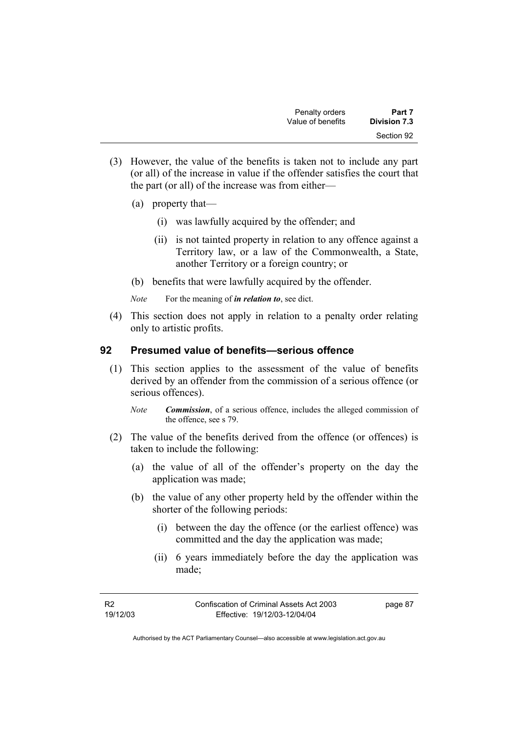- (3) However, the value of the benefits is taken not to include any part (or all) of the increase in value if the offender satisfies the court that the part (or all) of the increase was from either—
	- (a) property that—
		- (i) was lawfully acquired by the offender; and
		- (ii) is not tainted property in relation to any offence against a Territory law, or a law of the Commonwealth, a State, another Territory or a foreign country; or
	- (b) benefits that were lawfully acquired by the offender.
	- *Note* For the meaning of *in relation to*, see dict.
- (4) This section does not apply in relation to a penalty order relating only to artistic profits.

## **92 Presumed value of benefits—serious offence**

- (1) This section applies to the assessment of the value of benefits derived by an offender from the commission of a serious offence (or serious offences).
	- *Note Commission*, of a serious offence, includes the alleged commission of the offence, see s 79.
- (2) The value of the benefits derived from the offence (or offences) is taken to include the following:
	- (a) the value of all of the offender's property on the day the application was made;
	- (b) the value of any other property held by the offender within the shorter of the following periods:
		- (i) between the day the offence (or the earliest offence) was committed and the day the application was made;
		- (ii) 6 years immediately before the day the application was made;

page 87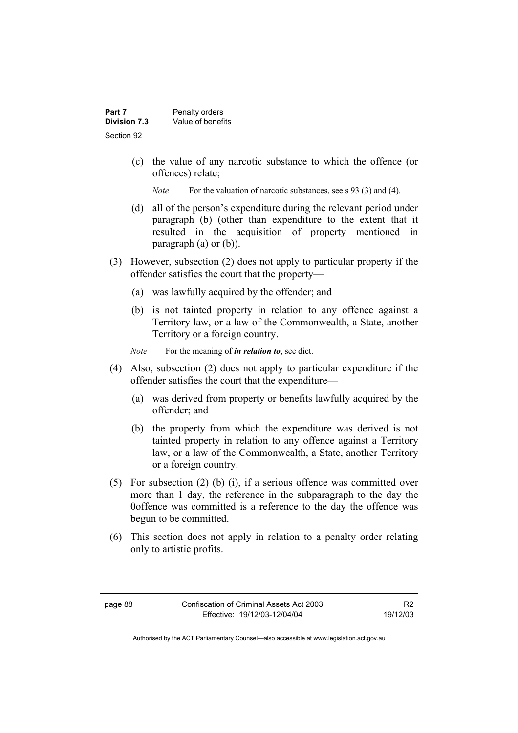| Part 7       | Penalty orders    |
|--------------|-------------------|
| Division 7.3 | Value of benefits |
| Section 92   |                   |

 (c) the value of any narcotic substance to which the offence (or offences) relate;

*Note* For the valuation of narcotic substances, see s 93 (3) and (4).

- (d) all of the person's expenditure during the relevant period under paragraph (b) (other than expenditure to the extent that it resulted in the acquisition of property mentioned in paragraph (a) or (b)).
- (3) However, subsection (2) does not apply to particular property if the offender satisfies the court that the property—
	- (a) was lawfully acquired by the offender; and
	- (b) is not tainted property in relation to any offence against a Territory law, or a law of the Commonwealth, a State, another Territory or a foreign country.
	- *Note* For the meaning of *in relation to*, see dict.
- (4) Also, subsection (2) does not apply to particular expenditure if the offender satisfies the court that the expenditure—
	- (a) was derived from property or benefits lawfully acquired by the offender; and
	- (b) the property from which the expenditure was derived is not tainted property in relation to any offence against a Territory law, or a law of the Commonwealth, a State, another Territory or a foreign country.
- (5) For subsection (2) (b) (i), if a serious offence was committed over more than 1 day, the reference in the subparagraph to the day the 0offence was committed is a reference to the day the offence was begun to be committed.
- (6) This section does not apply in relation to a penalty order relating only to artistic profits.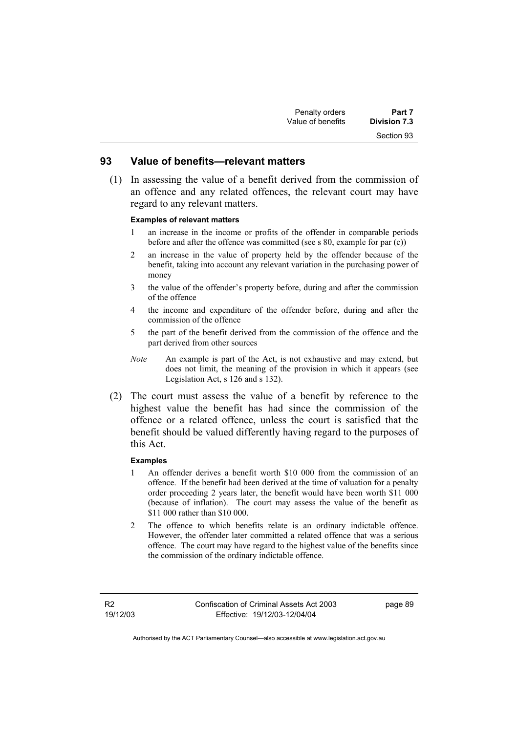### **93 Value of benefits—relevant matters**

 (1) In assessing the value of a benefit derived from the commission of an offence and any related offences, the relevant court may have regard to any relevant matters.

#### **Examples of relevant matters**

- 1 an increase in the income or profits of the offender in comparable periods before and after the offence was committed (see s 80, example for par (c))
- 2 an increase in the value of property held by the offender because of the benefit, taking into account any relevant variation in the purchasing power of money
- 3 the value of the offender's property before, during and after the commission of the offence
- 4 the income and expenditure of the offender before, during and after the commission of the offence
- 5 the part of the benefit derived from the commission of the offence and the part derived from other sources
- *Note* An example is part of the Act, is not exhaustive and may extend, but does not limit, the meaning of the provision in which it appears (see Legislation Act, s 126 and s 132).
- (2) The court must assess the value of a benefit by reference to the highest value the benefit has had since the commission of the offence or a related offence, unless the court is satisfied that the benefit should be valued differently having regard to the purposes of this Act.

#### **Examples**

- 1 An offender derives a benefit worth \$10 000 from the commission of an offence. If the benefit had been derived at the time of valuation for a penalty order proceeding 2 years later, the benefit would have been worth \$11 000 (because of inflation). The court may assess the value of the benefit as \$11 000 rather than \$10 000.
- 2 The offence to which benefits relate is an ordinary indictable offence. However, the offender later committed a related offence that was a serious offence. The court may have regard to the highest value of the benefits since the commission of the ordinary indictable offence.

R2 19/12/03 page 89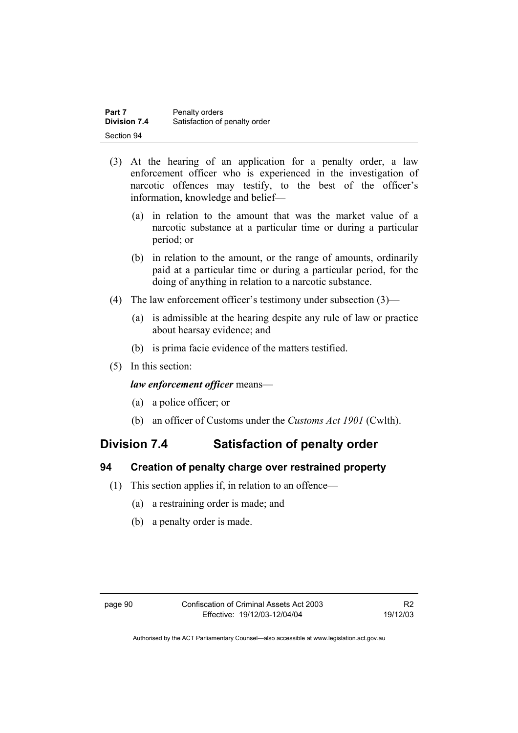| Part 7       | Penalty orders                |
|--------------|-------------------------------|
| Division 7.4 | Satisfaction of penalty order |
| Section 94   |                               |

- (3) At the hearing of an application for a penalty order, a law enforcement officer who is experienced in the investigation of narcotic offences may testify, to the best of the officer's information, knowledge and belief—
	- (a) in relation to the amount that was the market value of a narcotic substance at a particular time or during a particular period; or
	- (b) in relation to the amount, or the range of amounts, ordinarily paid at a particular time or during a particular period, for the doing of anything in relation to a narcotic substance.
- (4) The law enforcement officer's testimony under subsection (3)—
	- (a) is admissible at the hearing despite any rule of law or practice about hearsay evidence; and
	- (b) is prima facie evidence of the matters testified.
- (5) In this section:

#### *law enforcement officer* means—

- (a) a police officer; or
- (b) an officer of Customs under the *Customs Act 1901* (Cwlth).

## **Division 7.4 Satisfaction of penalty order**

## **94 Creation of penalty charge over restrained property**

- (1) This section applies if, in relation to an offence—
	- (a) a restraining order is made; and
	- (b) a penalty order is made.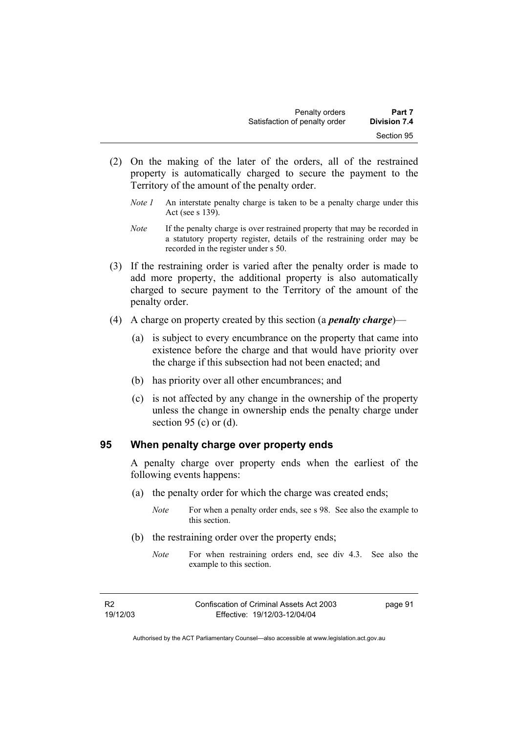- (2) On the making of the later of the orders, all of the restrained property is automatically charged to secure the payment to the Territory of the amount of the penalty order.
	- *Note 1* An interstate penalty charge is taken to be a penalty charge under this Act (see s 139).
	- *Note* If the penalty charge is over restrained property that may be recorded in a statutory property register, details of the restraining order may be recorded in the register under s 50.
- (3) If the restraining order is varied after the penalty order is made to add more property, the additional property is also automatically charged to secure payment to the Territory of the amount of the penalty order.
- (4) A charge on property created by this section (a *penalty charge*)—
	- (a) is subject to every encumbrance on the property that came into existence before the charge and that would have priority over the charge if this subsection had not been enacted; and
	- (b) has priority over all other encumbrances; and
	- (c) is not affected by any change in the ownership of the property unless the change in ownership ends the penalty charge under section 95 (c) or  $(d)$ .

### **95 When penalty charge over property ends**

A penalty charge over property ends when the earliest of the following events happens:

- (a) the penalty order for which the charge was created ends;
	- *Note* For when a penalty order ends, see s 98. See also the example to this section.
- (b) the restraining order over the property ends;
	- *Note* For when restraining orders end, see div 4.3. See also the example to this section.

R2 19/12/03 page 91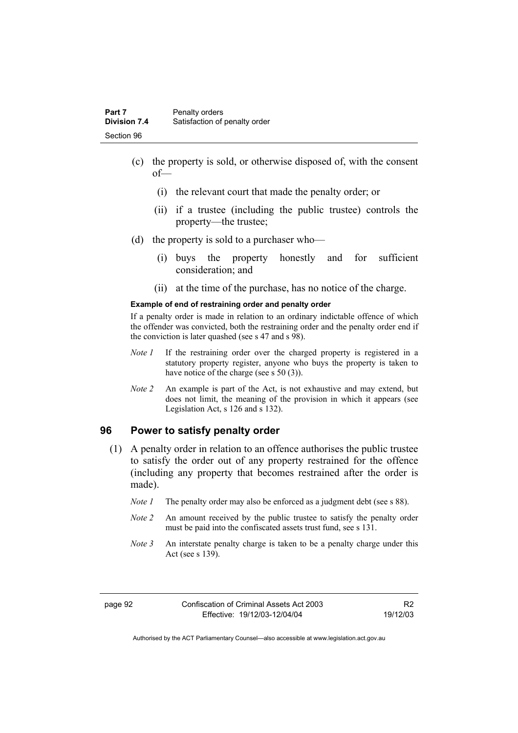- (c) the property is sold, or otherwise disposed of, with the consent of—
	- (i) the relevant court that made the penalty order; or
	- (ii) if a trustee (including the public trustee) controls the property—the trustee;
- (d) the property is sold to a purchaser who—
	- (i) buys the property honestly and for sufficient consideration; and
	- (ii) at the time of the purchase, has no notice of the charge.

#### **Example of end of restraining order and penalty order**

If a penalty order is made in relation to an ordinary indictable offence of which the offender was convicted, both the restraining order and the penalty order end if the conviction is later quashed (see s 47 and s 98).

- *Note 1* If the restraining order over the charged property is registered in a statutory property register, anyone who buys the property is taken to have notice of the charge (see s 50 (3)).
- *Note* 2 An example is part of the Act, is not exhaustive and may extend, but does not limit, the meaning of the provision in which it appears (see Legislation Act, s 126 and s 132).

#### **96 Power to satisfy penalty order**

- (1) A penalty order in relation to an offence authorises the public trustee to satisfy the order out of any property restrained for the offence (including any property that becomes restrained after the order is made).
	- *Note 1* The penalty order may also be enforced as a judgment debt (see s 88).
	- *Note 2* An amount received by the public trustee to satisfy the penalty order must be paid into the confiscated assets trust fund, see s 131.
	- *Note 3* An interstate penalty charge is taken to be a penalty charge under this Act (see s 139).

R2 19/12/03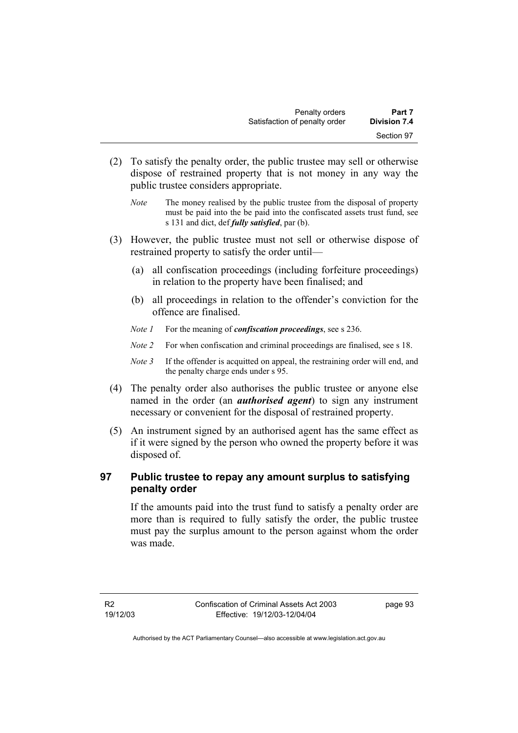- (2) To satisfy the penalty order, the public trustee may sell or otherwise dispose of restrained property that is not money in any way the public trustee considers appropriate.
	- *Note* The money realised by the public trustee from the disposal of property must be paid into the be paid into the confiscated assets trust fund, see s 131 and dict, def *fully satisfied*, par (b).
- (3) However, the public trustee must not sell or otherwise dispose of restrained property to satisfy the order until—
	- (a) all confiscation proceedings (including forfeiture proceedings) in relation to the property have been finalised; and
	- (b) all proceedings in relation to the offender's conviction for the offence are finalised.
	- *Note 1* For the meaning of *confiscation proceedings*, see s 236.
	- *Note 2* For when confiscation and criminal proceedings are finalised, see s 18.
	- *Note 3* If the offender is acquitted on appeal, the restraining order will end, and the penalty charge ends under s 95.
- (4) The penalty order also authorises the public trustee or anyone else named in the order (an *authorised agent*) to sign any instrument necessary or convenient for the disposal of restrained property.
- (5) An instrument signed by an authorised agent has the same effect as if it were signed by the person who owned the property before it was disposed of.

## **97 Public trustee to repay any amount surplus to satisfying penalty order**

If the amounts paid into the trust fund to satisfy a penalty order are more than is required to fully satisfy the order, the public trustee must pay the surplus amount to the person against whom the order was made.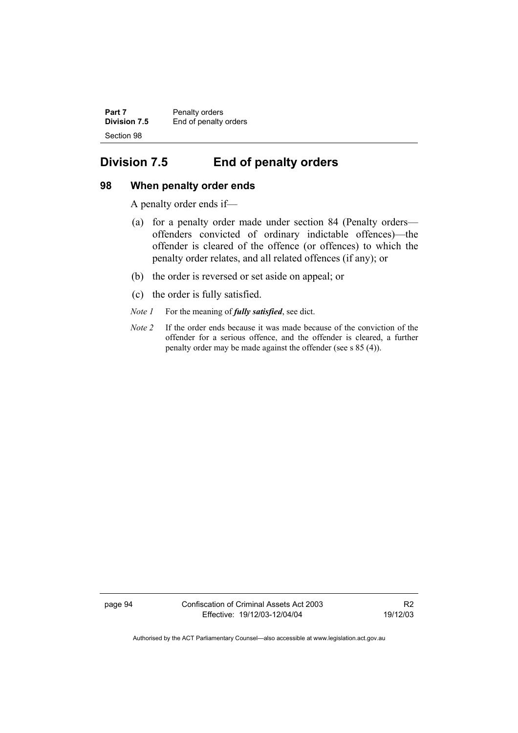| Part 7       | Penalty orders        |
|--------------|-----------------------|
| Division 7.5 | End of penalty orders |
| Section 98   |                       |

## **Division 7.5 End of penalty orders**

### **98 When penalty order ends**

A penalty order ends if—

- (a) for a penalty order made under section 84 (Penalty orders offenders convicted of ordinary indictable offences)—the offender is cleared of the offence (or offences) to which the penalty order relates, and all related offences (if any); or
- (b) the order is reversed or set aside on appeal; or
- (c) the order is fully satisfied.
- *Note 1* For the meaning of *fully satisfied*, see dict.
- *Note 2* If the order ends because it was made because of the conviction of the offender for a serious offence, and the offender is cleared, a further penalty order may be made against the offender (see s 85 (4)).

page 94 Confiscation of Criminal Assets Act 2003 Effective: 19/12/03-12/04/04

R2 19/12/03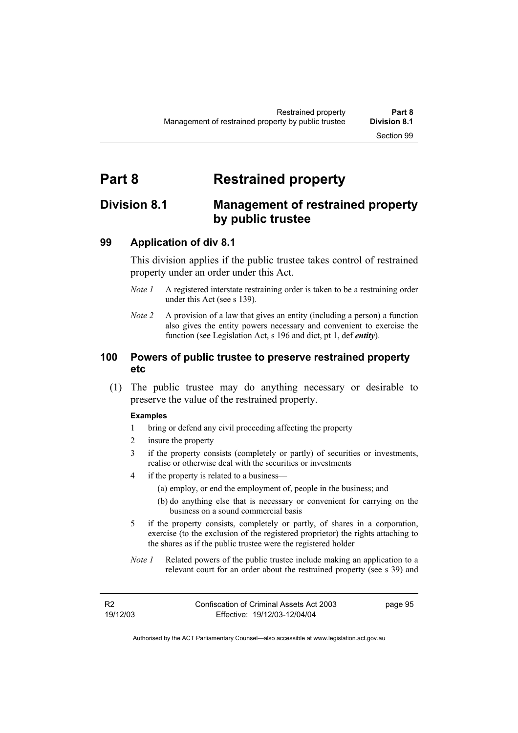# **Part 8 Restrained property**

## **Division 8.1 Management of restrained property by public trustee**

## **99 Application of div 8.1**

This division applies if the public trustee takes control of restrained property under an order under this Act.

- *Note 1* A registered interstate restraining order is taken to be a restraining order under this Act (see s 139).
- *Note 2* A provision of a law that gives an entity (including a person) a function also gives the entity powers necessary and convenient to exercise the function (see Legislation Act, s 196 and dict, pt 1, def *entity*).

## **100 Powers of public trustee to preserve restrained property etc**

 (1) The public trustee may do anything necessary or desirable to preserve the value of the restrained property.

#### **Examples**

- 1 bring or defend any civil proceeding affecting the property
- 2 insure the property
- 3 if the property consists (completely or partly) of securities or investments, realise or otherwise deal with the securities or investments
- 4 if the property is related to a business—
	- (a) employ, or end the employment of, people in the business; and
	- (b) do anything else that is necessary or convenient for carrying on the business on a sound commercial basis
- 5 if the property consists, completely or partly, of shares in a corporation, exercise (to the exclusion of the registered proprietor) the rights attaching to the shares as if the public trustee were the registered holder
- *Note 1* Related powers of the public trustee include making an application to a relevant court for an order about the restrained property (see s 39) and

R2 19/12/03 page 95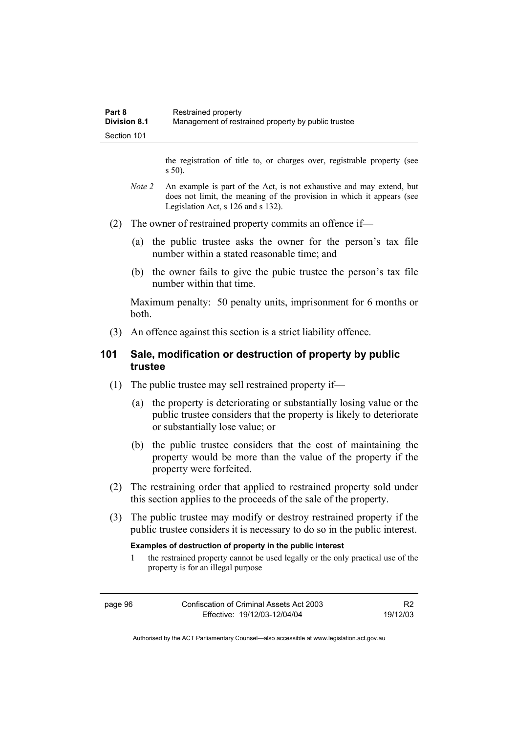the registration of title to, or charges over, registrable property (see s 50).

- *Note* 2 An example is part of the Act, is not exhaustive and may extend, but does not limit, the meaning of the provision in which it appears (see Legislation Act, s 126 and s 132).
- (2) The owner of restrained property commits an offence if—
	- (a) the public trustee asks the owner for the person's tax file number within a stated reasonable time; and
	- (b) the owner fails to give the pubic trustee the person's tax file number within that time.

Maximum penalty: 50 penalty units, imprisonment for 6 months or both.

(3) An offence against this section is a strict liability offence.

## **101 Sale, modification or destruction of property by public trustee**

- (1) The public trustee may sell restrained property if—
	- (a) the property is deteriorating or substantially losing value or the public trustee considers that the property is likely to deteriorate or substantially lose value; or
	- (b) the public trustee considers that the cost of maintaining the property would be more than the value of the property if the property were forfeited.
- (2) The restraining order that applied to restrained property sold under this section applies to the proceeds of the sale of the property.
- (3) The public trustee may modify or destroy restrained property if the public trustee considers it is necessary to do so in the public interest.

#### **Examples of destruction of property in the public interest**

1 the restrained property cannot be used legally or the only practical use of the property is for an illegal purpose

R2 19/12/03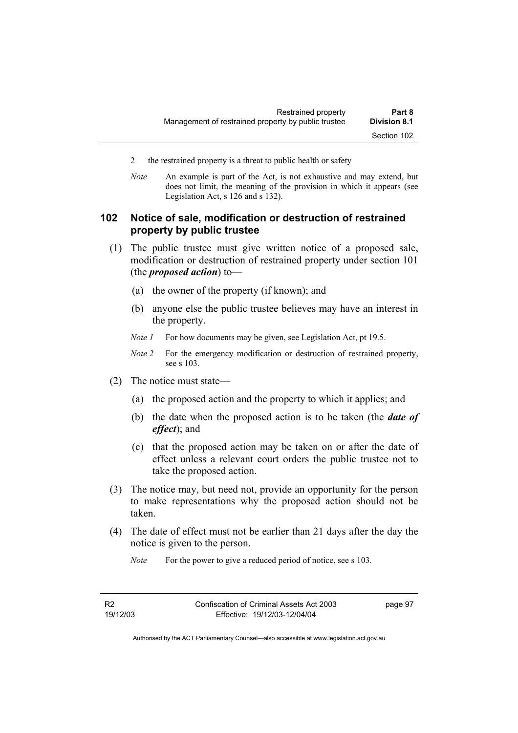- 2 the restrained property is a threat to public health or safety
- *Note* An example is part of the Act, is not exhaustive and may extend, but does not limit, the meaning of the provision in which it appears (see Legislation Act, s 126 and s 132).

## **102 Notice of sale, modification or destruction of restrained property by public trustee**

- (1) The public trustee must give written notice of a proposed sale, modification or destruction of restrained property under section 101 (the *proposed action*) to—
	- (a) the owner of the property (if known); and
	- (b) anyone else the public trustee believes may have an interest in the property.
	- *Note 1* For how documents may be given, see Legislation Act, pt 19.5.
	- *Note 2* For the emergency modification or destruction of restrained property, see s 103.
- (2) The notice must state—
	- (a) the proposed action and the property to which it applies; and
	- (b) the date when the proposed action is to be taken (the *date of effect*); and
	- (c) that the proposed action may be taken on or after the date of effect unless a relevant court orders the public trustee not to take the proposed action.
- (3) The notice may, but need not, provide an opportunity for the person to make representations why the proposed action should not be taken.
- (4) The date of effect must not be earlier than 21 days after the day the notice is given to the person.
	- *Note* For the power to give a reduced period of notice, see s 103.

page 97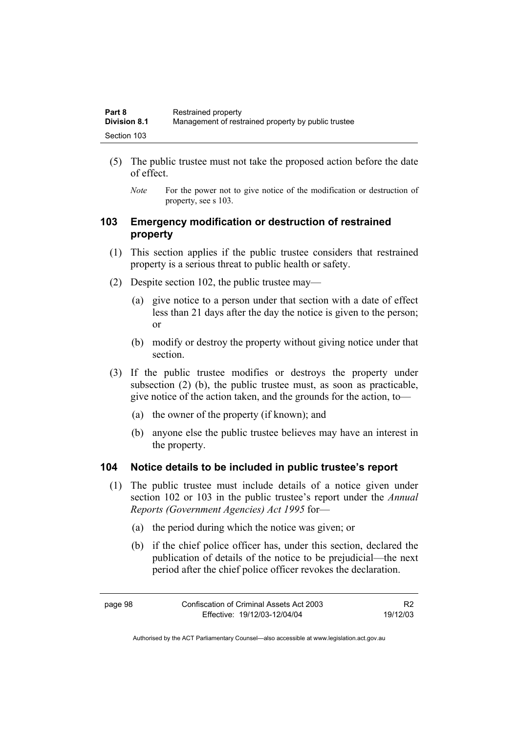| Part 8              | Restrained property                                 |
|---------------------|-----------------------------------------------------|
| <b>Division 8.1</b> | Management of restrained property by public trustee |
| Section 103         |                                                     |

- (5) The public trustee must not take the proposed action before the date of effect.
	- *Note* For the power not to give notice of the modification or destruction of property, see s 103.

## **103 Emergency modification or destruction of restrained property**

- (1) This section applies if the public trustee considers that restrained property is a serious threat to public health or safety.
- (2) Despite section 102, the public trustee may—
	- (a) give notice to a person under that section with a date of effect less than 21 days after the day the notice is given to the person; or
	- (b) modify or destroy the property without giving notice under that section.
- (3) If the public trustee modifies or destroys the property under subsection (2) (b), the public trustee must, as soon as practicable, give notice of the action taken, and the grounds for the action, to—
	- (a) the owner of the property (if known); and
	- (b) anyone else the public trustee believes may have an interest in the property.

#### **104 Notice details to be included in public trustee's report**

- (1) The public trustee must include details of a notice given under section 102 or 103 in the public trustee's report under the *Annual Reports (Government Agencies) Act 1995* for—
	- (a) the period during which the notice was given; or
	- (b) if the chief police officer has, under this section, declared the publication of details of the notice to be prejudicial—the next period after the chief police officer revokes the declaration.

R2 19/12/03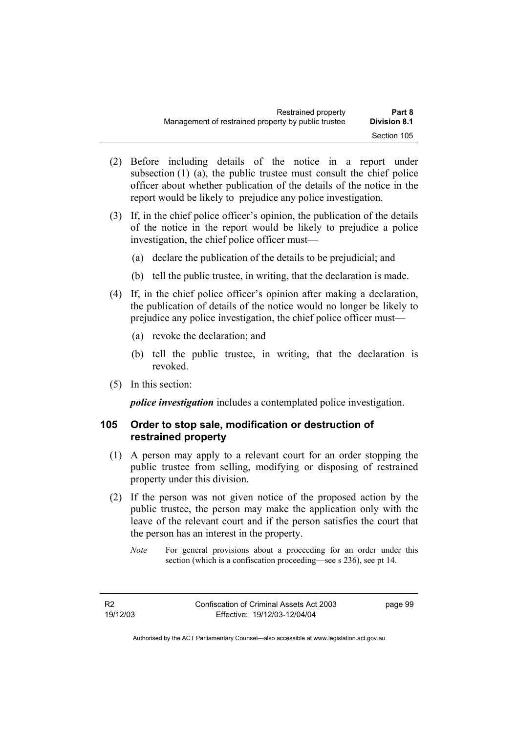- (2) Before including details of the notice in a report under subsection (1) (a), the public trustee must consult the chief police officer about whether publication of the details of the notice in the report would be likely to prejudice any police investigation.
- (3) If, in the chief police officer's opinion, the publication of the details of the notice in the report would be likely to prejudice a police investigation, the chief police officer must—
	- (a) declare the publication of the details to be prejudicial; and
	- (b) tell the public trustee, in writing, that the declaration is made.
- (4) If, in the chief police officer's opinion after making a declaration, the publication of details of the notice would no longer be likely to prejudice any police investigation, the chief police officer must—
	- (a) revoke the declaration; and
	- (b) tell the public trustee, in writing, that the declaration is revoked.
- (5) In this section:

*police investigation* includes a contemplated police investigation.

## **105 Order to stop sale, modification or destruction of restrained property**

- (1) A person may apply to a relevant court for an order stopping the public trustee from selling, modifying or disposing of restrained property under this division.
- (2) If the person was not given notice of the proposed action by the public trustee, the person may make the application only with the leave of the relevant court and if the person satisfies the court that the person has an interest in the property.
	- *Note* For general provisions about a proceeding for an order under this section (which is a confiscation proceeding—see s 236), see pt 14.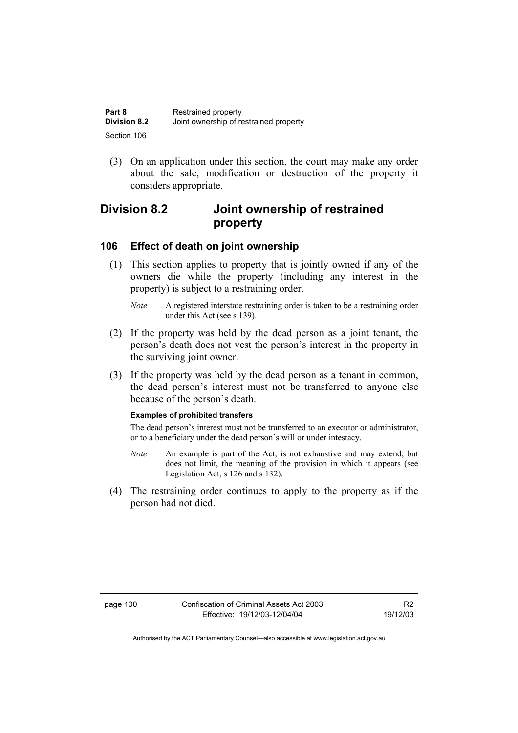| Part 8              | Restrained property                    |
|---------------------|----------------------------------------|
| <b>Division 8.2</b> | Joint ownership of restrained property |
| Section 106         |                                        |

 (3) On an application under this section, the court may make any order about the sale, modification or destruction of the property it considers appropriate.

## **Division 8.2 Joint ownership of restrained property**

## **106 Effect of death on joint ownership**

 (1) This section applies to property that is jointly owned if any of the owners die while the property (including any interest in the property) is subject to a restraining order.

- (2) If the property was held by the dead person as a joint tenant, the person's death does not vest the person's interest in the property in the surviving joint owner.
- (3) If the property was held by the dead person as a tenant in common, the dead person's interest must not be transferred to anyone else because of the person's death.

#### **Examples of prohibited transfers**

The dead person's interest must not be transferred to an executor or administrator, or to a beneficiary under the dead person's will or under intestacy.

- *Note* An example is part of the Act, is not exhaustive and may extend, but does not limit, the meaning of the provision in which it appears (see Legislation Act, s 126 and s 132).
- (4) The restraining order continues to apply to the property as if the person had not died.

*Note* A registered interstate restraining order is taken to be a restraining order under this Act (see s 139).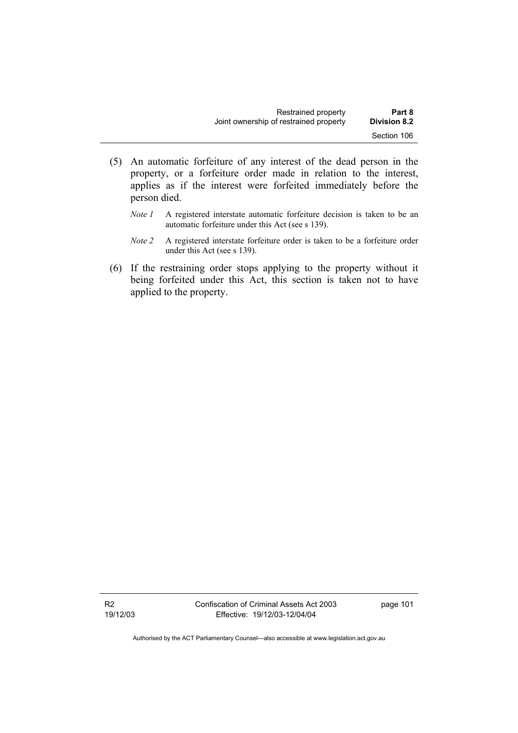| Restrained property                    | Part 8              |
|----------------------------------------|---------------------|
| Joint ownership of restrained property | <b>Division 8.2</b> |
|                                        | Section 106         |

- (5) An automatic forfeiture of any interest of the dead person in the property, or a forfeiture order made in relation to the interest, applies as if the interest were forfeited immediately before the person died.
	- *Note 1* A registered interstate automatic forfeiture decision is taken to be an automatic forfeiture under this Act (see s 139).
	- *Note 2* A registered interstate forfeiture order is taken to be a forfeiture order under this Act (see s 139).
- (6) If the restraining order stops applying to the property without it being forfeited under this Act, this section is taken not to have applied to the property.

R2 19/12/03 Confiscation of Criminal Assets Act 2003 Effective: 19/12/03-12/04/04

page 101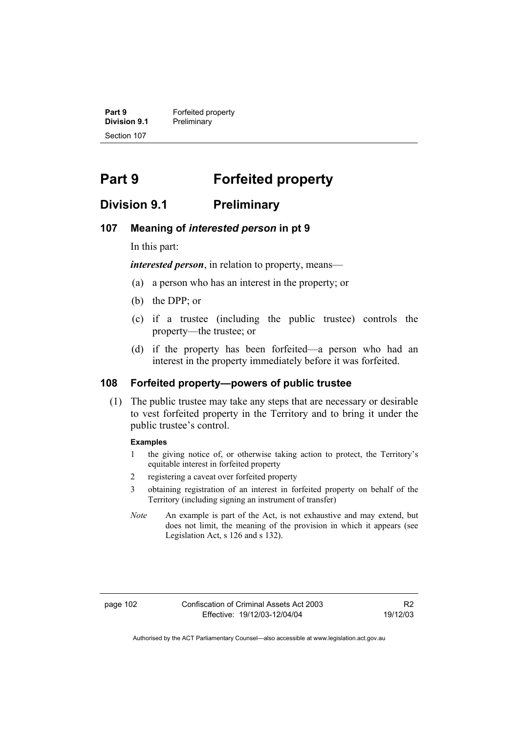**Part 9 Forfeited property**<br>**Division 9.1 Preliminary Division 9.1** Preliminary Section 107

# **Part 9 Forfeited property**

## **Division 9.1 Preliminary**

### **107 Meaning of** *interested person* **in pt 9**

In this part:

*interested person*, in relation to property, means—

- (a) a person who has an interest in the property; or
- (b) the DPP; or
- (c) if a trustee (including the public trustee) controls the property—the trustee; or
- (d) if the property has been forfeited—a person who had an interest in the property immediately before it was forfeited.

## **108 Forfeited property—powers of public trustee**

 (1) The public trustee may take any steps that are necessary or desirable to vest forfeited property in the Territory and to bring it under the public trustee's control.

#### **Examples**

- 1 the giving notice of, or otherwise taking action to protect, the Territory's equitable interest in forfeited property
- 2 registering a caveat over forfeited property
- 3 obtaining registration of an interest in forfeited property on behalf of the Territory (including signing an instrument of transfer)
- *Note* An example is part of the Act, is not exhaustive and may extend, but does not limit, the meaning of the provision in which it appears (see Legislation Act, s 126 and s 132).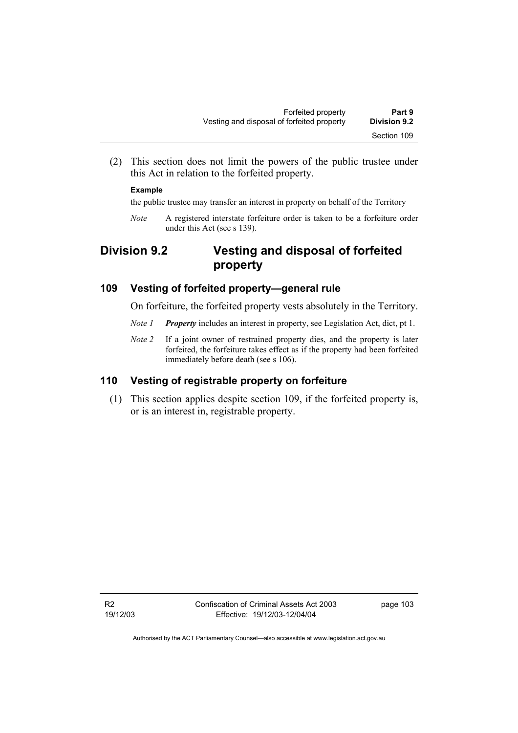(2) This section does not limit the powers of the public trustee under this Act in relation to the forfeited property.

#### **Example**

the public trustee may transfer an interest in property on behalf of the Territory

*Note* A registered interstate forfeiture order is taken to be a forfeiture order under this Act (see s 139).

## **Division 9.2 Vesting and disposal of forfeited property**

## **109 Vesting of forfeited property—general rule**

On forfeiture, the forfeited property vests absolutely in the Territory.

- *Note 1 Property* includes an interest in property, see Legislation Act, dict, pt 1.
- *Note 2* If a joint owner of restrained property dies, and the property is later forfeited, the forfeiture takes effect as if the property had been forfeited immediately before death (see s 106).

## **110 Vesting of registrable property on forfeiture**

 (1) This section applies despite section 109, if the forfeited property is, or is an interest in, registrable property.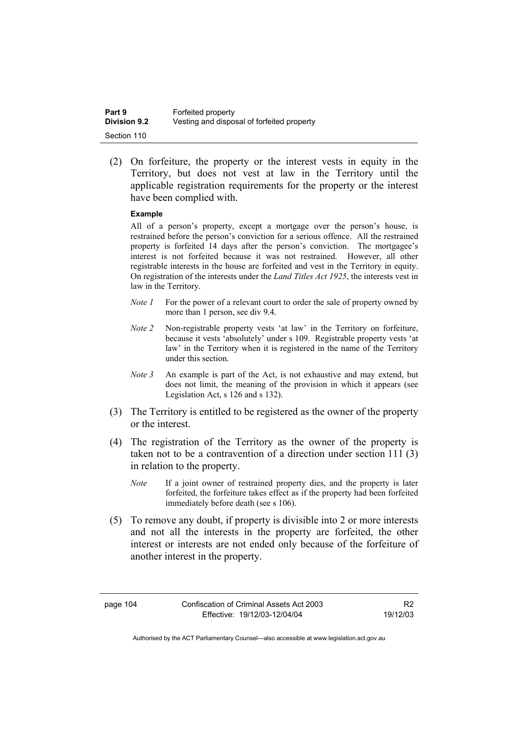| Part 9              | Forfeited property                         |
|---------------------|--------------------------------------------|
| <b>Division 9.2</b> | Vesting and disposal of forfeited property |
| Section 110         |                                            |

 (2) On forfeiture, the property or the interest vests in equity in the Territory, but does not vest at law in the Territory until the applicable registration requirements for the property or the interest have been complied with.

#### **Example**

All of a person's property, except a mortgage over the person's house, is restrained before the person's conviction for a serious offence. All the restrained property is forfeited 14 days after the person's conviction. The mortgagee's interest is not forfeited because it was not restrained. However, all other registrable interests in the house are forfeited and vest in the Territory in equity. On registration of the interests under the *Land Titles Act 1925*, the interests vest in law in the Territory.

- *Note 1* For the power of a relevant court to order the sale of property owned by more than 1 person, see div 9.4.
- *Note 2* Non-registrable property vests 'at law' in the Territory on forfeiture, because it vests 'absolutely' under s 109. Registrable property vests 'at law' in the Territory when it is registered in the name of the Territory under this section.
- *Note 3* An example is part of the Act, is not exhaustive and may extend, but does not limit, the meaning of the provision in which it appears (see Legislation Act, s 126 and s 132).
- (3) The Territory is entitled to be registered as the owner of the property or the interest.
- (4) The registration of the Territory as the owner of the property is taken not to be a contravention of a direction under section 111 (3) in relation to the property.
	- *Note* If a joint owner of restrained property dies, and the property is later forfeited, the forfeiture takes effect as if the property had been forfeited immediately before death (see s 106).
- (5) To remove any doubt, if property is divisible into 2 or more interests and not all the interests in the property are forfeited, the other interest or interests are not ended only because of the forfeiture of another interest in the property.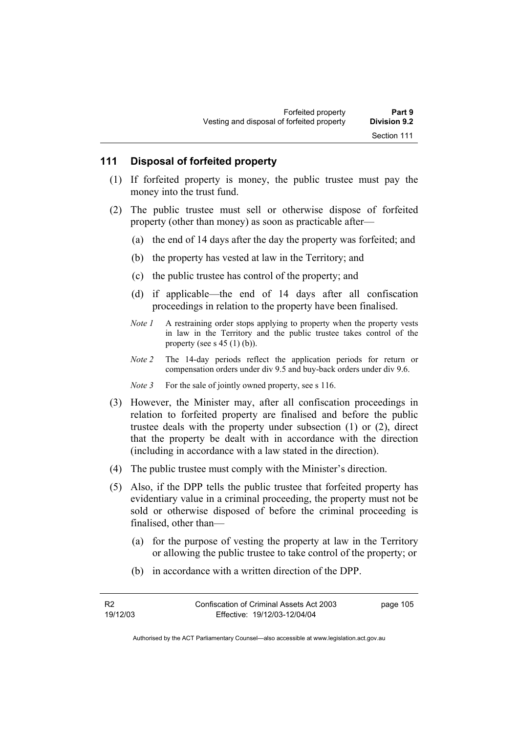## **111 Disposal of forfeited property**

- (1) If forfeited property is money, the public trustee must pay the money into the trust fund.
- (2) The public trustee must sell or otherwise dispose of forfeited property (other than money) as soon as practicable after—
	- (a) the end of 14 days after the day the property was forfeited; and
	- (b) the property has vested at law in the Territory; and
	- (c) the public trustee has control of the property; and
	- (d) if applicable—the end of 14 days after all confiscation proceedings in relation to the property have been finalised.
	- *Note 1* A restraining order stops applying to property when the property vests in law in the Territory and the public trustee takes control of the property (see s  $45$  (1) (b)).
	- *Note 2* The 14-day periods reflect the application periods for return or compensation orders under div 9.5 and buy-back orders under div 9.6.
	- *Note 3* For the sale of jointly owned property, see s 116.
- (3) However, the Minister may, after all confiscation proceedings in relation to forfeited property are finalised and before the public trustee deals with the property under subsection (1) or (2), direct that the property be dealt with in accordance with the direction (including in accordance with a law stated in the direction).
- (4) The public trustee must comply with the Minister's direction.
- (5) Also, if the DPP tells the public trustee that forfeited property has evidentiary value in a criminal proceeding, the property must not be sold or otherwise disposed of before the criminal proceeding is finalised, other than—
	- (a) for the purpose of vesting the property at law in the Territory or allowing the public trustee to take control of the property; or
	- (b) in accordance with a written direction of the DPP.

R2 19/12/03 page 105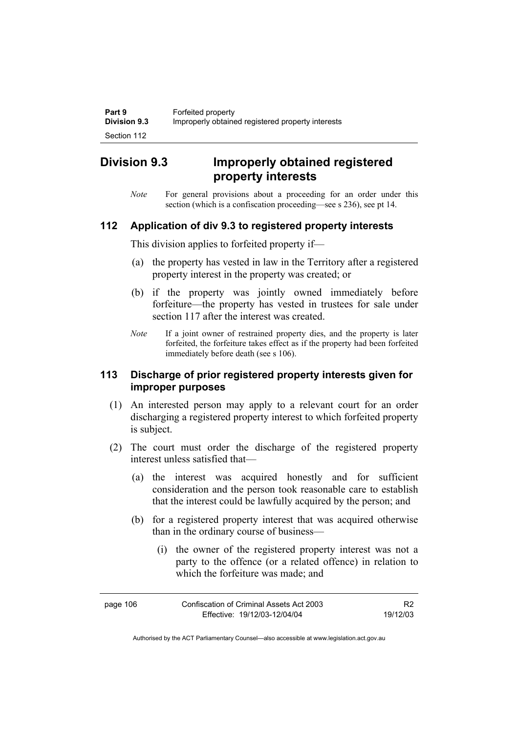## **Division 9.3 Improperly obtained registered property interests**

*Note* For general provisions about a proceeding for an order under this section (which is a confiscation proceeding—see s 236), see pt 14.

## **112 Application of div 9.3 to registered property interests**

This division applies to forfeited property if—

- (a) the property has vested in law in the Territory after a registered property interest in the property was created; or
- (b) if the property was jointly owned immediately before forfeiture—the property has vested in trustees for sale under section 117 after the interest was created.
- *Note* If a joint owner of restrained property dies, and the property is later forfeited, the forfeiture takes effect as if the property had been forfeited immediately before death (see s 106).

## **113 Discharge of prior registered property interests given for improper purposes**

- (1) An interested person may apply to a relevant court for an order discharging a registered property interest to which forfeited property is subject.
- (2) The court must order the discharge of the registered property interest unless satisfied that—
	- (a) the interest was acquired honestly and for sufficient consideration and the person took reasonable care to establish that the interest could be lawfully acquired by the person; and
	- (b) for a registered property interest that was acquired otherwise than in the ordinary course of business—
		- (i) the owner of the registered property interest was not a party to the offence (or a related offence) in relation to which the forfeiture was made; and

| page 106 | Confiscation of Criminal Assets Act 2003 | R <sub>2</sub> |
|----------|------------------------------------------|----------------|
|          | Effective: 19/12/03-12/04/04             | 19/12/03       |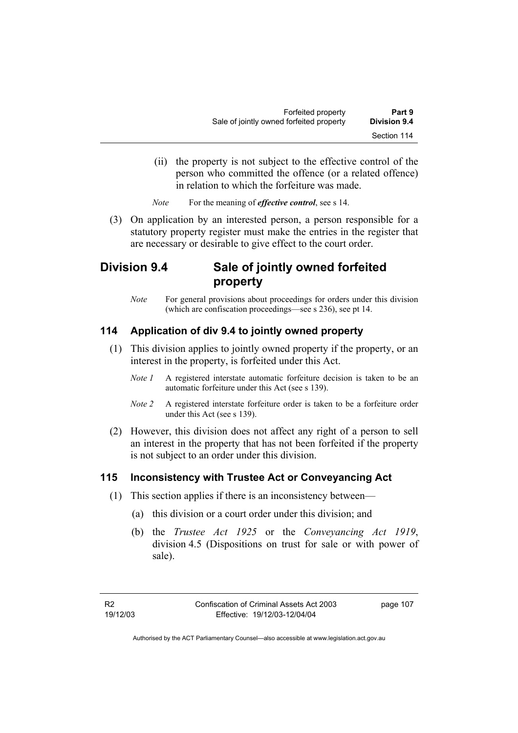- (ii) the property is not subject to the effective control of the person who committed the offence (or a related offence) in relation to which the forfeiture was made.
- *Note* For the meaning of *effective control*, see s 14.
- (3) On application by an interested person, a person responsible for a statutory property register must make the entries in the register that are necessary or desirable to give effect to the court order.

## **Division 9.4 Sale of jointly owned forfeited property**

*Note* For general provisions about proceedings for orders under this division (which are confiscation proceedings—see s 236), see pt 14.

## **114 Application of div 9.4 to jointly owned property**

- (1) This division applies to jointly owned property if the property, or an interest in the property, is forfeited under this Act.
	- *Note 1* A registered interstate automatic forfeiture decision is taken to be an automatic forfeiture under this Act (see s 139).
	- *Note 2* A registered interstate forfeiture order is taken to be a forfeiture order under this Act (see s 139).
- (2) However, this division does not affect any right of a person to sell an interest in the property that has not been forfeited if the property is not subject to an order under this division.

## **115 Inconsistency with Trustee Act or Conveyancing Act**

- (1) This section applies if there is an inconsistency between—
	- (a) this division or a court order under this division; and
	- (b) the *Trustee Act 1925* or the *Conveyancing Act 1919*, division 4.5 (Dispositions on trust for sale or with power of sale).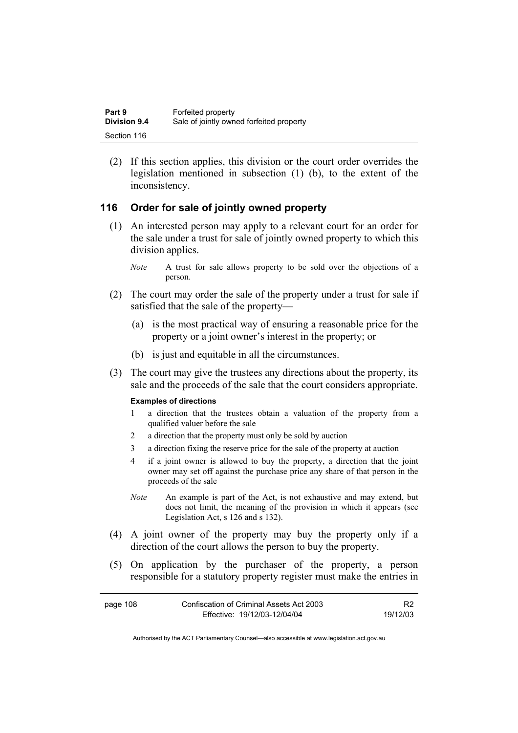| Part 9              | Forfeited property                       |
|---------------------|------------------------------------------|
| <b>Division 9.4</b> | Sale of jointly owned forfeited property |
| Section 116         |                                          |

 (2) If this section applies, this division or the court order overrides the legislation mentioned in subsection (1) (b), to the extent of the inconsistency.

## **116 Order for sale of jointly owned property**

- (1) An interested person may apply to a relevant court for an order for the sale under a trust for sale of jointly owned property to which this division applies.
	- *Note* A trust for sale allows property to be sold over the objections of a person.
- (2) The court may order the sale of the property under a trust for sale if satisfied that the sale of the property—
	- (a) is the most practical way of ensuring a reasonable price for the property or a joint owner's interest in the property; or
	- (b) is just and equitable in all the circumstances.
- (3) The court may give the trustees any directions about the property, its sale and the proceeds of the sale that the court considers appropriate.

#### **Examples of directions**

- 1 a direction that the trustees obtain a valuation of the property from a qualified valuer before the sale
- 2 a direction that the property must only be sold by auction
- 3 a direction fixing the reserve price for the sale of the property at auction
- 4 if a joint owner is allowed to buy the property, a direction that the joint owner may set off against the purchase price any share of that person in the proceeds of the sale
- *Note* An example is part of the Act, is not exhaustive and may extend, but does not limit, the meaning of the provision in which it appears (see Legislation Act, s 126 and s 132).
- (4) A joint owner of the property may buy the property only if a direction of the court allows the person to buy the property.
- (5) On application by the purchaser of the property, a person responsible for a statutory property register must make the entries in

| page 108 | Confiscation of Criminal Assets Act 2003 |          |
|----------|------------------------------------------|----------|
|          | Effective: 19/12/03-12/04/04             | 19/12/03 |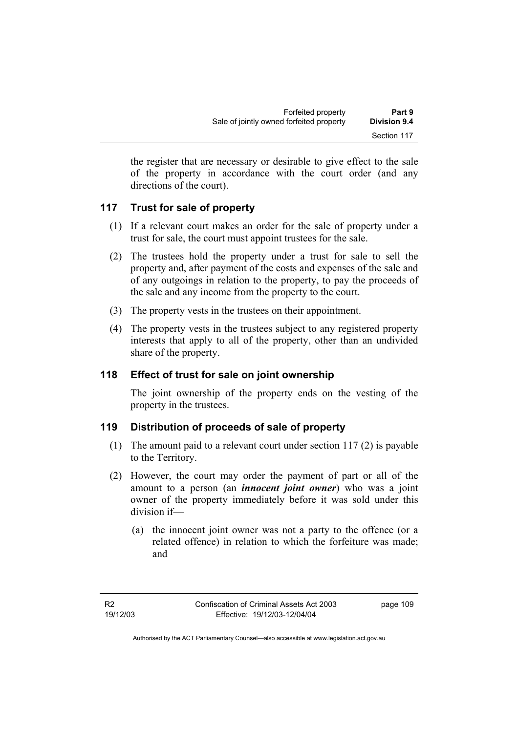the register that are necessary or desirable to give effect to the sale of the property in accordance with the court order (and any directions of the court).

## **117 Trust for sale of property**

- (1) If a relevant court makes an order for the sale of property under a trust for sale, the court must appoint trustees for the sale.
- (2) The trustees hold the property under a trust for sale to sell the property and, after payment of the costs and expenses of the sale and of any outgoings in relation to the property, to pay the proceeds of the sale and any income from the property to the court.
- (3) The property vests in the trustees on their appointment.
- (4) The property vests in the trustees subject to any registered property interests that apply to all of the property, other than an undivided share of the property.

## **118 Effect of trust for sale on joint ownership**

The joint ownership of the property ends on the vesting of the property in the trustees.

## **119 Distribution of proceeds of sale of property**

- (1) The amount paid to a relevant court under section 117 (2) is payable to the Territory.
- (2) However, the court may order the payment of part or all of the amount to a person (an *innocent joint owner*) who was a joint owner of the property immediately before it was sold under this division if—
	- (a) the innocent joint owner was not a party to the offence (or a related offence) in relation to which the forfeiture was made; and

page 109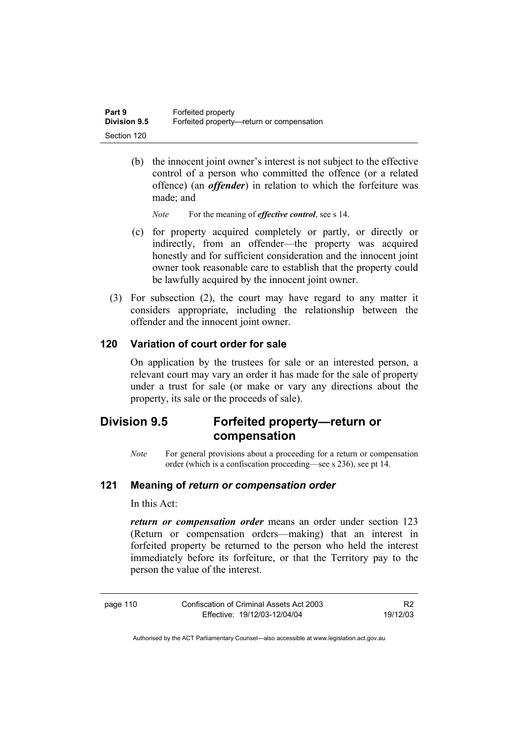| Part 9              | Forfeited property                        |
|---------------------|-------------------------------------------|
| <b>Division 9.5</b> | Forfeited property—return or compensation |
| Section 120         |                                           |

 (b) the innocent joint owner's interest is not subject to the effective control of a person who committed the offence (or a related offence) (an *offender*) in relation to which the forfeiture was made; and

*Note* For the meaning of *effective control*, see s 14.

- (c) for property acquired completely or partly, or directly or indirectly, from an offender—the property was acquired honestly and for sufficient consideration and the innocent joint owner took reasonable care to establish that the property could be lawfully acquired by the innocent joint owner.
- (3) For subsection (2), the court may have regard to any matter it considers appropriate, including the relationship between the offender and the innocent joint owner.

## **120 Variation of court order for sale**

On application by the trustees for sale or an interested person, a relevant court may vary an order it has made for the sale of property under a trust for sale (or make or vary any directions about the property, its sale or the proceeds of sale).

## **Division 9.5 Forfeited property—return or compensation**

*Note* For general provisions about a proceeding for a return or compensation order (which is a confiscation proceeding—see s 236), see pt 14.

## **121 Meaning of** *return or compensation order*

In this Act:

*return or compensation order* means an order under section 123 (Return or compensation orders—making) that an interest in forfeited property be returned to the person who held the interest immediately before its forfeiture, or that the Territory pay to the person the value of the interest.

| page 110 | Confiscation of Criminal Assets Act 2003 | R <sub>2</sub> |
|----------|------------------------------------------|----------------|
|          | Effective: 19/12/03-12/04/04             | 19/12/03       |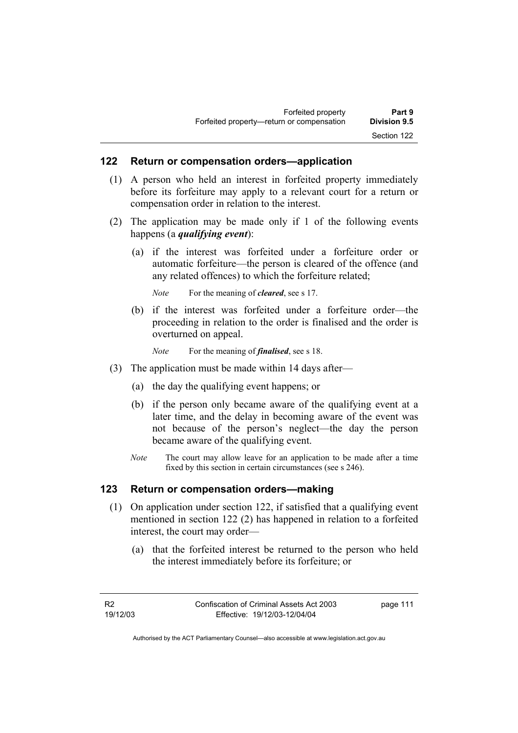### **122 Return or compensation orders—application**

- (1) A person who held an interest in forfeited property immediately before its forfeiture may apply to a relevant court for a return or compensation order in relation to the interest.
- (2) The application may be made only if 1 of the following events happens (a *qualifying event*):
	- (a) if the interest was forfeited under a forfeiture order or automatic forfeiture—the person is cleared of the offence (and any related offences) to which the forfeiture related;

*Note* For the meaning of *cleared*, see s 17.

- (b) if the interest was forfeited under a forfeiture order—the proceeding in relation to the order is finalised and the order is overturned on appeal.
	- *Note* For the meaning of *finalised*, see s 18.
- (3) The application must be made within 14 days after—
	- (a) the day the qualifying event happens; or
	- (b) if the person only became aware of the qualifying event at a later time, and the delay in becoming aware of the event was not because of the person's neglect—the day the person became aware of the qualifying event.
	- *Note* The court may allow leave for an application to be made after a time fixed by this section in certain circumstances (see s 246).

#### **123 Return or compensation orders—making**

- (1) On application under section 122, if satisfied that a qualifying event mentioned in section 122 (2) has happened in relation to a forfeited interest, the court may order—
	- (a) that the forfeited interest be returned to the person who held the interest immediately before its forfeiture; or

page 111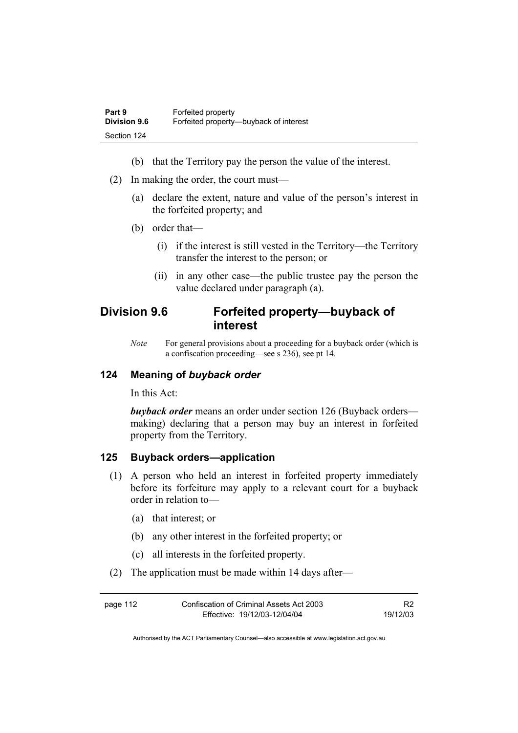- (b) that the Territory pay the person the value of the interest.
- (2) In making the order, the court must—
	- (a) declare the extent, nature and value of the person's interest in the forfeited property; and
	- (b) order that—
		- (i) if the interest is still vested in the Territory—the Territory transfer the interest to the person; or
		- (ii) in any other case—the public trustee pay the person the value declared under paragraph (a).

## **Division 9.6 Forfeited property—buyback of interest**

*Note* For general provisions about a proceeding for a buyback order (which is a confiscation proceeding—see s 236), see pt 14.

## **124 Meaning of** *buyback order*

In this Act:

*buyback order* means an order under section 126 (Buyback orders making) declaring that a person may buy an interest in forfeited property from the Territory.

### **125 Buyback orders—application**

- (1) A person who held an interest in forfeited property immediately before its forfeiture may apply to a relevant court for a buyback order in relation to—
	- (a) that interest; or
	- (b) any other interest in the forfeited property; or
	- (c) all interests in the forfeited property.
- (2) The application must be made within 14 days after—

| page 112 | Confiscation of Criminal Assets Act 2003 | R <sub>2</sub> |
|----------|------------------------------------------|----------------|
|          | Effective: 19/12/03-12/04/04             | 19/12/03       |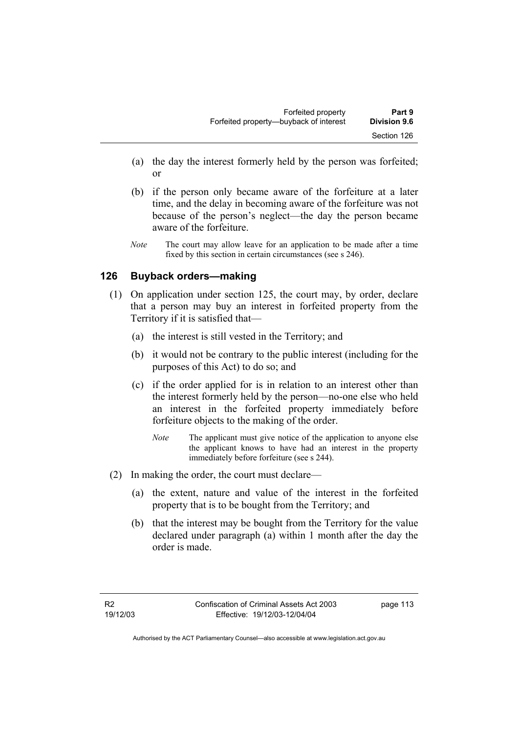- (a) the day the interest formerly held by the person was forfeited; or
- (b) if the person only became aware of the forfeiture at a later time, and the delay in becoming aware of the forfeiture was not because of the person's neglect—the day the person became aware of the forfeiture.
- *Note* The court may allow leave for an application to be made after a time fixed by this section in certain circumstances (see s 246).

## **126 Buyback orders—making**

- (1) On application under section 125, the court may, by order, declare that a person may buy an interest in forfeited property from the Territory if it is satisfied that—
	- (a) the interest is still vested in the Territory; and
	- (b) it would not be contrary to the public interest (including for the purposes of this Act) to do so; and
	- (c) if the order applied for is in relation to an interest other than the interest formerly held by the person—no-one else who held an interest in the forfeited property immediately before forfeiture objects to the making of the order.
		- *Note* The applicant must give notice of the application to anyone else the applicant knows to have had an interest in the property immediately before forfeiture (see s 244).
- (2) In making the order, the court must declare—
	- (a) the extent, nature and value of the interest in the forfeited property that is to be bought from the Territory; and
	- (b) that the interest may be bought from the Territory for the value declared under paragraph (a) within 1 month after the day the order is made.

page 113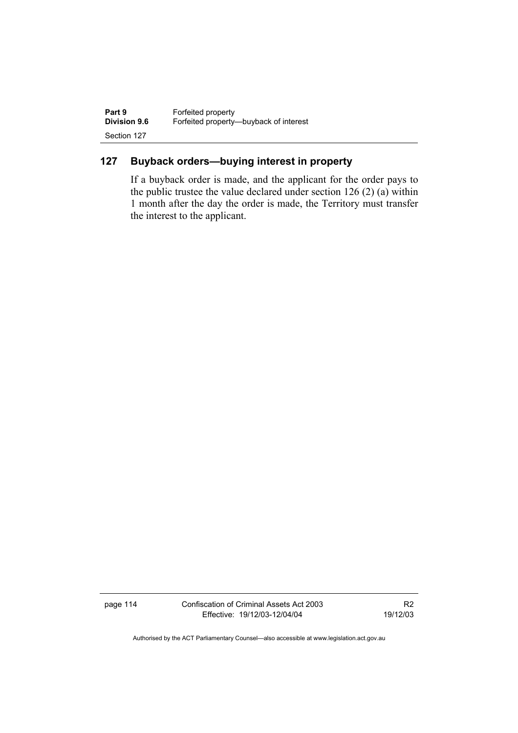| Part 9              | Forfeited property                     |
|---------------------|----------------------------------------|
| <b>Division 9.6</b> | Forfeited property—buyback of interest |
| Section 127         |                                        |

## **127 Buyback orders—buying interest in property**

If a buyback order is made, and the applicant for the order pays to the public trustee the value declared under section 126 (2) (a) within 1 month after the day the order is made, the Territory must transfer the interest to the applicant.

page 114 Confiscation of Criminal Assets Act 2003 Effective: 19/12/03-12/04/04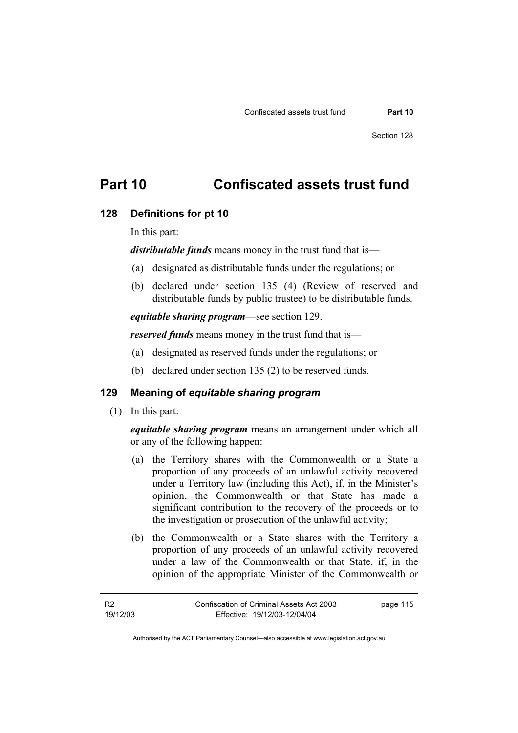## **Part 10 Confiscated assets trust fund**

#### **128 Definitions for pt 10**

In this part:

*distributable funds* means money in the trust fund that is—

- (a) designated as distributable funds under the regulations; or
- (b) declared under section 135 (4) (Review of reserved and distributable funds by public trustee) to be distributable funds.

*equitable sharing program*—see section 129.

*reserved funds* means money in the trust fund that is—

- (a) designated as reserved funds under the regulations; or
- (b) declared under section 135 (2) to be reserved funds.

## **129 Meaning of** *equitable sharing program*

(1) In this part:

*equitable sharing program* means an arrangement under which all or any of the following happen:

- (a) the Territory shares with the Commonwealth or a State a proportion of any proceeds of an unlawful activity recovered under a Territory law (including this Act), if, in the Minister's opinion, the Commonwealth or that State has made a significant contribution to the recovery of the proceeds or to the investigation or prosecution of the unlawful activity;
- (b) the Commonwealth or a State shares with the Territory a proportion of any proceeds of an unlawful activity recovered under a law of the Commonwealth or that State, if, in the opinion of the appropriate Minister of the Commonwealth or

page 115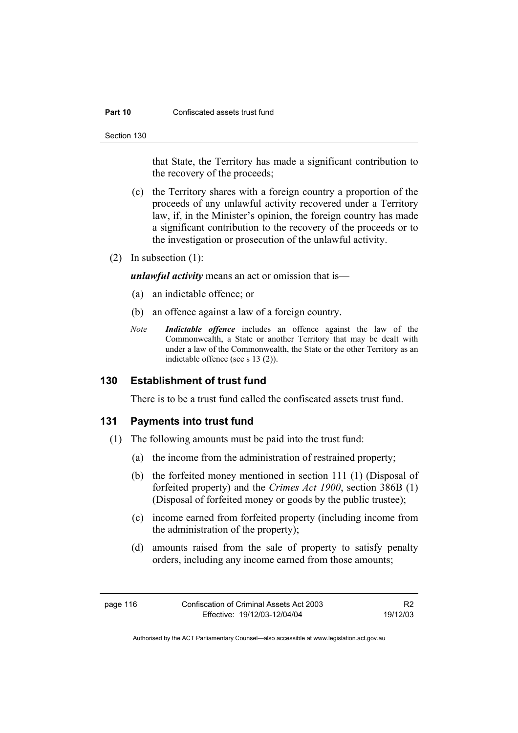#### **Part 10 Confiscated assets trust fund**

Section 130

that State, the Territory has made a significant contribution to the recovery of the proceeds;

- (c) the Territory shares with a foreign country a proportion of the proceeds of any unlawful activity recovered under a Territory law, if, in the Minister's opinion, the foreign country has made a significant contribution to the recovery of the proceeds or to the investigation or prosecution of the unlawful activity.
- (2) In subsection (1):

*unlawful activity* means an act or omission that is—

- (a) an indictable offence; or
- (b) an offence against a law of a foreign country.
- *Note Indictable offence* includes an offence against the law of the Commonwealth, a State or another Territory that may be dealt with under a law of the Commonwealth, the State or the other Territory as an indictable offence (see s 13 (2)).

### **130 Establishment of trust fund**

There is to be a trust fund called the confiscated assets trust fund.

#### **131 Payments into trust fund**

- (1) The following amounts must be paid into the trust fund:
	- (a) the income from the administration of restrained property;
	- (b) the forfeited money mentioned in section 111 (1) (Disposal of forfeited property) and the *Crimes Act 1900*, section 386B (1) (Disposal of forfeited money or goods by the public trustee);
	- (c) income earned from forfeited property (including income from the administration of the property);
	- (d) amounts raised from the sale of property to satisfy penalty orders, including any income earned from those amounts;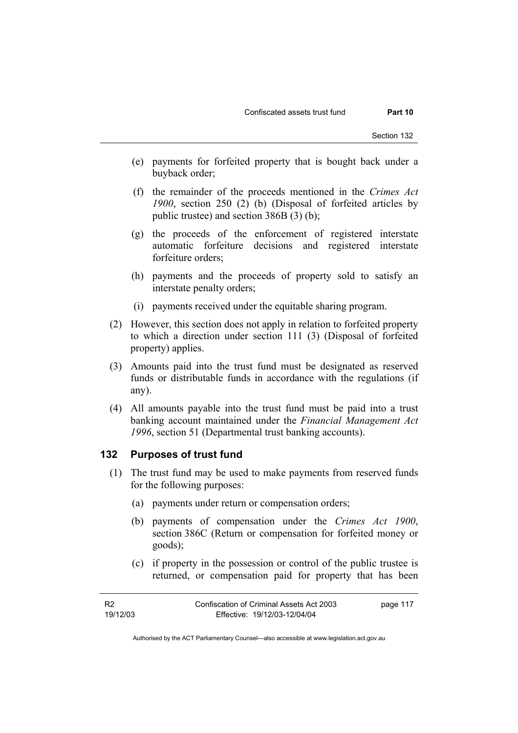- (e) payments for forfeited property that is bought back under a buyback order;
- (f) the remainder of the proceeds mentioned in the *Crimes Act 1900*, section 250 (2) (b) (Disposal of forfeited articles by public trustee) and section 386B (3) (b);
- (g) the proceeds of the enforcement of registered interstate automatic forfeiture decisions and registered interstate forfeiture orders;
- (h) payments and the proceeds of property sold to satisfy an interstate penalty orders;
- (i) payments received under the equitable sharing program.
- (2) However, this section does not apply in relation to forfeited property to which a direction under section 111 (3) (Disposal of forfeited property) applies.
- (3) Amounts paid into the trust fund must be designated as reserved funds or distributable funds in accordance with the regulations (if any).
- (4) All amounts payable into the trust fund must be paid into a trust banking account maintained under the *Financial Management Act 1996*, section 51 (Departmental trust banking accounts).

#### **132 Purposes of trust fund**

- (1) The trust fund may be used to make payments from reserved funds for the following purposes:
	- (a) payments under return or compensation orders;
	- (b) payments of compensation under the *Crimes Act 1900*, section 386C (Return or compensation for forfeited money or goods);
	- (c) if property in the possession or control of the public trustee is returned, or compensation paid for property that has been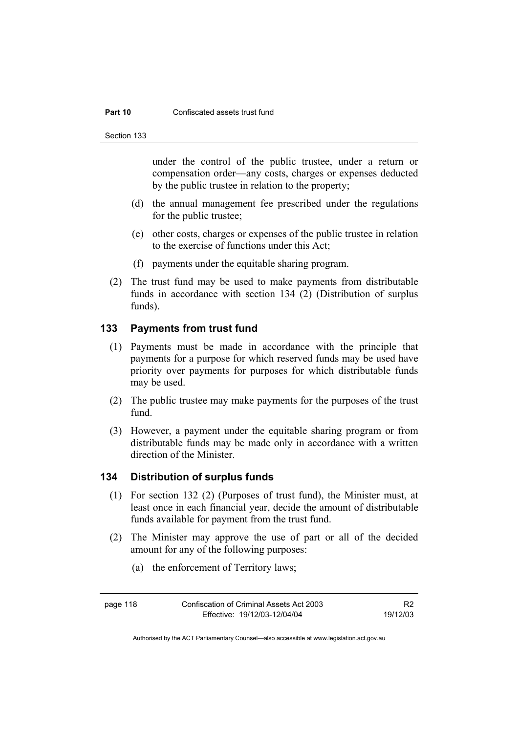#### **Part 10 Confiscated assets trust fund**

Section 133

under the control of the public trustee, under a return or compensation order—any costs, charges or expenses deducted by the public trustee in relation to the property;

- (d) the annual management fee prescribed under the regulations for the public trustee;
- (e) other costs, charges or expenses of the public trustee in relation to the exercise of functions under this Act;
- (f) payments under the equitable sharing program.
- (2) The trust fund may be used to make payments from distributable funds in accordance with section 134 (2) (Distribution of surplus funds).

## **133 Payments from trust fund**

- (1) Payments must be made in accordance with the principle that payments for a purpose for which reserved funds may be used have priority over payments for purposes for which distributable funds may be used.
- (2) The public trustee may make payments for the purposes of the trust fund.
- (3) However, a payment under the equitable sharing program or from distributable funds may be made only in accordance with a written direction of the Minister.

## **134 Distribution of surplus funds**

- (1) For section 132 (2) (Purposes of trust fund), the Minister must, at least once in each financial year, decide the amount of distributable funds available for payment from the trust fund.
- (2) The Minister may approve the use of part or all of the decided amount for any of the following purposes:
	- (a) the enforcement of Territory laws;

R2 19/12/03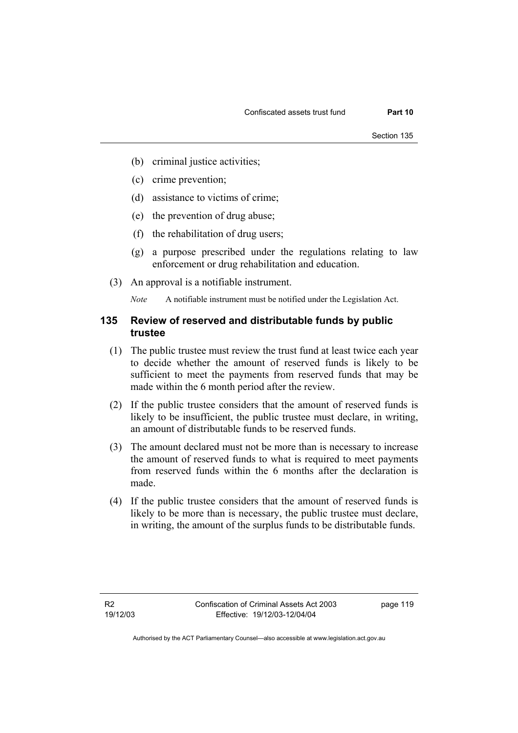- (b) criminal justice activities;
- (c) crime prevention;
- (d) assistance to victims of crime;
- (e) the prevention of drug abuse;
- (f) the rehabilitation of drug users;
- (g) a purpose prescribed under the regulations relating to law enforcement or drug rehabilitation and education.
- (3) An approval is a notifiable instrument.

*Note* A notifiable instrument must be notified under the Legislation Act.

## **135 Review of reserved and distributable funds by public trustee**

- (1) The public trustee must review the trust fund at least twice each year to decide whether the amount of reserved funds is likely to be sufficient to meet the payments from reserved funds that may be made within the 6 month period after the review.
- (2) If the public trustee considers that the amount of reserved funds is likely to be insufficient, the public trustee must declare, in writing, an amount of distributable funds to be reserved funds.
- (3) The amount declared must not be more than is necessary to increase the amount of reserved funds to what is required to meet payments from reserved funds within the 6 months after the declaration is made.
- (4) If the public trustee considers that the amount of reserved funds is likely to be more than is necessary, the public trustee must declare, in writing, the amount of the surplus funds to be distributable funds.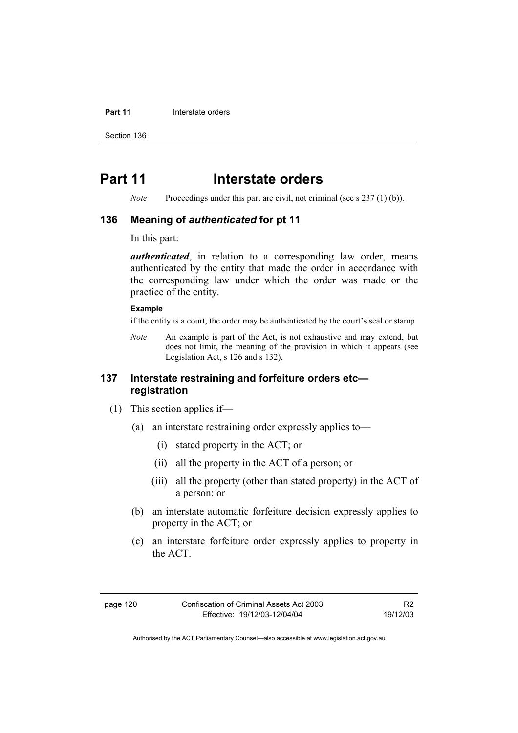#### **Part 11 Interstate orders**

Section 136

## **Part 11** Interstate orders

*Note* Proceedings under this part are civil, not criminal (see s 237 (1) (b)).

### **136 Meaning of** *authenticated* **for pt 11**

In this part:

*authenticated*, in relation to a corresponding law order, means authenticated by the entity that made the order in accordance with the corresponding law under which the order was made or the practice of the entity.

#### **Example**

if the entity is a court, the order may be authenticated by the court's seal or stamp

*Note* An example is part of the Act, is not exhaustive and may extend, but does not limit, the meaning of the provision in which it appears (see Legislation Act, s 126 and s 132).

## **137 Interstate restraining and forfeiture orders etc registration**

- (1) This section applies if—
	- (a) an interstate restraining order expressly applies to—
		- (i) stated property in the ACT; or
		- (ii) all the property in the ACT of a person; or
		- (iii) all the property (other than stated property) in the ACT of a person; or
	- (b) an interstate automatic forfeiture decision expressly applies to property in the ACT; or
	- (c) an interstate forfeiture order expressly applies to property in the ACT.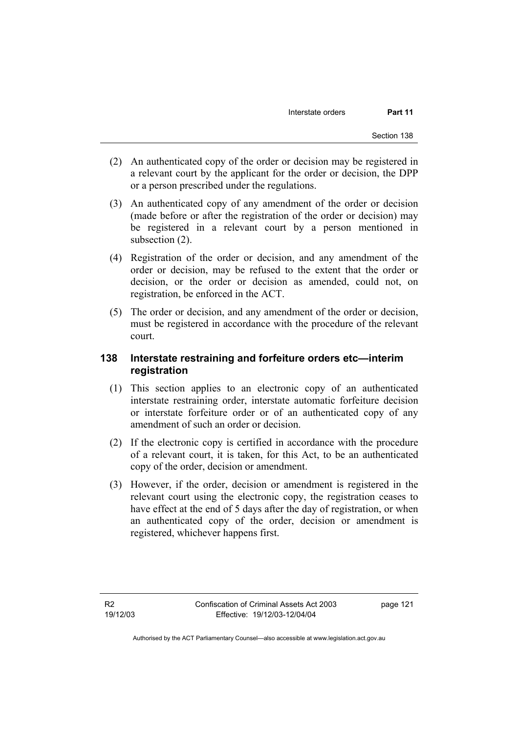- (2) An authenticated copy of the order or decision may be registered in a relevant court by the applicant for the order or decision, the DPP or a person prescribed under the regulations.
- (3) An authenticated copy of any amendment of the order or decision (made before or after the registration of the order or decision) may be registered in a relevant court by a person mentioned in subsection (2).
- (4) Registration of the order or decision, and any amendment of the order or decision, may be refused to the extent that the order or decision, or the order or decision as amended, could not, on registration, be enforced in the ACT.
- (5) The order or decision, and any amendment of the order or decision, must be registered in accordance with the procedure of the relevant court.

## **138 Interstate restraining and forfeiture orders etc—interim registration**

- (1) This section applies to an electronic copy of an authenticated interstate restraining order, interstate automatic forfeiture decision or interstate forfeiture order or of an authenticated copy of any amendment of such an order or decision.
- (2) If the electronic copy is certified in accordance with the procedure of a relevant court, it is taken, for this Act, to be an authenticated copy of the order, decision or amendment.
- (3) However, if the order, decision or amendment is registered in the relevant court using the electronic copy, the registration ceases to have effect at the end of 5 days after the day of registration, or when an authenticated copy of the order, decision or amendment is registered, whichever happens first.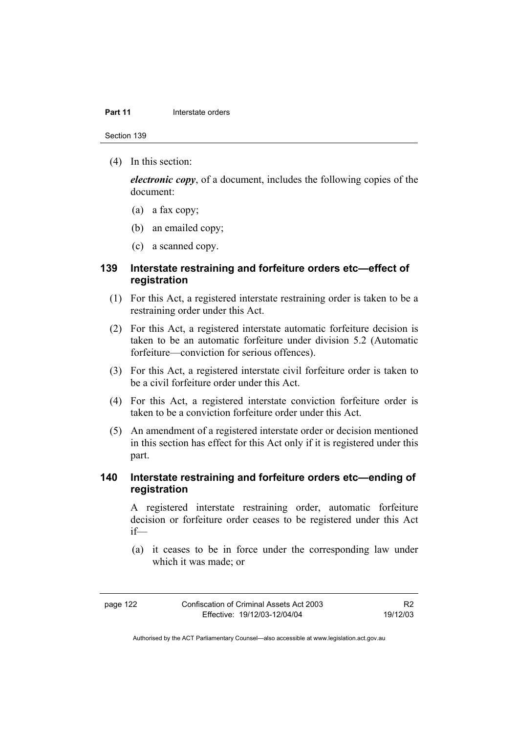#### **Part 11 Interstate orders**

Section 139

(4) In this section:

*electronic copy*, of a document, includes the following copies of the document:

- (a) a fax copy;
- (b) an emailed copy;
- (c) a scanned copy.

## **139 Interstate restraining and forfeiture orders etc—effect of registration**

- (1) For this Act, a registered interstate restraining order is taken to be a restraining order under this Act.
- (2) For this Act, a registered interstate automatic forfeiture decision is taken to be an automatic forfeiture under division 5.2 (Automatic forfeiture—conviction for serious offences).
- (3) For this Act, a registered interstate civil forfeiture order is taken to be a civil forfeiture order under this Act.
- (4) For this Act, a registered interstate conviction forfeiture order is taken to be a conviction forfeiture order under this Act.
- (5) An amendment of a registered interstate order or decision mentioned in this section has effect for this Act only if it is registered under this part.

## **140 Interstate restraining and forfeiture orders etc—ending of registration**

A registered interstate restraining order, automatic forfeiture decision or forfeiture order ceases to be registered under this Act if—

 (a) it ceases to be in force under the corresponding law under which it was made; or

| page |  |
|------|--|
|------|--|

R2 19/12/03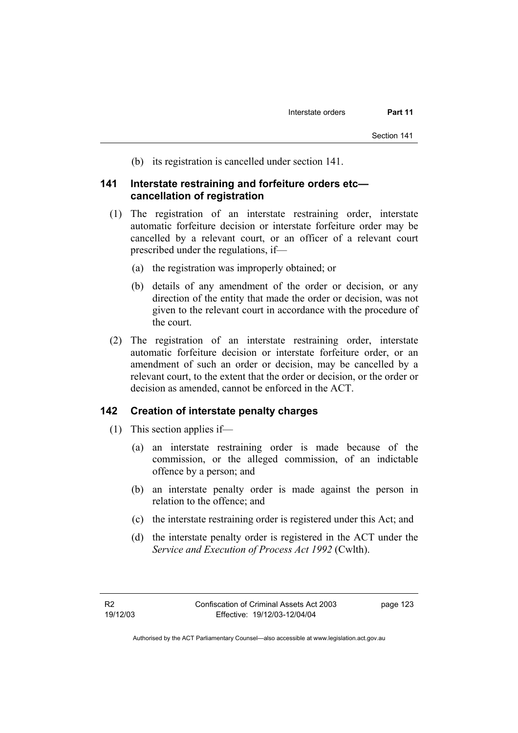(b) its registration is cancelled under section 141.

### **141 Interstate restraining and forfeiture orders etc cancellation of registration**

- (1) The registration of an interstate restraining order, interstate automatic forfeiture decision or interstate forfeiture order may be cancelled by a relevant court, or an officer of a relevant court prescribed under the regulations, if—
	- (a) the registration was improperly obtained; or
	- (b) details of any amendment of the order or decision, or any direction of the entity that made the order or decision, was not given to the relevant court in accordance with the procedure of the court.
- (2) The registration of an interstate restraining order, interstate automatic forfeiture decision or interstate forfeiture order, or an amendment of such an order or decision, may be cancelled by a relevant court, to the extent that the order or decision, or the order or decision as amended, cannot be enforced in the ACT.

#### **142 Creation of interstate penalty charges**

- (1) This section applies if—
	- (a) an interstate restraining order is made because of the commission, or the alleged commission, of an indictable offence by a person; and
	- (b) an interstate penalty order is made against the person in relation to the offence; and
	- (c) the interstate restraining order is registered under this Act; and
	- (d) the interstate penalty order is registered in the ACT under the *Service and Execution of Process Act 1992* (Cwlth).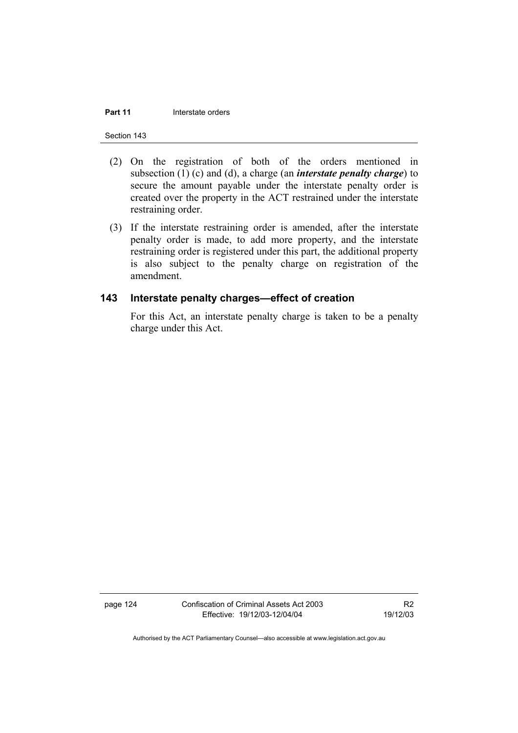#### **Part 11 Interstate orders**

Section 143

- (2) On the registration of both of the orders mentioned in subsection (1) (c) and (d), a charge (an *interstate penalty charge*) to secure the amount payable under the interstate penalty order is created over the property in the ACT restrained under the interstate restraining order.
- (3) If the interstate restraining order is amended, after the interstate penalty order is made, to add more property, and the interstate restraining order is registered under this part, the additional property is also subject to the penalty charge on registration of the amendment.

### **143 Interstate penalty charges—effect of creation**

For this Act, an interstate penalty charge is taken to be a penalty charge under this Act.

page 124 Confiscation of Criminal Assets Act 2003 Effective: 19/12/03-12/04/04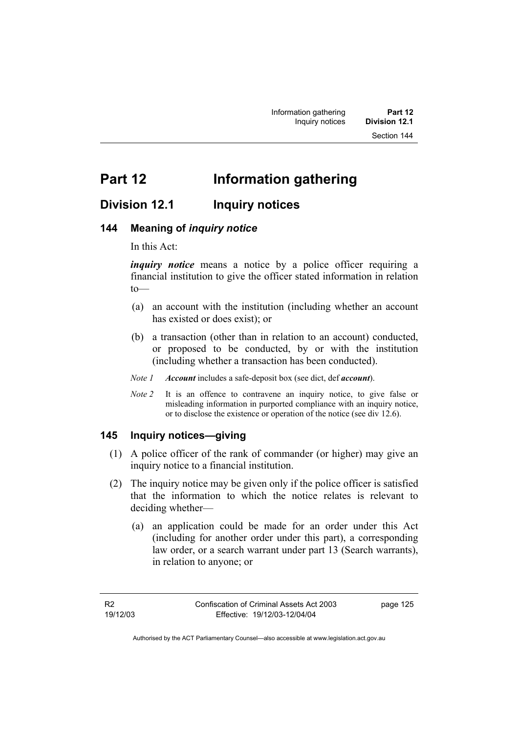# **Part 12 Information gathering**

## **Division 12.1 Inquiry notices**

## **144 Meaning of** *inquiry notice*

In this Act:

*inquiry notice* means a notice by a police officer requiring a financial institution to give the officer stated information in relation to—

- (a) an account with the institution (including whether an account has existed or does exist); or
- (b) a transaction (other than in relation to an account) conducted, or proposed to be conducted, by or with the institution (including whether a transaction has been conducted).
- *Note 1 Account* includes a safe-deposit box (see dict, def *account*).
- *Note 2* It is an offence to contravene an inquiry notice, to give false or misleading information in purported compliance with an inquiry notice, or to disclose the existence or operation of the notice (see div 12.6).

## **145 Inquiry notices—giving**

- (1) A police officer of the rank of commander (or higher) may give an inquiry notice to a financial institution.
- (2) The inquiry notice may be given only if the police officer is satisfied that the information to which the notice relates is relevant to deciding whether—
	- (a) an application could be made for an order under this Act (including for another order under this part), a corresponding law order, or a search warrant under part 13 (Search warrants), in relation to anyone; or

page 125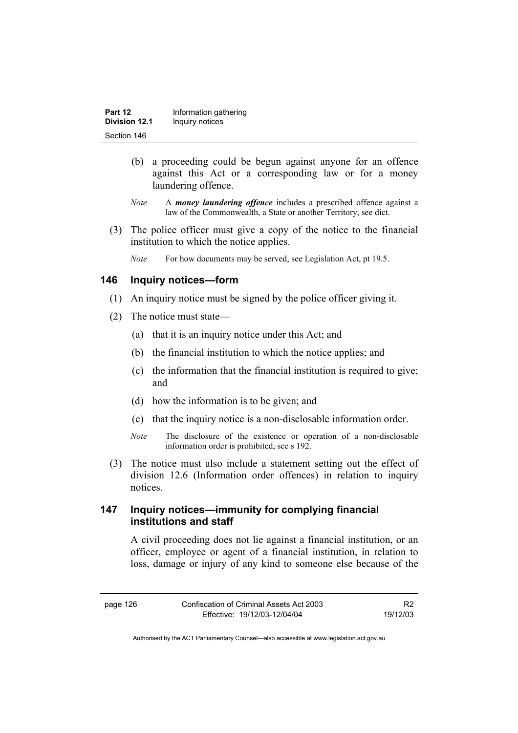| Part 12              | Information gathering |
|----------------------|-----------------------|
| <b>Division 12.1</b> | Inquiry notices       |
| Section 146          |                       |

- (b) a proceeding could be begun against anyone for an offence against this Act or a corresponding law or for a money laundering offence.
- *Note* A *money laundering offence* includes a prescribed offence against a law of the Commonwealth, a State or another Territory, see dict.
- (3) The police officer must give a copy of the notice to the financial institution to which the notice applies.
	- *Note* For how documents may be served, see Legislation Act, pt 19.5.

## **146 Inquiry notices—form**

- (1) An inquiry notice must be signed by the police officer giving it.
- (2) The notice must state—
	- (a) that it is an inquiry notice under this Act; and
	- (b) the financial institution to which the notice applies; and
	- (c) the information that the financial institution is required to give; and
	- (d) how the information is to be given; and
	- (e) that the inquiry notice is a non-disclosable information order.
	- *Note* The disclosure of the existence or operation of a non-disclosable information order is prohibited, see s 192.
- (3) The notice must also include a statement setting out the effect of division 12.6 (Information order offences) in relation to inquiry notices.

## **147 Inquiry notices—immunity for complying financial institutions and staff**

A civil proceeding does not lie against a financial institution, or an officer, employee or agent of a financial institution, in relation to loss, damage or injury of any kind to someone else because of the

R2 19/12/03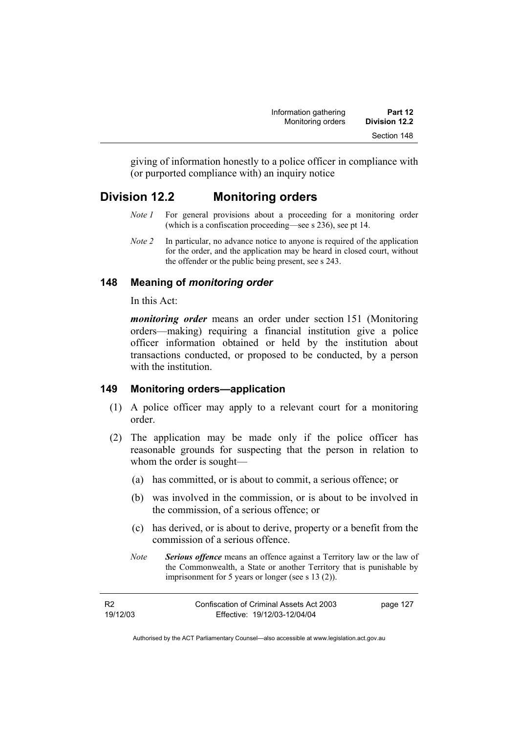giving of information honestly to a police officer in compliance with (or purported compliance with) an inquiry notice

## **Division 12.2 Monitoring orders**

- *Note 1* For general provisions about a proceeding for a monitoring order (which is a confiscation proceeding—see s 236), see pt 14.
- *Note 2* In particular, no advance notice to anyone is required of the application for the order, and the application may be heard in closed court, without the offender or the public being present, see s 243.

## **148 Meaning of** *monitoring order*

In this Act:

*monitoring order* means an order under section 151 (Monitoring orders—making) requiring a financial institution give a police officer information obtained or held by the institution about transactions conducted, or proposed to be conducted, by a person with the institution

## **149 Monitoring orders—application**

- (1) A police officer may apply to a relevant court for a monitoring order.
- (2) The application may be made only if the police officer has reasonable grounds for suspecting that the person in relation to whom the order is sought—
	- (a) has committed, or is about to commit, a serious offence; or
	- (b) was involved in the commission, or is about to be involved in the commission, of a serious offence; or
	- (c) has derived, or is about to derive, property or a benefit from the commission of a serious offence.
	- *Note Serious offence* means an offence against a Territory law or the law of the Commonwealth, a State or another Territory that is punishable by imprisonment for 5 years or longer (see s 13 (2)).

| <b>R2</b> | Confiscation of Criminal Assets Act 2003 | page 127 |
|-----------|------------------------------------------|----------|
| 19/12/03  | Effective: 19/12/03-12/04/04             |          |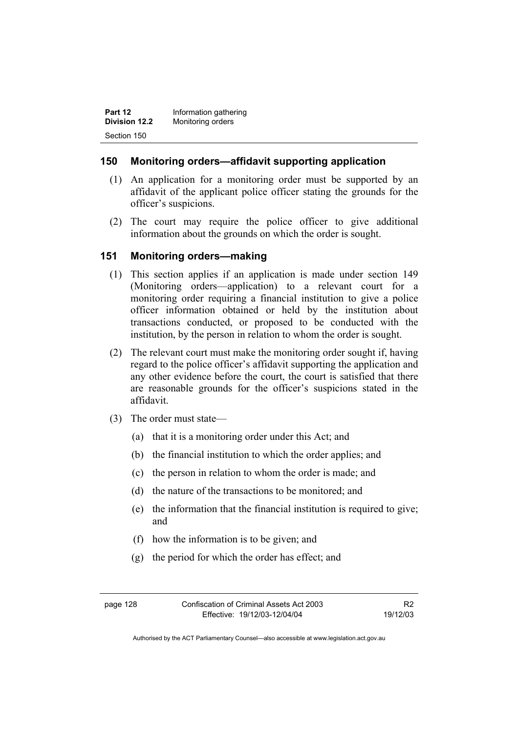| Part 12              | Information gathering |
|----------------------|-----------------------|
| <b>Division 12.2</b> | Monitoring orders     |
| Section 150          |                       |

## **150 Monitoring orders—affidavit supporting application**

- (1) An application for a monitoring order must be supported by an affidavit of the applicant police officer stating the grounds for the officer's suspicions.
- (2) The court may require the police officer to give additional information about the grounds on which the order is sought.

## **151 Monitoring orders—making**

- (1) This section applies if an application is made under section 149 (Monitoring orders—application) to a relevant court for a monitoring order requiring a financial institution to give a police officer information obtained or held by the institution about transactions conducted, or proposed to be conducted with the institution, by the person in relation to whom the order is sought.
- (2) The relevant court must make the monitoring order sought if, having regard to the police officer's affidavit supporting the application and any other evidence before the court, the court is satisfied that there are reasonable grounds for the officer's suspicions stated in the affidavit.
- (3) The order must state—
	- (a) that it is a monitoring order under this Act; and
	- (b) the financial institution to which the order applies; and
	- (c) the person in relation to whom the order is made; and
	- (d) the nature of the transactions to be monitored; and
	- (e) the information that the financial institution is required to give; and
	- (f) how the information is to be given; and
	- (g) the period for which the order has effect; and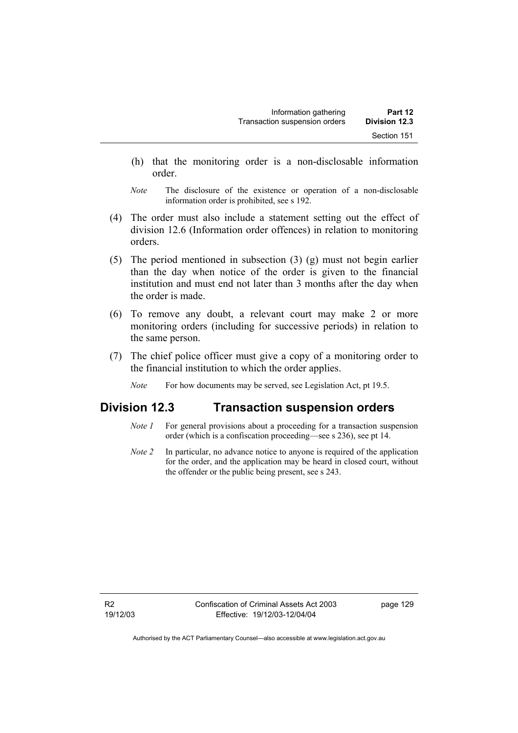- (h) that the monitoring order is a non-disclosable information order.
- *Note* The disclosure of the existence or operation of a non-disclosable information order is prohibited, see s 192.
- (4) The order must also include a statement setting out the effect of division 12.6 (Information order offences) in relation to monitoring orders.
- (5) The period mentioned in subsection (3) (g) must not begin earlier than the day when notice of the order is given to the financial institution and must end not later than 3 months after the day when the order is made.
- (6) To remove any doubt, a relevant court may make 2 or more monitoring orders (including for successive periods) in relation to the same person.
- (7) The chief police officer must give a copy of a monitoring order to the financial institution to which the order applies.
	- *Note* For how documents may be served, see Legislation Act, pt 19.5.

# **Division 12.3 Transaction suspension orders**

- *Note 1* For general provisions about a proceeding for a transaction suspension order (which is a confiscation proceeding—see s 236), see pt 14.
- *Note 2* In particular, no advance notice to anyone is required of the application for the order, and the application may be heard in closed court, without the offender or the public being present, see s 243.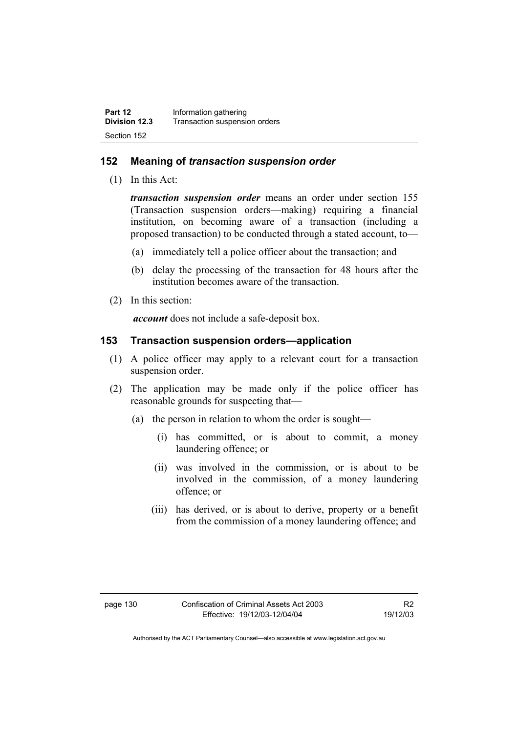#### **152 Meaning of** *transaction suspension order*

(1) In this Act:

*transaction suspension order* means an order under section 155 (Transaction suspension orders—making) requiring a financial institution, on becoming aware of a transaction (including a proposed transaction) to be conducted through a stated account, to—

- (a) immediately tell a police officer about the transaction; and
- (b) delay the processing of the transaction for 48 hours after the institution becomes aware of the transaction.
- (2) In this section:

*account* does not include a safe-deposit box.

#### **153 Transaction suspension orders—application**

- (1) A police officer may apply to a relevant court for a transaction suspension order.
- (2) The application may be made only if the police officer has reasonable grounds for suspecting that—
	- (a) the person in relation to whom the order is sought—
		- (i) has committed, or is about to commit, a money laundering offence; or
		- (ii) was involved in the commission, or is about to be involved in the commission, of a money laundering offence; or
		- (iii) has derived, or is about to derive, property or a benefit from the commission of a money laundering offence; and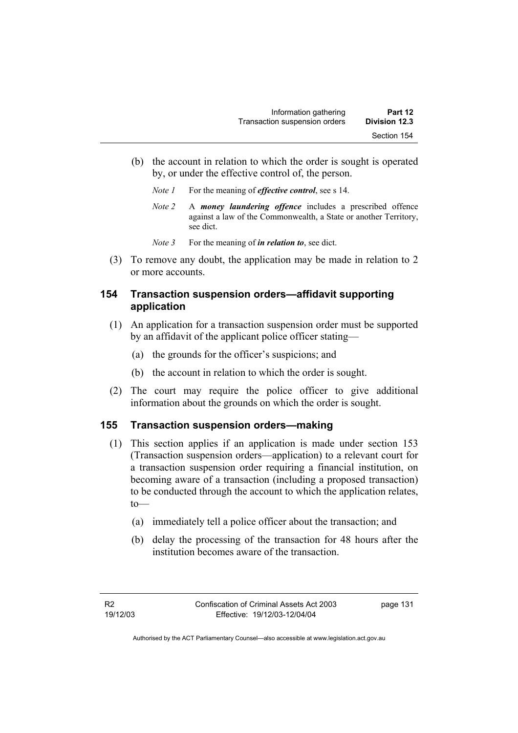- (b) the account in relation to which the order is sought is operated by, or under the effective control of, the person.
	- *Note 1* For the meaning of *effective control*, see s 14.
	- *Note 2* A *money laundering offence* includes a prescribed offence against a law of the Commonwealth, a State or another Territory, see dict.
	- *Note* 3 For the meaning of *in relation to*, see dict.
- (3) To remove any doubt, the application may be made in relation to 2 or more accounts.

## **154 Transaction suspension orders—affidavit supporting application**

- (1) An application for a transaction suspension order must be supported by an affidavit of the applicant police officer stating—
	- (a) the grounds for the officer's suspicions; and
	- (b) the account in relation to which the order is sought.
- (2) The court may require the police officer to give additional information about the grounds on which the order is sought.

#### **155 Transaction suspension orders—making**

- (1) This section applies if an application is made under section 153 (Transaction suspension orders—application) to a relevant court for a transaction suspension order requiring a financial institution, on becoming aware of a transaction (including a proposed transaction) to be conducted through the account to which the application relates, to—
	- (a) immediately tell a police officer about the transaction; and
	- (b) delay the processing of the transaction for 48 hours after the institution becomes aware of the transaction.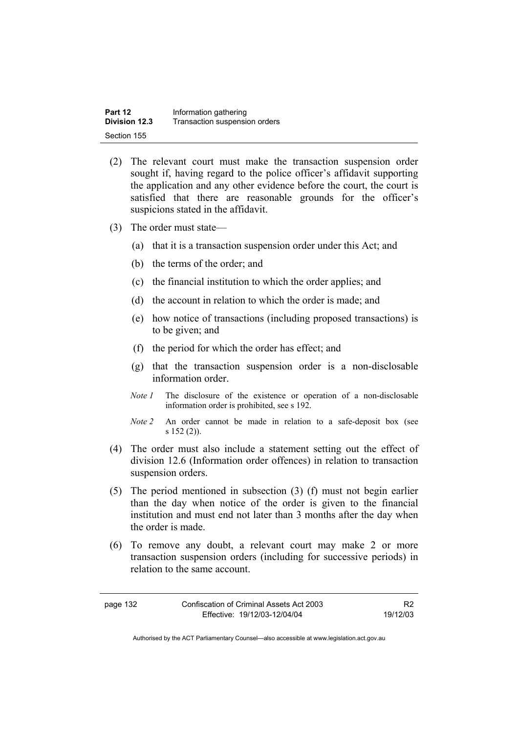| Part 12              | Information gathering         |
|----------------------|-------------------------------|
| <b>Division 12.3</b> | Transaction suspension orders |
| Section 155          |                               |

- (2) The relevant court must make the transaction suspension order sought if, having regard to the police officer's affidavit supporting the application and any other evidence before the court, the court is satisfied that there are reasonable grounds for the officer's suspicions stated in the affidavit.
- (3) The order must state—
	- (a) that it is a transaction suspension order under this Act; and
	- (b) the terms of the order; and
	- (c) the financial institution to which the order applies; and
	- (d) the account in relation to which the order is made; and
	- (e) how notice of transactions (including proposed transactions) is to be given; and
	- (f) the period for which the order has effect; and
	- (g) that the transaction suspension order is a non-disclosable information order.
	- *Note 1* The disclosure of the existence or operation of a non-disclosable information order is prohibited, see s 192.
	- *Note 2* An order cannot be made in relation to a safe-deposit box (see s 152 (2)).
- (4) The order must also include a statement setting out the effect of division 12.6 (Information order offences) in relation to transaction suspension orders.
- (5) The period mentioned in subsection (3) (f) must not begin earlier than the day when notice of the order is given to the financial institution and must end not later than 3 months after the day when the order is made.
- (6) To remove any doubt, a relevant court may make 2 or more transaction suspension orders (including for successive periods) in relation to the same account.

| page 132 | Confiscation of Criminal Assets Act 2003 | R <sub>2</sub> |
|----------|------------------------------------------|----------------|
|          | Effective: 19/12/03-12/04/04             | 19/12/03       |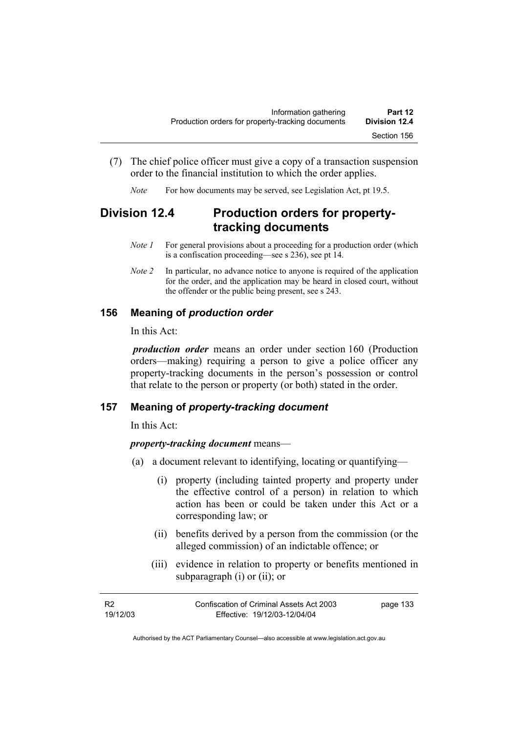- (7) The chief police officer must give a copy of a transaction suspension order to the financial institution to which the order applies.
	- *Note* For how documents may be served, see Legislation Act, pt 19.5.

# **Division 12.4 Production orders for propertytracking documents**

- *Note 1* For general provisions about a proceeding for a production order (which is a confiscation proceeding—see s 236), see pt 14.
- *Note 2* In particular, no advance notice to anyone is required of the application for the order, and the application may be heard in closed court, without the offender or the public being present, see s 243.

## **156 Meaning of** *production order*

In this Act:

*production order* means an order under section 160 (Production orders—making) requiring a person to give a police officer any property-tracking documents in the person's possession or control that relate to the person or property (or both) stated in the order.

## **157 Meaning of** *property-tracking document*

In this Act:

#### *property-tracking document* means—

- (a) a document relevant to identifying, locating or quantifying—
	- (i) property (including tainted property and property under the effective control of a person) in relation to which action has been or could be taken under this Act or a corresponding law; or
	- (ii) benefits derived by a person from the commission (or the alleged commission) of an indictable offence; or
	- (iii) evidence in relation to property or benefits mentioned in subparagraph (i) or (ii); or

| - R2     | Confiscation of Criminal Assets Act 2003 | page 133 |
|----------|------------------------------------------|----------|
| 19/12/03 | Effective: 19/12/03-12/04/04             |          |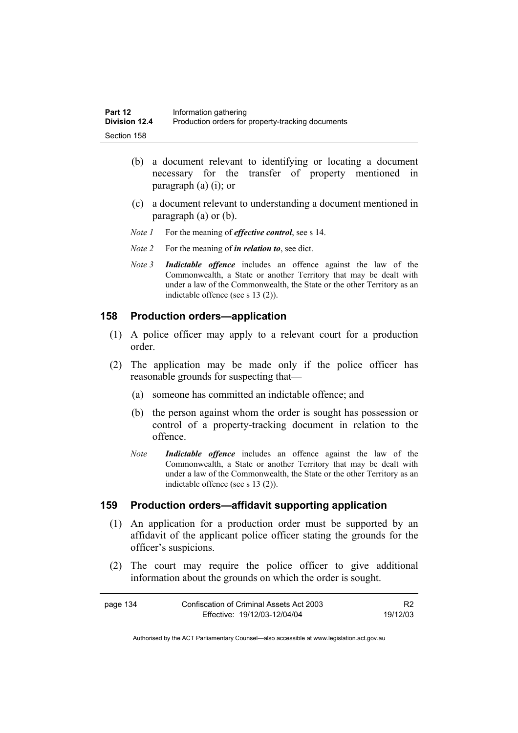- (b) a document relevant to identifying or locating a document necessary for the transfer of property mentioned in paragraph (a) (i); or
- (c) a document relevant to understanding a document mentioned in paragraph (a) or (b).
- *Note 1* For the meaning of *effective control*, see s 14.
- *Note 2* For the meaning of *in relation to*, see dict.
- *Note 3 Indictable offence* includes an offence against the law of the Commonwealth, a State or another Territory that may be dealt with under a law of the Commonwealth, the State or the other Territory as an indictable offence (see s 13 (2)).

#### **158 Production orders—application**

- (1) A police officer may apply to a relevant court for a production order.
- (2) The application may be made only if the police officer has reasonable grounds for suspecting that—
	- (a) someone has committed an indictable offence; and
	- (b) the person against whom the order is sought has possession or control of a property-tracking document in relation to the offence.
	- *Note Indictable offence* includes an offence against the law of the Commonwealth, a State or another Territory that may be dealt with under a law of the Commonwealth, the State or the other Territory as an indictable offence (see s 13 (2)).

#### **159 Production orders—affidavit supporting application**

- (1) An application for a production order must be supported by an affidavit of the applicant police officer stating the grounds for the officer's suspicions.
- (2) The court may require the police officer to give additional information about the grounds on which the order is sought.

| page 134 | Confiscation of Criminal Assets Act 2003 |          |
|----------|------------------------------------------|----------|
|          | Effective: 19/12/03-12/04/04             | 19/12/03 |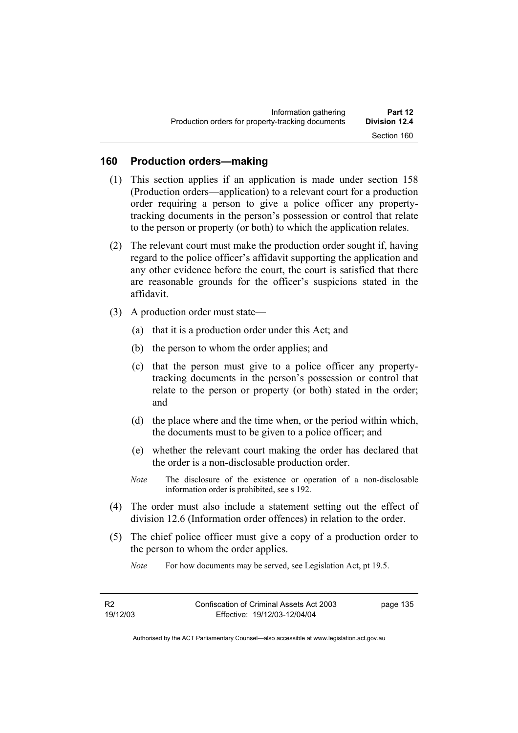## **160 Production orders—making**

- (1) This section applies if an application is made under section 158 (Production orders—application) to a relevant court for a production order requiring a person to give a police officer any propertytracking documents in the person's possession or control that relate to the person or property (or both) to which the application relates.
- (2) The relevant court must make the production order sought if, having regard to the police officer's affidavit supporting the application and any other evidence before the court, the court is satisfied that there are reasonable grounds for the officer's suspicions stated in the affidavit.
- (3) A production order must state—
	- (a) that it is a production order under this Act; and
	- (b) the person to whom the order applies; and
	- (c) that the person must give to a police officer any propertytracking documents in the person's possession or control that relate to the person or property (or both) stated in the order; and
	- (d) the place where and the time when, or the period within which, the documents must to be given to a police officer; and
	- (e) whether the relevant court making the order has declared that the order is a non-disclosable production order.
	- *Note* The disclosure of the existence or operation of a non-disclosable information order is prohibited, see s 192.
- (4) The order must also include a statement setting out the effect of division 12.6 (Information order offences) in relation to the order.
- (5) The chief police officer must give a copy of a production order to the person to whom the order applies.
	- *Note* For how documents may be served, see Legislation Act, pt 19.5.

page 135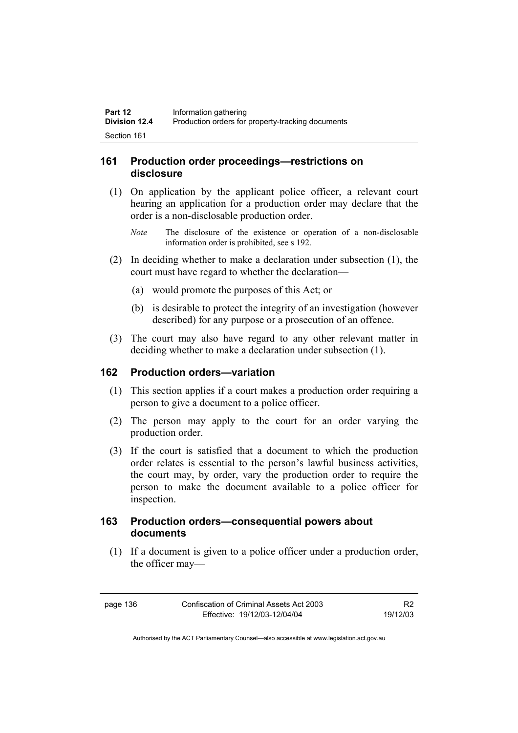### **161 Production order proceedings—restrictions on disclosure**

- (1) On application by the applicant police officer, a relevant court hearing an application for a production order may declare that the order is a non-disclosable production order.
	- *Note* The disclosure of the existence or operation of a non-disclosable information order is prohibited, see s 192.
- (2) In deciding whether to make a declaration under subsection (1), the court must have regard to whether the declaration—
	- (a) would promote the purposes of this Act; or
	- (b) is desirable to protect the integrity of an investigation (however described) for any purpose or a prosecution of an offence.
- (3) The court may also have regard to any other relevant matter in deciding whether to make a declaration under subsection (1).

#### **162 Production orders—variation**

- (1) This section applies if a court makes a production order requiring a person to give a document to a police officer.
- (2) The person may apply to the court for an order varying the production order.
- (3) If the court is satisfied that a document to which the production order relates is essential to the person's lawful business activities, the court may, by order, vary the production order to require the person to make the document available to a police officer for inspection.

## **163 Production orders—consequential powers about documents**

 (1) If a document is given to a police officer under a production order, the officer may—

page 136 Confiscation of Criminal Assets Act 2003 Effective: 19/12/03-12/04/04

R2 19/12/03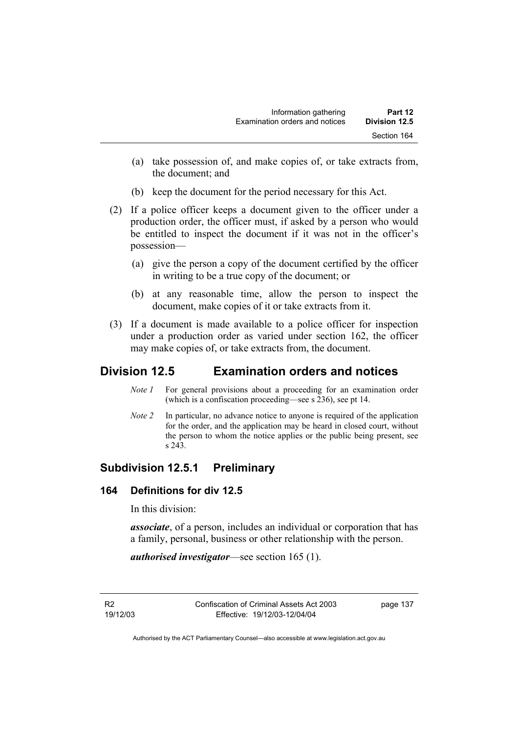- (a) take possession of, and make copies of, or take extracts from, the document; and
- (b) keep the document for the period necessary for this Act.
- (2) If a police officer keeps a document given to the officer under a production order, the officer must, if asked by a person who would be entitled to inspect the document if it was not in the officer's possession—
	- (a) give the person a copy of the document certified by the officer in writing to be a true copy of the document; or
	- (b) at any reasonable time, allow the person to inspect the document, make copies of it or take extracts from it.
- (3) If a document is made available to a police officer for inspection under a production order as varied under section 162, the officer may make copies of, or take extracts from, the document.

# **Division 12.5 Examination orders and notices**

- *Note 1* For general provisions about a proceeding for an examination order (which is a confiscation proceeding—see s 236), see pt 14.
- *Note 2* In particular, no advance notice to anyone is required of the application for the order, and the application may be heard in closed court, without the person to whom the notice applies or the public being present, see s 243.

# **Subdivision 12.5.1 Preliminary**

## **164 Definitions for div 12.5**

In this division:

*associate*, of a person, includes an individual or corporation that has a family, personal, business or other relationship with the person.

*authorised investigator*—see section 165 (1).

R2 19/12/03 Confiscation of Criminal Assets Act 2003 Effective: 19/12/03-12/04/04

page 137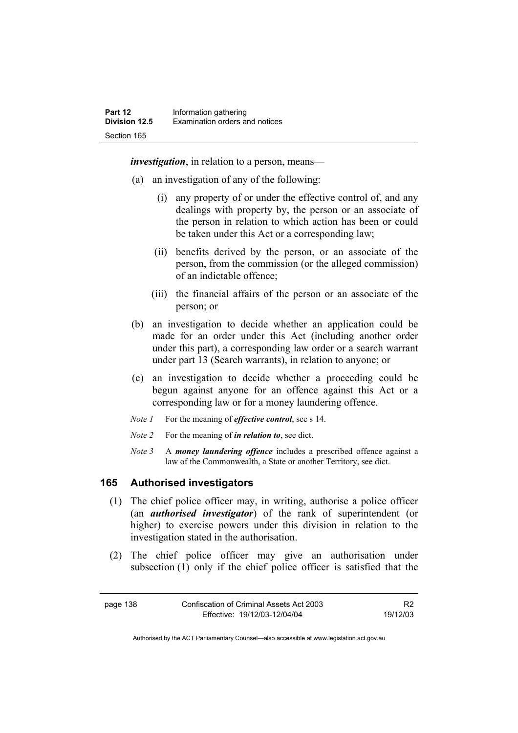*investigation*, in relation to a person, means—

- (a) an investigation of any of the following:
	- (i) any property of or under the effective control of, and any dealings with property by, the person or an associate of the person in relation to which action has been or could be taken under this Act or a corresponding law;
	- (ii) benefits derived by the person, or an associate of the person, from the commission (or the alleged commission) of an indictable offence;
	- (iii) the financial affairs of the person or an associate of the person; or
- (b) an investigation to decide whether an application could be made for an order under this Act (including another order under this part), a corresponding law order or a search warrant under part 13 (Search warrants), in relation to anyone; or
- (c) an investigation to decide whether a proceeding could be begun against anyone for an offence against this Act or a corresponding law or for a money laundering offence.
- *Note 1* For the meaning of *effective control*, see s 14.
- *Note 2* For the meaning of *in relation to*, see dict.
- *Note 3* A *money laundering offence* includes a prescribed offence against a law of the Commonwealth, a State or another Territory, see dict.

### **165 Authorised investigators**

- (1) The chief police officer may, in writing, authorise a police officer (an *authorised investigator*) of the rank of superintendent (or higher) to exercise powers under this division in relation to the investigation stated in the authorisation.
- (2) The chief police officer may give an authorisation under subsection (1) only if the chief police officer is satisfied that the

page 138 Confiscation of Criminal Assets Act 2003 Effective: 19/12/03-12/04/04 R2 19/12/03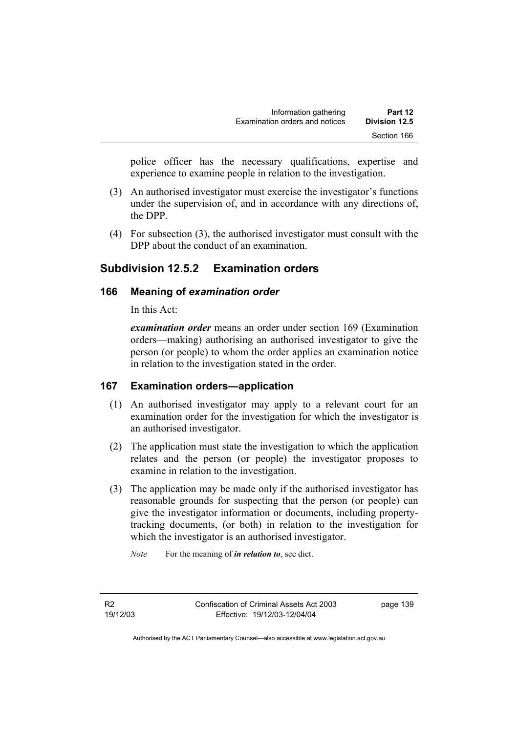police officer has the necessary qualifications, expertise and experience to examine people in relation to the investigation.

- (3) An authorised investigator must exercise the investigator's functions under the supervision of, and in accordance with any directions of, the DPP.
- (4) For subsection (3), the authorised investigator must consult with the DPP about the conduct of an examination.

# **Subdivision 12.5.2 Examination orders**

### **166 Meaning of** *examination order*

In this Act:

*examination order* means an order under section 169 (Examination orders—making) authorising an authorised investigator to give the person (or people) to whom the order applies an examination notice in relation to the investigation stated in the order.

## **167 Examination orders—application**

- (1) An authorised investigator may apply to a relevant court for an examination order for the investigation for which the investigator is an authorised investigator.
- (2) The application must state the investigation to which the application relates and the person (or people) the investigator proposes to examine in relation to the investigation.
- (3) The application may be made only if the authorised investigator has reasonable grounds for suspecting that the person (or people) can give the investigator information or documents, including propertytracking documents, (or both) in relation to the investigation for which the investigator is an authorised investigator.

*Note* For the meaning of *in relation to*, see dict.

R2 19/12/03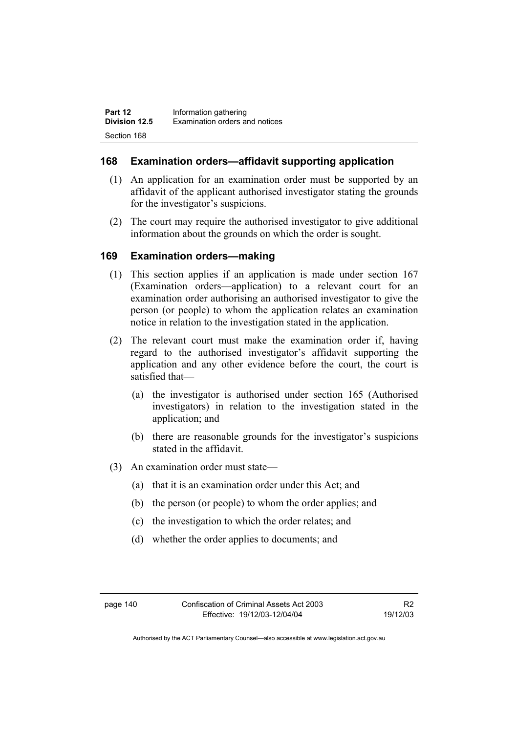### **168 Examination orders—affidavit supporting application**

- (1) An application for an examination order must be supported by an affidavit of the applicant authorised investigator stating the grounds for the investigator's suspicions.
- (2) The court may require the authorised investigator to give additional information about the grounds on which the order is sought.

### **169 Examination orders—making**

- (1) This section applies if an application is made under section 167 (Examination orders—application) to a relevant court for an examination order authorising an authorised investigator to give the person (or people) to whom the application relates an examination notice in relation to the investigation stated in the application.
- (2) The relevant court must make the examination order if, having regard to the authorised investigator's affidavit supporting the application and any other evidence before the court, the court is satisfied that—
	- (a) the investigator is authorised under section 165 (Authorised investigators) in relation to the investigation stated in the application; and
	- (b) there are reasonable grounds for the investigator's suspicions stated in the affidavit.
- (3) An examination order must state—
	- (a) that it is an examination order under this Act; and
	- (b) the person (or people) to whom the order applies; and
	- (c) the investigation to which the order relates; and
	- (d) whether the order applies to documents; and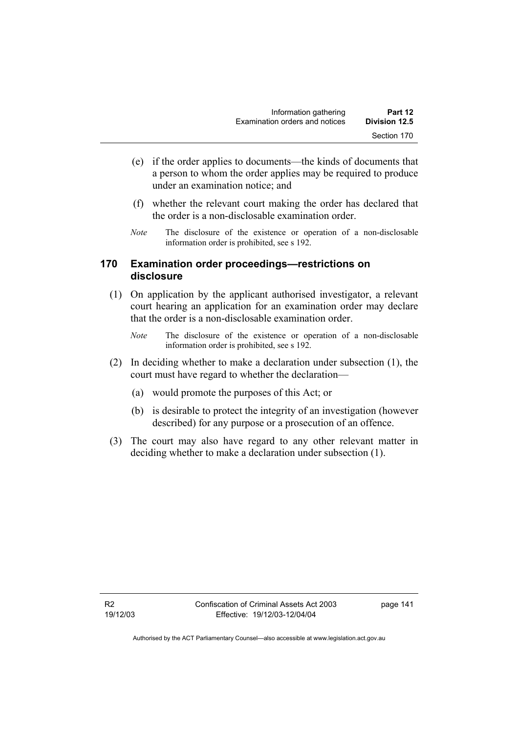- (e) if the order applies to documents—the kinds of documents that a person to whom the order applies may be required to produce under an examination notice; and
- (f) whether the relevant court making the order has declared that the order is a non-disclosable examination order.
- *Note* The disclosure of the existence or operation of a non-disclosable information order is prohibited, see s 192.

### **170 Examination order proceedings—restrictions on disclosure**

- (1) On application by the applicant authorised investigator, a relevant court hearing an application for an examination order may declare that the order is a non-disclosable examination order.
	- *Note* The disclosure of the existence or operation of a non-disclosable information order is prohibited, see s 192.
- (2) In deciding whether to make a declaration under subsection (1), the court must have regard to whether the declaration—
	- (a) would promote the purposes of this Act; or
	- (b) is desirable to protect the integrity of an investigation (however described) for any purpose or a prosecution of an offence.
- (3) The court may also have regard to any other relevant matter in deciding whether to make a declaration under subsection (1).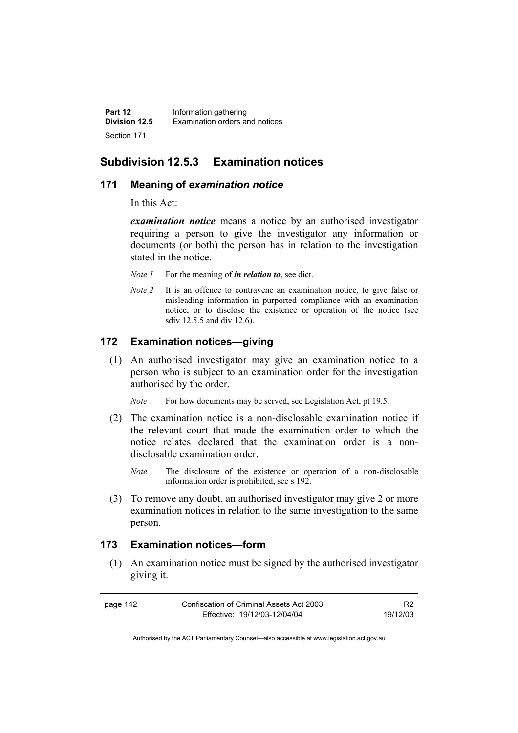# **Subdivision 12.5.3 Examination notices**

### **171 Meaning of** *examination notice*

In this Act:

*examination notice* means a notice by an authorised investigator requiring a person to give the investigator any information or documents (or both) the person has in relation to the investigation stated in the notice.

- *Note 1* For the meaning of *in relation to*, see dict.
- *Note 2* It is an offence to contravene an examination notice, to give false or misleading information in purported compliance with an examination notice, or to disclose the existence or operation of the notice (see sdiv 12.5.5 and div 12.6).

## **172 Examination notices—giving**

 (1) An authorised investigator may give an examination notice to a person who is subject to an examination order for the investigation authorised by the order.

*Note* For how documents may be served, see Legislation Act, pt 19.5.

- (2) The examination notice is a non-disclosable examination notice if the relevant court that made the examination order to which the notice relates declared that the examination order is a nondisclosable examination order.
	- *Note* The disclosure of the existence or operation of a non-disclosable information order is prohibited, see s 192.
- (3) To remove any doubt, an authorised investigator may give 2 or more examination notices in relation to the same investigation to the same person.

#### **173 Examination notices—form**

 (1) An examination notice must be signed by the authorised investigator giving it.

| page 142 | Confiscation of Criminal Assets Act 2003 |          |
|----------|------------------------------------------|----------|
|          | Effective: 19/12/03-12/04/04             | 19/12/03 |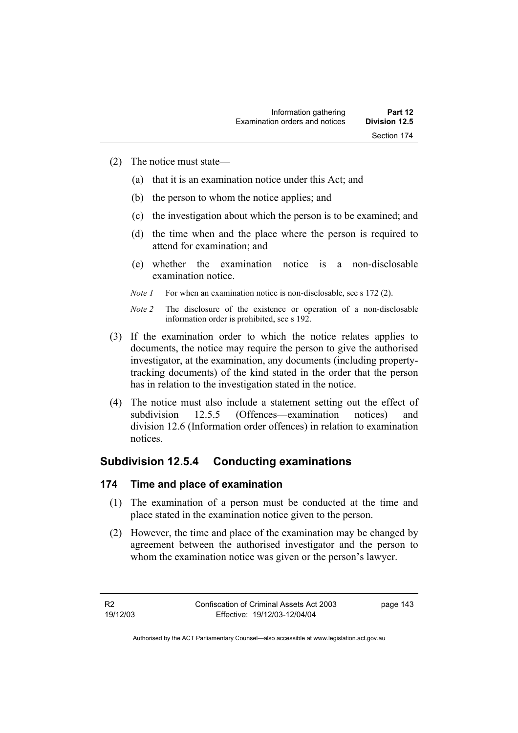- (2) The notice must state—
	- (a) that it is an examination notice under this Act; and
	- (b) the person to whom the notice applies; and
	- (c) the investigation about which the person is to be examined; and
	- (d) the time when and the place where the person is required to attend for examination; and
	- (e) whether the examination notice is a non-disclosable examination notice.
	- *Note 1* For when an examination notice is non-disclosable, see s 172 (2).
	- *Note 2* The disclosure of the existence or operation of a non-disclosable information order is prohibited, see s 192.
- (3) If the examination order to which the notice relates applies to documents, the notice may require the person to give the authorised investigator, at the examination, any documents (including propertytracking documents) of the kind stated in the order that the person has in relation to the investigation stated in the notice.
- (4) The notice must also include a statement setting out the effect of subdivision 12.5.5 (Offences—examination notices) and division 12.6 (Information order offences) in relation to examination notices.

## **Subdivision 12.5.4 Conducting examinations**

## **174 Time and place of examination**

- (1) The examination of a person must be conducted at the time and place stated in the examination notice given to the person.
- (2) However, the time and place of the examination may be changed by agreement between the authorised investigator and the person to whom the examination notice was given or the person's lawyer.

R2 19/12/03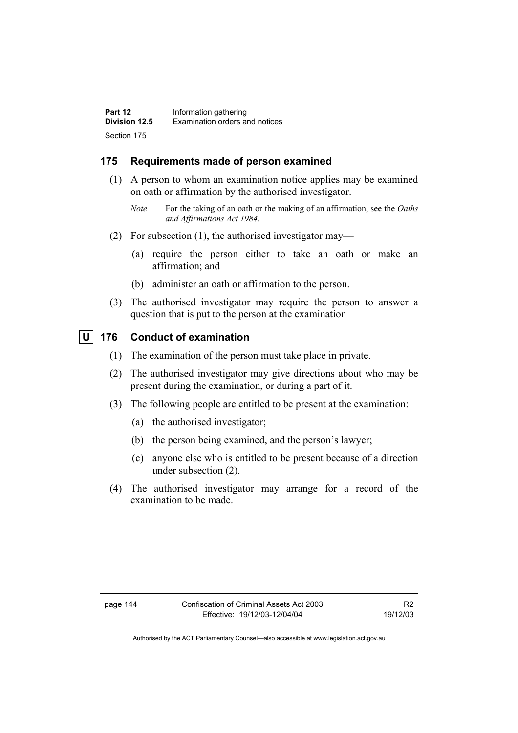## **175 Requirements made of person examined**

- (1) A person to whom an examination notice applies may be examined on oath or affirmation by the authorised investigator.
	- *Note* For the taking of an oath or the making of an affirmation, see the *Oaths and Affirmations Act 1984.*
- (2) For subsection (1), the authorised investigator may—
	- (a) require the person either to take an oath or make an affirmation; and
	- (b) administer an oath or affirmation to the person.
- (3) The authorised investigator may require the person to answer a question that is put to the person at the examination

## **U 176 Conduct of examination**

- (1) The examination of the person must take place in private.
- (2) The authorised investigator may give directions about who may be present during the examination, or during a part of it.
- (3) The following people are entitled to be present at the examination:
	- (a) the authorised investigator;
	- (b) the person being examined, and the person's lawyer;
	- (c) anyone else who is entitled to be present because of a direction under subsection (2).
- (4) The authorised investigator may arrange for a record of the examination to be made.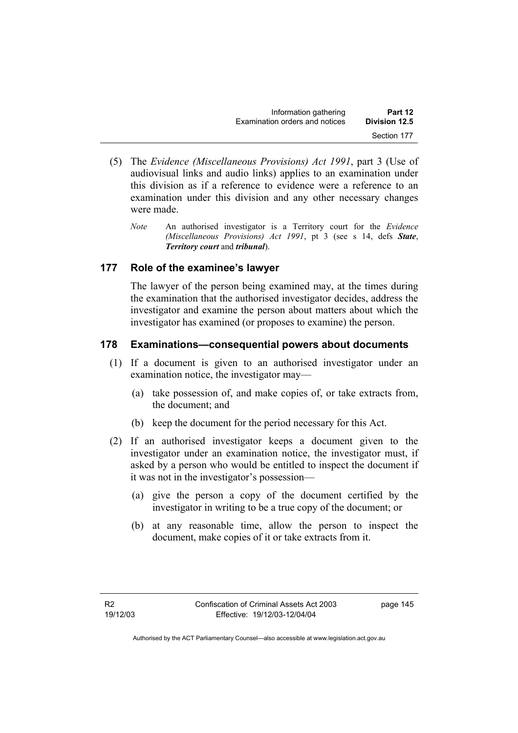| Information gathering          | Part 12       |
|--------------------------------|---------------|
| Examination orders and notices | Division 12.5 |
|                                | Section 177   |

- (5) The *Evidence (Miscellaneous Provisions) Act 1991*, part 3 (Use of audiovisual links and audio links) applies to an examination under this division as if a reference to evidence were a reference to an examination under this division and any other necessary changes were made.
	- *Note* An authorised investigator is a Territory court for the *Evidence (Miscellaneous Provisions) Act 1991*, pt 3 (see s 14, defs *State*, *Territory court* and *tribunal*).

### **177 Role of the examinee's lawyer**

The lawyer of the person being examined may, at the times during the examination that the authorised investigator decides, address the investigator and examine the person about matters about which the investigator has examined (or proposes to examine) the person.

### **178 Examinations—consequential powers about documents**

- (1) If a document is given to an authorised investigator under an examination notice, the investigator may—
	- (a) take possession of, and make copies of, or take extracts from, the document; and
	- (b) keep the document for the period necessary for this Act.
- (2) If an authorised investigator keeps a document given to the investigator under an examination notice, the investigator must, if asked by a person who would be entitled to inspect the document if it was not in the investigator's possession—
	- (a) give the person a copy of the document certified by the investigator in writing to be a true copy of the document; or
	- (b) at any reasonable time, allow the person to inspect the document, make copies of it or take extracts from it.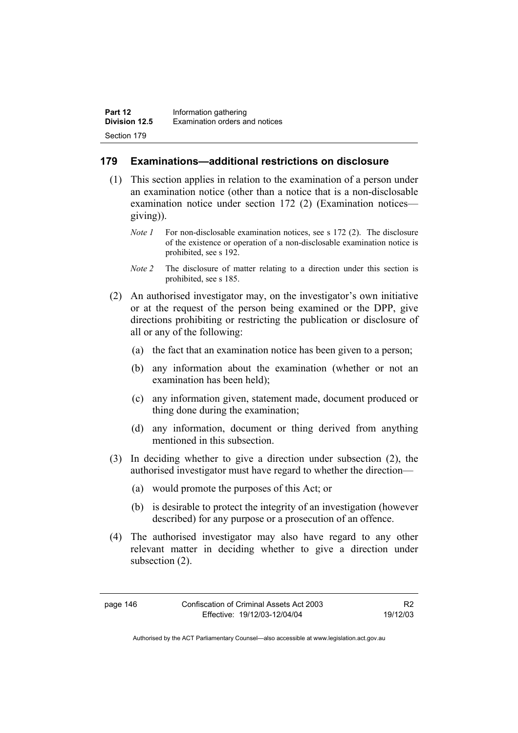### **179 Examinations—additional restrictions on disclosure**

- (1) This section applies in relation to the examination of a person under an examination notice (other than a notice that is a non-disclosable examination notice under section 172 (2) (Examination notices giving)).
	- *Note 1* For non-disclosable examination notices, see s 172 (2). The disclosure of the existence or operation of a non-disclosable examination notice is prohibited, see s 192.
	- *Note 2* The disclosure of matter relating to a direction under this section is prohibited, see s 185.
- (2) An authorised investigator may, on the investigator's own initiative or at the request of the person being examined or the DPP, give directions prohibiting or restricting the publication or disclosure of all or any of the following:
	- (a) the fact that an examination notice has been given to a person;
	- (b) any information about the examination (whether or not an examination has been held);
	- (c) any information given, statement made, document produced or thing done during the examination;
	- (d) any information, document or thing derived from anything mentioned in this subsection.
- (3) In deciding whether to give a direction under subsection (2), the authorised investigator must have regard to whether the direction—
	- (a) would promote the purposes of this Act; or
	- (b) is desirable to protect the integrity of an investigation (however described) for any purpose or a prosecution of an offence.
- (4) The authorised investigator may also have regard to any other relevant matter in deciding whether to give a direction under subsection (2).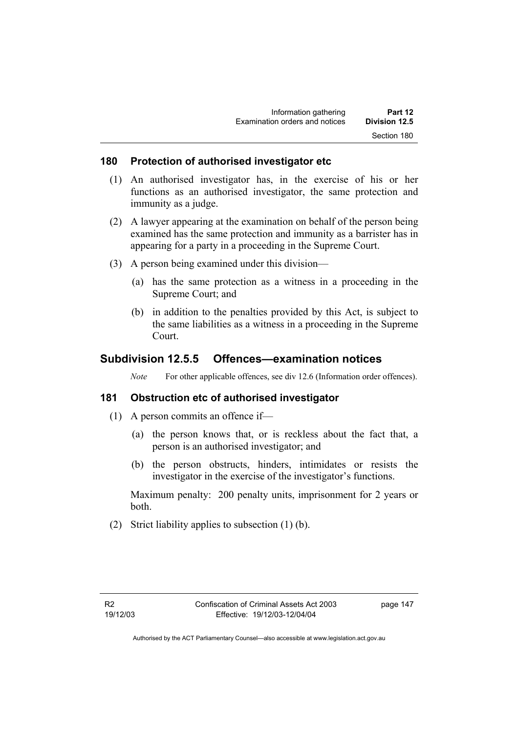#### **180 Protection of authorised investigator etc**

- (1) An authorised investigator has, in the exercise of his or her functions as an authorised investigator, the same protection and immunity as a judge.
- (2) A lawyer appearing at the examination on behalf of the person being examined has the same protection and immunity as a barrister has in appearing for a party in a proceeding in the Supreme Court.
- (3) A person being examined under this division—
	- (a) has the same protection as a witness in a proceeding in the Supreme Court; and
	- (b) in addition to the penalties provided by this Act, is subject to the same liabilities as a witness in a proceeding in the Supreme Court.

## **Subdivision 12.5.5 Offences—examination notices**

*Note* For other applicable offences, see div 12.6 (Information order offences).

#### **181 Obstruction etc of authorised investigator**

- (1) A person commits an offence if—
	- (a) the person knows that, or is reckless about the fact that, a person is an authorised investigator; and
	- (b) the person obstructs, hinders, intimidates or resists the investigator in the exercise of the investigator's functions.

Maximum penalty: 200 penalty units, imprisonment for 2 years or both.

(2) Strict liability applies to subsection (1) (b).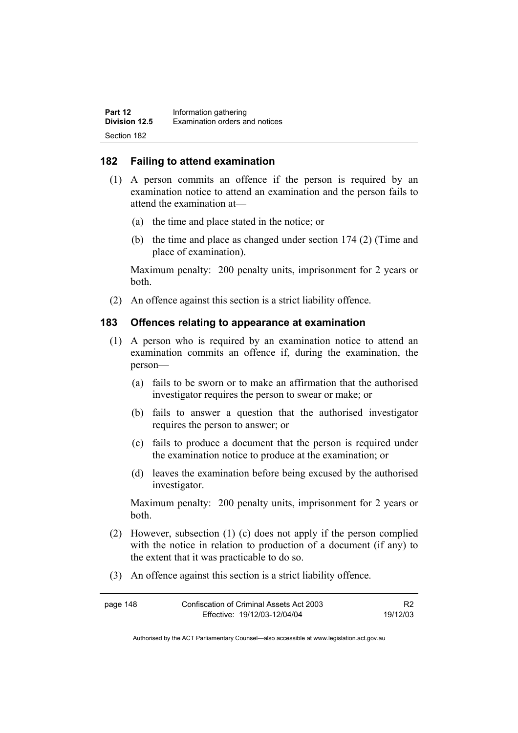#### **182 Failing to attend examination**

- (1) A person commits an offence if the person is required by an examination notice to attend an examination and the person fails to attend the examination at—
	- (a) the time and place stated in the notice; or
	- (b) the time and place as changed under section 174 (2) (Time and place of examination).

Maximum penalty: 200 penalty units, imprisonment for 2 years or both.

(2) An offence against this section is a strict liability offence.

#### **183 Offences relating to appearance at examination**

- (1) A person who is required by an examination notice to attend an examination commits an offence if, during the examination, the person—
	- (a) fails to be sworn or to make an affirmation that the authorised investigator requires the person to swear or make; or
	- (b) fails to answer a question that the authorised investigator requires the person to answer; or
	- (c) fails to produce a document that the person is required under the examination notice to produce at the examination; or
	- (d) leaves the examination before being excused by the authorised investigator.

Maximum penalty: 200 penalty units, imprisonment for 2 years or both.

- (2) However, subsection (1) (c) does not apply if the person complied with the notice in relation to production of a document (if any) to the extent that it was practicable to do so.
- (3) An offence against this section is a strict liability offence.

| page 148 | Confiscation of Criminal Assets Act 2003 |          |
|----------|------------------------------------------|----------|
|          | Effective: 19/12/03-12/04/04             | 19/12/03 |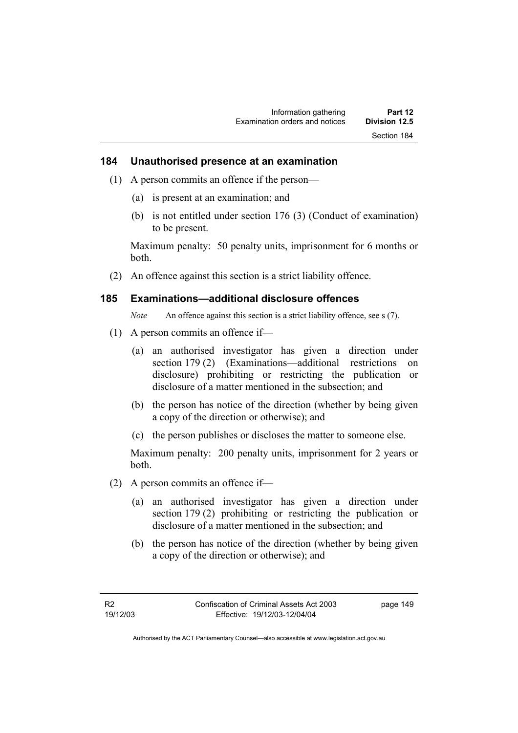#### **184 Unauthorised presence at an examination**

- (1) A person commits an offence if the person—
	- (a) is present at an examination; and
	- (b) is not entitled under section 176 (3) (Conduct of examination) to be present.

Maximum penalty: 50 penalty units, imprisonment for 6 months or both.

(2) An offence against this section is a strict liability offence.

#### **185 Examinations—additional disclosure offences**

*Note* An offence against this section is a strict liability offence, see s (7).

- (1) A person commits an offence if—
	- (a) an authorised investigator has given a direction under section 179 (2) (Examinations—additional restrictions on disclosure) prohibiting or restricting the publication or disclosure of a matter mentioned in the subsection; and
	- (b) the person has notice of the direction (whether by being given a copy of the direction or otherwise); and
	- (c) the person publishes or discloses the matter to someone else.

Maximum penalty: 200 penalty units, imprisonment for 2 years or both.

- (2) A person commits an offence if—
	- (a) an authorised investigator has given a direction under section 179 (2) prohibiting or restricting the publication or disclosure of a matter mentioned in the subsection; and
	- (b) the person has notice of the direction (whether by being given a copy of the direction or otherwise); and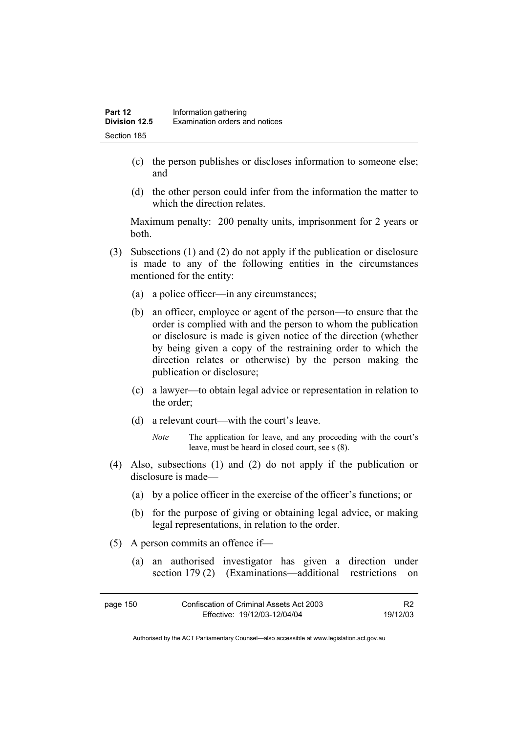- (c) the person publishes or discloses information to someone else; and
- (d) the other person could infer from the information the matter to which the direction relates.

Maximum penalty: 200 penalty units, imprisonment for 2 years or both.

- (3) Subsections (1) and (2) do not apply if the publication or disclosure is made to any of the following entities in the circumstances mentioned for the entity:
	- (a) a police officer—in any circumstances;
	- (b) an officer, employee or agent of the person—to ensure that the order is complied with and the person to whom the publication or disclosure is made is given notice of the direction (whether by being given a copy of the restraining order to which the direction relates or otherwise) by the person making the publication or disclosure;
	- (c) a lawyer—to obtain legal advice or representation in relation to the order;
	- (d) a relevant court—with the court's leave.
		- *Note* The application for leave, and any proceeding with the court's leave, must be heard in closed court, see s (8).
- (4) Also, subsections (1) and (2) do not apply if the publication or disclosure is made—
	- (a) by a police officer in the exercise of the officer's functions; or
	- (b) for the purpose of giving or obtaining legal advice, or making legal representations, in relation to the order.
- (5) A person commits an offence if—
	- (a) an authorised investigator has given a direction under section 179 (2) (Examinations—additional restrictions on

| page 150 | Confiscation of Criminal Assets Act 2003 | R <sub>2</sub> |
|----------|------------------------------------------|----------------|
|          | Effective: 19/12/03-12/04/04             | 19/12/03       |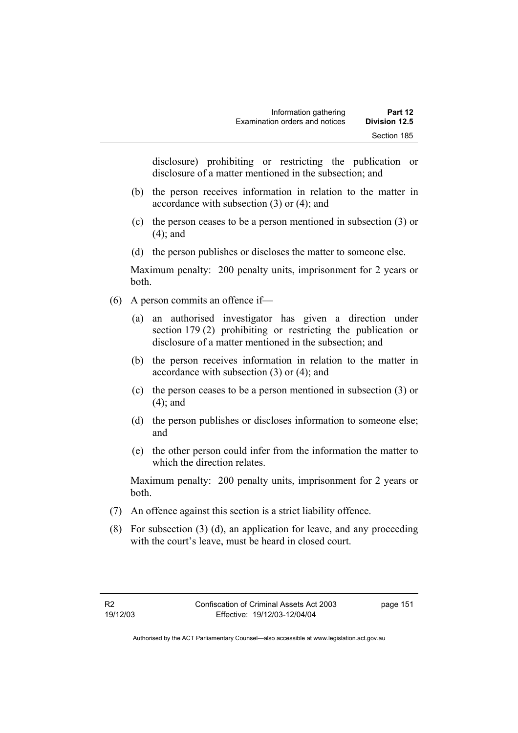disclosure) prohibiting or restricting the publication or disclosure of a matter mentioned in the subsection; and

- (b) the person receives information in relation to the matter in accordance with subsection (3) or (4); and
- (c) the person ceases to be a person mentioned in subsection (3) or (4); and
- (d) the person publishes or discloses the matter to someone else.

Maximum penalty: 200 penalty units, imprisonment for 2 years or both.

- (6) A person commits an offence if—
	- (a) an authorised investigator has given a direction under section 179 (2) prohibiting or restricting the publication or disclosure of a matter mentioned in the subsection; and
	- (b) the person receives information in relation to the matter in accordance with subsection (3) or (4); and
	- (c) the person ceases to be a person mentioned in subsection (3) or (4); and
	- (d) the person publishes or discloses information to someone else; and
	- (e) the other person could infer from the information the matter to which the direction relates.

Maximum penalty: 200 penalty units, imprisonment for 2 years or both.

- (7) An offence against this section is a strict liability offence.
- (8) For subsection (3) (d), an application for leave, and any proceeding with the court's leave, must be heard in closed court.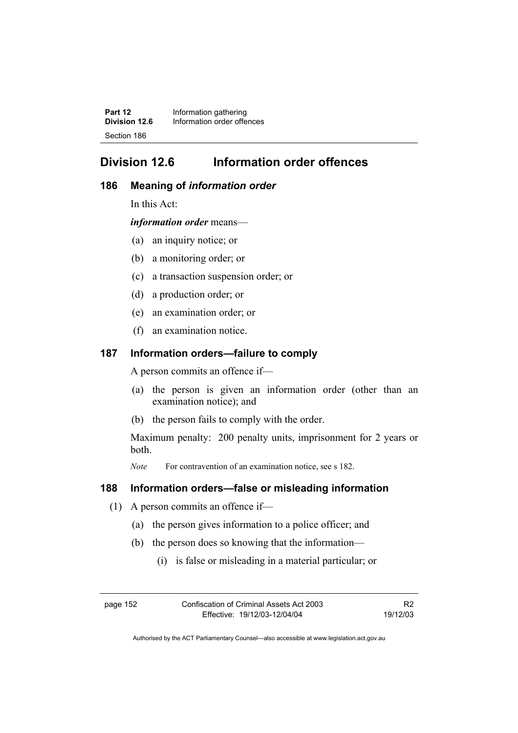**Part 12 Information gathering**<br>**Division 12.6 Information order offer Division 12.6** Information order offences Section 186

# **Division 12.6 Information order offences**

#### **186 Meaning of** *information order*

In this Act:

*information order* means—

- (a) an inquiry notice; or
- (b) a monitoring order; or
- (c) a transaction suspension order; or
- (d) a production order; or
- (e) an examination order; or
- (f) an examination notice.

#### **187 Information orders—failure to comply**

A person commits an offence if—

- (a) the person is given an information order (other than an examination notice); and
- (b) the person fails to comply with the order.

Maximum penalty: 200 penalty units, imprisonment for 2 years or both.

*Note* For contravention of an examination notice, see s 182.

#### **188 Information orders—false or misleading information**

- (1) A person commits an offence if—
	- (a) the person gives information to a police officer; and
	- (b) the person does so knowing that the information—
		- (i) is false or misleading in a material particular; or

page 152 Confiscation of Criminal Assets Act 2003 Effective: 19/12/03-12/04/04 R2 19/12/03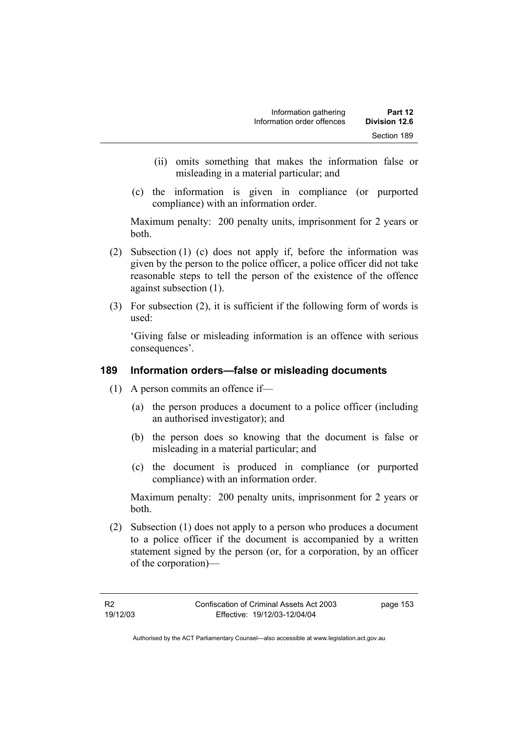- (ii) omits something that makes the information false or misleading in a material particular; and
- (c) the information is given in compliance (or purported compliance) with an information order.

Maximum penalty: 200 penalty units, imprisonment for 2 years or both.

- (2) Subsection (1) (c) does not apply if, before the information was given by the person to the police officer, a police officer did not take reasonable steps to tell the person of the existence of the offence against subsection (1).
- (3) For subsection (2), it is sufficient if the following form of words is used:

'Giving false or misleading information is an offence with serious consequences'.

## **189 Information orders—false or misleading documents**

- (1) A person commits an offence if—
	- (a) the person produces a document to a police officer (including an authorised investigator); and
	- (b) the person does so knowing that the document is false or misleading in a material particular; and
	- (c) the document is produced in compliance (or purported compliance) with an information order.

Maximum penalty: 200 penalty units, imprisonment for 2 years or both.

 (2) Subsection (1) does not apply to a person who produces a document to a police officer if the document is accompanied by a written statement signed by the person (or, for a corporation, by an officer of the corporation)—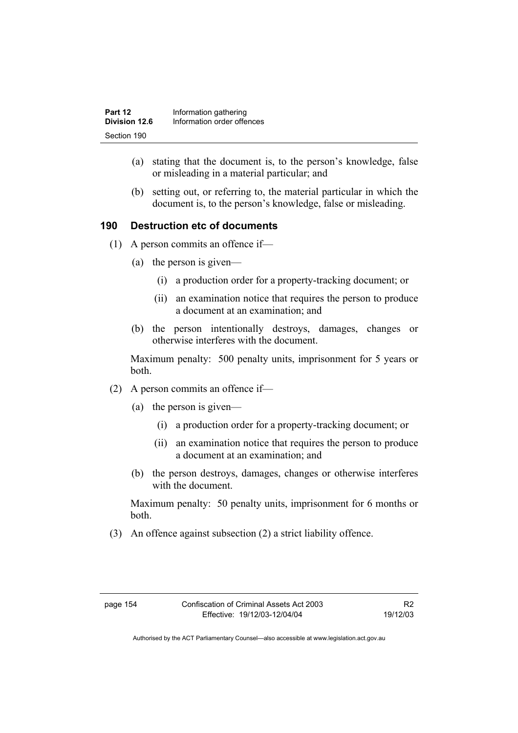- (a) stating that the document is, to the person's knowledge, false or misleading in a material particular; and
- (b) setting out, or referring to, the material particular in which the document is, to the person's knowledge, false or misleading.

## **190 Destruction etc of documents**

- (1) A person commits an offence if—
	- (a) the person is given—
		- (i) a production order for a property-tracking document; or
		- (ii) an examination notice that requires the person to produce a document at an examination; and
	- (b) the person intentionally destroys, damages, changes or otherwise interferes with the document.

Maximum penalty: 500 penalty units, imprisonment for 5 years or both.

- (2) A person commits an offence if—
	- (a) the person is given—
		- (i) a production order for a property-tracking document; or
		- (ii) an examination notice that requires the person to produce a document at an examination; and
	- (b) the person destroys, damages, changes or otherwise interferes with the document.

Maximum penalty: 50 penalty units, imprisonment for 6 months or both.

(3) An offence against subsection (2) a strict liability offence.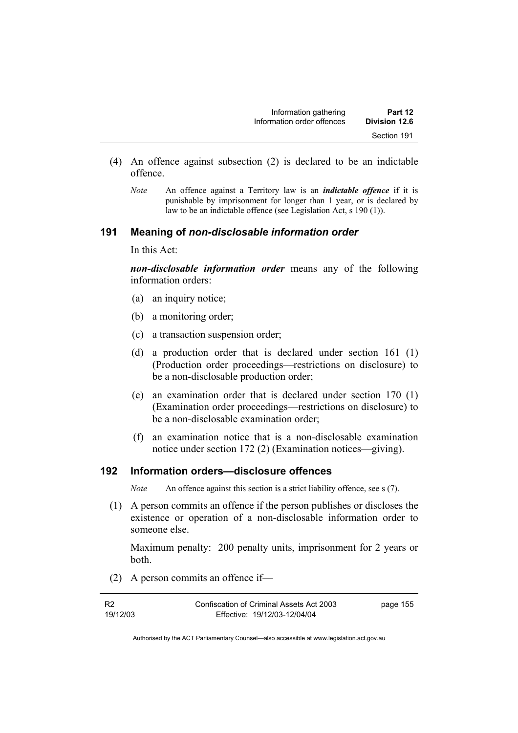| Information gathering      | Part 12       |
|----------------------------|---------------|
| Information order offences | Division 12.6 |
|                            | Section 191   |

- (4) An offence against subsection (2) is declared to be an indictable offence.
	- *Note* An offence against a Territory law is an *indictable offence* if it is punishable by imprisonment for longer than 1 year, or is declared by law to be an indictable offence (see Legislation Act, s 190 (1)).

#### **191 Meaning of** *non-disclosable information order*

In this Act:

*non-disclosable information order* means any of the following information orders:

- (a) an inquiry notice;
- (b) a monitoring order;
- (c) a transaction suspension order;
- (d) a production order that is declared under section 161 (1) (Production order proceedings—restrictions on disclosure) to be a non-disclosable production order;
- (e) an examination order that is declared under section 170 (1) (Examination order proceedings—restrictions on disclosure) to be a non-disclosable examination order;
- (f) an examination notice that is a non-disclosable examination notice under section 172 (2) (Examination notices—giving).

#### **192 Information orders—disclosure offences**

*Note* An offence against this section is a strict liability offence, see s (7).

 (1) A person commits an offence if the person publishes or discloses the existence or operation of a non-disclosable information order to someone else.

Maximum penalty: 200 penalty units, imprisonment for 2 years or both.

(2) A person commits an offence if—

| <b>R2</b> | Confiscation of Criminal Assets Act 2003 | page 155 |
|-----------|------------------------------------------|----------|
| 19/12/03  | Effective: 19/12/03-12/04/04             |          |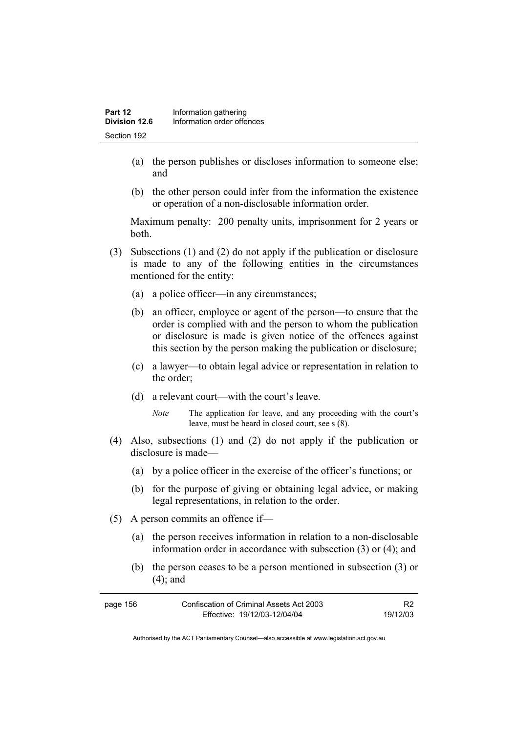- (a) the person publishes or discloses information to someone else; and
- (b) the other person could infer from the information the existence or operation of a non-disclosable information order.

Maximum penalty: 200 penalty units, imprisonment for 2 years or both.

- (3) Subsections (1) and (2) do not apply if the publication or disclosure is made to any of the following entities in the circumstances mentioned for the entity:
	- (a) a police officer—in any circumstances;
	- (b) an officer, employee or agent of the person—to ensure that the order is complied with and the person to whom the publication or disclosure is made is given notice of the offences against this section by the person making the publication or disclosure;
	- (c) a lawyer—to obtain legal advice or representation in relation to the order;
	- (d) a relevant court—with the court's leave.
		- *Note* The application for leave, and any proceeding with the court's leave, must be heard in closed court, see s (8).
- (4) Also, subsections (1) and (2) do not apply if the publication or disclosure is made—
	- (a) by a police officer in the exercise of the officer's functions; or
	- (b) for the purpose of giving or obtaining legal advice, or making legal representations, in relation to the order.
- (5) A person commits an offence if—
	- (a) the person receives information in relation to a non-disclosable information order in accordance with subsection (3) or (4); and
	- (b) the person ceases to be a person mentioned in subsection (3) or (4); and

| page 156 | Confiscation of Criminal Assets Act 2003 |          |
|----------|------------------------------------------|----------|
|          | Effective: 19/12/03-12/04/04             | 19/12/03 |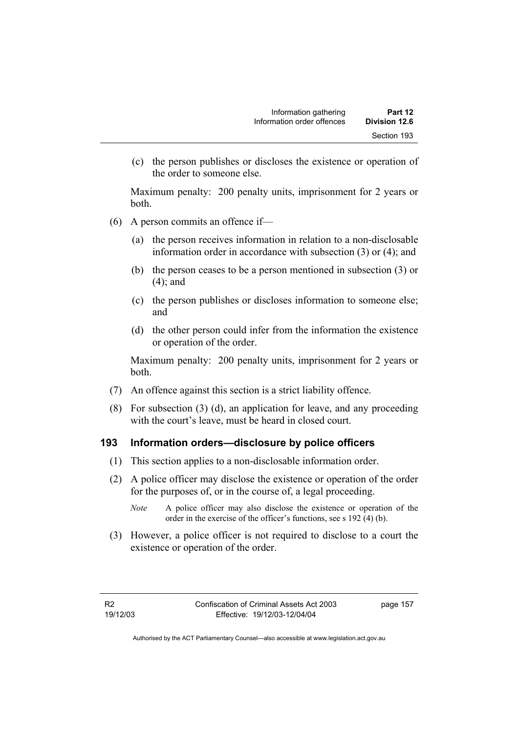(c) the person publishes or discloses the existence or operation of the order to someone else.

Maximum penalty: 200 penalty units, imprisonment for 2 years or both.

- (6) A person commits an offence if—
	- (a) the person receives information in relation to a non-disclosable information order in accordance with subsection (3) or (4); and
	- (b) the person ceases to be a person mentioned in subsection (3) or (4); and
	- (c) the person publishes or discloses information to someone else; and
	- (d) the other person could infer from the information the existence or operation of the order.

Maximum penalty: 200 penalty units, imprisonment for 2 years or both.

- (7) An offence against this section is a strict liability offence.
- (8) For subsection (3) (d), an application for leave, and any proceeding with the court's leave, must be heard in closed court.

#### **193 Information orders—disclosure by police officers**

- (1) This section applies to a non-disclosable information order.
- (2) A police officer may disclose the existence or operation of the order for the purposes of, or in the course of, a legal proceeding.
	- *Note* A police officer may also disclose the existence or operation of the order in the exercise of the officer's functions, see s 192 (4) (b).
- (3) However, a police officer is not required to disclose to a court the existence or operation of the order.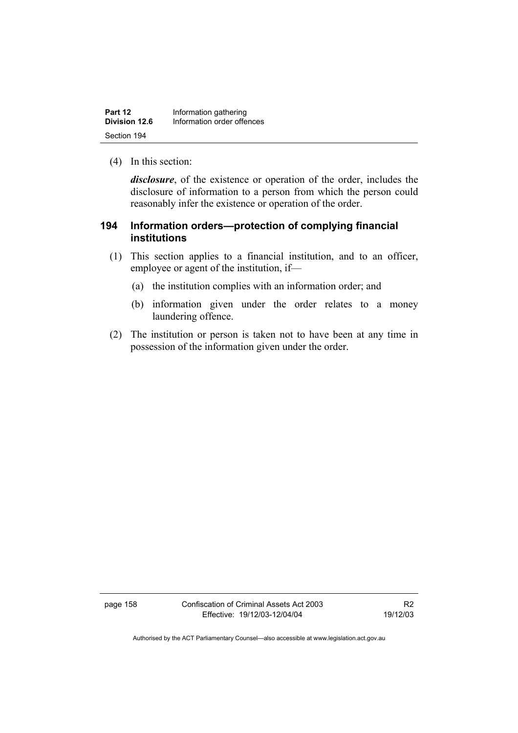| Part 12       | Information gathering      |
|---------------|----------------------------|
| Division 12.6 | Information order offences |
| Section 194   |                            |

(4) In this section:

*disclosure*, of the existence or operation of the order, includes the disclosure of information to a person from which the person could reasonably infer the existence or operation of the order.

## **194 Information orders—protection of complying financial institutions**

- (1) This section applies to a financial institution, and to an officer, employee or agent of the institution, if—
	- (a) the institution complies with an information order; and
	- (b) information given under the order relates to a money laundering offence.
- (2) The institution or person is taken not to have been at any time in possession of the information given under the order.

page 158 Confiscation of Criminal Assets Act 2003 Effective: 19/12/03-12/04/04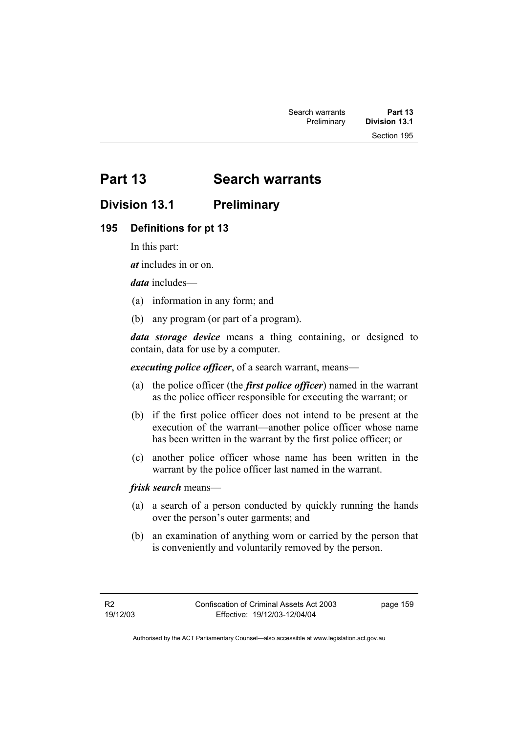# **Part 13 Search warrants**

# **Division 13.1 Preliminary**

### **195 Definitions for pt 13**

In this part:

*at* includes in or on.

*data* includes—

- (a) information in any form; and
- (b) any program (or part of a program).

*data storage device* means a thing containing, or designed to contain, data for use by a computer.

*executing police officer*, of a search warrant, means—

- (a) the police officer (the *first police officer*) named in the warrant as the police officer responsible for executing the warrant; or
- (b) if the first police officer does not intend to be present at the execution of the warrant—another police officer whose name has been written in the warrant by the first police officer; or
- (c) another police officer whose name has been written in the warrant by the police officer last named in the warrant.

*frisk search* means—

- (a) a search of a person conducted by quickly running the hands over the person's outer garments; and
- (b) an examination of anything worn or carried by the person that is conveniently and voluntarily removed by the person.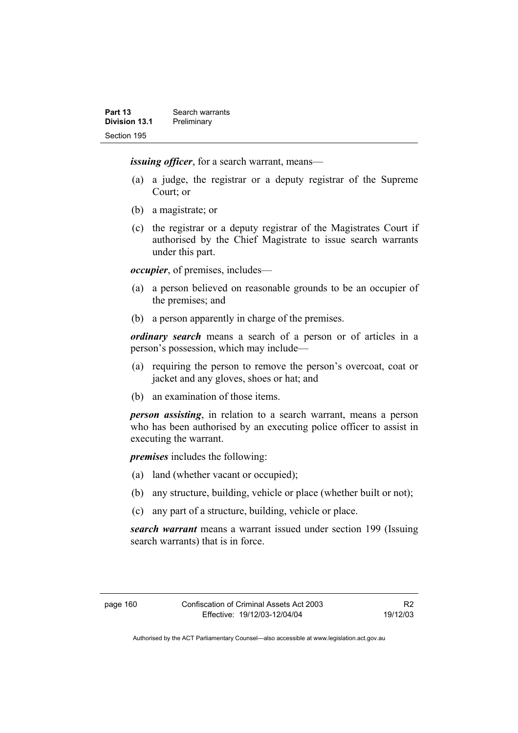*issuing officer*, for a search warrant, means—

- (a) a judge, the registrar or a deputy registrar of the Supreme Court; or
- (b) a magistrate; or
- (c) the registrar or a deputy registrar of the Magistrates Court if authorised by the Chief Magistrate to issue search warrants under this part.

*occupier*, of premises, includes—

- (a) a person believed on reasonable grounds to be an occupier of the premises; and
- (b) a person apparently in charge of the premises.

*ordinary search* means a search of a person or of articles in a person's possession, which may include—

- (a) requiring the person to remove the person's overcoat, coat or jacket and any gloves, shoes or hat; and
- (b) an examination of those items.

*person assisting*, in relation to a search warrant, means a person who has been authorised by an executing police officer to assist in executing the warrant.

*premises* includes the following:

- (a) land (whether vacant or occupied);
- (b) any structure, building, vehicle or place (whether built or not);
- (c) any part of a structure, building, vehicle or place.

*search warrant* means a warrant issued under section 199 (Issuing search warrants) that is in force.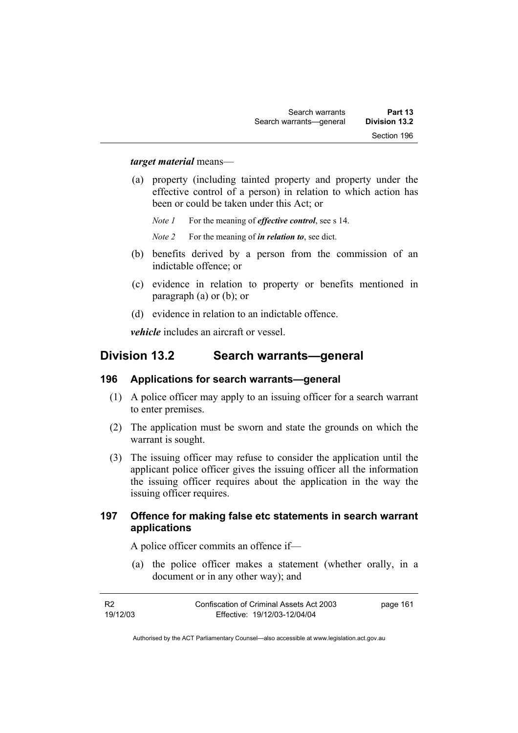#### *target material* means—

 (a) property (including tainted property and property under the effective control of a person) in relation to which action has been or could be taken under this Act; or

*Note 1* For the meaning of *effective control*, see s 14.

*Note 2* For the meaning of *in relation to*, see dict.

- (b) benefits derived by a person from the commission of an indictable offence; or
- (c) evidence in relation to property or benefits mentioned in paragraph (a) or (b); or
- (d) evidence in relation to an indictable offence.

*vehicle* includes an aircraft or vessel.

# **Division 13.2 Search warrants—general**

#### **196 Applications for search warrants—general**

- (1) A police officer may apply to an issuing officer for a search warrant to enter premises.
- (2) The application must be sworn and state the grounds on which the warrant is sought.
- (3) The issuing officer may refuse to consider the application until the applicant police officer gives the issuing officer all the information the issuing officer requires about the application in the way the issuing officer requires.

#### **197 Offence for making false etc statements in search warrant applications**

A police officer commits an offence if—

 (a) the police officer makes a statement (whether orally, in a document or in any other way); and

| - R2     | Confiscation of Criminal Assets Act 2003 | page 161 |
|----------|------------------------------------------|----------|
| 19/12/03 | Effective: 19/12/03-12/04/04             |          |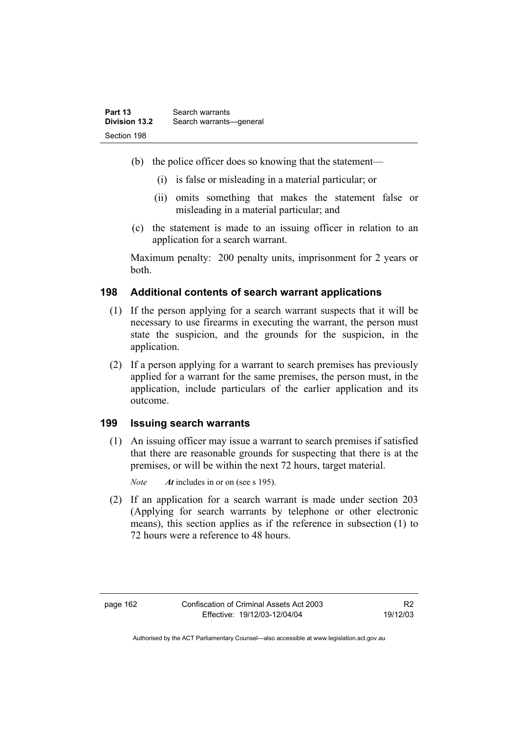- (b) the police officer does so knowing that the statement—
	- (i) is false or misleading in a material particular; or
	- (ii) omits something that makes the statement false or misleading in a material particular; and
- (c) the statement is made to an issuing officer in relation to an application for a search warrant.

Maximum penalty: 200 penalty units, imprisonment for 2 years or both.

#### **198 Additional contents of search warrant applications**

- (1) If the person applying for a search warrant suspects that it will be necessary to use firearms in executing the warrant, the person must state the suspicion, and the grounds for the suspicion, in the application.
- (2) If a person applying for a warrant to search premises has previously applied for a warrant for the same premises, the person must, in the application, include particulars of the earlier application and its outcome.

#### **199 Issuing search warrants**

 (1) An issuing officer may issue a warrant to search premises if satisfied that there are reasonable grounds for suspecting that there is at the premises, or will be within the next 72 hours, target material.

*Note At* includes in or on (see s 195).

 (2) If an application for a search warrant is made under section 203 (Applying for search warrants by telephone or other electronic means), this section applies as if the reference in subsection (1) to 72 hours were a reference to 48 hours.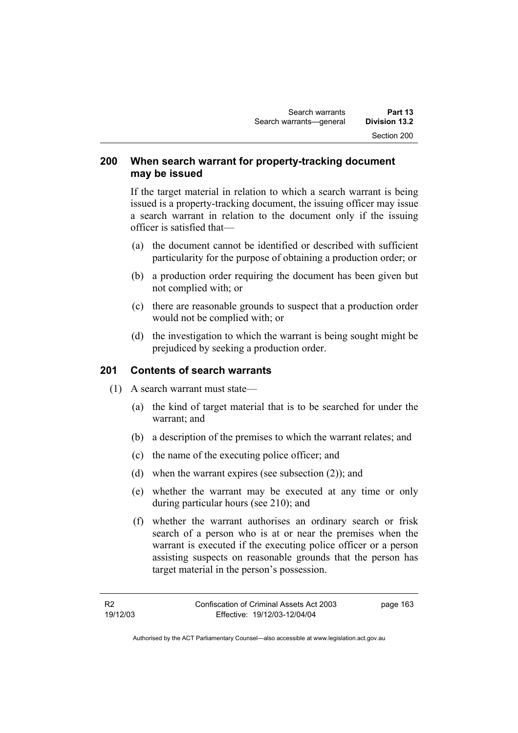### **200 When search warrant for property-tracking document may be issued**

If the target material in relation to which a search warrant is being issued is a property-tracking document, the issuing officer may issue a search warrant in relation to the document only if the issuing officer is satisfied that—

- (a) the document cannot be identified or described with sufficient particularity for the purpose of obtaining a production order; or
- (b) a production order requiring the document has been given but not complied with; or
- (c) there are reasonable grounds to suspect that a production order would not be complied with; or
- (d) the investigation to which the warrant is being sought might be prejudiced by seeking a production order.

## **201 Contents of search warrants**

- (1) A search warrant must state—
	- (a) the kind of target material that is to be searched for under the warrant; and
	- (b) a description of the premises to which the warrant relates; and
	- (c) the name of the executing police officer; and
	- (d) when the warrant expires (see subsection (2)); and
	- (e) whether the warrant may be executed at any time or only during particular hours (see 210); and
	- (f) whether the warrant authorises an ordinary search or frisk search of a person who is at or near the premises when the warrant is executed if the executing police officer or a person assisting suspects on reasonable grounds that the person has target material in the person's possession.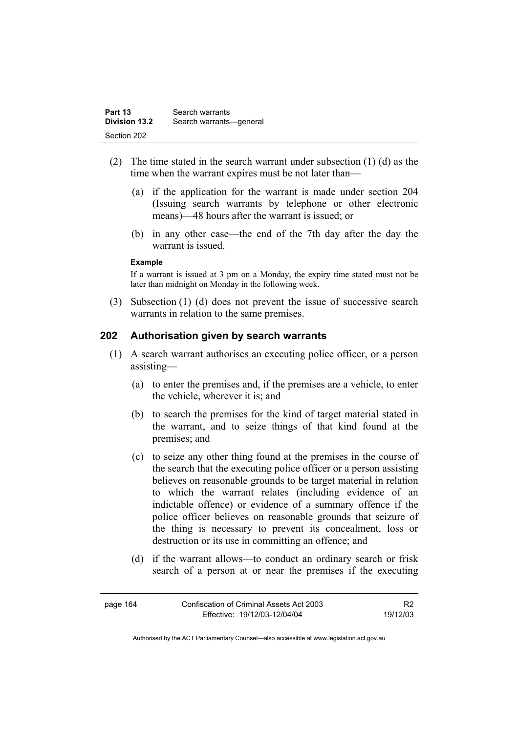| Part 13              | Search warrants         |
|----------------------|-------------------------|
| <b>Division 13.2</b> | Search warrants-general |
| Section 202          |                         |

- (2) The time stated in the search warrant under subsection (1) (d) as the time when the warrant expires must be not later than—
	- (a) if the application for the warrant is made under section 204 (Issuing search warrants by telephone or other electronic means)—48 hours after the warrant is issued; or
	- (b) in any other case—the end of the 7th day after the day the warrant is issued.

#### **Example**

If a warrant is issued at 3 pm on a Monday, the expiry time stated must not be later than midnight on Monday in the following week.

 (3) Subsection (1) (d) does not prevent the issue of successive search warrants in relation to the same premises.

#### **202 Authorisation given by search warrants**

- (1) A search warrant authorises an executing police officer, or a person assisting—
	- (a) to enter the premises and, if the premises are a vehicle, to enter the vehicle, wherever it is; and
	- (b) to search the premises for the kind of target material stated in the warrant, and to seize things of that kind found at the premises; and
	- (c) to seize any other thing found at the premises in the course of the search that the executing police officer or a person assisting believes on reasonable grounds to be target material in relation to which the warrant relates (including evidence of an indictable offence) or evidence of a summary offence if the police officer believes on reasonable grounds that seizure of the thing is necessary to prevent its concealment, loss or destruction or its use in committing an offence; and
	- (d) if the warrant allows—to conduct an ordinary search or frisk search of a person at or near the premises if the executing

| page 164 | Confiscation of Criminal Assets Act 2003 |          |
|----------|------------------------------------------|----------|
|          | Effective: 19/12/03-12/04/04             | 19/12/03 |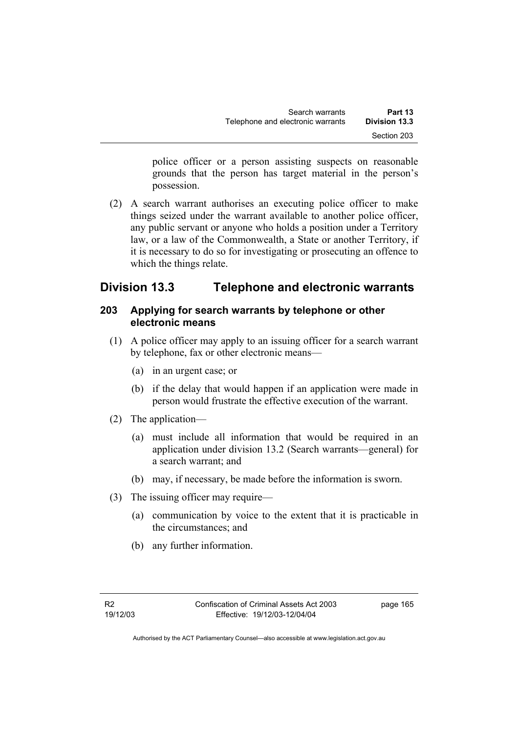police officer or a person assisting suspects on reasonable grounds that the person has target material in the person's possession.

 (2) A search warrant authorises an executing police officer to make things seized under the warrant available to another police officer, any public servant or anyone who holds a position under a Territory law, or a law of the Commonwealth, a State or another Territory, if it is necessary to do so for investigating or prosecuting an offence to which the things relate.

# **Division 13.3 Telephone and electronic warrants**

# **203 Applying for search warrants by telephone or other electronic means**

- (1) A police officer may apply to an issuing officer for a search warrant by telephone, fax or other electronic means—
	- (a) in an urgent case; or
	- (b) if the delay that would happen if an application were made in person would frustrate the effective execution of the warrant.
- (2) The application—
	- (a) must include all information that would be required in an application under division 13.2 (Search warrants—general) for a search warrant; and
	- (b) may, if necessary, be made before the information is sworn.
- (3) The issuing officer may require—
	- (a) communication by voice to the extent that it is practicable in the circumstances; and
	- (b) any further information.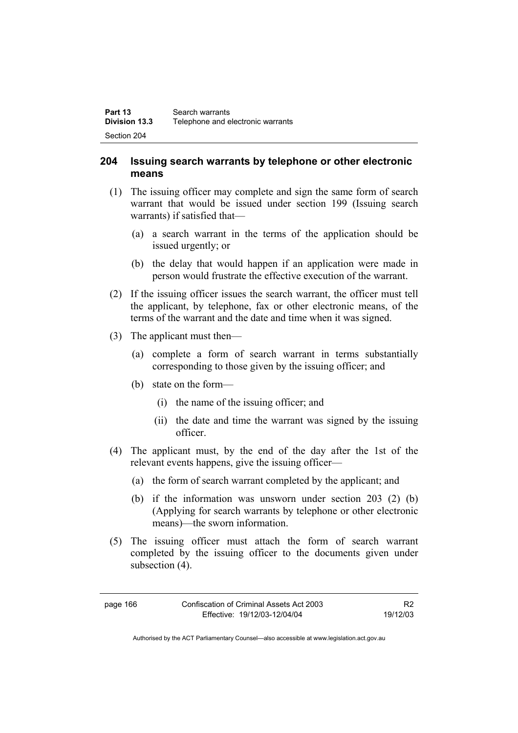### **204 Issuing search warrants by telephone or other electronic means**

- (1) The issuing officer may complete and sign the same form of search warrant that would be issued under section 199 (Issuing search warrants) if satisfied that—
	- (a) a search warrant in the terms of the application should be issued urgently; or
	- (b) the delay that would happen if an application were made in person would frustrate the effective execution of the warrant.
- (2) If the issuing officer issues the search warrant, the officer must tell the applicant, by telephone, fax or other electronic means, of the terms of the warrant and the date and time when it was signed.
- (3) The applicant must then—
	- (a) complete a form of search warrant in terms substantially corresponding to those given by the issuing officer; and
	- (b) state on the form—
		- (i) the name of the issuing officer; and
		- (ii) the date and time the warrant was signed by the issuing officer.
- (4) The applicant must, by the end of the day after the 1st of the relevant events happens, give the issuing officer—
	- (a) the form of search warrant completed by the applicant; and
	- (b) if the information was unsworn under section 203 (2) (b) (Applying for search warrants by telephone or other electronic means)—the sworn information.
- (5) The issuing officer must attach the form of search warrant completed by the issuing officer to the documents given under subsection  $(4)$ .

| page 166 | Confiscation of Criminal Assets Act 2003 |
|----------|------------------------------------------|
|          | Effective: 19/12/03-12/04/04             |

R2 19/12/03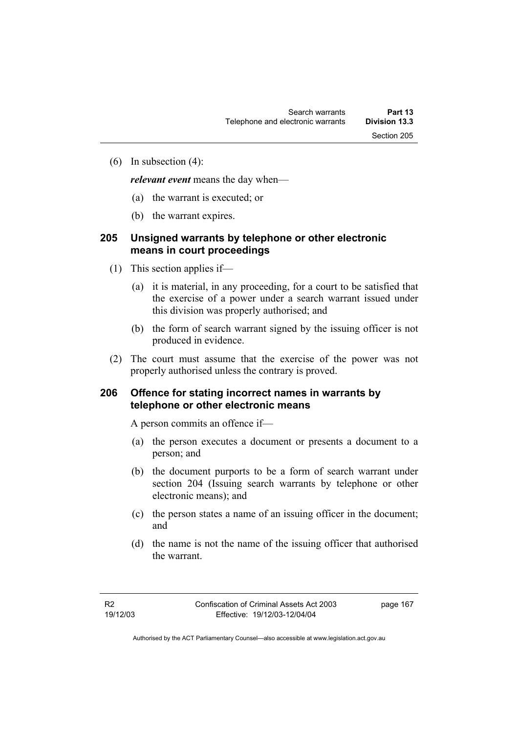(6) In subsection (4):

*relevant event* means the day when—

- (a) the warrant is executed; or
- (b) the warrant expires.

# **205 Unsigned warrants by telephone or other electronic means in court proceedings**

- (1) This section applies if—
	- (a) it is material, in any proceeding, for a court to be satisfied that the exercise of a power under a search warrant issued under this division was properly authorised; and
	- (b) the form of search warrant signed by the issuing officer is not produced in evidence.
- (2) The court must assume that the exercise of the power was not properly authorised unless the contrary is proved.

# **206 Offence for stating incorrect names in warrants by telephone or other electronic means**

A person commits an offence if—

- (a) the person executes a document or presents a document to a person; and
- (b) the document purports to be a form of search warrant under section 204 (Issuing search warrants by telephone or other electronic means); and
- (c) the person states a name of an issuing officer in the document; and
- (d) the name is not the name of the issuing officer that authorised the warrant.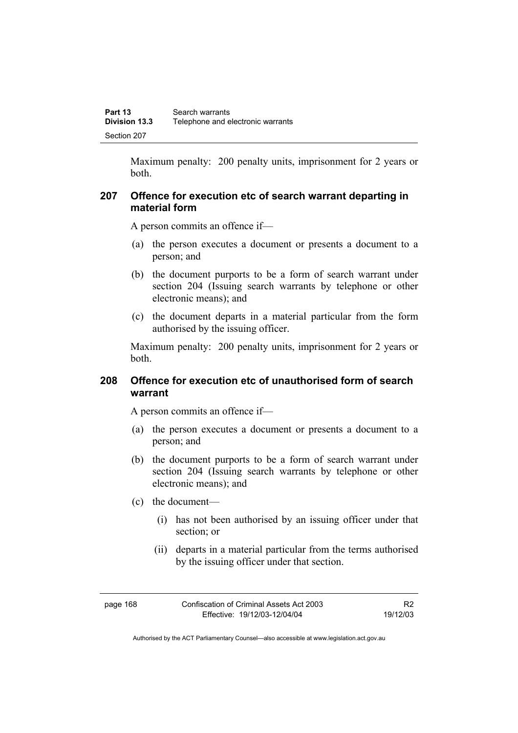Maximum penalty: 200 penalty units, imprisonment for 2 years or both.

## **207 Offence for execution etc of search warrant departing in material form**

A person commits an offence if—

- (a) the person executes a document or presents a document to a person; and
- (b) the document purports to be a form of search warrant under section 204 (Issuing search warrants by telephone or other electronic means); and
- (c) the document departs in a material particular from the form authorised by the issuing officer.

Maximum penalty: 200 penalty units, imprisonment for 2 years or both.

# **208 Offence for execution etc of unauthorised form of search warrant**

A person commits an offence if—

- (a) the person executes a document or presents a document to a person; and
- (b) the document purports to be a form of search warrant under section 204 (Issuing search warrants by telephone or other electronic means); and
- (c) the document—
	- (i) has not been authorised by an issuing officer under that section; or
	- (ii) departs in a material particular from the terms authorised by the issuing officer under that section.

| page | 168 |
|------|-----|
|------|-----|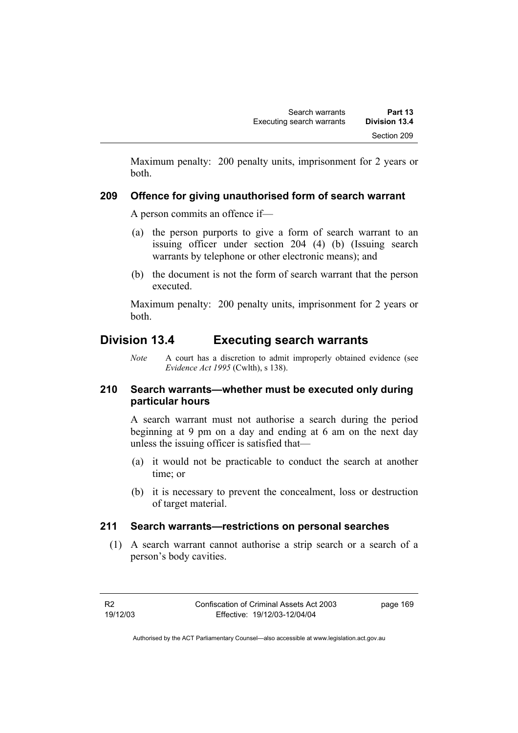Maximum penalty: 200 penalty units, imprisonment for 2 years or both.

# **209 Offence for giving unauthorised form of search warrant**

A person commits an offence if—

- (a) the person purports to give a form of search warrant to an issuing officer under section 204 (4) (b) (Issuing search warrants by telephone or other electronic means); and
- (b) the document is not the form of search warrant that the person executed.

Maximum penalty: 200 penalty units, imprisonment for 2 years or both.

# **Division 13.4 Executing search warrants**

*Note* A court has a discretion to admit improperly obtained evidence (see *Evidence Act 1995* (Cwlth), s 138).

# **210 Search warrants—whether must be executed only during particular hours**

A search warrant must not authorise a search during the period beginning at 9 pm on a day and ending at 6 am on the next day unless the issuing officer is satisfied that—

- (a) it would not be practicable to conduct the search at another time; or
- (b) it is necessary to prevent the concealment, loss or destruction of target material.

# **211 Search warrants—restrictions on personal searches**

 (1) A search warrant cannot authorise a strip search or a search of a person's body cavities.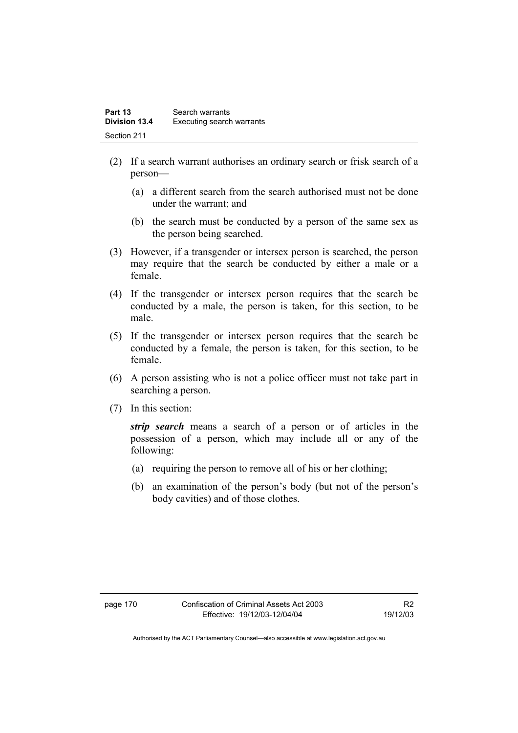| Part 13              | Search warrants           |
|----------------------|---------------------------|
| <b>Division 13.4</b> | Executing search warrants |
| Section 211          |                           |

- (2) If a search warrant authorises an ordinary search or frisk search of a person—
	- (a) a different search from the search authorised must not be done under the warrant; and
	- (b) the search must be conducted by a person of the same sex as the person being searched.
- (3) However, if a transgender or intersex person is searched, the person may require that the search be conducted by either a male or a female.
- (4) If the transgender or intersex person requires that the search be conducted by a male, the person is taken, for this section, to be male.
- (5) If the transgender or intersex person requires that the search be conducted by a female, the person is taken, for this section, to be female.
- (6) A person assisting who is not a police officer must not take part in searching a person.
- (7) In this section:

*strip search* means a search of a person or of articles in the possession of a person, which may include all or any of the following:

- (a) requiring the person to remove all of his or her clothing;
- (b) an examination of the person's body (but not of the person's body cavities) and of those clothes.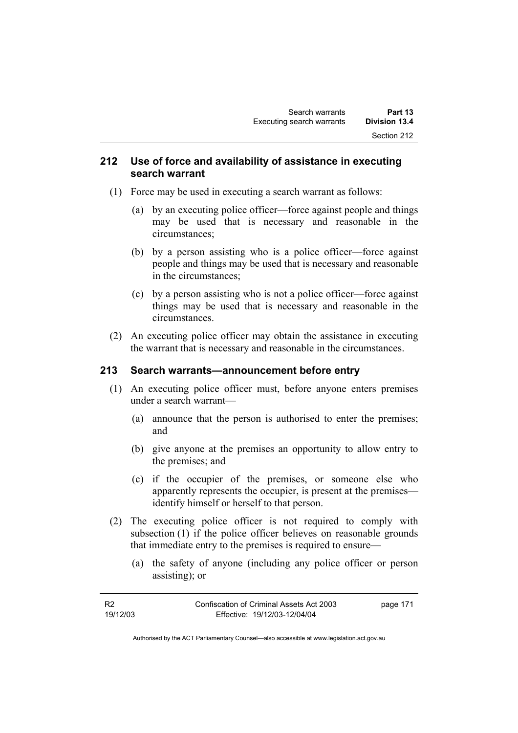# **212 Use of force and availability of assistance in executing search warrant**

- (1) Force may be used in executing a search warrant as follows:
	- (a) by an executing police officer—force against people and things may be used that is necessary and reasonable in the circumstances;
	- (b) by a person assisting who is a police officer—force against people and things may be used that is necessary and reasonable in the circumstances;
	- (c) by a person assisting who is not a police officer—force against things may be used that is necessary and reasonable in the circumstances.
- (2) An executing police officer may obtain the assistance in executing the warrant that is necessary and reasonable in the circumstances.

# **213 Search warrants—announcement before entry**

- (1) An executing police officer must, before anyone enters premises under a search warrant—
	- (a) announce that the person is authorised to enter the premises; and
	- (b) give anyone at the premises an opportunity to allow entry to the premises; and
	- (c) if the occupier of the premises, or someone else who apparently represents the occupier, is present at the premises identify himself or herself to that person.
- (2) The executing police officer is not required to comply with subsection (1) if the police officer believes on reasonable grounds that immediate entry to the premises is required to ensure—
	- (a) the safety of anyone (including any police officer or person assisting); or

| - R2     | Confiscation of Criminal Assets Act 2003 | page 171 |
|----------|------------------------------------------|----------|
| 19/12/03 | Effective: 19/12/03-12/04/04             |          |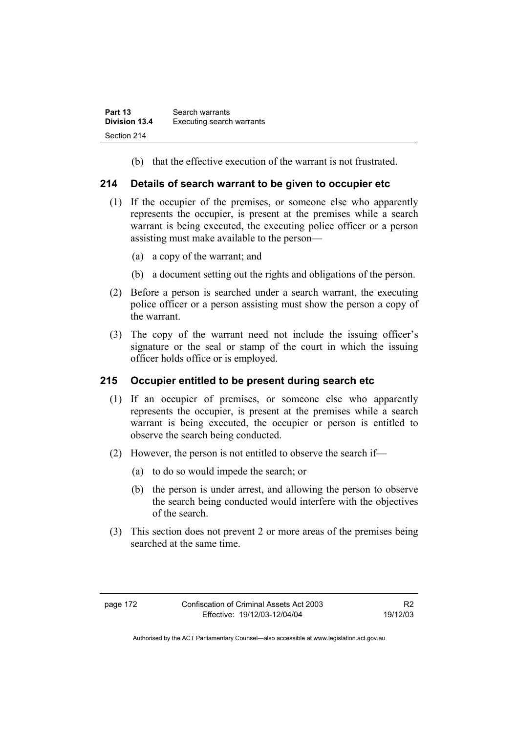(b) that the effective execution of the warrant is not frustrated.

# **214 Details of search warrant to be given to occupier etc**

- (1) If the occupier of the premises, or someone else who apparently represents the occupier, is present at the premises while a search warrant is being executed, the executing police officer or a person assisting must make available to the person—
	- (a) a copy of the warrant; and
	- (b) a document setting out the rights and obligations of the person.
- (2) Before a person is searched under a search warrant, the executing police officer or a person assisting must show the person a copy of the warrant.
- (3) The copy of the warrant need not include the issuing officer's signature or the seal or stamp of the court in which the issuing officer holds office or is employed.

# **215 Occupier entitled to be present during search etc**

- (1) If an occupier of premises, or someone else who apparently represents the occupier, is present at the premises while a search warrant is being executed, the occupier or person is entitled to observe the search being conducted.
- (2) However, the person is not entitled to observe the search if—
	- (a) to do so would impede the search; or
	- (b) the person is under arrest, and allowing the person to observe the search being conducted would interfere with the objectives of the search.
- (3) This section does not prevent 2 or more areas of the premises being searched at the same time.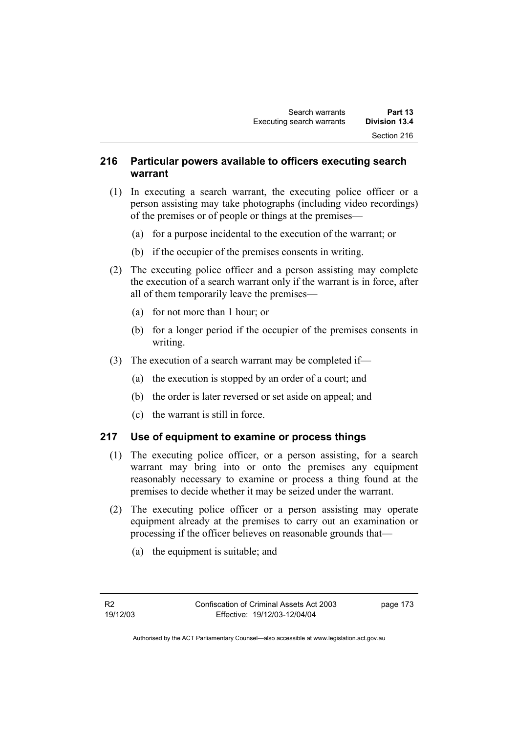# **216 Particular powers available to officers executing search warrant**

- (1) In executing a search warrant, the executing police officer or a person assisting may take photographs (including video recordings) of the premises or of people or things at the premises—
	- (a) for a purpose incidental to the execution of the warrant; or
	- (b) if the occupier of the premises consents in writing.
- (2) The executing police officer and a person assisting may complete the execution of a search warrant only if the warrant is in force, after all of them temporarily leave the premises—
	- (a) for not more than 1 hour; or
	- (b) for a longer period if the occupier of the premises consents in writing.
- (3) The execution of a search warrant may be completed if—
	- (a) the execution is stopped by an order of a court; and
	- (b) the order is later reversed or set aside on appeal; and
	- (c) the warrant is still in force.

### **217 Use of equipment to examine or process things**

- (1) The executing police officer, or a person assisting, for a search warrant may bring into or onto the premises any equipment reasonably necessary to examine or process a thing found at the premises to decide whether it may be seized under the warrant.
- (2) The executing police officer or a person assisting may operate equipment already at the premises to carry out an examination or processing if the officer believes on reasonable grounds that—
	- (a) the equipment is suitable; and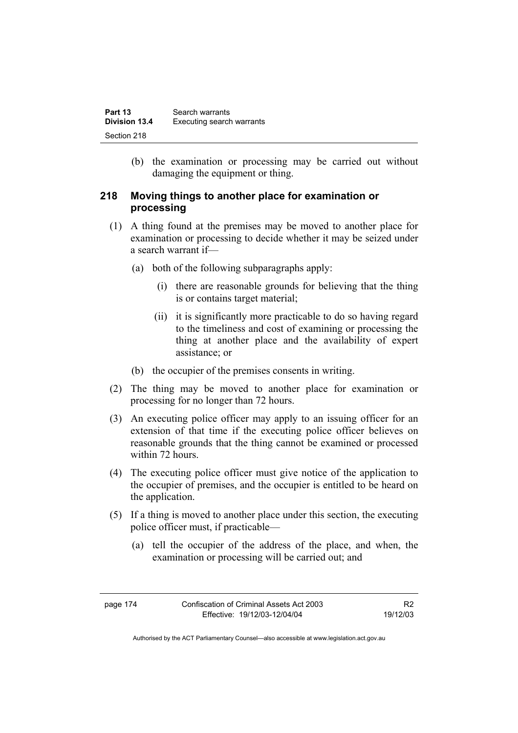| Part 13       | Search warrants           |
|---------------|---------------------------|
| Division 13.4 | Executing search warrants |
| Section 218   |                           |

 (b) the examination or processing may be carried out without damaging the equipment or thing.

# **218 Moving things to another place for examination or processing**

- (1) A thing found at the premises may be moved to another place for examination or processing to decide whether it may be seized under a search warrant if—
	- (a) both of the following subparagraphs apply:
		- (i) there are reasonable grounds for believing that the thing is or contains target material;
		- (ii) it is significantly more practicable to do so having regard to the timeliness and cost of examining or processing the thing at another place and the availability of expert assistance; or
	- (b) the occupier of the premises consents in writing.
- (2) The thing may be moved to another place for examination or processing for no longer than 72 hours.
- (3) An executing police officer may apply to an issuing officer for an extension of that time if the executing police officer believes on reasonable grounds that the thing cannot be examined or processed within 72 hours.
- (4) The executing police officer must give notice of the application to the occupier of premises, and the occupier is entitled to be heard on the application.
- (5) If a thing is moved to another place under this section, the executing police officer must, if practicable—
	- (a) tell the occupier of the address of the place, and when, the examination or processing will be carried out; and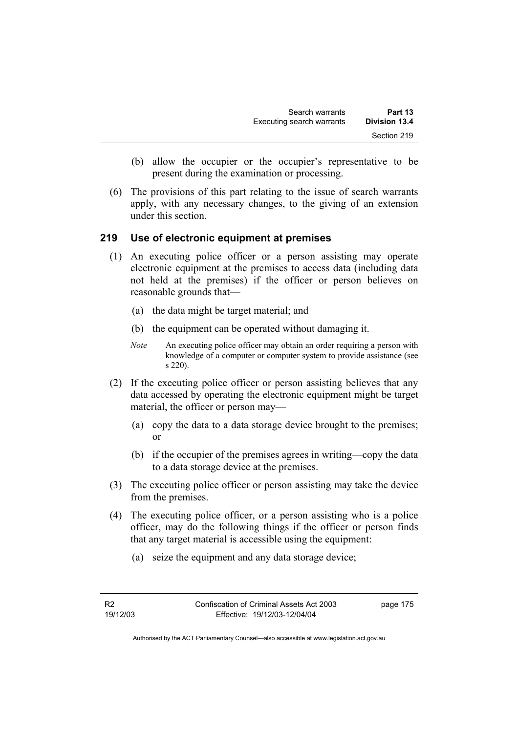- (b) allow the occupier or the occupier's representative to be present during the examination or processing.
- (6) The provisions of this part relating to the issue of search warrants apply, with any necessary changes, to the giving of an extension under this section.

### **219 Use of electronic equipment at premises**

- (1) An executing police officer or a person assisting may operate electronic equipment at the premises to access data (including data not held at the premises) if the officer or person believes on reasonable grounds that—
	- (a) the data might be target material; and
	- (b) the equipment can be operated without damaging it.
	- *Note* An executing police officer may obtain an order requiring a person with knowledge of a computer or computer system to provide assistance (see s 220).
- (2) If the executing police officer or person assisting believes that any data accessed by operating the electronic equipment might be target material, the officer or person may—
	- (a) copy the data to a data storage device brought to the premises; or
	- (b) if the occupier of the premises agrees in writing—copy the data to a data storage device at the premises.
- (3) The executing police officer or person assisting may take the device from the premises.
- (4) The executing police officer, or a person assisting who is a police officer, may do the following things if the officer or person finds that any target material is accessible using the equipment:
	- (a) seize the equipment and any data storage device;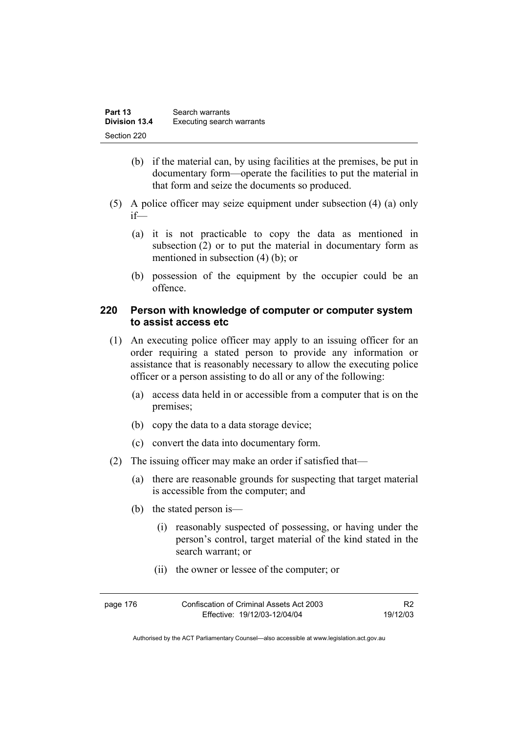| Part 13       | Search warrants           |
|---------------|---------------------------|
| Division 13.4 | Executing search warrants |
| Section 220   |                           |

- (b) if the material can, by using facilities at the premises, be put in documentary form—operate the facilities to put the material in that form and seize the documents so produced.
- (5) A police officer may seize equipment under subsection (4) (a) only if—
	- (a) it is not practicable to copy the data as mentioned in subsection (2) or to put the material in documentary form as mentioned in subsection (4) (b); or
	- (b) possession of the equipment by the occupier could be an offence.

## **220 Person with knowledge of computer or computer system to assist access etc**

- (1) An executing police officer may apply to an issuing officer for an order requiring a stated person to provide any information or assistance that is reasonably necessary to allow the executing police officer or a person assisting to do all or any of the following:
	- (a) access data held in or accessible from a computer that is on the premises;
	- (b) copy the data to a data storage device;
	- (c) convert the data into documentary form.
- (2) The issuing officer may make an order if satisfied that—
	- (a) there are reasonable grounds for suspecting that target material is accessible from the computer; and
	- (b) the stated person is—
		- (i) reasonably suspected of possessing, or having under the person's control, target material of the kind stated in the search warrant; or
		- (ii) the owner or lessee of the computer; or

| page 176 | Confiscation of Criminal Assets Act 2003 | R <sub>2</sub> |
|----------|------------------------------------------|----------------|
|          | Effective: 19/12/03-12/04/04             | 19/12/03       |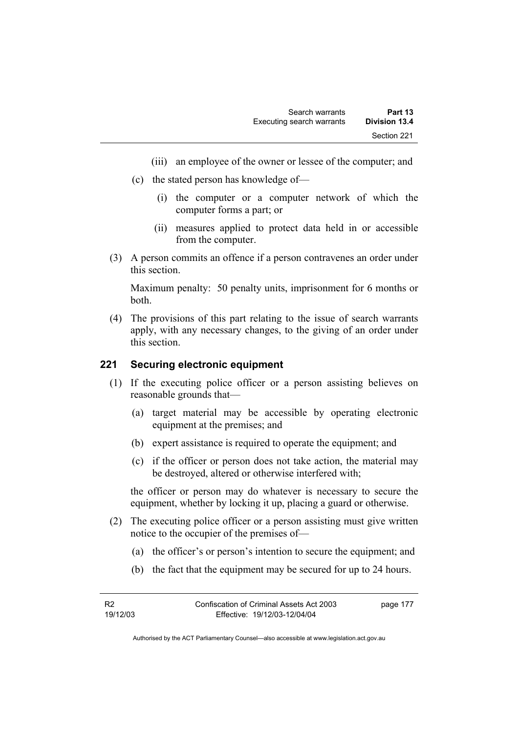- (iii) an employee of the owner or lessee of the computer; and
- (c) the stated person has knowledge of—
	- (i) the computer or a computer network of which the computer forms a part; or
	- (ii) measures applied to protect data held in or accessible from the computer.
- (3) A person commits an offence if a person contravenes an order under this section.

Maximum penalty: 50 penalty units, imprisonment for 6 months or both.

 (4) The provisions of this part relating to the issue of search warrants apply, with any necessary changes, to the giving of an order under this section.

### **221 Securing electronic equipment**

- (1) If the executing police officer or a person assisting believes on reasonable grounds that—
	- (a) target material may be accessible by operating electronic equipment at the premises; and
	- (b) expert assistance is required to operate the equipment; and
	- (c) if the officer or person does not take action, the material may be destroyed, altered or otherwise interfered with;

the officer or person may do whatever is necessary to secure the equipment, whether by locking it up, placing a guard or otherwise.

- (2) The executing police officer or a person assisting must give written notice to the occupier of the premises of—
	- (a) the officer's or person's intention to secure the equipment; and
	- (b) the fact that the equipment may be secured for up to 24 hours.

page 177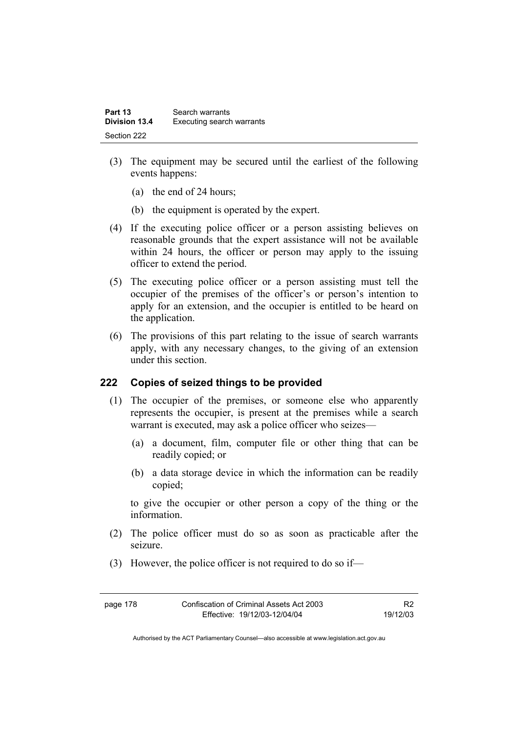| Part 13              | Search warrants           |
|----------------------|---------------------------|
| <b>Division 13.4</b> | Executing search warrants |
| Section 222          |                           |

- (3) The equipment may be secured until the earliest of the following events happens:
	- (a) the end of 24 hours;
	- (b) the equipment is operated by the expert.
- (4) If the executing police officer or a person assisting believes on reasonable grounds that the expert assistance will not be available within 24 hours, the officer or person may apply to the issuing officer to extend the period.
- (5) The executing police officer or a person assisting must tell the occupier of the premises of the officer's or person's intention to apply for an extension, and the occupier is entitled to be heard on the application.
- (6) The provisions of this part relating to the issue of search warrants apply, with any necessary changes, to the giving of an extension under this section.

### **222 Copies of seized things to be provided**

- (1) The occupier of the premises, or someone else who apparently represents the occupier, is present at the premises while a search warrant is executed, may ask a police officer who seizes—
	- (a) a document, film, computer file or other thing that can be readily copied; or
	- (b) a data storage device in which the information can be readily copied;

to give the occupier or other person a copy of the thing or the information.

- (2) The police officer must do so as soon as practicable after the seizure.
- (3) However, the police officer is not required to do so if—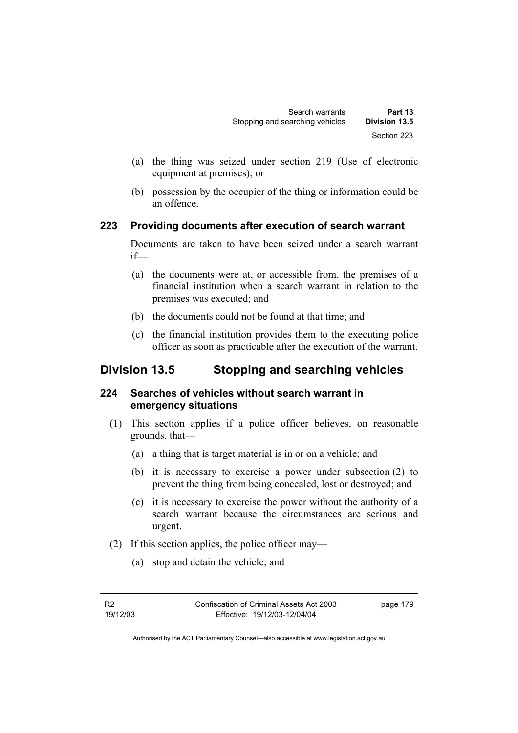- (a) the thing was seized under section 219 (Use of electronic equipment at premises); or
- (b) possession by the occupier of the thing or information could be an offence.

# **223 Providing documents after execution of search warrant**

Documents are taken to have been seized under a search warrant if—

- (a) the documents were at, or accessible from, the premises of a financial institution when a search warrant in relation to the premises was executed; and
- (b) the documents could not be found at that time; and
- (c) the financial institution provides them to the executing police officer as soon as practicable after the execution of the warrant.

# **Division 13.5 Stopping and searching vehicles**

# **224 Searches of vehicles without search warrant in emergency situations**

- (1) This section applies if a police officer believes, on reasonable grounds, that—
	- (a) a thing that is target material is in or on a vehicle; and
	- (b) it is necessary to exercise a power under subsection (2) to prevent the thing from being concealed, lost or destroyed; and
	- (c) it is necessary to exercise the power without the authority of a search warrant because the circumstances are serious and urgent.
- (2) If this section applies, the police officer may—
	- (a) stop and detain the vehicle; and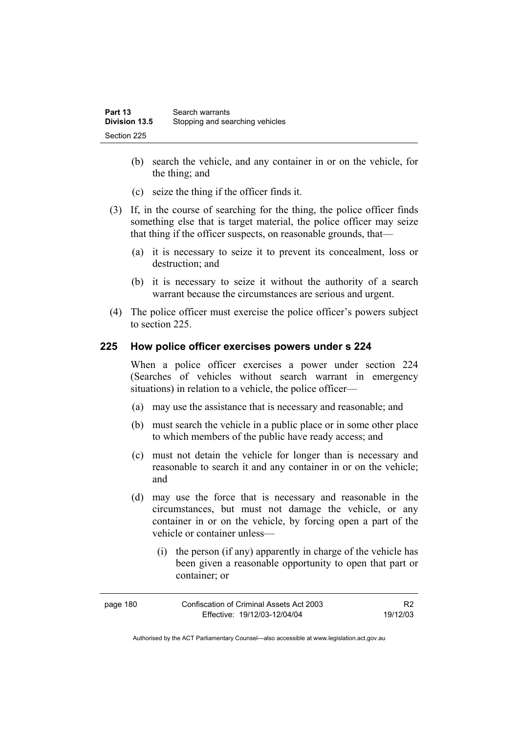- (b) search the vehicle, and any container in or on the vehicle, for the thing; and
- (c) seize the thing if the officer finds it.
- (3) If, in the course of searching for the thing, the police officer finds something else that is target material, the police officer may seize that thing if the officer suspects, on reasonable grounds, that—
	- (a) it is necessary to seize it to prevent its concealment, loss or destruction; and
	- (b) it is necessary to seize it without the authority of a search warrant because the circumstances are serious and urgent.
- (4) The police officer must exercise the police officer's powers subject to section 225.

### **225 How police officer exercises powers under s 224**

When a police officer exercises a power under section 224 (Searches of vehicles without search warrant in emergency situations) in relation to a vehicle, the police officer—

- (a) may use the assistance that is necessary and reasonable; and
- (b) must search the vehicle in a public place or in some other place to which members of the public have ready access; and
- (c) must not detain the vehicle for longer than is necessary and reasonable to search it and any container in or on the vehicle; and
- (d) may use the force that is necessary and reasonable in the circumstances, but must not damage the vehicle, or any container in or on the vehicle, by forcing open a part of the vehicle or container unless—
	- (i) the person (if any) apparently in charge of the vehicle has been given a reasonable opportunity to open that part or container; or

| page 180 | Confiscation of Criminal Assets Act 2003 |          |
|----------|------------------------------------------|----------|
|          | Effective: 19/12/03-12/04/04             | 19/12/03 |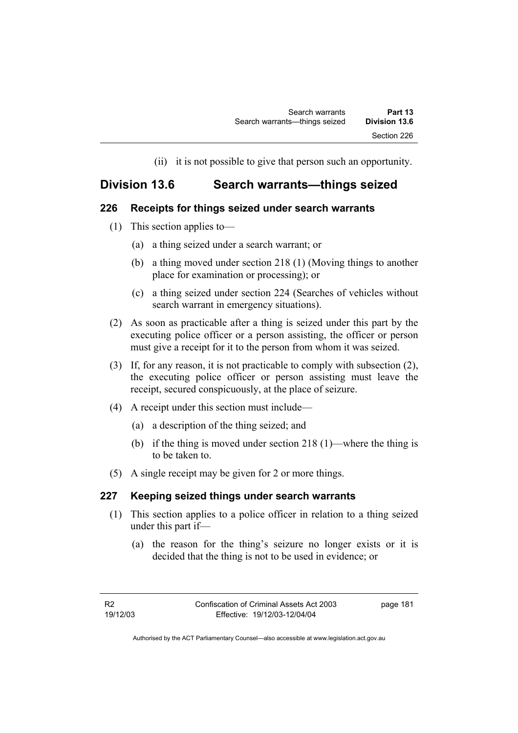(ii) it is not possible to give that person such an opportunity.

# **Division 13.6 Search warrants—things seized**

# **226 Receipts for things seized under search warrants**

- (1) This section applies to—
	- (a) a thing seized under a search warrant; or
	- (b) a thing moved under section 218 (1) (Moving things to another place for examination or processing); or
	- (c) a thing seized under section 224 (Searches of vehicles without search warrant in emergency situations).
- (2) As soon as practicable after a thing is seized under this part by the executing police officer or a person assisting, the officer or person must give a receipt for it to the person from whom it was seized.
- (3) If, for any reason, it is not practicable to comply with subsection (2), the executing police officer or person assisting must leave the receipt, secured conspicuously, at the place of seizure.
- (4) A receipt under this section must include—
	- (a) a description of the thing seized; and
	- (b) if the thing is moved under section 218 (1)—where the thing is to be taken to.
- (5) A single receipt may be given for 2 or more things.

# **227 Keeping seized things under search warrants**

- (1) This section applies to a police officer in relation to a thing seized under this part if—
	- (a) the reason for the thing's seizure no longer exists or it is decided that the thing is not to be used in evidence; or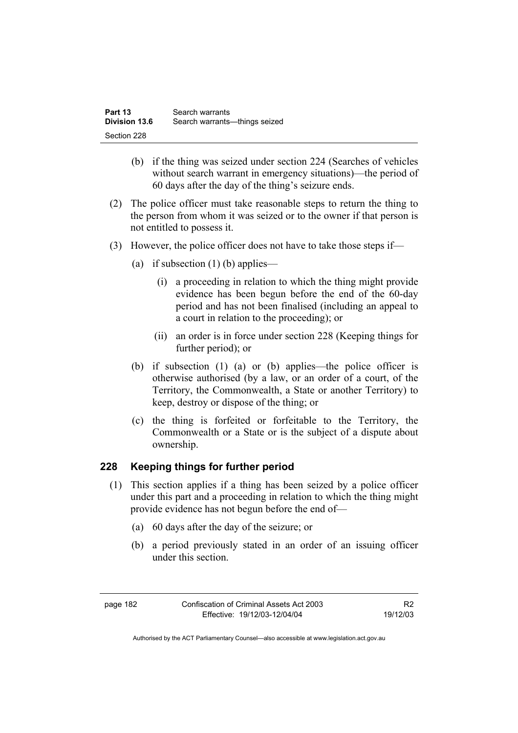| Part 13              | Search warrants                 |
|----------------------|---------------------------------|
| <b>Division 13.6</b> | Search warrants---things seized |
| Section 228          |                                 |

- (b) if the thing was seized under section 224 (Searches of vehicles without search warrant in emergency situations)—the period of 60 days after the day of the thing's seizure ends.
- (2) The police officer must take reasonable steps to return the thing to the person from whom it was seized or to the owner if that person is not entitled to possess it.
- (3) However, the police officer does not have to take those steps if—
	- (a) if subsection  $(1)$  (b) applies—
		- (i) a proceeding in relation to which the thing might provide evidence has been begun before the end of the 60-day period and has not been finalised (including an appeal to a court in relation to the proceeding); or
		- (ii) an order is in force under section 228 (Keeping things for further period); or
	- (b) if subsection (1) (a) or (b) applies—the police officer is otherwise authorised (by a law, or an order of a court, of the Territory, the Commonwealth, a State or another Territory) to keep, destroy or dispose of the thing; or
	- (c) the thing is forfeited or forfeitable to the Territory, the Commonwealth or a State or is the subject of a dispute about ownership.

### **228 Keeping things for further period**

- (1) This section applies if a thing has been seized by a police officer under this part and a proceeding in relation to which the thing might provide evidence has not begun before the end of—
	- (a) 60 days after the day of the seizure; or
	- (b) a period previously stated in an order of an issuing officer under this section.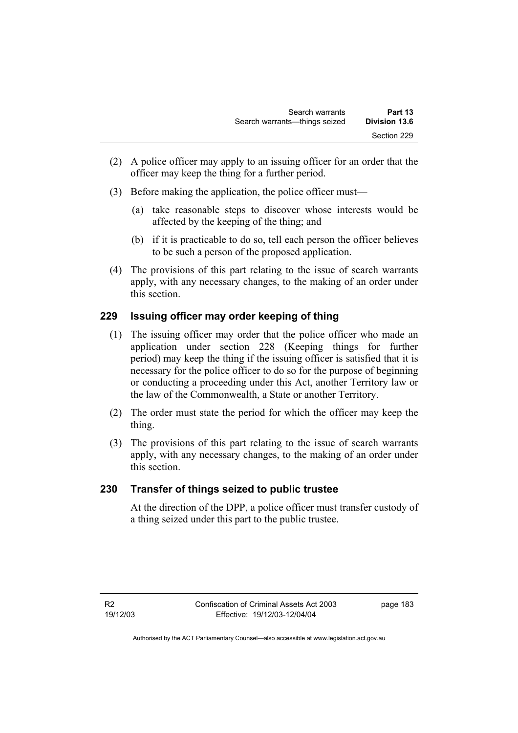- (2) A police officer may apply to an issuing officer for an order that the officer may keep the thing for a further period.
- (3) Before making the application, the police officer must—
	- (a) take reasonable steps to discover whose interests would be affected by the keeping of the thing; and
	- (b) if it is practicable to do so, tell each person the officer believes to be such a person of the proposed application.
- (4) The provisions of this part relating to the issue of search warrants apply, with any necessary changes, to the making of an order under this section.

# **229 Issuing officer may order keeping of thing**

- (1) The issuing officer may order that the police officer who made an application under section 228 (Keeping things for further period) may keep the thing if the issuing officer is satisfied that it is necessary for the police officer to do so for the purpose of beginning or conducting a proceeding under this Act, another Territory law or the law of the Commonwealth, a State or another Territory.
- (2) The order must state the period for which the officer may keep the thing.
- (3) The provisions of this part relating to the issue of search warrants apply, with any necessary changes, to the making of an order under this section.

# **230 Transfer of things seized to public trustee**

At the direction of the DPP, a police officer must transfer custody of a thing seized under this part to the public trustee.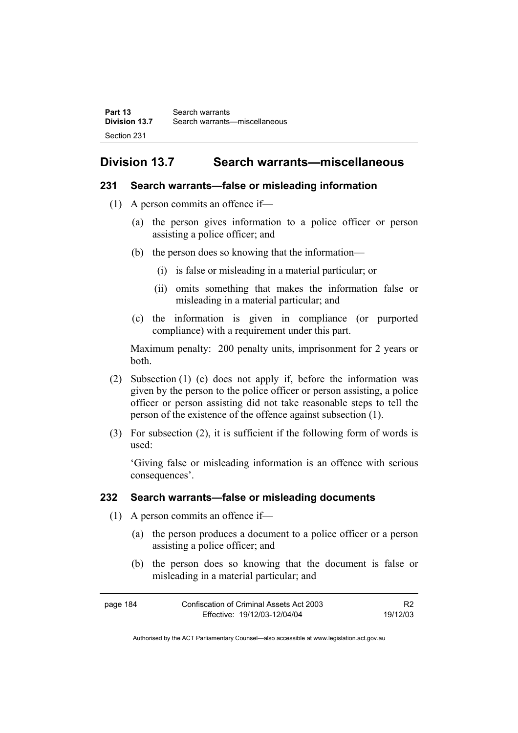# **Division 13.7 Search warrants—miscellaneous**

### **231 Search warrants—false or misleading information**

- (1) A person commits an offence if—
	- (a) the person gives information to a police officer or person assisting a police officer; and
	- (b) the person does so knowing that the information—
		- (i) is false or misleading in a material particular; or
		- (ii) omits something that makes the information false or misleading in a material particular; and
	- (c) the information is given in compliance (or purported compliance) with a requirement under this part.

Maximum penalty: 200 penalty units, imprisonment for 2 years or both.

- (2) Subsection (1) (c) does not apply if, before the information was given by the person to the police officer or person assisting, a police officer or person assisting did not take reasonable steps to tell the person of the existence of the offence against subsection (1).
- (3) For subsection (2), it is sufficient if the following form of words is used:

'Giving false or misleading information is an offence with serious consequences'.

### **232 Search warrants—false or misleading documents**

- (1) A person commits an offence if—
	- (a) the person produces a document to a police officer or a person assisting a police officer; and
	- (b) the person does so knowing that the document is false or misleading in a material particular; and

| page 184 | Confiscation of Criminal Assets Act 2003 | R <sub>2</sub> |
|----------|------------------------------------------|----------------|
|          | Effective: 19/12/03-12/04/04             | 19/12/03       |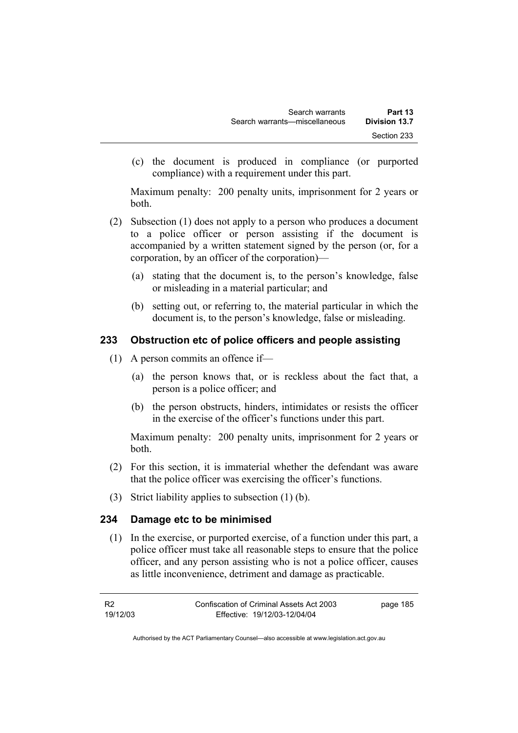(c) the document is produced in compliance (or purported compliance) with a requirement under this part.

Maximum penalty: 200 penalty units, imprisonment for 2 years or both.

- (2) Subsection (1) does not apply to a person who produces a document to a police officer or person assisting if the document is accompanied by a written statement signed by the person (or, for a corporation, by an officer of the corporation)—
	- (a) stating that the document is, to the person's knowledge, false or misleading in a material particular; and
	- (b) setting out, or referring to, the material particular in which the document is, to the person's knowledge, false or misleading.

# **233 Obstruction etc of police officers and people assisting**

- (1) A person commits an offence if—
	- (a) the person knows that, or is reckless about the fact that, a person is a police officer; and
	- (b) the person obstructs, hinders, intimidates or resists the officer in the exercise of the officer's functions under this part.

Maximum penalty: 200 penalty units, imprisonment for 2 years or both.

- (2) For this section, it is immaterial whether the defendant was aware that the police officer was exercising the officer's functions.
- (3) Strict liability applies to subsection (1) (b).

# **234 Damage etc to be minimised**

 (1) In the exercise, or purported exercise, of a function under this part, a police officer must take all reasonable steps to ensure that the police officer, and any person assisting who is not a police officer, causes as little inconvenience, detriment and damage as practicable.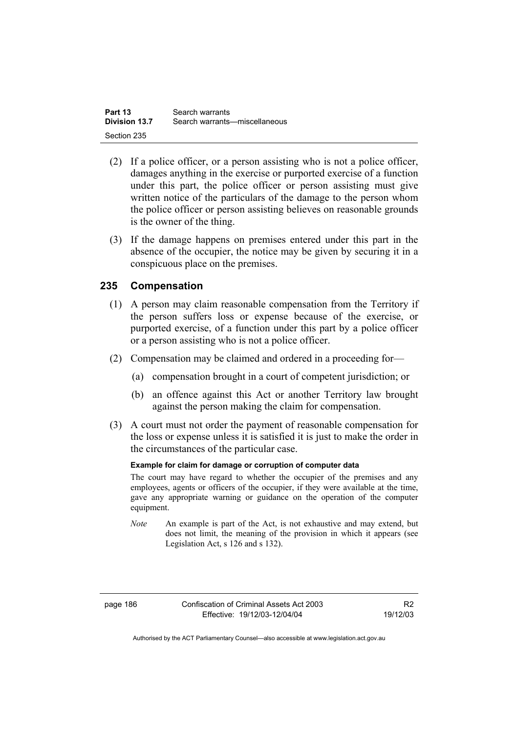| Part 13       | Search warrants               |
|---------------|-------------------------------|
| Division 13.7 | Search warrants—miscellaneous |
| Section 235   |                               |

- (2) If a police officer, or a person assisting who is not a police officer, damages anything in the exercise or purported exercise of a function under this part, the police officer or person assisting must give written notice of the particulars of the damage to the person whom the police officer or person assisting believes on reasonable grounds is the owner of the thing.
- (3) If the damage happens on premises entered under this part in the absence of the occupier, the notice may be given by securing it in a conspicuous place on the premises.

### **235 Compensation**

- (1) A person may claim reasonable compensation from the Territory if the person suffers loss or expense because of the exercise, or purported exercise, of a function under this part by a police officer or a person assisting who is not a police officer.
- (2) Compensation may be claimed and ordered in a proceeding for—
	- (a) compensation brought in a court of competent jurisdiction; or
	- (b) an offence against this Act or another Territory law brought against the person making the claim for compensation.
- (3) A court must not order the payment of reasonable compensation for the loss or expense unless it is satisfied it is just to make the order in the circumstances of the particular case.

#### **Example for claim for damage or corruption of computer data**

The court may have regard to whether the occupier of the premises and any employees, agents or officers of the occupier, if they were available at the time, gave any appropriate warning or guidance on the operation of the computer equipment.

*Note* An example is part of the Act, is not exhaustive and may extend, but does not limit, the meaning of the provision in which it appears (see Legislation Act, s 126 and s 132).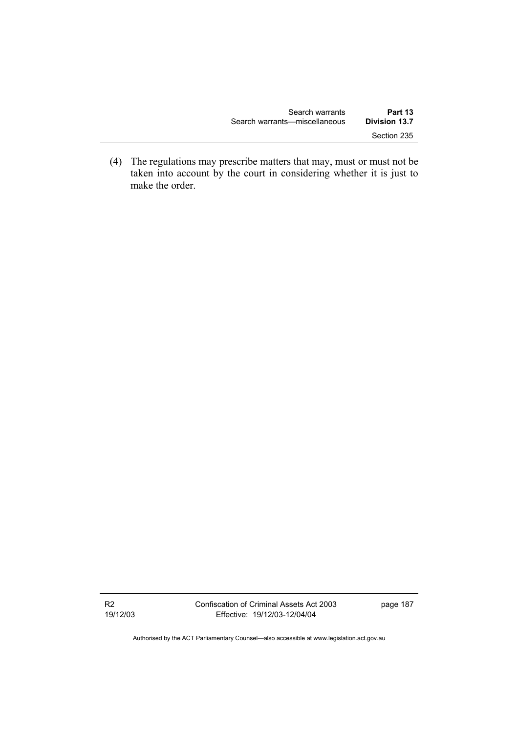| Search warrants               | Part 13              |
|-------------------------------|----------------------|
| Search warrants—miscellaneous | <b>Division 13.7</b> |
|                               | Section 235          |

 (4) The regulations may prescribe matters that may, must or must not be taken into account by the court in considering whether it is just to make the order.

R2 19/12/03 Confiscation of Criminal Assets Act 2003 Effective: 19/12/03-12/04/04

page 187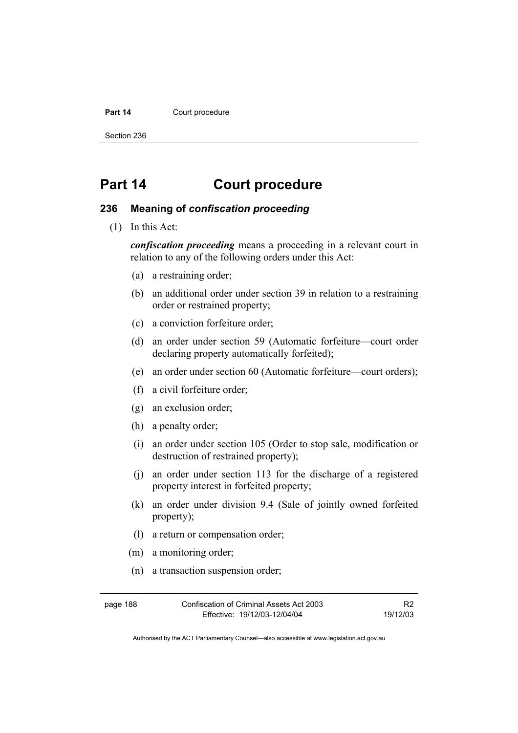#### Part 14 **Court procedure**

Section 236

# **Part 14 Court procedure**

### **236 Meaning of** *confiscation proceeding*

(1) In this Act:

*confiscation proceeding* means a proceeding in a relevant court in relation to any of the following orders under this Act:

- (a) a restraining order;
- (b) an additional order under section 39 in relation to a restraining order or restrained property;
- (c) a conviction forfeiture order;
- (d) an order under section 59 (Automatic forfeiture—court order declaring property automatically forfeited);
- (e) an order under section 60 (Automatic forfeiture—court orders);
- (f) a civil forfeiture order;
- (g) an exclusion order;
- (h) a penalty order;
- (i) an order under section 105 (Order to stop sale, modification or destruction of restrained property);
- (j) an order under section 113 for the discharge of a registered property interest in forfeited property;
- (k) an order under division 9.4 (Sale of jointly owned forfeited property);
- (l) a return or compensation order;
- (m) a monitoring order;
- (n) a transaction suspension order;

page 188 Confiscation of Criminal Assets Act 2003 Effective: 19/12/03-12/04/04 R2 19/12/03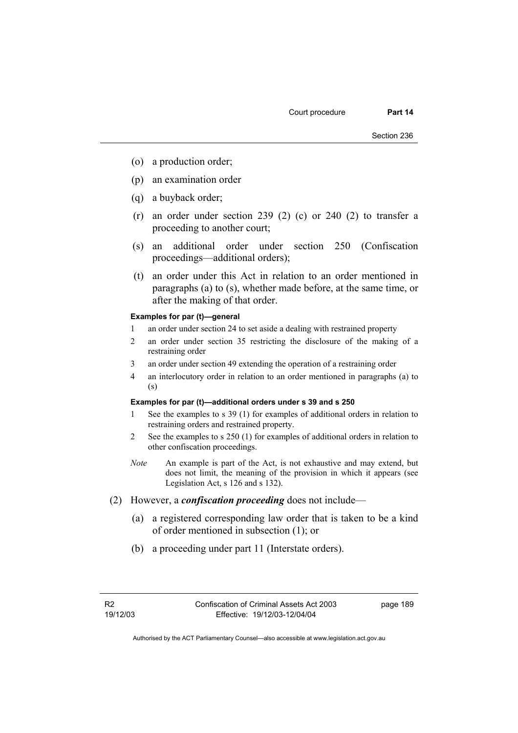- (o) a production order;
- (p) an examination order
- (q) a buyback order;
- $(r)$  an order under section 239 (2) (c) or 240 (2) to transfer a proceeding to another court;
- (s) an additional order under section 250 (Confiscation proceedings—additional orders);
- (t) an order under this Act in relation to an order mentioned in paragraphs (a) to (s), whether made before, at the same time, or after the making of that order.

#### **Examples for par (t)—general**

- 1 an order under section 24 to set aside a dealing with restrained property
- 2 an order under section 35 restricting the disclosure of the making of a restraining order
- 3 an order under section 49 extending the operation of a restraining order
- 4 an interlocutory order in relation to an order mentioned in paragraphs (a) to (s)

#### **Examples for par (t)—additional orders under s 39 and s 250**

- 1 See the examples to s 39 (1) for examples of additional orders in relation to restraining orders and restrained property.
- 2 See the examples to s 250 (1) for examples of additional orders in relation to other confiscation proceedings.
- *Note* An example is part of the Act, is not exhaustive and may extend, but does not limit, the meaning of the provision in which it appears (see Legislation Act, s 126 and s 132).
- (2) However, a *confiscation proceeding* does not include—
	- (a) a registered corresponding law order that is taken to be a kind of order mentioned in subsection (1); or
	- (b) a proceeding under part 11 (Interstate orders).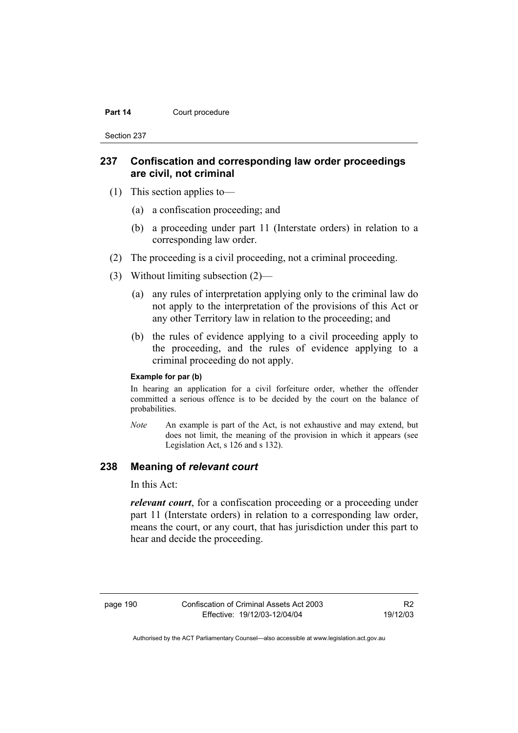#### Part 14 **Court procedure**

Section 237

### **237 Confiscation and corresponding law order proceedings are civil, not criminal**

- (1) This section applies to—
	- (a) a confiscation proceeding; and
	- (b) a proceeding under part 11 (Interstate orders) in relation to a corresponding law order.
- (2) The proceeding is a civil proceeding, not a criminal proceeding.
- (3) Without limiting subsection (2)—
	- (a) any rules of interpretation applying only to the criminal law do not apply to the interpretation of the provisions of this Act or any other Territory law in relation to the proceeding; and
	- (b) the rules of evidence applying to a civil proceeding apply to the proceeding, and the rules of evidence applying to a criminal proceeding do not apply.

#### **Example for par (b)**

In hearing an application for a civil forfeiture order, whether the offender committed a serious offence is to be decided by the court on the balance of probabilities.

*Note* An example is part of the Act, is not exhaustive and may extend, but does not limit, the meaning of the provision in which it appears (see Legislation Act, s 126 and s 132).

### **238 Meaning of** *relevant court*

In this Act:

*relevant court*, for a confiscation proceeding or a proceeding under part 11 (Interstate orders) in relation to a corresponding law order, means the court, or any court, that has jurisdiction under this part to hear and decide the proceeding.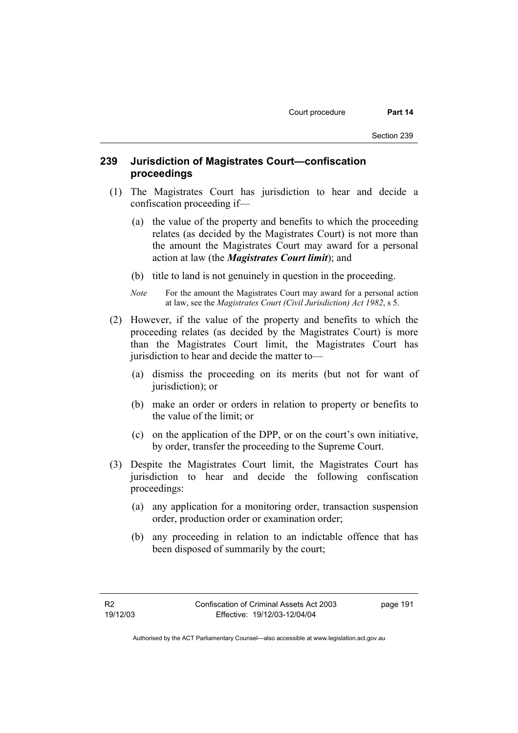# **239 Jurisdiction of Magistrates Court—confiscation proceedings**

- (1) The Magistrates Court has jurisdiction to hear and decide a confiscation proceeding if—
	- (a) the value of the property and benefits to which the proceeding relates (as decided by the Magistrates Court) is not more than the amount the Magistrates Court may award for a personal action at law (the *Magistrates Court limit*); and
	- (b) title to land is not genuinely in question in the proceeding.
	- *Note* For the amount the Magistrates Court may award for a personal action at law, see the *Magistrates Court (Civil Jurisdiction) Act 1982*, s 5.
- (2) However, if the value of the property and benefits to which the proceeding relates (as decided by the Magistrates Court) is more than the Magistrates Court limit, the Magistrates Court has jurisdiction to hear and decide the matter to—
	- (a) dismiss the proceeding on its merits (but not for want of jurisdiction); or
	- (b) make an order or orders in relation to property or benefits to the value of the limit; or
	- (c) on the application of the DPP, or on the court's own initiative, by order, transfer the proceeding to the Supreme Court.
- (3) Despite the Magistrates Court limit, the Magistrates Court has jurisdiction to hear and decide the following confiscation proceedings:
	- (a) any application for a monitoring order, transaction suspension order, production order or examination order;
	- (b) any proceeding in relation to an indictable offence that has been disposed of summarily by the court;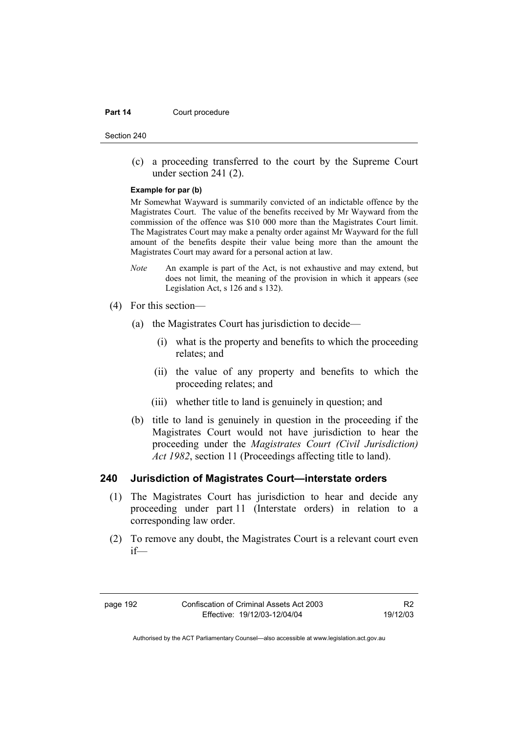#### **Part 14 Court procedure**

Section 240

 (c) a proceeding transferred to the court by the Supreme Court under section 241 (2).

#### **Example for par (b)**

Mr Somewhat Wayward is summarily convicted of an indictable offence by the Magistrates Court. The value of the benefits received by Mr Wayward from the commission of the offence was \$10 000 more than the Magistrates Court limit. The Magistrates Court may make a penalty order against Mr Wayward for the full amount of the benefits despite their value being more than the amount the Magistrates Court may award for a personal action at law.

- *Note* An example is part of the Act, is not exhaustive and may extend, but does not limit, the meaning of the provision in which it appears (see Legislation Act, s 126 and s 132).
- (4) For this section—
	- (a) the Magistrates Court has jurisdiction to decide—
		- (i) what is the property and benefits to which the proceeding relates; and
		- (ii) the value of any property and benefits to which the proceeding relates; and
		- (iii) whether title to land is genuinely in question; and
	- (b) title to land is genuinely in question in the proceeding if the Magistrates Court would not have jurisdiction to hear the proceeding under the *Magistrates Court (Civil Jurisdiction) Act 1982*, section 11 (Proceedings affecting title to land).

#### **240 Jurisdiction of Magistrates Court—interstate orders**

- (1) The Magistrates Court has jurisdiction to hear and decide any proceeding under part 11 (Interstate orders) in relation to a corresponding law order.
- (2) To remove any doubt, the Magistrates Court is a relevant court even if—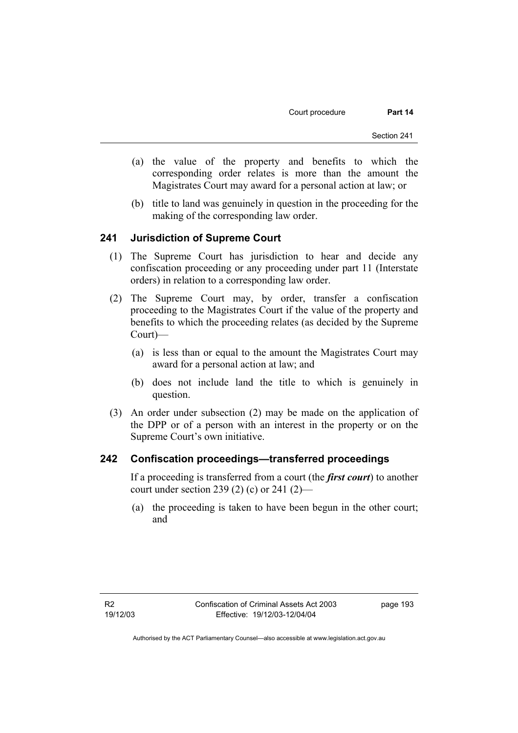- (a) the value of the property and benefits to which the corresponding order relates is more than the amount the Magistrates Court may award for a personal action at law; or
- (b) title to land was genuinely in question in the proceeding for the making of the corresponding law order.

### **241 Jurisdiction of Supreme Court**

- (1) The Supreme Court has jurisdiction to hear and decide any confiscation proceeding or any proceeding under part 11 (Interstate orders) in relation to a corresponding law order.
- (2) The Supreme Court may, by order, transfer a confiscation proceeding to the Magistrates Court if the value of the property and benefits to which the proceeding relates (as decided by the Supreme Court)—
	- (a) is less than or equal to the amount the Magistrates Court may award for a personal action at law; and
	- (b) does not include land the title to which is genuinely in question.
- (3) An order under subsection (2) may be made on the application of the DPP or of a person with an interest in the property or on the Supreme Court's own initiative.

### **242 Confiscation proceedings—transferred proceedings**

If a proceeding is transferred from a court (the *first court*) to another court under section 239 (2) (c) or 241 (2)—

 (a) the proceeding is taken to have been begun in the other court; and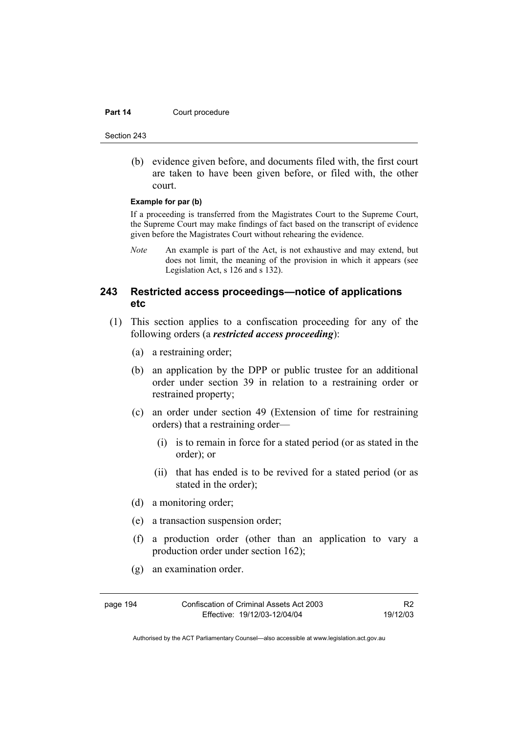#### Part 14 **Court procedure**

Section 243

 (b) evidence given before, and documents filed with, the first court are taken to have been given before, or filed with, the other court.

#### **Example for par (b)**

If a proceeding is transferred from the Magistrates Court to the Supreme Court, the Supreme Court may make findings of fact based on the transcript of evidence given before the Magistrates Court without rehearing the evidence.

*Note* An example is part of the Act, is not exhaustive and may extend, but does not limit, the meaning of the provision in which it appears (see Legislation Act, s 126 and s 132).

## **243 Restricted access proceedings—notice of applications etc**

- (1) This section applies to a confiscation proceeding for any of the following orders (a *restricted access proceeding*):
	- (a) a restraining order;
	- (b) an application by the DPP or public trustee for an additional order under section 39 in relation to a restraining order or restrained property;
	- (c) an order under section 49 (Extension of time for restraining orders) that a restraining order—
		- (i) is to remain in force for a stated period (or as stated in the order); or
		- (ii) that has ended is to be revived for a stated period (or as stated in the order);
	- (d) a monitoring order;
	- (e) a transaction suspension order;
	- (f) a production order (other than an application to vary a production order under section 162);
	- (g) an examination order.

page 194 Confiscation of Criminal Assets Act 2003 Effective: 19/12/03-12/04/04

R2 19/12/03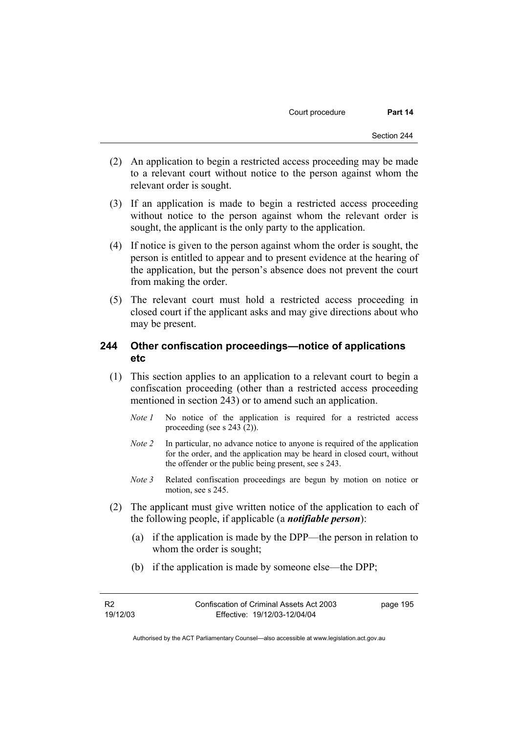- (2) An application to begin a restricted access proceeding may be made to a relevant court without notice to the person against whom the relevant order is sought.
- (3) If an application is made to begin a restricted access proceeding without notice to the person against whom the relevant order is sought, the applicant is the only party to the application.
- (4) If notice is given to the person against whom the order is sought, the person is entitled to appear and to present evidence at the hearing of the application, but the person's absence does not prevent the court from making the order.
- (5) The relevant court must hold a restricted access proceeding in closed court if the applicant asks and may give directions about who may be present.

### **244 Other confiscation proceedings—notice of applications etc**

- (1) This section applies to an application to a relevant court to begin a confiscation proceeding (other than a restricted access proceeding mentioned in section 243) or to amend such an application.
	- *Note 1* No notice of the application is required for a restricted access proceeding (see s 243 (2)).
	- *Note 2* In particular, no advance notice to anyone is required of the application for the order, and the application may be heard in closed court, without the offender or the public being present, see s 243.
	- *Note 3* Related confiscation proceedings are begun by motion on notice or motion, see s 245.
- (2) The applicant must give written notice of the application to each of the following people, if applicable (a *notifiable person*):
	- (a) if the application is made by the DPP—the person in relation to whom the order is sought;
	- (b) if the application is made by someone else—the DPP;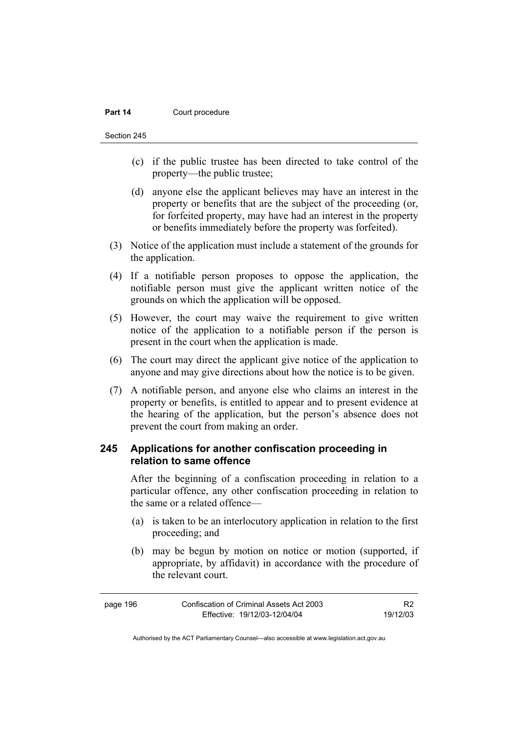#### **Part 14 Court procedure**

Section 245

- (c) if the public trustee has been directed to take control of the property—the public trustee;
- (d) anyone else the applicant believes may have an interest in the property or benefits that are the subject of the proceeding (or, for forfeited property, may have had an interest in the property or benefits immediately before the property was forfeited).
- (3) Notice of the application must include a statement of the grounds for the application.
- (4) If a notifiable person proposes to oppose the application, the notifiable person must give the applicant written notice of the grounds on which the application will be opposed.
- (5) However, the court may waive the requirement to give written notice of the application to a notifiable person if the person is present in the court when the application is made.
- (6) The court may direct the applicant give notice of the application to anyone and may give directions about how the notice is to be given.
- (7) A notifiable person, and anyone else who claims an interest in the property or benefits, is entitled to appear and to present evidence at the hearing of the application, but the person's absence does not prevent the court from making an order.

# **245 Applications for another confiscation proceeding in relation to same offence**

After the beginning of a confiscation proceeding in relation to a particular offence, any other confiscation proceeding in relation to the same or a related offence—

- (a) is taken to be an interlocutory application in relation to the first proceeding; and
- (b) may be begun by motion on notice or motion (supported, if appropriate, by affidavit) in accordance with the procedure of the relevant court.

| page 196 | Confiscation of Criminal Assets Act 2003 | R <sub>2</sub> |
|----------|------------------------------------------|----------------|
|          | Effective: 19/12/03-12/04/04             | 19/12/03       |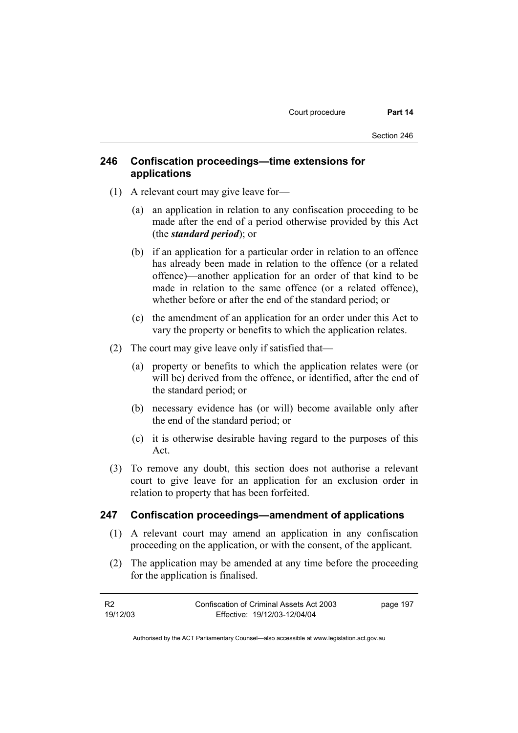### **246 Confiscation proceedings—time extensions for applications**

- (1) A relevant court may give leave for—
	- (a) an application in relation to any confiscation proceeding to be made after the end of a period otherwise provided by this Act (the *standard period*); or
	- (b) if an application for a particular order in relation to an offence has already been made in relation to the offence (or a related offence)—another application for an order of that kind to be made in relation to the same offence (or a related offence), whether before or after the end of the standard period; or
	- (c) the amendment of an application for an order under this Act to vary the property or benefits to which the application relates.
- (2) The court may give leave only if satisfied that—
	- (a) property or benefits to which the application relates were (or will be) derived from the offence, or identified, after the end of the standard period; or
	- (b) necessary evidence has (or will) become available only after the end of the standard period; or
	- (c) it is otherwise desirable having regard to the purposes of this Act.
- (3) To remove any doubt, this section does not authorise a relevant court to give leave for an application for an exclusion order in relation to property that has been forfeited.

### **247 Confiscation proceedings—amendment of applications**

- (1) A relevant court may amend an application in any confiscation proceeding on the application, or with the consent, of the applicant.
- (2) The application may be amended at any time before the proceeding for the application is finalised.

| - R2     | Confiscation of Criminal Assets Act 2003 | page 197 |
|----------|------------------------------------------|----------|
| 19/12/03 | Effective: 19/12/03-12/04/04             |          |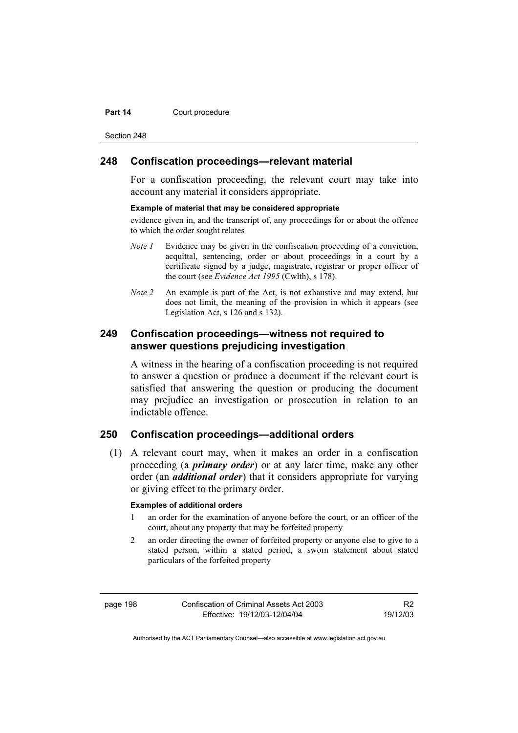#### **Part 14 Court procedure**

Section 248

### **248 Confiscation proceedings—relevant material**

For a confiscation proceeding, the relevant court may take into account any material it considers appropriate.

#### **Example of material that may be considered appropriate**

evidence given in, and the transcript of, any proceedings for or about the offence to which the order sought relates

- *Note 1* Evidence may be given in the confiscation proceeding of a conviction, acquittal, sentencing, order or about proceedings in a court by a certificate signed by a judge, magistrate, registrar or proper officer of the court (see *Evidence Act 1995* (Cwlth), s 178).
- *Note* 2 An example is part of the Act, is not exhaustive and may extend, but does not limit, the meaning of the provision in which it appears (see Legislation Act, s 126 and s 132).

# **249 Confiscation proceedings—witness not required to answer questions prejudicing investigation**

A witness in the hearing of a confiscation proceeding is not required to answer a question or produce a document if the relevant court is satisfied that answering the question or producing the document may prejudice an investigation or prosecution in relation to an indictable offence.

### **250 Confiscation proceedings—additional orders**

 (1) A relevant court may, when it makes an order in a confiscation proceeding (a *primary order*) or at any later time, make any other order (an *additional order*) that it considers appropriate for varying or giving effect to the primary order.

#### **Examples of additional orders**

- 1 an order for the examination of anyone before the court, or an officer of the court, about any property that may be forfeited property
- 2 an order directing the owner of forfeited property or anyone else to give to a stated person, within a stated period, a sworn statement about stated particulars of the forfeited property

page 198 Confiscation of Criminal Assets Act 2003 Effective: 19/12/03-12/04/04

R2 19/12/03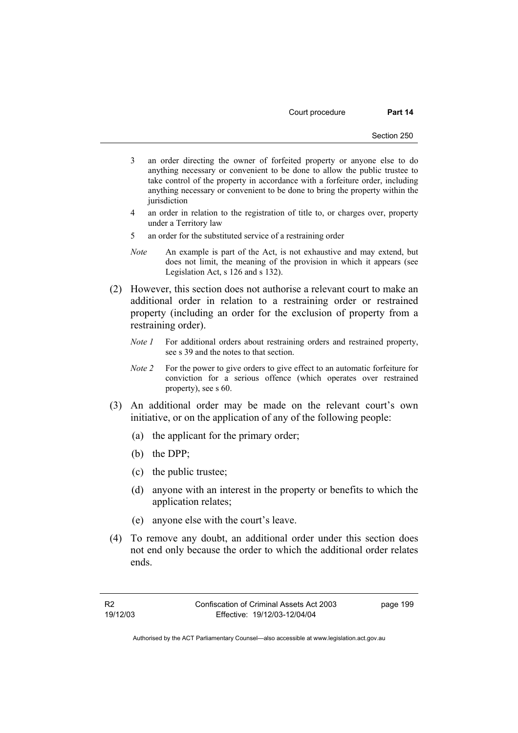Court procedure **Part 14** 

- 3 an order directing the owner of forfeited property or anyone else to do anything necessary or convenient to be done to allow the public trustee to take control of the property in accordance with a forfeiture order, including anything necessary or convenient to be done to bring the property within the iurisdiction
- 4 an order in relation to the registration of title to, or charges over, property under a Territory law
- 5 an order for the substituted service of a restraining order
- *Note* An example is part of the Act, is not exhaustive and may extend, but does not limit, the meaning of the provision in which it appears (see Legislation Act, s 126 and s 132).
- (2) However, this section does not authorise a relevant court to make an additional order in relation to a restraining order or restrained property (including an order for the exclusion of property from a restraining order).
	- *Note 1* For additional orders about restraining orders and restrained property, see s 39 and the notes to that section.
	- *Note 2* For the power to give orders to give effect to an automatic forfeiture for conviction for a serious offence (which operates over restrained property), see s 60.
- (3) An additional order may be made on the relevant court's own initiative, or on the application of any of the following people:
	- (a) the applicant for the primary order;
	- (b) the DPP;
	- (c) the public trustee;
	- (d) anyone with an interest in the property or benefits to which the application relates;
	- (e) anyone else with the court's leave.
- (4) To remove any doubt, an additional order under this section does not end only because the order to which the additional order relates ends.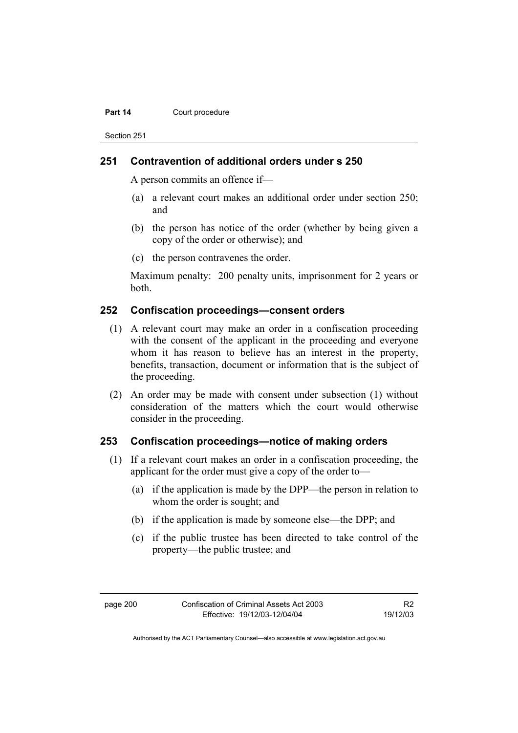#### **Part 14 Court procedure**

Section 251

### **251 Contravention of additional orders under s 250**

A person commits an offence if—

- (a) a relevant court makes an additional order under section 250; and
- (b) the person has notice of the order (whether by being given a copy of the order or otherwise); and
- (c) the person contravenes the order.

Maximum penalty: 200 penalty units, imprisonment for 2 years or both.

### **252 Confiscation proceedings—consent orders**

- (1) A relevant court may make an order in a confiscation proceeding with the consent of the applicant in the proceeding and everyone whom it has reason to believe has an interest in the property, benefits, transaction, document or information that is the subject of the proceeding.
- (2) An order may be made with consent under subsection (1) without consideration of the matters which the court would otherwise consider in the proceeding.

### **253 Confiscation proceedings—notice of making orders**

- (1) If a relevant court makes an order in a confiscation proceeding, the applicant for the order must give a copy of the order to—
	- (a) if the application is made by the DPP—the person in relation to whom the order is sought; and
	- (b) if the application is made by someone else—the DPP; and
	- (c) if the public trustee has been directed to take control of the property—the public trustee; and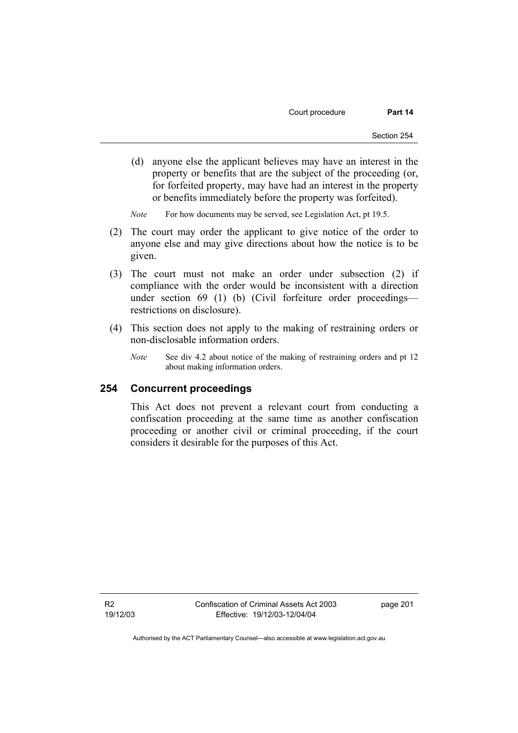Court procedure **Part 14** 

- (d) anyone else the applicant believes may have an interest in the property or benefits that are the subject of the proceeding (or, for forfeited property, may have had an interest in the property or benefits immediately before the property was forfeited).
- *Note* For how documents may be served, see Legislation Act, pt 19.5.
- (2) The court may order the applicant to give notice of the order to anyone else and may give directions about how the notice is to be given.
- (3) The court must not make an order under subsection (2) if compliance with the order would be inconsistent with a direction under section 69 (1) (b) (Civil forfeiture order proceedings restrictions on disclosure).
- (4) This section does not apply to the making of restraining orders or non-disclosable information orders.
	- *Note* See div 4.2 about notice of the making of restraining orders and pt 12 about making information orders.

#### **254 Concurrent proceedings**

This Act does not prevent a relevant court from conducting a confiscation proceeding at the same time as another confiscation proceeding or another civil or criminal proceeding, if the court considers it desirable for the purposes of this Act.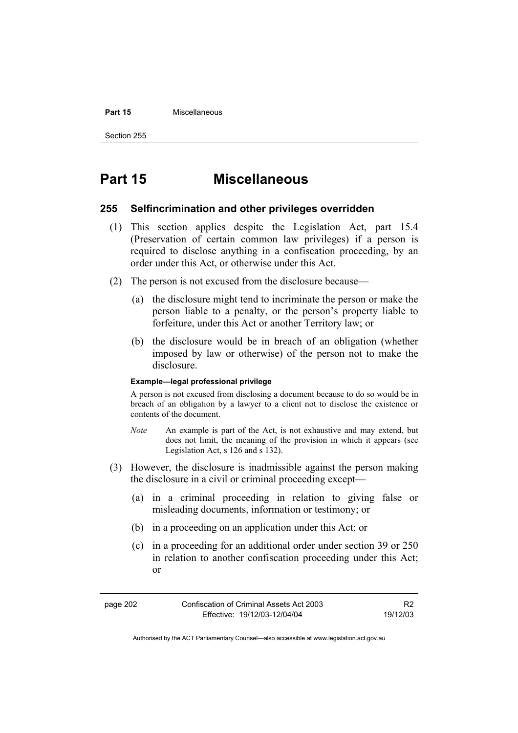#### **Part 15** Miscellaneous

Section 255

## **Part 15 Miscellaneous**

#### **255 Selfincrimination and other privileges overridden**

- (1) This section applies despite the Legislation Act, part 15.4 (Preservation of certain common law privileges) if a person is required to disclose anything in a confiscation proceeding, by an order under this Act, or otherwise under this Act.
- (2) The person is not excused from the disclosure because—
	- (a) the disclosure might tend to incriminate the person or make the person liable to a penalty, or the person's property liable to forfeiture, under this Act or another Territory law; or
	- (b) the disclosure would be in breach of an obligation (whether imposed by law or otherwise) of the person not to make the disclosure.

#### **Example—legal professional privilege**

A person is not excused from disclosing a document because to do so would be in breach of an obligation by a lawyer to a client not to disclose the existence or contents of the document.

- *Note* An example is part of the Act, is not exhaustive and may extend, but does not limit, the meaning of the provision in which it appears (see Legislation Act, s 126 and s 132).
- (3) However, the disclosure is inadmissible against the person making the disclosure in a civil or criminal proceeding except—
	- (a) in a criminal proceeding in relation to giving false or misleading documents, information or testimony; or
	- (b) in a proceeding on an application under this Act; or
	- (c) in a proceeding for an additional order under section 39 or 250 in relation to another confiscation proceeding under this Act; or

R2 19/12/03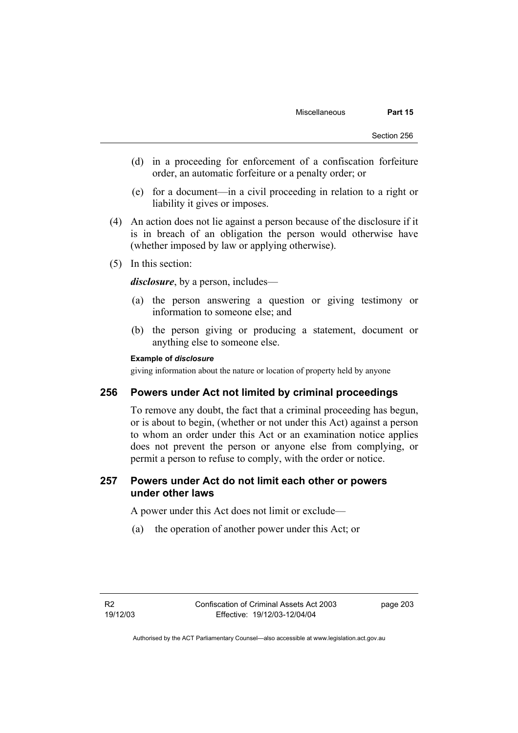- (d) in a proceeding for enforcement of a confiscation forfeiture order, an automatic forfeiture or a penalty order; or
- (e) for a document—in a civil proceeding in relation to a right or liability it gives or imposes.
- (4) An action does not lie against a person because of the disclosure if it is in breach of an obligation the person would otherwise have (whether imposed by law or applying otherwise).
- (5) In this section:

*disclosure*, by a person, includes—

- (a) the person answering a question or giving testimony or information to someone else; and
- (b) the person giving or producing a statement, document or anything else to someone else.

#### **Example of** *disclosure*

giving information about the nature or location of property held by anyone

#### **256 Powers under Act not limited by criminal proceedings**

To remove any doubt, the fact that a criminal proceeding has begun, or is about to begin, (whether or not under this Act) against a person to whom an order under this Act or an examination notice applies does not prevent the person or anyone else from complying, or permit a person to refuse to comply, with the order or notice.

#### **257 Powers under Act do not limit each other or powers under other laws**

A power under this Act does not limit or exclude—

(a) the operation of another power under this Act; or

page 203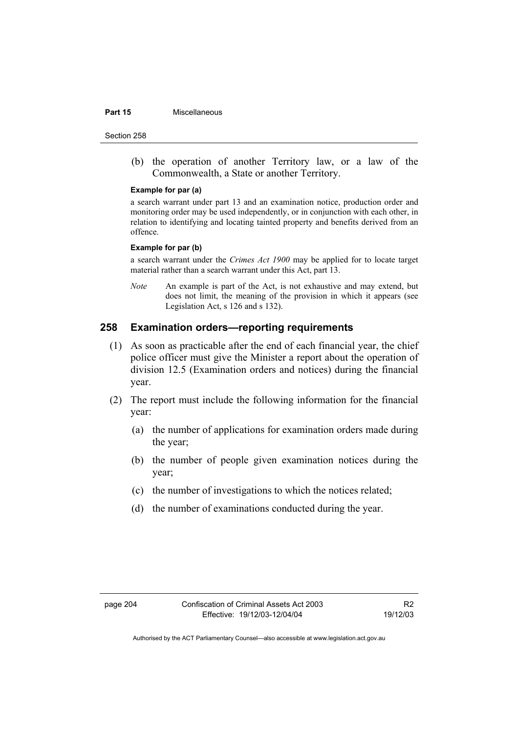#### **Part 15 Miscellaneous**

Section 258

 (b) the operation of another Territory law, or a law of the Commonwealth, a State or another Territory.

#### **Example for par (a)**

a search warrant under part 13 and an examination notice, production order and monitoring order may be used independently, or in conjunction with each other, in relation to identifying and locating tainted property and benefits derived from an offence.

#### **Example for par (b)**

a search warrant under the *Crimes Act 1900* may be applied for to locate target material rather than a search warrant under this Act, part 13.

*Note* An example is part of the Act, is not exhaustive and may extend, but does not limit, the meaning of the provision in which it appears (see Legislation Act, s 126 and s 132).

#### **258 Examination orders—reporting requirements**

- (1) As soon as practicable after the end of each financial year, the chief police officer must give the Minister a report about the operation of division 12.5 (Examination orders and notices) during the financial year.
- (2) The report must include the following information for the financial year:
	- (a) the number of applications for examination orders made during the year;
	- (b) the number of people given examination notices during the year;
	- (c) the number of investigations to which the notices related;
	- (d) the number of examinations conducted during the year.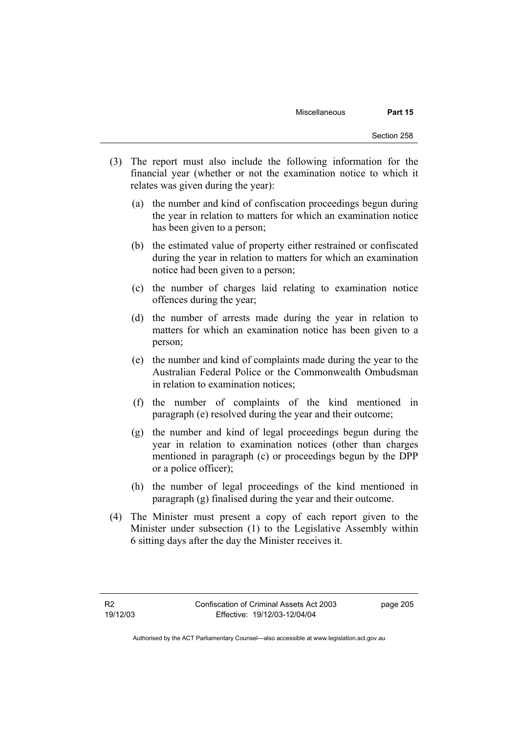- (3) The report must also include the following information for the financial year (whether or not the examination notice to which it relates was given during the year):
	- (a) the number and kind of confiscation proceedings begun during the year in relation to matters for which an examination notice has been given to a person;
	- (b) the estimated value of property either restrained or confiscated during the year in relation to matters for which an examination notice had been given to a person;
	- (c) the number of charges laid relating to examination notice offences during the year;
	- (d) the number of arrests made during the year in relation to matters for which an examination notice has been given to a person;
	- (e) the number and kind of complaints made during the year to the Australian Federal Police or the Commonwealth Ombudsman in relation to examination notices;
	- (f) the number of complaints of the kind mentioned in paragraph (e) resolved during the year and their outcome;
	- (g) the number and kind of legal proceedings begun during the year in relation to examination notices (other than charges mentioned in paragraph (c) or proceedings begun by the DPP or a police officer);
	- (h) the number of legal proceedings of the kind mentioned in paragraph (g) finalised during the year and their outcome.
- (4) The Minister must present a copy of each report given to the Minister under subsection (1) to the Legislative Assembly within 6 sitting days after the day the Minister receives it.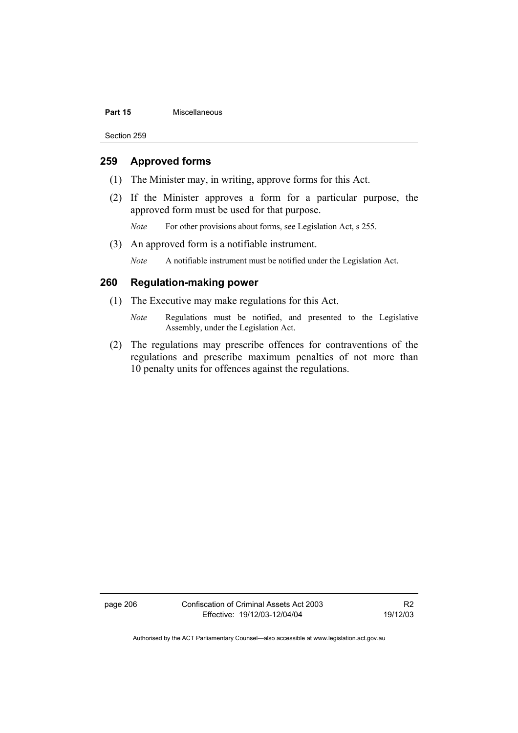#### **Part 15** Miscellaneous

Section 259

#### **259 Approved forms**

- (1) The Minister may, in writing, approve forms for this Act.
- (2) If the Minister approves a form for a particular purpose, the approved form must be used for that purpose.

*Note* For other provisions about forms, see Legislation Act, s 255.

(3) An approved form is a notifiable instrument.

*Note* A notifiable instrument must be notified under the Legislation Act.

#### **260 Regulation-making power**

- (1) The Executive may make regulations for this Act.
	- *Note* Regulations must be notified, and presented to the Legislative Assembly, under the Legislation Act.
- (2) The regulations may prescribe offences for contraventions of the regulations and prescribe maximum penalties of not more than 10 penalty units for offences against the regulations.

page 206 Confiscation of Criminal Assets Act 2003 Effective: 19/12/03-12/04/04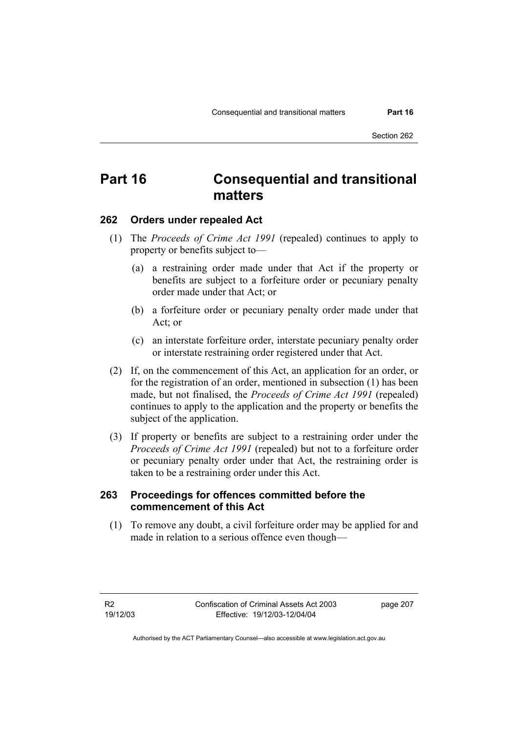Section 262

# **Part 16 Consequential and transitional matters**

#### **262 Orders under repealed Act**

- (1) The *Proceeds of Crime Act 1991* (repealed) continues to apply to property or benefits subject to—
	- (a) a restraining order made under that Act if the property or benefits are subject to a forfeiture order or pecuniary penalty order made under that Act; or
	- (b) a forfeiture order or pecuniary penalty order made under that Act; or
	- (c) an interstate forfeiture order, interstate pecuniary penalty order or interstate restraining order registered under that Act.
- (2) If, on the commencement of this Act, an application for an order, or for the registration of an order, mentioned in subsection (1) has been made, but not finalised, the *Proceeds of Crime Act 1991* (repealed) continues to apply to the application and the property or benefits the subject of the application.
- (3) If property or benefits are subject to a restraining order under the *Proceeds of Crime Act 1991* (repealed) but not to a forfeiture order or pecuniary penalty order under that Act, the restraining order is taken to be a restraining order under this Act.

#### **263 Proceedings for offences committed before the commencement of this Act**

 (1) To remove any doubt, a civil forfeiture order may be applied for and made in relation to a serious offence even though—

page 207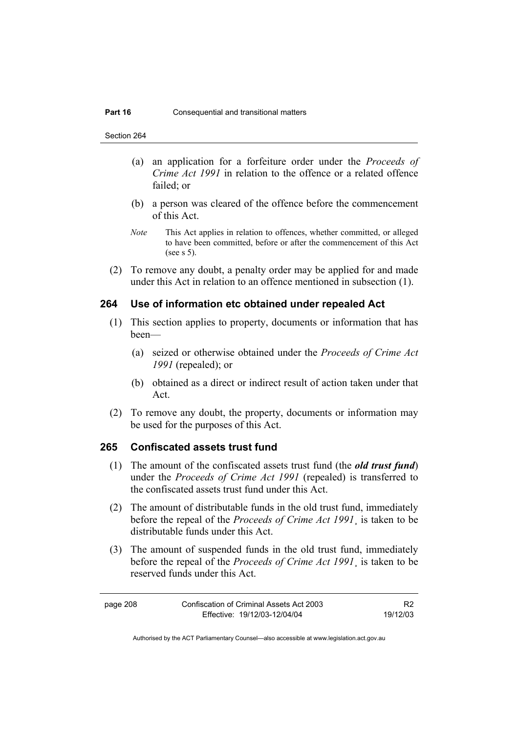Section 264

- (a) an application for a forfeiture order under the *Proceeds of Crime Act 1991* in relation to the offence or a related offence failed; or
- (b) a person was cleared of the offence before the commencement of this Act.
- *Note* This Act applies in relation to offences, whether committed, or alleged to have been committed, before or after the commencement of this Act (see s 5).
- (2) To remove any doubt, a penalty order may be applied for and made under this Act in relation to an offence mentioned in subsection (1).

#### **264 Use of information etc obtained under repealed Act**

- (1) This section applies to property, documents or information that has been—
	- (a) seized or otherwise obtained under the *Proceeds of Crime Act 1991* (repealed); or
	- (b) obtained as a direct or indirect result of action taken under that Act.
- (2) To remove any doubt, the property, documents or information may be used for the purposes of this Act.

#### **265 Confiscated assets trust fund**

- (1) The amount of the confiscated assets trust fund (the *old trust fund*) under the *Proceeds of Crime Act 1991* (repealed) is transferred to the confiscated assets trust fund under this Act.
- (2) The amount of distributable funds in the old trust fund, immediately before the repeal of the *Proceeds of Crime Act 1991*¸ is taken to be distributable funds under this Act.
- (3) The amount of suspended funds in the old trust fund, immediately before the repeal of the *Proceeds of Crime Act 1991*¸ is taken to be reserved funds under this Act.

page 208 Confiscation of Criminal Assets Act 2003 Effective: 19/12/03-12/04/04 R2 19/12/03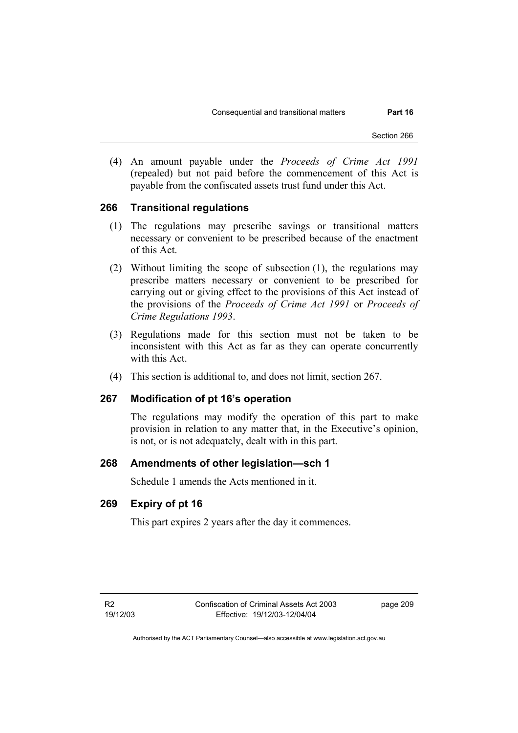Section 266

 (4) An amount payable under the *Proceeds of Crime Act 1991* (repealed) but not paid before the commencement of this Act is payable from the confiscated assets trust fund under this Act.

#### **266 Transitional regulations**

- (1) The regulations may prescribe savings or transitional matters necessary or convenient to be prescribed because of the enactment of this Act.
- (2) Without limiting the scope of subsection (1), the regulations may prescribe matters necessary or convenient to be prescribed for carrying out or giving effect to the provisions of this Act instead of the provisions of the *Proceeds of Crime Act 1991* or *Proceeds of Crime Regulations 1993*.
- (3) Regulations made for this section must not be taken to be inconsistent with this Act as far as they can operate concurrently with this Act.
- (4) This section is additional to, and does not limit, section 267.

#### **267 Modification of pt 16's operation**

The regulations may modify the operation of this part to make provision in relation to any matter that, in the Executive's opinion, is not, or is not adequately, dealt with in this part.

#### **268 Amendments of other legislation—sch 1**

Schedule 1 amends the Acts mentioned in it.

#### **269 Expiry of pt 16**

This part expires 2 years after the day it commences.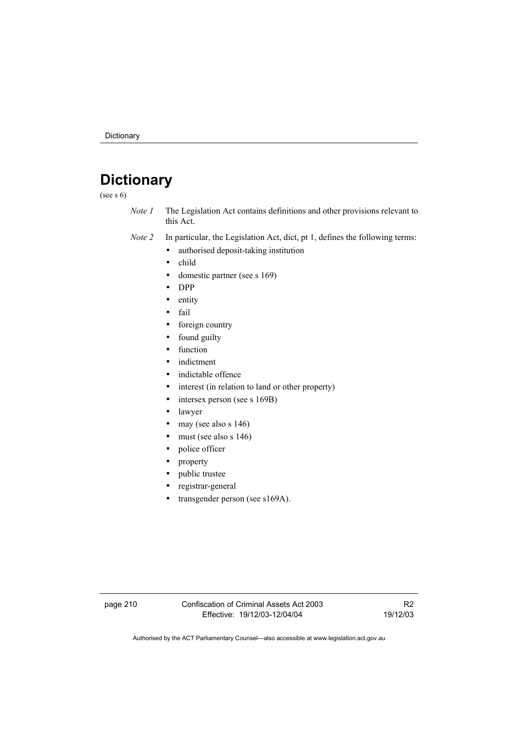# **Dictionary**

(see s  $6)$ 

- *Note 1* The Legislation Act contains definitions and other provisions relevant to this Act.
- *Note 2* In particular, the Legislation Act, dict, pt 1, defines the following terms:
	- authorised deposit-taking institution
	- child
	- domestic partner (see s 169)
	- DPP
	- entity
	- fail
	- foreign country
	- found guilty
	- function
	- indictment
	- indictable offence
	- interest (in relation to land or other property)
	- intersex person (see s 169B)
	- lawyer
	- may (see also s  $146$ )
	- must (see also s  $146$ )
	- police officer
	- property
	- public trustee
	- registrar-general
	- transgender person (see s169A).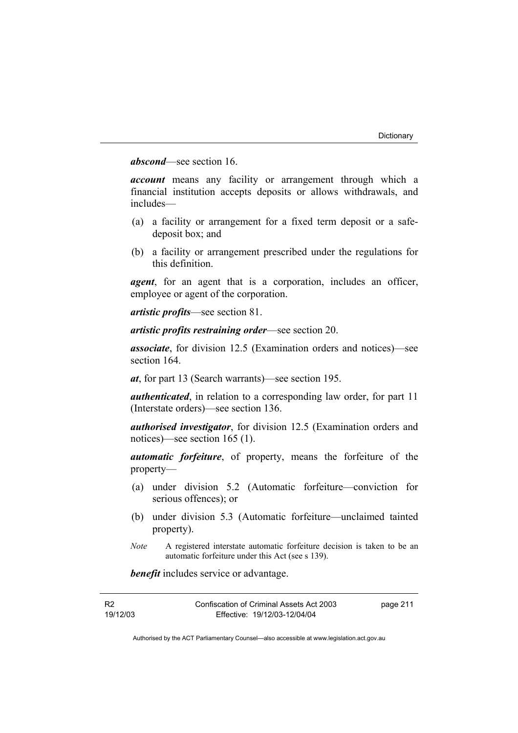#### *abscond*—see section 16.

*account* means any facility or arrangement through which a financial institution accepts deposits or allows withdrawals, and includes—

- (a) a facility or arrangement for a fixed term deposit or a safedeposit box; and
- (b) a facility or arrangement prescribed under the regulations for this definition.

*agent*, for an agent that is a corporation, includes an officer, employee or agent of the corporation.

*artistic profits*—see section 81.

*artistic profits restraining order*—see section 20.

*associate*, for division 12.5 (Examination orders and notices)—see section 164.

*at*, for part 13 (Search warrants)—see section 195.

*authenticated*, in relation to a corresponding law order, for part 11 (Interstate orders)—see section 136.

*authorised investigator*, for division 12.5 (Examination orders and notices)—see section 165 (1).

*automatic forfeiture*, of property, means the forfeiture of the property—

- (a) under division 5.2 (Automatic forfeiture—conviction for serious offences); or
- (b) under division 5.3 (Automatic forfeiture—unclaimed tainted property).
- *Note* A registered interstate automatic forfeiture decision is taken to be an automatic forfeiture under this Act (see s 139).

*benefit* includes service or advantage.

| <b>R2</b> | Confiscation of Criminal Assets Act 2003 | page 211 |
|-----------|------------------------------------------|----------|
| 19/12/03  | Effective: 19/12/03-12/04/04             |          |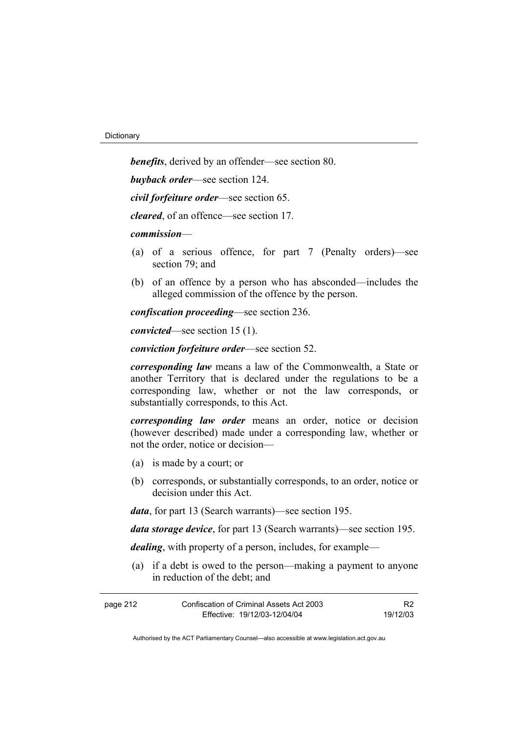*benefits*, derived by an offender—see section 80.

*buyback order*—see section 124.

*civil forfeiture order*—see section 65.

*cleared*, of an offence—see section 17.

#### *commission*—

- (a) of a serious offence, for part 7 (Penalty orders)—see section 79; and
- (b) of an offence by a person who has absconded—includes the alleged commission of the offence by the person.

*confiscation proceeding*—see section 236.

*convicted*—see section 15 (1).

*conviction forfeiture order*—see section 52.

*corresponding law* means a law of the Commonwealth, a State or another Territory that is declared under the regulations to be a corresponding law, whether or not the law corresponds, or substantially corresponds, to this Act.

*corresponding law order* means an order, notice or decision (however described) made under a corresponding law, whether or not the order, notice or decision—

- (a) is made by a court; or
- (b) corresponds, or substantially corresponds, to an order, notice or decision under this Act.

*data*, for part 13 (Search warrants)—see section 195.

*data storage device*, for part 13 (Search warrants)—see section 195.

*dealing*, with property of a person, includes, for example—

 (a) if a debt is owed to the person—making a payment to anyone in reduction of the debt; and

| page 212 | Confiscation of Criminal Assets Act 2003 | R <sub>2</sub> |
|----------|------------------------------------------|----------------|
|          | Effective: 19/12/03-12/04/04             | 19/12/03       |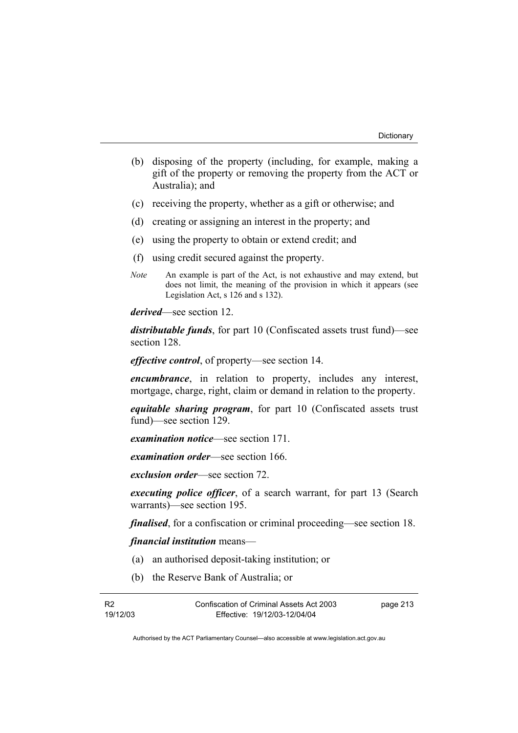- (b) disposing of the property (including, for example, making a gift of the property or removing the property from the ACT or Australia); and
- (c) receiving the property, whether as a gift or otherwise; and
- (d) creating or assigning an interest in the property; and
- (e) using the property to obtain or extend credit; and
- (f) using credit secured against the property.
- *Note* An example is part of the Act, is not exhaustive and may extend, but does not limit, the meaning of the provision in which it appears (see Legislation Act, s 126 and s 132).

*derived*—see section 12.

*distributable funds*, for part 10 (Confiscated assets trust fund)—see section 128.

*effective control*, of property—see section 14.

*encumbrance*, in relation to property, includes any interest, mortgage, charge, right, claim or demand in relation to the property.

*equitable sharing program*, for part 10 (Confiscated assets trust fund)—see section 129.

*examination notice*—see section 171.

*examination order*—see section 166.

*exclusion order*—see section 72.

*executing police officer*, of a search warrant, for part 13 (Search warrants)—see section 195.

*finalised*, for a confiscation or criminal proceeding—see section 18.

*financial institution* means—

- (a) an authorised deposit-taking institution; or
- (b) the Reserve Bank of Australia; or

page 213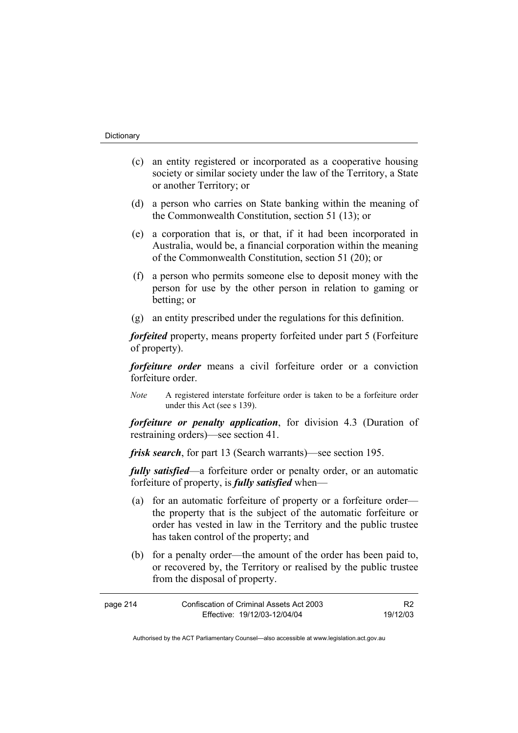- (c) an entity registered or incorporated as a cooperative housing society or similar society under the law of the Territory, a State or another Territory; or
- (d) a person who carries on State banking within the meaning of the Commonwealth Constitution, section 51 (13); or
- (e) a corporation that is, or that, if it had been incorporated in Australia, would be, a financial corporation within the meaning of the Commonwealth Constitution, section 51 (20); or
- (f) a person who permits someone else to deposit money with the person for use by the other person in relation to gaming or betting; or
- (g) an entity prescribed under the regulations for this definition.

*forfeited* property, means property forfeited under part 5 (Forfeiture of property).

*forfeiture order* means a civil forfeiture order or a conviction forfeiture order.

*Note* A registered interstate forfeiture order is taken to be a forfeiture order under this Act (see s 139).

*forfeiture or penalty application*, for division 4.3 (Duration of restraining orders)—see section 41.

*frisk search*, for part 13 (Search warrants)—see section 195.

*fully satisfied*—a forfeiture order or penalty order, or an automatic forfeiture of property, is *fully satisfied* when—

- (a) for an automatic forfeiture of property or a forfeiture order the property that is the subject of the automatic forfeiture or order has vested in law in the Territory and the public trustee has taken control of the property; and
- (b) for a penalty order—the amount of the order has been paid to, or recovered by, the Territory or realised by the public trustee from the disposal of property.

| page 214 | Confiscation of Criminal Assets Act 2003 |          |
|----------|------------------------------------------|----------|
|          | Effective: 19/12/03-12/04/04             | 19/12/03 |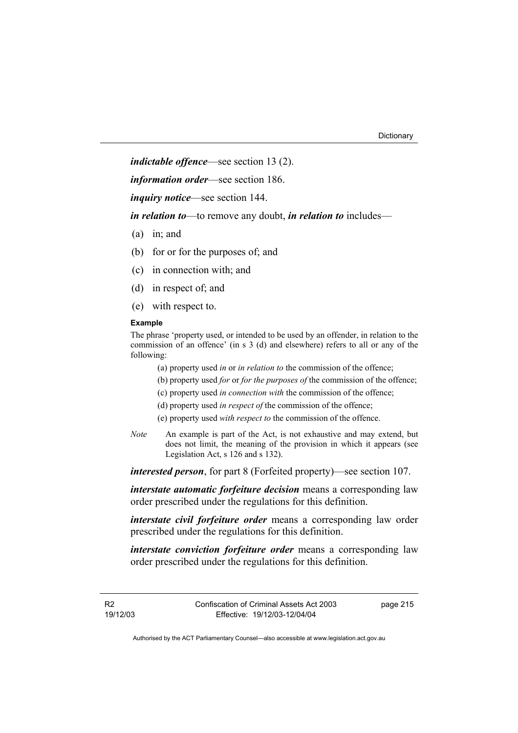*indictable offence*—see section 13 (2).

*information order*—see section 186.

*inquiry notice*—see section 144.

*in relation to*—to remove any doubt, *in relation to* includes—

- (a) in; and
- (b) for or for the purposes of; and
- (c) in connection with; and
- (d) in respect of; and
- (e) with respect to.

#### **Example**

The phrase 'property used, or intended to be used by an offender, in relation to the commission of an offence' (in s 3 (d) and elsewhere) refers to all or any of the following:

(a) property used *in* or *in relation to* the commission of the offence;

- (b) property used *for* or *for the purposes of* the commission of the offence;
- (c) property used *in connection with* the commission of the offence;
- (d) property used *in respect of* the commission of the offence;
- (e) property used *with respect to* the commission of the offence.
- *Note* An example is part of the Act, is not exhaustive and may extend, but does not limit, the meaning of the provision in which it appears (see Legislation Act, s 126 and s 132).

*interested person*, for part 8 (Forfeited property)—see section 107.

*interstate automatic forfeiture decision* means a corresponding law order prescribed under the regulations for this definition.

*interstate civil forfeiture order* means a corresponding law order prescribed under the regulations for this definition.

*interstate conviction forfeiture order* means a corresponding law order prescribed under the regulations for this definition.

R2 19/12/03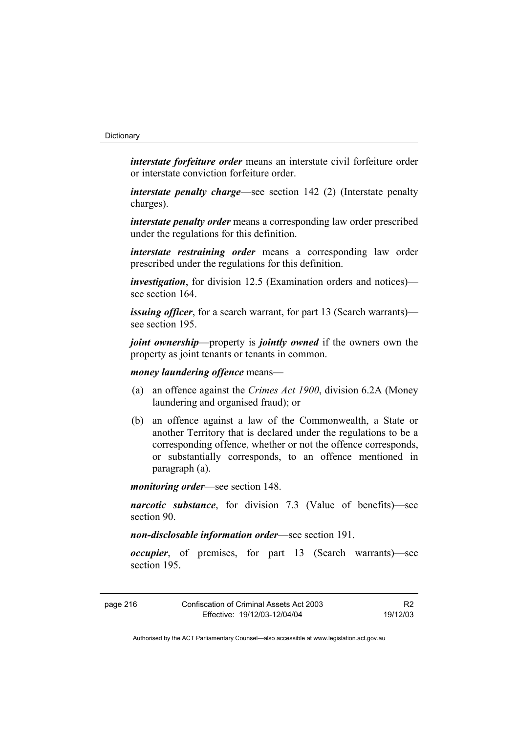*interstate forfeiture order* means an interstate civil forfeiture order or interstate conviction forfeiture order.

*interstate penalty charge*—see section 142 (2) (Interstate penalty charges).

*interstate penalty order* means a corresponding law order prescribed under the regulations for this definition.

*interstate restraining order* means a corresponding law order prescribed under the regulations for this definition.

*investigation*, for division 12.5 (Examination orders and notices) see section 164

*issuing officer*, for a search warrant, for part 13 (Search warrants) see section 195.

*joint ownership*—property is *jointly owned* if the owners own the property as joint tenants or tenants in common.

*money laundering offence* means—

- (a) an offence against the *Crimes Act 1900*, division 6.2A (Money laundering and organised fraud); or
- (b) an offence against a law of the Commonwealth, a State or another Territory that is declared under the regulations to be a corresponding offence, whether or not the offence corresponds, or substantially corresponds, to an offence mentioned in paragraph (a).

*monitoring order*—see section 148.

*narcotic substance*, for division 7.3 (Value of benefits)—see section 90.

*non-disclosable information order*—see section 191.

*occupier*, of premises, for part 13 (Search warrants)—see section 195.

| Confiscation of Criminal Assets Act 2003<br>page 216 |                              | R <sub>2</sub> |
|------------------------------------------------------|------------------------------|----------------|
|                                                      | Effective: 19/12/03-12/04/04 | 19/12/03       |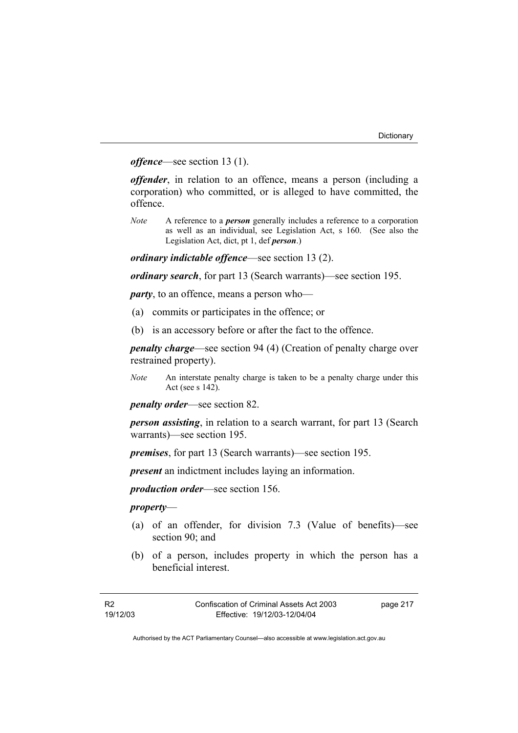*offence*—see section 13 (1).

*offender*, in relation to an offence, means a person (including a corporation) who committed, or is alleged to have committed, the offence.

*Note* A reference to a *person* generally includes a reference to a corporation as well as an individual, see Legislation Act, s 160. (See also the Legislation Act, dict, pt 1, def *person*.)

*ordinary indictable offence*—see section 13 (2).

*ordinary search*, for part 13 (Search warrants)—see section 195.

*party*, to an offence, means a person who—

- (a) commits or participates in the offence; or
- (b) is an accessory before or after the fact to the offence.

*penalty charge*—see section 94 (4) (Creation of penalty charge over restrained property).

*Note* An interstate penalty charge is taken to be a penalty charge under this Act (see s 142).

*penalty order*—see section 82.

*person assisting*, in relation to a search warrant, for part 13 (Search warrants)—see section 195.

*premises*, for part 13 (Search warrants)—see section 195.

*present* an indictment includes laying an information.

*production order*—see section 156.

#### *property*—

- (a) of an offender, for division 7.3 (Value of benefits)—see section 90; and
- (b) of a person, includes property in which the person has a beneficial interest.

page 217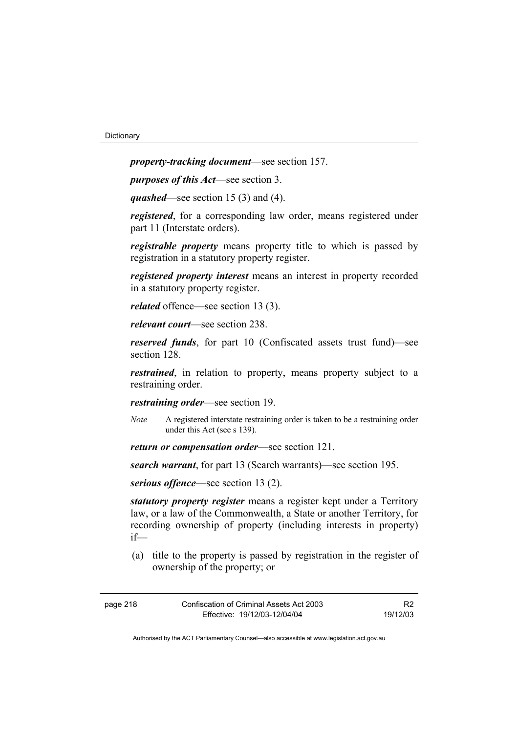*property-tracking document*—see section 157.

*purposes of this Act*—see section 3.

*quashed*—see section 15 (3) and (4).

*registered*, for a corresponding law order, means registered under part 11 (Interstate orders).

*registrable property* means property title to which is passed by registration in a statutory property register.

*registered property interest* means an interest in property recorded in a statutory property register.

*related* offence—see section 13 (3).

*relevant court*—see section 238.

*reserved funds*, for part 10 (Confiscated assets trust fund)—see section 128.

*restrained*, in relation to property, means property subject to a restraining order.

*restraining order*—see section 19.

- *Note* A registered interstate restraining order is taken to be a restraining order under this Act (see s 139).
- *return or compensation order*—see section 121.

*search warrant*, for part 13 (Search warrants)—see section 195.

*serious offence*—see section 13 (2).

*statutory property register* means a register kept under a Territory law, or a law of the Commonwealth, a State or another Territory, for recording ownership of property (including interests in property) if—

 (a) title to the property is passed by registration in the register of ownership of the property; or

| page 218 | Confiscation of Criminal Assets Act 2003 | R <sub>2</sub> |
|----------|------------------------------------------|----------------|
|          | Effective: 19/12/03-12/04/04             | 19/12/03       |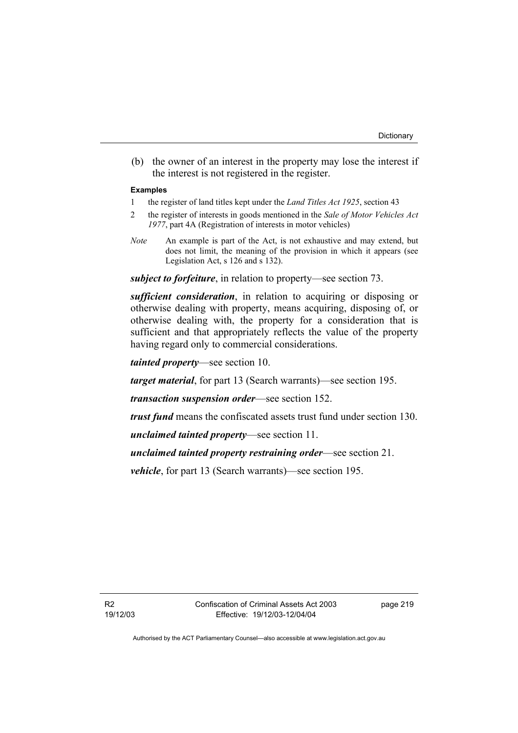(b) the owner of an interest in the property may lose the interest if the interest is not registered in the register.

#### **Examples**

- 1 the register of land titles kept under the *Land Titles Act 1925*, section 43
- 2 the register of interests in goods mentioned in the *Sale of Motor Vehicles Act 1977*, part 4A (Registration of interests in motor vehicles)
- *Note* An example is part of the Act, is not exhaustive and may extend, but does not limit, the meaning of the provision in which it appears (see Legislation Act, s 126 and s 132).

*subject to forfeiture*, in relation to property—see section 73.

*sufficient consideration*, in relation to acquiring or disposing or otherwise dealing with property, means acquiring, disposing of, or otherwise dealing with, the property for a consideration that is sufficient and that appropriately reflects the value of the property having regard only to commercial considerations.

*tainted property*—see section 10.

*target material*, for part 13 (Search warrants)—see section 195.

*transaction suspension order*—see section 152.

*trust fund* means the confiscated assets trust fund under section 130.

*unclaimed tainted property*—see section 11.

*unclaimed tainted property restraining order*—see section 21.

*vehicle*, for part 13 (Search warrants)—see section 195.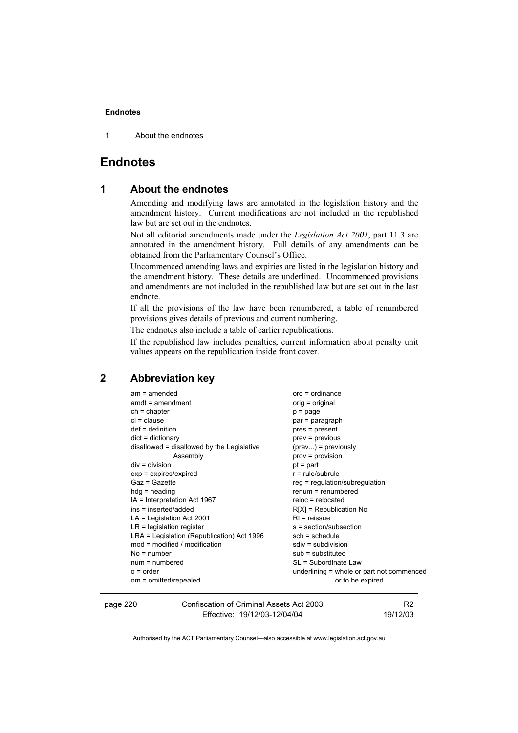1 About the endnotes

### **Endnotes**

#### **1 About the endnotes**

Amending and modifying laws are annotated in the legislation history and the amendment history. Current modifications are not included in the republished law but are set out in the endnotes.

Not all editorial amendments made under the *Legislation Act 2001*, part 11.3 are annotated in the amendment history. Full details of any amendments can be obtained from the Parliamentary Counsel's Office.

Uncommenced amending laws and expiries are listed in the legislation history and the amendment history. These details are underlined. Uncommenced provisions and amendments are not included in the republished law but are set out in the last endnote.

If all the provisions of the law have been renumbered, a table of renumbered provisions gives details of previous and current numbering.

The endnotes also include a table of earlier republications.

If the republished law includes penalties, current information about penalty unit values appears on the republication inside front cover.

#### **2 Abbreviation key**

| $am = amended$                             | $ord = ordinance$                           |
|--------------------------------------------|---------------------------------------------|
| $amdt = amendment$                         | orig = original                             |
| $ch = chapter$                             | $p = page$                                  |
| $cl = clause$                              | par = paragraph                             |
| $def = definition$                         | pres = present                              |
| $dict = dictionary$                        | $prev = previous$                           |
| disallowed = disallowed by the Legislative | $(\text{prev})$ = previously                |
| Assembly                                   | $prov = provision$                          |
| $div =$ division                           | $pt = part$                                 |
| $exp = expires/expired$                    | $r = rule/subrule$                          |
| Gaz = Gazette                              | $reg = regulation/subregulation$            |
| $hdg =$ heading                            | $renum = renumbered$                        |
| IA = Interpretation Act 1967               | $reloc = relocated$                         |
| ins = inserted/added                       | $R[X]$ = Republication No                   |
| $LA =$ Legislation Act 2001                | $RI$ = reissue                              |
| $LR =$ legislation register                | s = section/subsection                      |
| LRA = Legislation (Republication) Act 1996 | $sch = schedule$                            |
| $mod = modified / modified$                | $sdiv = subdivision$                        |
| $No = number$                              | $sub =$ substituted                         |
| $num = numbered$                           | SL = Subordinate Law                        |
| $o = order$                                | underlining $=$ whole or part not commenced |
| om = omitted/repealed                      | or to be expired                            |
|                                            |                                             |

page 220 Confiscation of Criminal Assets Act 2003 Effective: 19/12/03-12/04/04

R2 19/12/03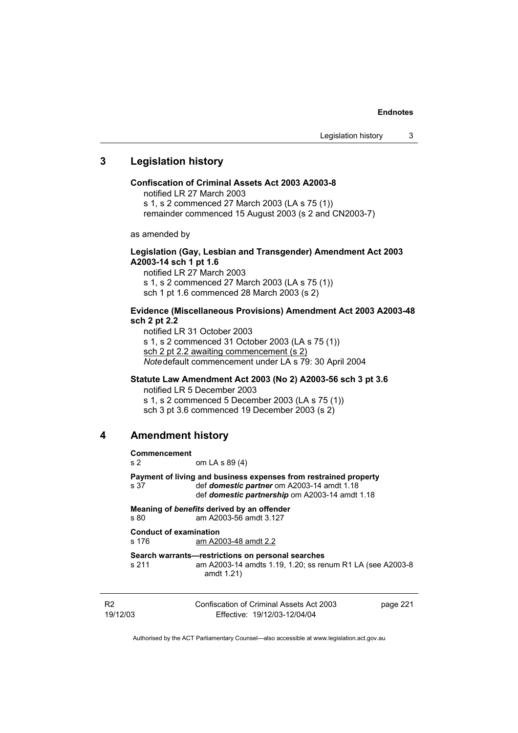#### **3 Legislation history**

#### **Confiscation of Criminal Assets Act 2003 A2003-8**

notified LR 27 March 2003 s 1, s 2 commenced 27 March 2003 (LA s 75 (1)) remainder commenced 15 August 2003 (s 2 and CN2003-7)

as amended by

#### **Legislation (Gay, Lesbian and Transgender) Amendment Act 2003 A2003-14 sch 1 pt 1.6**

notified LR 27 March 2003 s 1, s 2 commenced 27 March 2003 (LA s 75 (1)) sch 1 pt 1.6 commenced 28 March 2003 (s 2)

#### **Evidence (Miscellaneous Provisions) Amendment Act 2003 A2003-48 sch 2 pt 2.2**

notified LR 31 October 2003 s 1, s 2 commenced 31 October 2003 (LA s 75 (1)) sch 2 pt 2.2 awaiting commencement (s 2) *Note* default commencement under LA s 79: 30 April 2004

#### **Statute Law Amendment Act 2003 (No 2) A2003-56 sch 3 pt 3.6**

notified LR 5 December 2003 s 1, s 2 commenced 5 December 2003 (LA s 75 (1)) sch 3 pt 3.6 commenced 19 December 2003 (s 2)

#### **4 Amendment history**

| <b>Commencement</b><br>s <sub>2</sub> | om LA s 89 (4)                                                                                                                                                          |          |
|---------------------------------------|-------------------------------------------------------------------------------------------------------------------------------------------------------------------------|----------|
| s 37                                  | Payment of living and business expenses from restrained property<br>def domestic partner om A2003-14 amdt 1.18<br>def <i>domestic partnership</i> om A2003-14 amdt 1.18 |          |
| s 80                                  | Meaning of benefits derived by an offender<br>am A2003-56 amdt 3.127                                                                                                    |          |
| s 176                                 | <b>Conduct of examination</b><br>am A2003-48 amdt 2.2                                                                                                                   |          |
| s 211                                 | Search warrants—restrictions on personal searches<br>am A2003-14 amdts 1.19, 1.20; ss renum R1 LA (see A2003-8<br>amdt 1.21)                                            |          |
| R <sub>2</sub><br>19/12/03            | Confiscation of Criminal Assets Act 2003<br>Effective: 19/12/03-12/04/04                                                                                                | page 221 |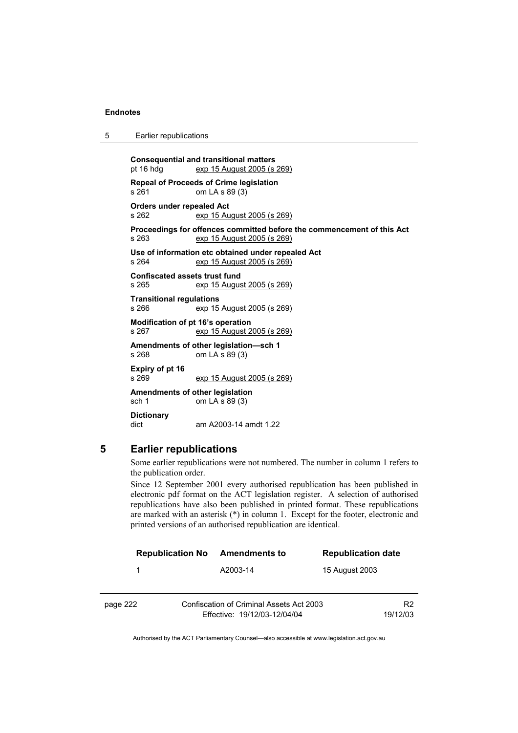| 5 |  | Earlier republications |
|---|--|------------------------|
|---|--|------------------------|

**Consequential and transitional matters**  pt 16 hdg exp 15 August 2005 (s 269) **Repeal of Proceeds of Crime legislation**  s 261 om LA s 89 (3) **Orders under repealed Act**  s 262 exp 15 August 2005 (s 269) **Proceedings for offences committed before the commencement of this Act**  s 263 exp 15 August 2005 (s 269) **Use of information etc obtained under repealed Act**  s 264 exp 15 August 2005 (s 269) **Confiscated assets trust fund**  s 265 exp 15 August 2005 (s 269) **Transitional regulations**  s 266 exp 15 August 2005 (s 269) **Modification of pt 16's operation**  s 267 exp 15 August 2005 (s 269) **Amendments of other legislation—sch 1**  s 268 om LA s 89 (3) **Expiry of pt 16**  s 269 exp 15 August 2005 (s 269) **Amendments of other legislation**  sch 1 om LA s 89 (3) **Dictionary**  dict am A2003-14 amdt 1.22

#### **5 Earlier republications**

Some earlier republications were not numbered. The number in column 1 refers to the publication order.

Since 12 September 2001 every authorised republication has been published in electronic pdf format on the ACT legislation register. A selection of authorised republications have also been published in printed format. These republications are marked with an asterisk (\*) in column 1. Except for the footer, electronic and printed versions of an authorised republication are identical.

|          | <b>Republication No</b> | Amendments to                                                            | <b>Republication date</b> |                            |
|----------|-------------------------|--------------------------------------------------------------------------|---------------------------|----------------------------|
|          | 1                       | A2003-14                                                                 | 15 August 2003            |                            |
| page 222 |                         | Confiscation of Criminal Assets Act 2003<br>Effective: 19/12/03-12/04/04 |                           | R <sub>2</sub><br>19/12/03 |